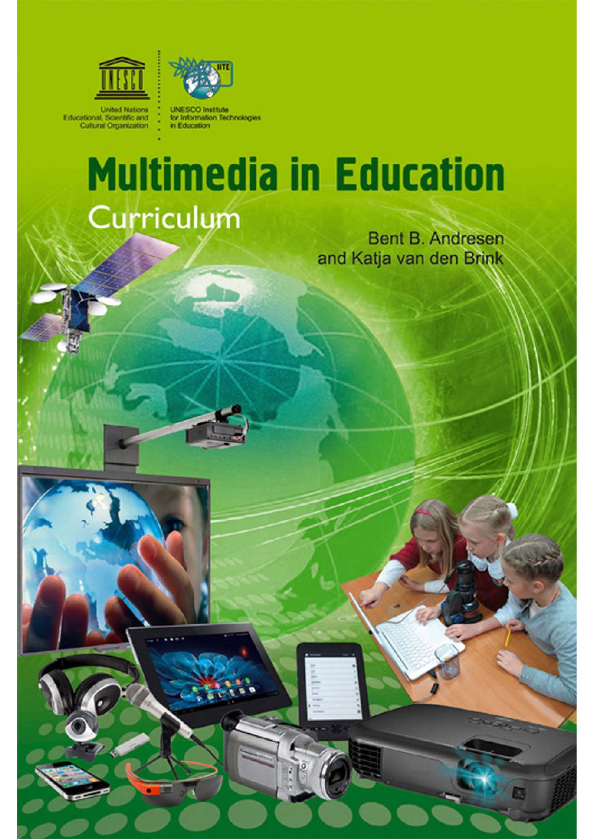



**United Nations** Educational, Scientific and<br>Cultural Organization

for Information Technologies in Education

# **Multimedia in Education** Curriculum

**Bent B. Andresen** and Katja van den Brink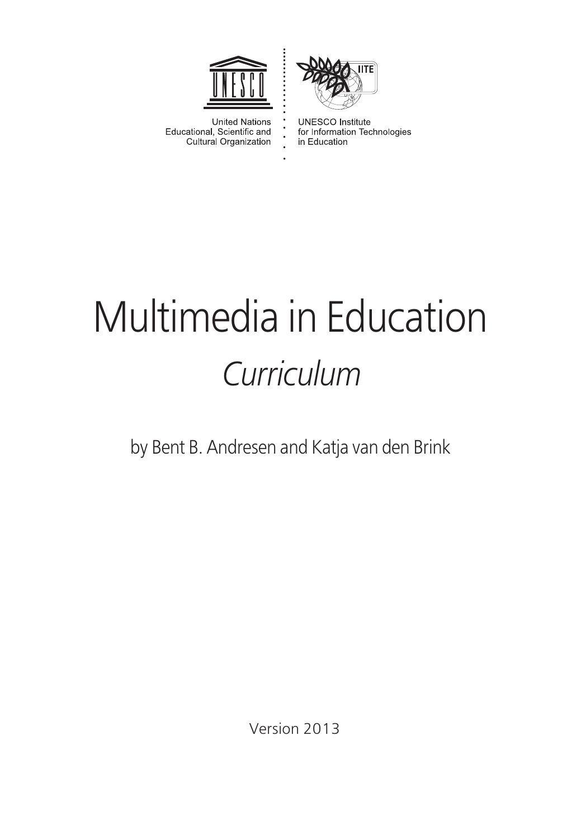



**United Nations** Educational, Scientific and Cultural Organization

**UNESCO** Institute for Information Technologies in Education

# Multimedia in Education *Curriculum*

 $\ddot{\cdot}$ 

by Bent B. Andresen and Katja van den Brink

Version 2013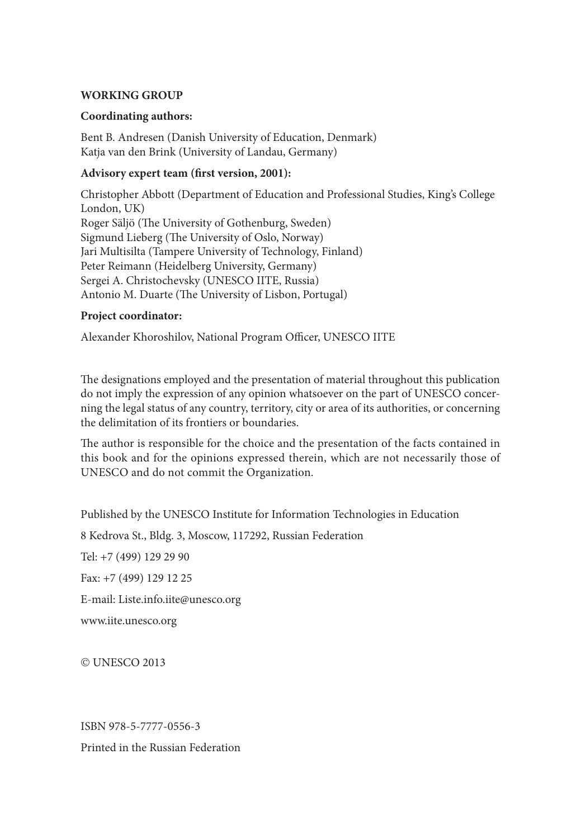#### **WORKING GROUP**

#### **Coordinating authors:**

Bent B. Andresen (Danish University of Education, Denmark) Katja van den Brink (University of Landau, Germany)

#### Advisory expert team (first version, 2001):

Christopher Abbott (Department of Education and Professional Studies, King's College London, UK) Roger Säljö (The University of Gothenburg, Sweden) Sigmund Lieberg (The University of Oslo, Norway) Jari Multisilta (Tampere University of Technology, Finland) Peter Reimann (Heidelberg University, Germany) Sergei A. Christochevsky (UNESCO IITE, Russia) Antonio M. Duarte (The University of Lisbon, Portugal)

#### **Project coordinator:**

Alexander Khoroshilov, National Program Officer, UNESCO IITE

The designations employed and the presentation of material throughout this publication do not imply the expression of any opinion whatsoever on the part of UNESCO concerning the legal status of any country, territory, city or area of its authorities, or concerning the delimitation of its frontiers or boundaries.

The author is responsible for the choice and the presentation of the facts contained in this book and for the opinions expressed therein, which are not necessarily those of UNESCO and do not commit the Organization.

Published by the UNESCO Institute for Information Technologies in Education

8 Kedrova St., Bldg. 3, Moscow, 117292, Russian Federation

Tel: +7 (499) 129 29 90

Fax: +7 (499) 129 12 25

E-mail: [Liste.info.iite@unesco.org](mailto:Liste.info.iite@unesco.org)

[www.iite.unesco.org](http://www.iite.unesco.org)

© UNESCO 2013

ISBN 978-5-7777-0556-3 Printed in the Russian Federation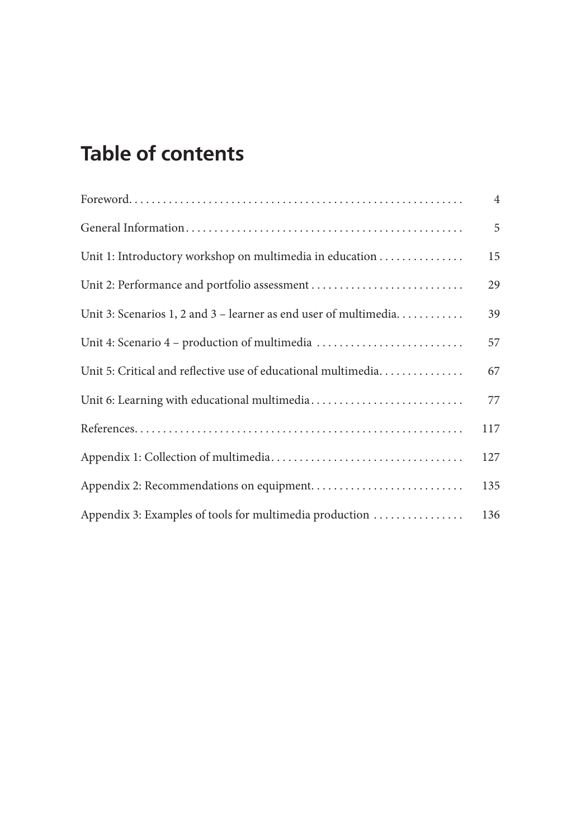## **Table of contents**

|                                                                  | $\overline{4}$ |
|------------------------------------------------------------------|----------------|
|                                                                  | 5              |
| Unit 1: Introductory workshop on multimedia in education         | 15             |
| Unit 2: Performance and portfolio assessment                     | 29             |
| Unit 3: Scenarios 1, 2 and 3 – learner as end user of multimedia | 39             |
| Unit 4: Scenario 4 – production of multimedia                    | 57             |
| Unit 5: Critical and reflective use of educational multimedia    | 67             |
|                                                                  | 77             |
|                                                                  | 117            |
|                                                                  | 127            |
|                                                                  | 135            |
| Appendix 3: Examples of tools for multimedia production          | 136            |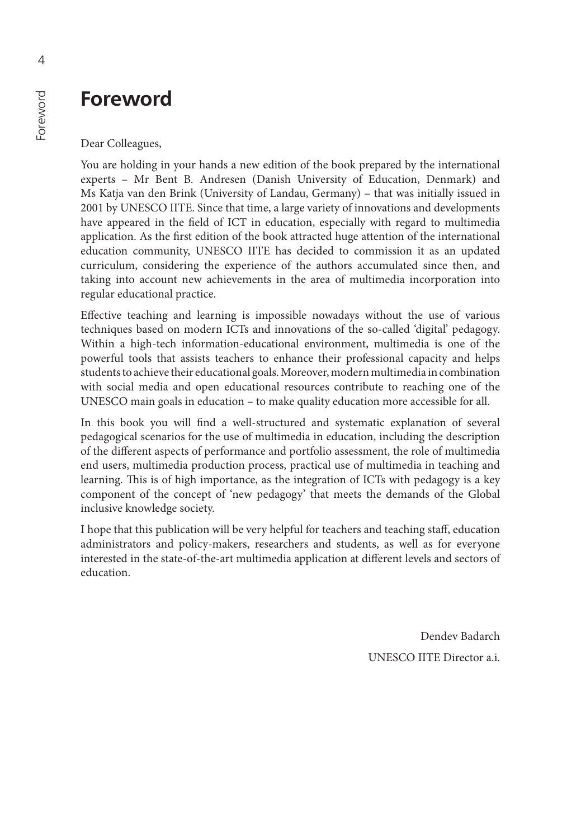## <span id="page-4-0"></span>**Foreword**

Dear Colleagues,

You are holding in your hands a new edition of the book prepared by the international experts – Mr Bent B. Andresen (Danish University of Education, Denmark) and Ms Katja van den Brink (University of Landau, Germany) – that was initially issued in 2001 by UNESCO IITE. Since that time, a large variety of innovations and developments have appeared in the field of ICT in education, especially with regard to multimedia application. As the first edition of the book attracted huge attention of the international education community, UNESCO IITE has decided to commission it as an updated curriculum, considering the experience of the authors accumulated since then, and taking into account new achievements in the area of multimedia incorporation into regular educational practice.

Effective teaching and learning is impossible nowadays without the use of various techniques based on modern ICTs and innovations of the so-called 'digital' pedagogy. Within a high-tech information-educational environment, multimedia is one of the powerful tools that assists teachers to enhance their professional capacity and helps students to achieve their educational goals. Moreover, modern multimedia in combination with social media and open educational resources contribute to reaching one of the UNESCO main goals in education – to make quality education more accessible for all.

In this book you will find a well-structured and systematic explanation of several pedagogical scenarios for the use of multimedia in education, including the description of the different aspects of performance and portfolio assessment, the role of multimedia end users, multimedia production process, practical use of multimedia in teaching and learning. This is of high importance, as the integration of ICTs with pedagogy is a key component of the concept of 'new pedagogy' that meets the demands of the Global inclusive knowledge society.

I hope that this publication will be very helpful for teachers and teaching staff, education administrators and policy-makers, researchers and students, as well as for everyone interested in the state-of-the-art multimedia application at different levels and sectors of education.

> Dendev Badarch UNESCO IITE Director a.i.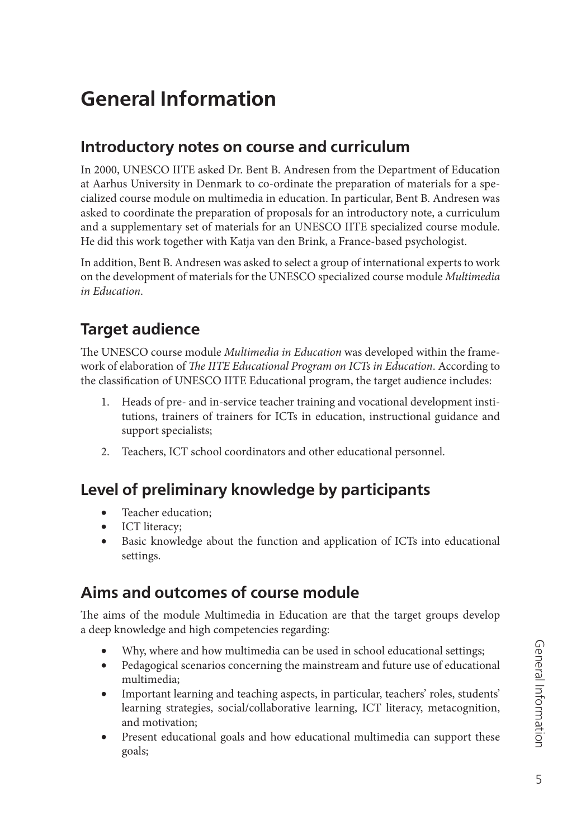## <span id="page-5-0"></span>**General Information**

## **Introductory notes on course and curriculum**

In 2000, UNESCO IITE asked Dr. Bent B. Andresen from the Department of Education at Aarhus University in Denmark to co-ordinate the preparation of materials for a specialized course module on multimedia in education. In particular, Bent B. Andresen was asked to coordinate the preparation of proposals for an introductory note, a curriculum and a supplementary set of materials for an UNESCO IITE specialized course module. He did this work together with Katja van den Brink, a France-based psychologist.

In addition, Bent B. Andresen was asked to select a group of international experts to work on the development of materials for the UNESCO specialized course module *Multimedia in Education*.

## **Target audience**

The UNESCO course module *Multimedia in Education* was developed within the framework of elaboration of *The IITE Educational Program on ICTs in Education*. According to the classification of UNESCO IITE Educational program, the target audience includes:

- 1. Heads of pre- and in-service teacher training and vocational development institutions, trainers of trainers for ICTs in education, instructional guidance and support specialists;
- 2. Teachers, ICT school coordinators and other educational personnel.

## **Level of preliminary knowledge by participants**

- Teacher education;
- ICT literacy;
- Basic knowledge about the function and application of ICTs into educational settings.

## **Aims and outcomes of course module**

The aims of the module Multimedia in Education are that the target groups develop a deep knowledge and high competencies regarding:

- Why, where and how multimedia can be used in school educational settings;
- Pedagogical scenarios concerning the mainstream and future use of educational multimedia;
- Important learning and teaching aspects, in particular, teachers' roles, students' learning strategies, social/collaborative learning, ICT literacy, metacognition, and motivation;
- Present educational goals and how educational multimedia can support these goals;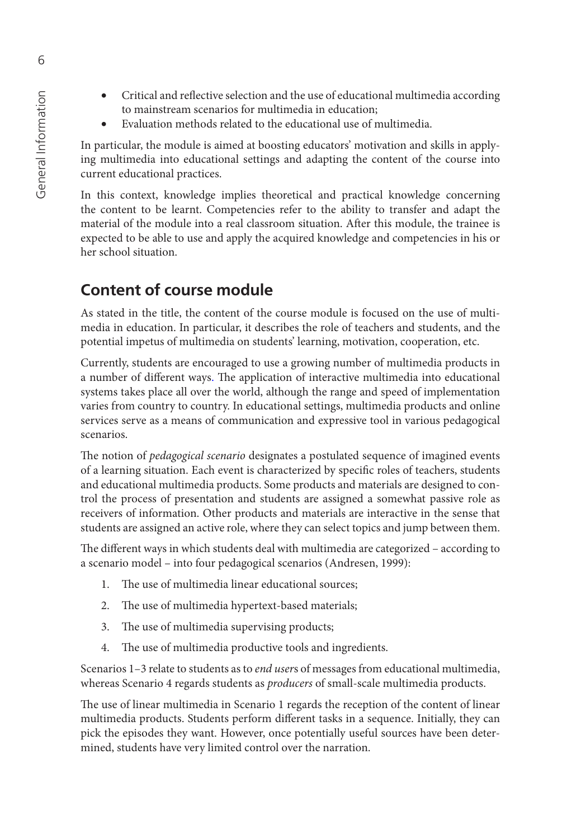- Critical and reflective selection and the use of educational multimedia according to mainstream scenarios for multimedia in education;
- Evaluation methods related to the educational use of multimedia.

In particular, the module is aimed at boosting educators' motivation and skills in applying multimedia into educational settings and adapting the content of the course into current educational practices.

In this context, knowledge implies theoretical and practical knowledge concerning the content to be learnt. Competencies refer to the ability to transfer and adapt the material of the module into a real classroom situation. After this module, the trainee is expected to be able to use and apply the acquired knowledge and competencies in his or her school situation.

#### **Content of course module**

As stated in the title, the content of the course module is focused on the use of multimedia in education. In particular, it describes the role of teachers and students, and the potential impetus of multimedia on students' learning, motivation, cooperation, etc.

Currently, students are encouraged to use a growing number of multimedia products in a number of different ways. The application of interactive multimedia into educational systems takes place all over the world, although the range and speed of implementation varies from country to country. In educational settings, multimedia products and online services serve as a means of communication and expressive tool in various pedagogical scenarios.

The notion of *pedagogical scenario* designates a postulated sequence of imagined events of a learning situation. Each event is characterized by specific roles of teachers, students and educational multimedia products. Some products and materials are designed to control the process of presentation and students are assigned a somewhat passive role as receivers of information. Other products and materials are interactive in the sense that students are assigned an active role, where they can select topics and jump between them.

The different ways in which students deal with multimedia are categorized - according to a scenario model – into four pedagogical scenarios (Andresen, 1999):

- 1. The use of multimedia linear educational sources;
- 2. The use of multimedia hypertext-based materials;
- 3. The use of multimedia supervising products;
- 4. The use of multimedia productive tools and ingredients.

Scenarios 1–3 relate to students as to *end user*s of messages from educational multimedia, whereas Scenario 4 regards students as *producers* of small-scale multimedia products.

The use of linear multimedia in Scenario 1 regards the reception of the content of linear multimedia products. Students perform different tasks in a sequence. Initially, they can pick the episodes they want. However, once potentially useful sources have been determined, students have very limited control over the narration.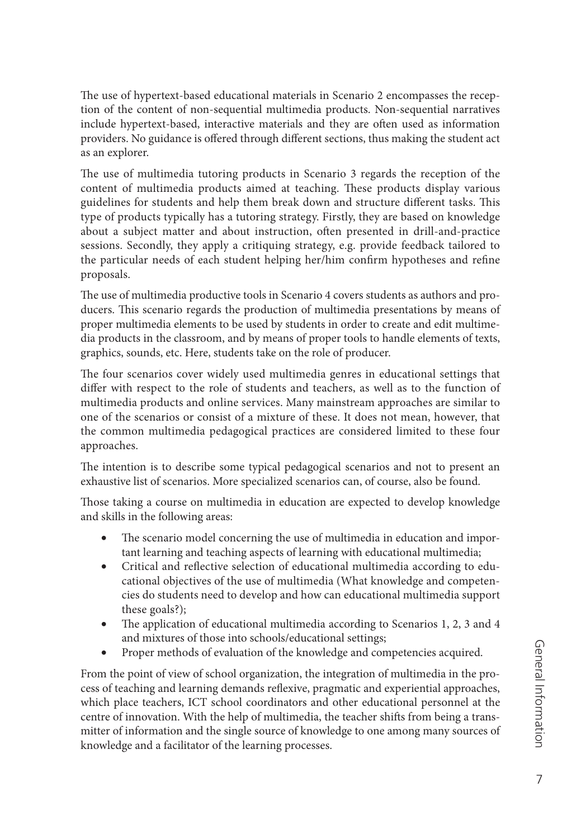The use of hypertext-based educational materials in Scenario 2 encompasses the reception of the content of non-sequential multimedia products. Non-sequential narratives include hypertext-based, interactive materials and they are often used as information providers. No guidance is offered through different sections, thus making the student act as an explorer.

The use of multimedia tutoring products in Scenario 3 regards the reception of the content of multimedia products aimed at teaching. These products display various guidelines for students and help them break down and structure different tasks. This type of products typically has a tutoring strategy. Firstly, they are based on knowledge about a subject matter and about instruction, often presented in drill-and-practice sessions. Secondly, they apply a critiquing strategy, e.g. provide feedback tailored to the particular needs of each student helping her/him confirm hypotheses and refine proposals.

The use of multimedia productive tools in Scenario 4 covers students as authors and producers. This scenario regards the production of multimedia presentations by means of proper multimedia elements to be used by students in order to create and edit multimedia products in the classroom, and by means of proper tools to handle elements of texts, graphics, sounds, etc. Here, students take on the role of producer.

The four scenarios cover widely used multimedia genres in educational settings that differ with respect to the role of students and teachers, as well as to the function of multimedia products and online services. Many mainstream approaches are similar to one of the scenarios or consist of a mixture of these. It does not mean, however, that the common multimedia pedagogical practices are considered limited to these four approaches.

The intention is to describe some typical pedagogical scenarios and not to present an exhaustive list of scenarios. More specialized scenarios can, of course, also be found.

Those taking a course on multimedia in education are expected to develop knowledge and skills in the following areas:

- The scenario model concerning the use of multimedia in education and important learning and teaching aspects of learning with educational multimedia;
- Critical and reflective selection of educational multimedia according to educational objectives of the use of multimedia (What knowledge and competencies do students need to develop and how can educational multimedia support these goals?);
- The application of educational multimedia according to Scenarios 1, 2, 3 and 4 and mixtures of those into schools/educational settings;
- Proper methods of evaluation of the knowledge and competencies acquired.

From the point of view of school organization, the integration of multimedia in the process of teaching and learning demands reflexive, pragmatic and experiential approaches, which place teachers, ICT school coordinators and other educational personnel at the centre of innovation. With the help of multimedia, the teacher shifts from being a transmitter of information and the single source of knowledge to one among many sources of knowledge and a facilitator of the learning processes.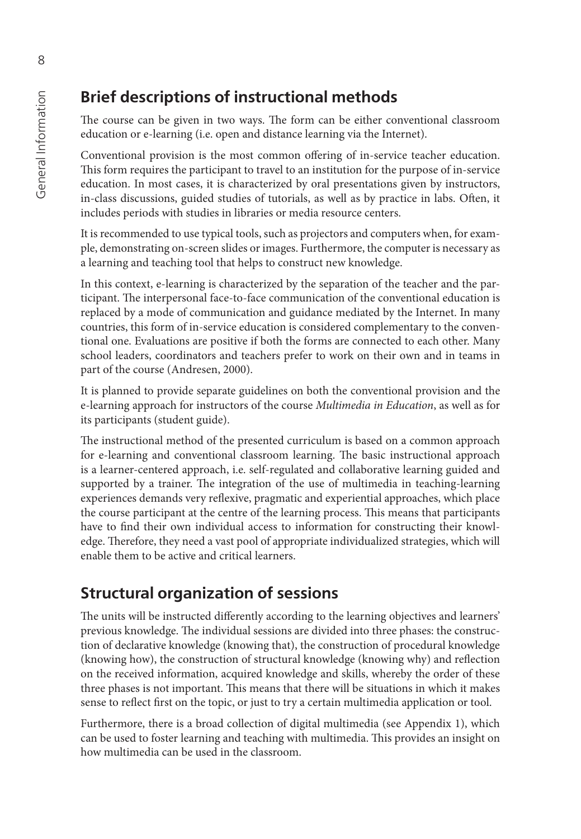## **Brief descriptions of instructional methods**

The course can be given in two ways. The form can be either conventional classroom education or e-learning (i.e. open and distance learning via the Internet).

Conventional provision is the most common offering of in-service teacher education. This form requires the participant to travel to an institution for the purpose of in-service education. In most cases, it is characterized by oral presentations given by instructors, in-class discussions, guided studies of tutorials, as well as by practice in labs. Often, it includes periods with studies in libraries or media resource centers.

It is recommended to use typical tools, such as projectors and computers when, for example, demonstrating on-screen slides or images. Furthermore, the computer is necessary as a learning and teaching tool that helps to construct new knowledge.

In this context, e-learning is characterized by the separation of the teacher and the participant. The interpersonal face-to-face communication of the conventional education is replaced by a mode of communication and guidance mediated by the Internet. In many countries, this form of in-service education is considered complementary to the conventional one. Evaluations are positive if both the forms are connected to each other. Many school leaders, coordinators and teachers prefer to work on their own and in teams in part of the course (Andresen, 2000).

It is planned to provide separate guidelines on both the conventional provision and the e-learning approach for instructors of the course *Multimedia in Education*, as well as for its participants (student guide).

The instructional method of the presented curriculum is based on a common approach for e-learning and conventional classroom learning. The basic instructional approach is a learner-centered approach, i.e. self-regulated and collaborative learning guided and supported by a trainer. The integration of the use of multimedia in teaching-learning experiences demands very reflexive, pragmatic and experiential approaches, which place the course participant at the centre of the learning process. This means that participants have to find their own individual access to information for constructing their knowledge. Therefore, they need a vast pool of appropriate individualized strategies, which will enable them to be active and critical learners.

## **Structural organization of sessions**

The units will be instructed differently according to the learning objectives and learners' previous knowledge. The individual sessions are divided into three phases: the construction of declarative knowledge (knowing that), the construction of procedural knowledge (knowing how), the construction of structural knowledge (knowing why) and reflection on the received information, acquired knowledge and skills, whereby the order of these three phases is not important. This means that there will be situations in which it makes sense to reflect first on the topic, or just to try a certain multimedia application or tool.

Furthermore, there is a broad collection of digital multimedia (see Appendix 1), which can be used to foster learning and teaching with multimedia. This provides an insight on how multimedia can be used in the classroom.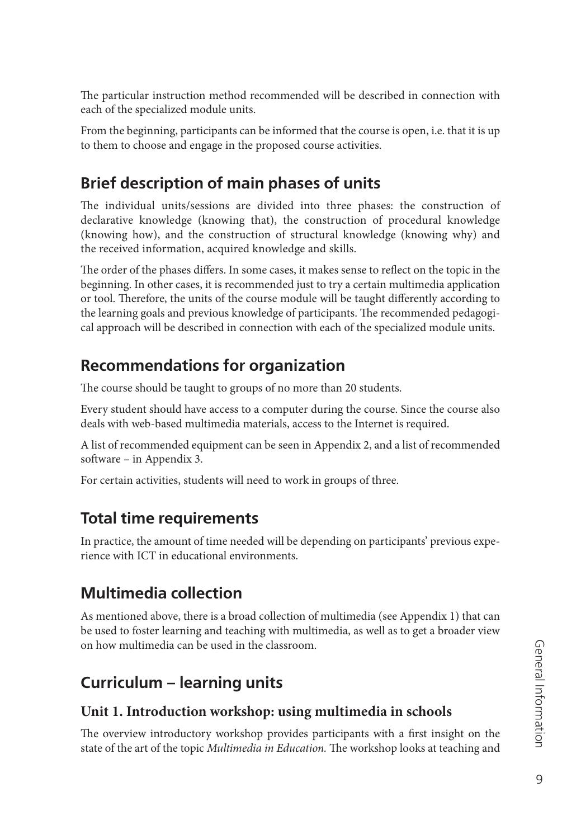The particular instruction method recommended will be described in connection with each of the specialized module units.

From the beginning, participants can be informed that the course is open, i.e. that it is up to them to choose and engage in the proposed course activities.

## **Brief description of main phases of units**

The individual units/sessions are divided into three phases: the construction of declarative knowledge (knowing that), the construction of procedural knowledge (knowing how), and the construction of structural knowledge (knowing why) and the received information, acquired knowledge and skills.

The order of the phases differs. In some cases, it makes sense to reflect on the topic in the beginning. In other cases, it is recommended just to try a certain multimedia application or tool. Therefore, the units of the course module will be taught differently according to the learning goals and previous knowledge of participants. The recommended pedagogical approach will be described in connection with each of the specialized module units.

## **Recommendations for organization**

The course should be taught to groups of no more than 20 students.

Every student should have access to a computer during the course. Since the course also deals with web-based multimedia materials, access to the Internet is required.

A list of recommended equipment can be seen in Appendix 2, and a list of recommended software – in Appendix 3.

For certain activities, students will need to work in groups of three.

## **Total time requirements**

In practice, the amount of time needed will be depending on participants' previous experience with ICT in educational environments.

## **Multimedia collection**

As mentioned above, there is a broad collection of multimedia (see Appendix 1) that can be used to foster learning and teaching with multimedia, as well as to get a broader view on how multimedia can be used in the classroom.

## **Curriculum – learning units**

#### **Unit 1. Introduction workshop: using multimedia in schools**

The overview introductory workshop provides participants with a first insight on the state of the art of the topic *Multimedia in Education*. The workshop looks at teaching and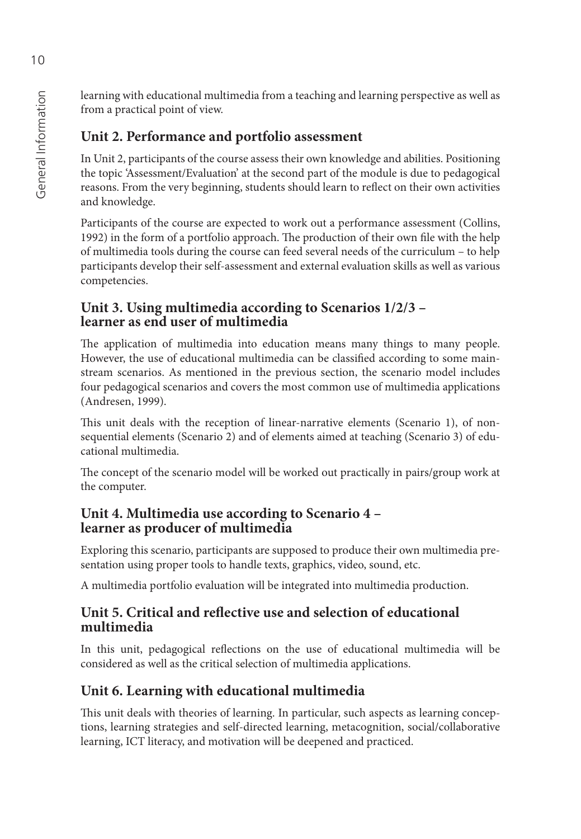General Information General Information

learning with educational multimedia from a teaching and learning perspective as well as from a practical point of view.

### **Unit 2. Performance and portfolio assessment**

In Unit 2, participants of the course assess their own knowledge and abilities. Positioning the topic 'Assessment/Evaluation' at the second part of the module is due to pedagogical reasons. From the very beginning, students should learn to reflect on their own activities and knowledge.

Participants of the course are expected to work out a performance assessment (Collins, 1992) in the form of a portfolio approach. The production of their own file with the help of multimedia tools during the course can feed several needs of the curriculum – to help participants develop their self-assessment and external evaluation skills as well as various competencies.

#### **Unit 3. Using multimedia according to Scenarios 1/2/3 – learner as end user of multimedia**

The application of multimedia into education means many things to many people. However, the use of educational multimedia can be classified according to some mainstream scenarios. As mentioned in the previous section, the scenario model includes four pedagogical scenarios and covers the most common use of multimedia applications (Andresen, 1999).

This unit deals with the reception of linear-narrative elements (Scenario 1), of nonsequential elements (Scenario 2) and of elements aimed at teaching (Scenario 3) of educational multimedia.

The concept of the scenario model will be worked out practically in pairs/group work at the computer.

#### **Unit 4. Multimedia use according to Scenario 4 – learner as producer of multimedia**

Exploring this scenario, participants are supposed to produce their own multimedia presentation using proper tools to handle texts, graphics, video, sound, etc.

A multimedia portfolio evaluation will be integrated into multimedia production.

#### **Unit 5. Critical and reflective use and selection of educational multimedia**

In this unit, pedagogical reflections on the use of educational multimedia will be considered as well as the critical selection of multimedia applications.

## **Unit 6. Learning with educational multimedia**

This unit deals with theories of learning. In particular, such aspects as learning conceptions, learning strategies and self-directed learning, metacognition, social/collaborative learning, ICT literacy, and motivation will be deepened and practiced.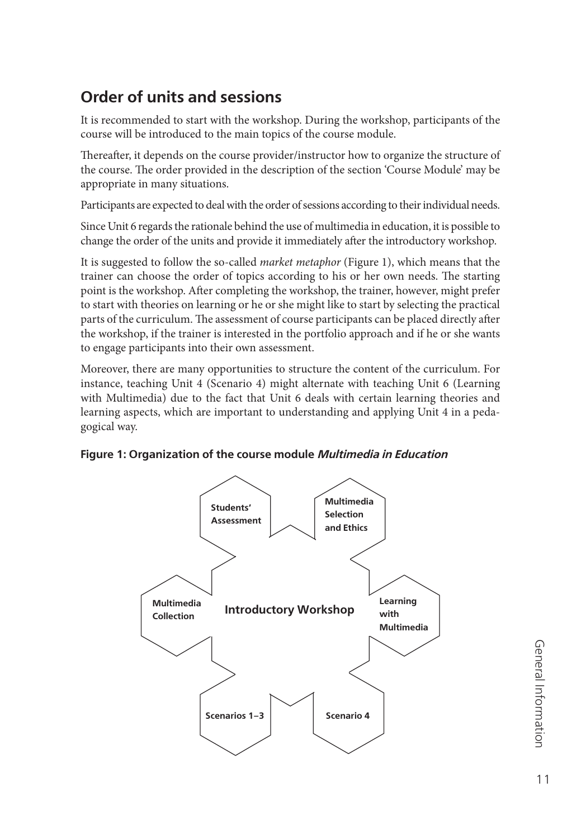## **Order of units and sessions**

It is recommended to start with the workshop. During the workshop, participants of the course will be introduced to the main topics of the course module.

Thereafter, it depends on the course provider/instructor how to organize the structure of the course. The order provided in the description of the section 'Course Module' may be appropriate in many situations.

Participants are expected to deal with the order of sessions according to their individual needs.

Since Unit 6 regards the rationale behind the use of multimedia in education, it is possible to change the order of the units and provide it immediately after the introductory workshop.

It is suggested to follow the so-called *market metaphor* (Figure 1), which means that the trainer can choose the order of topics according to his or her own needs. The starting point is the workshop. After completing the workshop, the trainer, however, might prefer to start with theories on learning or he or she might like to start by selecting the practical parts of the curriculum. The assessment of course participants can be placed directly after the workshop, if the trainer is interested in the portfolio approach and if he or she wants to engage participants into their own assessment.

Moreover, there are many opportunities to structure the content of the curriculum. For instance, teaching Unit 4 (Scenario 4) might alternate with teaching Unit 6 (Learning with Multimedia) due to the fact that Unit 6 deals with certain learning theories and learning aspects, which are important to understanding and applying Unit 4 in a pedagogical way.



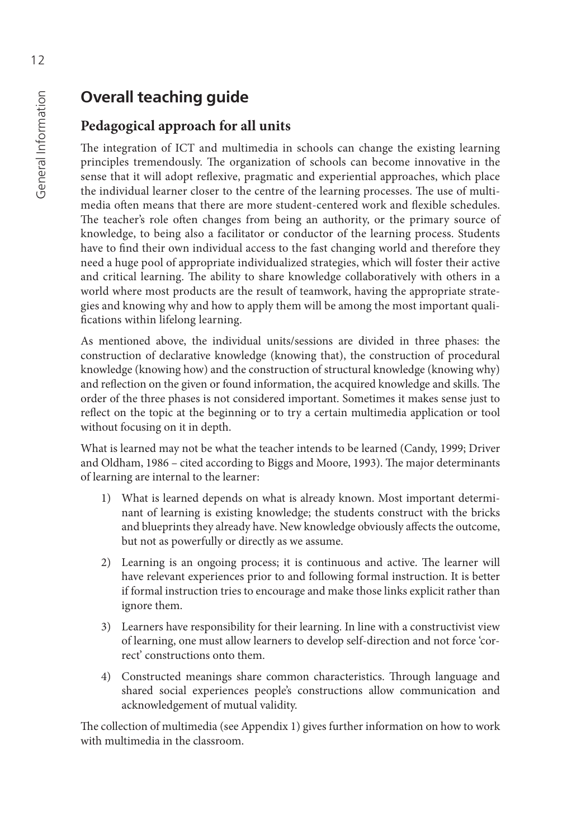## **Overall teaching guide**

#### **Pedagogical approach for all units**

The integration of ICT and multimedia in schools can change the existing learning principles tremendously. The organization of schools can become innovative in the sense that it will adopt reflexive, pragmatic and experiential approaches, which place the individual learner closer to the centre of the learning processes. The use of multimedia often means that there are more student-centered work and flexible schedules. The teacher's role often changes from being an authority, or the primary source of knowledge, to being also a facilitator or conductor of the learning process. Students have to find their own individual access to the fast changing world and therefore they need a huge pool of appropriate individualized strategies, which will foster their active and critical learning. The ability to share knowledge collaboratively with others in a world where most products are the result of teamwork, having the appropriate strategies and knowing why and how to apply them will be among the most important qualifications within lifelong learning.

As mentioned above, the individual units/sessions are divided in three phases: the construction of declarative knowledge (knowing that), the construction of procedural knowledge (knowing how) and the construction of structural knowledge (knowing why) and reflection on the given or found information, the acquired knowledge and skills. The order of the three phases is not considered important. Sometimes it makes sense just to reflect on the topic at the beginning or to try a certain multimedia application or tool without focusing on it in depth.

What is learned may not be what the teacher intends to be learned (Candy, 1999; Driver and Oldham, 1986 - cited according to Biggs and Moore, 1993). The major determinants of learning are internal to the learner:

- 1) What is learned depends on what is already known. Most important determinant of learning is existing knowledge; the students construct with the bricks and blueprints they already have. New knowledge obviously affects the outcome, but not as powerfully or directly as we assume.
- 2) Learning is an ongoing process; it is continuous and active. The learner will have relevant experiences prior to and following formal instruction. It is better if formal instruction tries to encourage and make those links explicit rather than ignore them.
- 3) Learners have responsibility for their learning. In line with a constructivist view of learning, one must allow learners to develop self-direction and not force 'correct' constructions onto them.
- 4) Constructed meanings share common characteristics. Through language and shared social experiences people's constructions allow communication and acknowledgement of mutual validity.

The collection of multimedia (see Appendix 1) gives further information on how to work with multimedia in the classroom.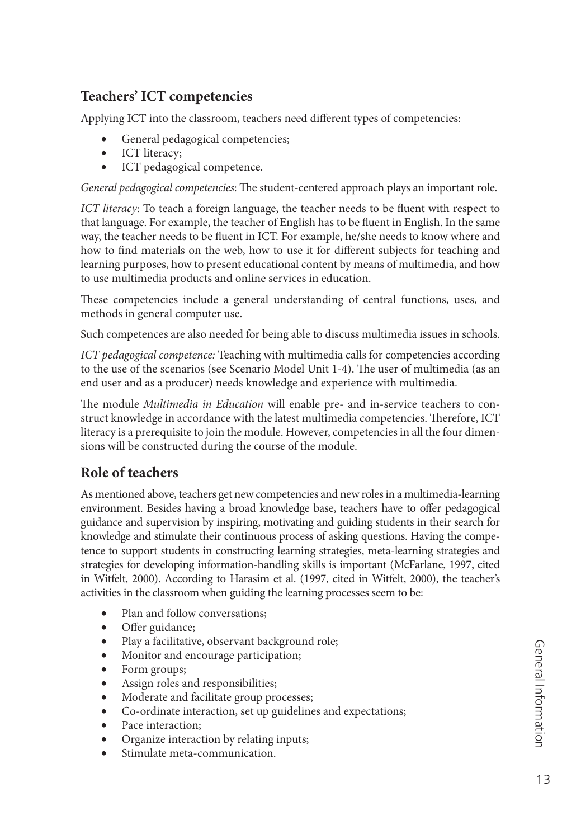#### **Teachers' ICT competencies**

Applying ICT into the classroom, teachers need different types of competencies:

- General pedagogical competencies;
- ICT literacy;
- ICT pedagogical competence.

*General pedagogical competencies*: The student-centered approach plays an important role.

*ICT literacy*: To teach a foreign language, the teacher needs to be fluent with respect to that language. For example, the teacher of English has to be fluent in English. In the same way, the teacher needs to be fluent in ICT. For example, he/she needs to know where and how to find materials on the web, how to use it for different subjects for teaching and learning purposes, how to present educational content by means of multimedia, and how to use multimedia products and online services in education.

These competencies include a general understanding of central functions, uses, and methods in general computer use.

Such competences are also needed for being able to discuss multimedia issues in schools.

*ICT pedagogical competence:* Teaching with multimedia calls for competencies according to the use of the scenarios (see Scenario Model Unit 1-4). The user of multimedia (as an end user and as a producer) needs knowledge and experience with multimedia.

The module *Multimedia in Education* will enable pre- and in-service teachers to construct knowledge in accordance with the latest multimedia competencies. Therefore, ICT literacy is a prerequisite to join the module. However, competencies in all the four dimensions will be constructed during the course of the module.

#### **Role of teachers**

As mentioned above, teachers get new competencies and new roles in a multimedia-learning environment. Besides having a broad knowledge base, teachers have to offer pedagogical guidance and supervision by inspiring, motivating and guiding students in their search for knowledge and stimulate their continuous process of asking questions. Having the competence to support students in constructing learning strategies, meta-learning strategies and strategies for developing information-handling skills is important (McFarlane, 1997, cited in Witfelt, 2000). According to Harasim et al. (1997, cited in Witfelt, 2000), the teacher's activities in the classroom when guiding the learning processes seem to be:

- Plan and follow conversations;
- Offer guidance;
- Play a facilitative, observant background role;
- Monitor and encourage participation;
- Form groups;
- Assign roles and responsibilities;
- Moderate and facilitate group processes;
- Co-ordinate interaction, set up guidelines and expectations;
- Pace interaction;
- Organize interaction by relating inputs;
- Stimulate meta-communication.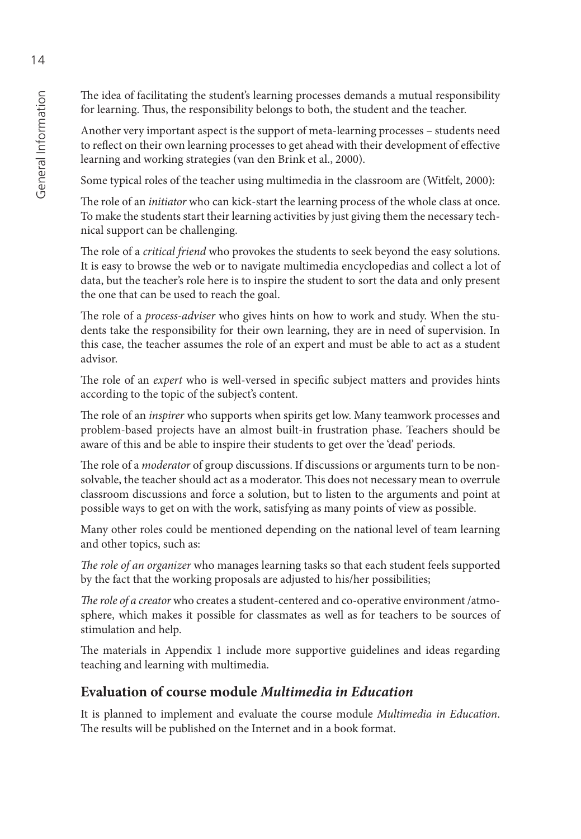The idea of facilitating the student's learning processes demands a mutual responsibility for learning. Thus, the responsibility belongs to both, the student and the teacher.

Another very important aspect is the support of meta-learning processes – students need to reflect on their own learning processes to get ahead with their development of effective learning and working strategies (van den Brink et al., 2000).

Some typical roles of the teacher using multimedia in the classroom are (Witfelt, 2000):

The role of an *initiator* who can kick-start the learning process of the whole class at once. To make the students start their learning activities by just giving them the necessary technical support can be challenging.

The role of a *critical friend* who provokes the students to seek beyond the easy solutions. It is easy to browse the web or to navigate multimedia encyclopedias and collect a lot of data, but the teacher's role here is to inspire the student to sort the data and only present the one that can be used to reach the goal.

The role of a *process-adviser* who gives hints on how to work and study. When the students take the responsibility for their own learning, they are in need of supervision. In this case, the teacher assumes the role of an expert and must be able to act as a student advisor.

The role of an *expert* who is well-versed in specific subject matters and provides hints according to the topic of the subject's content.

The role of an *inspirer* who supports when spirits get low. Many teamwork processes and problem-based projects have an almost built-in frustration phase. Teachers should be aware of this and be able to inspire their students to get over the 'dead' periods.

The role of a *moderator* of group discussions. If discussions or arguments turn to be nonsolvable, the teacher should act as a moderator. This does not necessary mean to overrule classroom discussions and force a solution, but to listen to the arguments and point at possible ways to get on with the work, satisfying as many points of view as possible.

Many other roles could be mentioned depending on the national level of team learning and other topics, such as:

*The role of an organizer* who manages learning tasks so that each student feels supported by the fact that the working proposals are adjusted to his/her possibilities;

*The role of a creator* who creates a student-centered and co-operative environment /atmosphere, which makes it possible for classmates as well as for teachers to be sources of stimulation and help.

The materials in Appendix 1 include more supportive guidelines and ideas regarding teaching and learning with multimedia.

#### **Evaluation of course module** *Multimedia in Education*

It is planned to implement and evaluate the course module *Multimedia in Education*. The results will be published on the Internet and in a book format.

14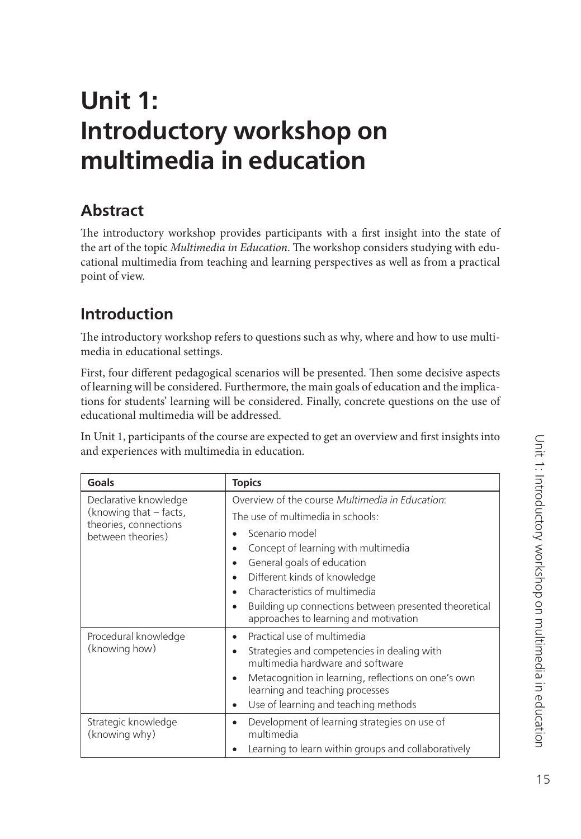# <span id="page-15-0"></span>**Unit 1: Introductory workshop on multimedia in education**

## **Abstract**

The introductory workshop provides participants with a first insight into the state of the art of the topic *Multimedia in Education*. The workshop considers studying with educational multimedia from teaching and learning perspectives as well as from a practical point of view.

## **Introduction**

The introductory workshop refers to questions such as why, where and how to use multimedia in educational settings.

First, four different pedagogical scenarios will be presented. Then some decisive aspects of learning will be considered. Furthermore, the main goals of education and the implications for students' learning will be considered. Finally, concrete questions on the use of educational multimedia will be addressed.

In Unit 1, participants of the course are expected to get an overview and first insights into and experiences with multimedia in education.

| Goals                                                                                         | <b>Topics</b>                                                                                                                                                                                                                                                                                         |
|-----------------------------------------------------------------------------------------------|-------------------------------------------------------------------------------------------------------------------------------------------------------------------------------------------------------------------------------------------------------------------------------------------------------|
| Declarative knowledge<br>(knowing that - facts,<br>theories, connections<br>between theories) | Overview of the course Multimedia in Education:<br>The use of multimedia in schools:<br>Scenario model                                                                                                                                                                                                |
|                                                                                               | Concept of learning with multimedia<br>$\bullet$<br>General goals of education<br>$\bullet$<br>Different kinds of knowledge<br>$\bullet$<br>Characteristics of multimedia<br>$\bullet$<br>Building up connections between presented theoretical<br>$\bullet$<br>approaches to learning and motivation |
| Procedural knowledge<br>(knowing how)                                                         | Practical use of multimedia<br>$\bullet$<br>Strategies and competencies in dealing with<br>$\bullet$<br>multimedia hardware and software<br>Metacognition in learning, reflections on one's own<br>$\bullet$<br>learning and teaching processes<br>Use of learning and teaching methods<br>٠          |
| Strategic knowledge<br>(knowing why)                                                          | Development of learning strategies on use of<br>$\bullet$<br>multimedia<br>Learning to learn within groups and collaboratively<br>$\bullet$                                                                                                                                                           |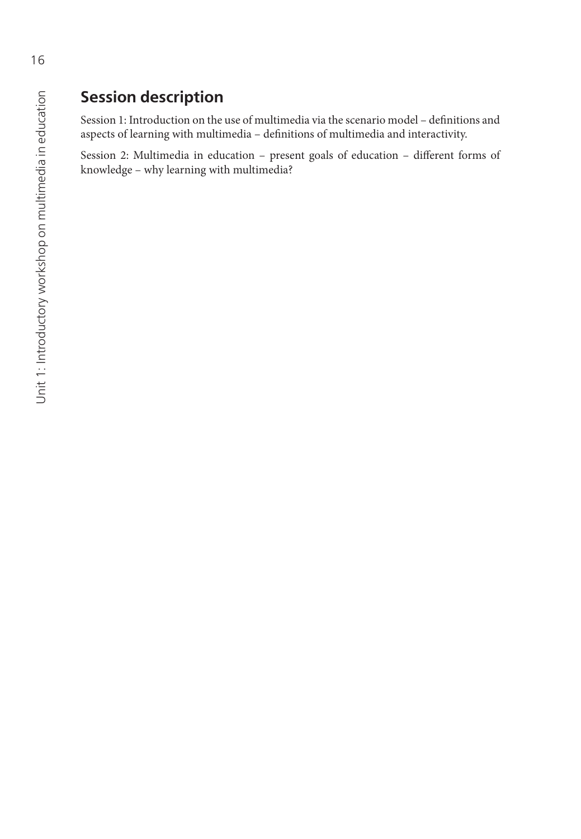## **Session description**

Session 1: Introduction on the use of multimedia via the scenario model - definitions and aspects of learning with multimedia - definitions of multimedia and interactivity.

Session 2: Multimedia in education - present goals of education - different forms of knowledge – why learning with multimedia?

16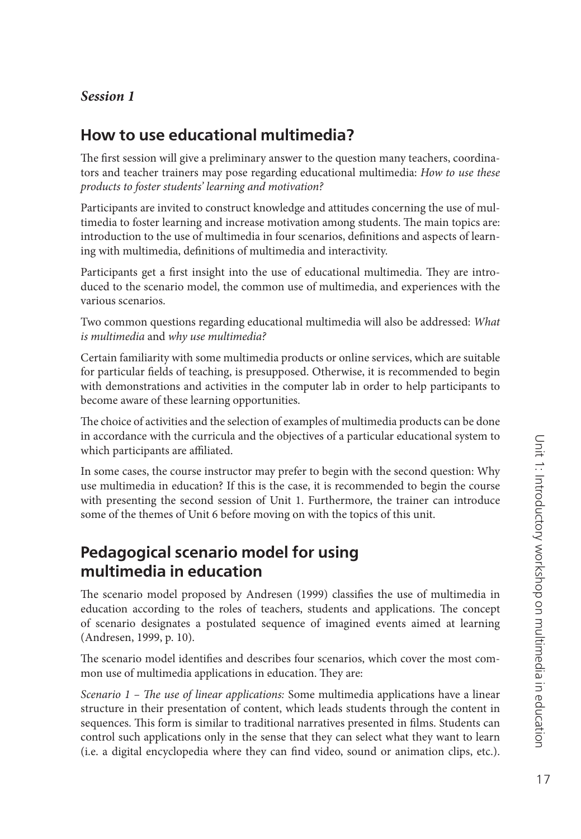#### *Session 1*

#### **How to use educational multimedia?**

The first session will give a preliminary answer to the question many teachers, coordinators and teacher trainers may pose regarding educational multimedia: *How to use these products to foster students' learning and motivation?*

Participants are invited to construct knowledge and attitudes concerning the use of multimedia to foster learning and increase motivation among students. The main topics are: introduction to the use of multimedia in four scenarios, definitions and aspects of learning with multimedia, definitions of multimedia and interactivity.

Participants get a first insight into the use of educational multimedia. They are introduced to the scenario model, the common use of multimedia, and experiences with the various scenarios.

Two common questions regarding educational multimedia will also be addressed: *What is multimedia* and *why use multimedia?*

Certain familiarity with some multimedia products or online services, which are suitable for particular fields of teaching, is presupposed. Otherwise, it is recommended to begin with demonstrations and activities in the computer lab in order to help participants to become aware of these learning opportunities.

The choice of activities and the selection of examples of multimedia products can be done in accordance with the curricula and the objectives of a particular educational system to which participants are affiliated.

In some cases, the course instructor may prefer to begin with the second question: Why use multimedia in education? If this is the case, it is recommended to begin the course with presenting the second session of Unit 1. Furthermore, the trainer can introduce some of the themes of Unit 6 before moving on with the topics of this unit.

#### **Pedagogical scenario model for using multimedia in education**

The scenario model proposed by Andresen (1999) classifies the use of multimedia in education according to the roles of teachers, students and applications. The concept of scenario designates a postulated sequence of imagined events aimed at learning (Andresen, 1999, p. 10).<br>The scenario model identifies and describes four scenarios, which cover the most com-

mon use of multimedia applications in education. They are:

*Scenario 1 – The use of linear applications:* Some multimedia applications have a linear structure in their presentation of content, which leads students through the content in sequences. This form is similar to traditional narratives presented in films. Students can control such applications only in the sense that they can select what they want to learn (i.e. a digital encyclopedia where they can find video, sound or animation clips, etc.).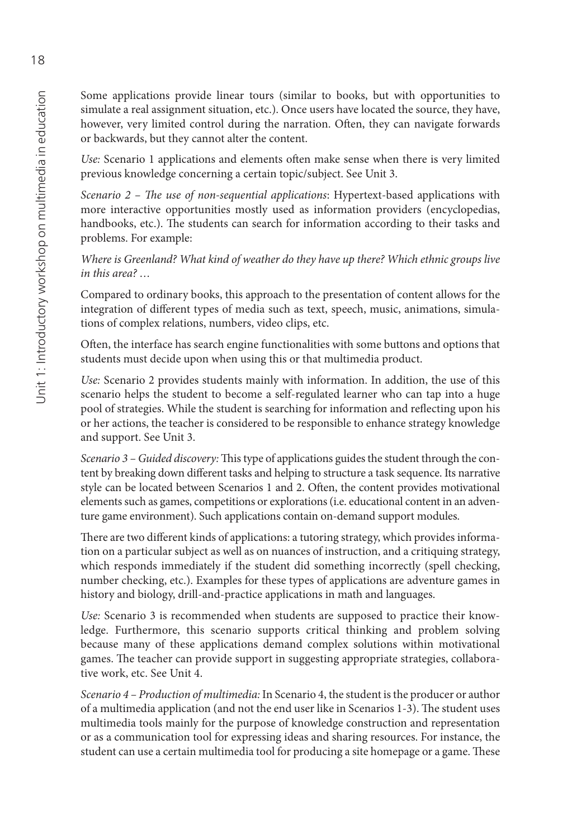Some applications provide linear tours (similar to books, but with opportunities to simulate a real assignment situation, etc.). Once users have located the source, they have, however, very limited control during the narration. Often, they can navigate forwards or backwards, but they cannot alter the content.

*Use:* Scenario 1 applications and elements often make sense when there is very limited previous knowledge concerning a certain topic/subject. See Unit 3.

*Scenario 2 – The use of non-sequential applications*: Hypertext-based applications with more interactive opportunities mostly used as information providers (encyclopedias, handbooks, etc.). The students can search for information according to their tasks and problems. For example:

*Where is Greenland? What kind of weather do they have up there? Which ethnic groups live in this area? …*

Compared to ordinary books, this approach to the presentation of content allows for the integration of different types of media such as text, speech, music, animations, simulations of complex relations, numbers, video clips, etc.

Often, the interface has search engine functionalities with some buttons and options that students must decide upon when using this or that multimedia product.

*Use:* Scenario 2 provides students mainly with information. In addition, the use of this scenario helps the student to become a self-regulated learner who can tap into a huge pool of strategies. While the student is searching for information and reflecting upon his or her actions, the teacher is considered to be responsible to enhance strategy knowledge and support. See Unit 3.

*Scenario 3 – Guided discovery:* This type of applications guides the student through the content by breaking down different tasks and helping to structure a task sequence. Its narrative style can be located between Scenarios 1 and 2. Often, the content provides motivational elements such as games, competitions or explorations (i.e. educational content in an adventure game environment). Such applications contain on-demand support modules.<br>There are two different kinds of applications: a tutoring strategy, which provides informa-

tion on a particular subject as well as on nuances of instruction, and a critiquing strategy, which responds immediately if the student did something incorrectly (spell checking, number checking, etc.). Examples for these types of applications are adventure games in history and biology, drill-and-practice applications in math and languages.

*Use:* Scenario 3 is recommended when students are supposed to practice their knowledge. Furthermore, this scenario supports critical thinking and problem solving because many of these applications demand complex solutions within motivational games. The teacher can provide support in suggesting appropriate strategies, collaborative work, etc. See Unit 4.

*Scenario 4 – Production of multimedia:* In Scenario 4, the student is the producer or author of a multimedia application (and not the end user like in Scenarios 1-3). The student uses multimedia tools mainly for the purpose of knowledge construction and representation or as a communication tool for expressing ideas and sharing resources. For instance, the student can use a certain multimedia tool for producing a site homepage or a game. These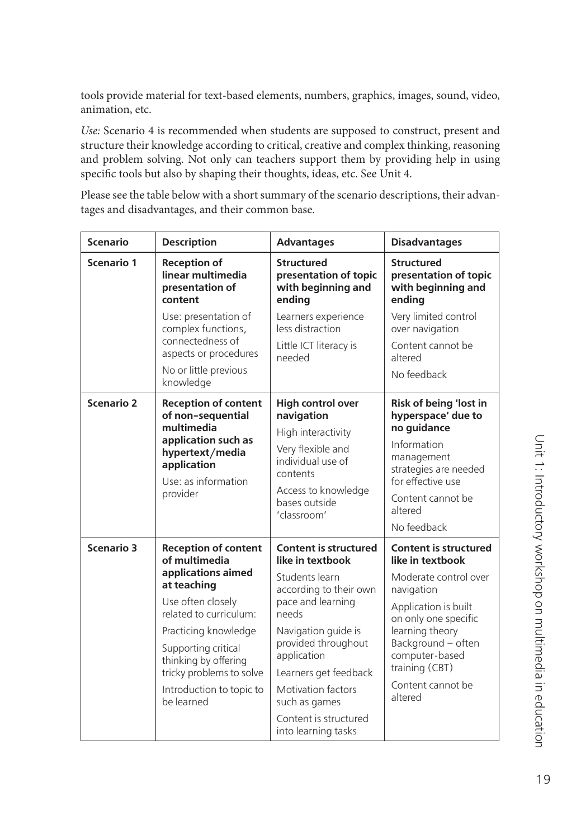tools provide material for text-based elements, numbers, graphics, images, sound, video, animation, etc.

*Use:* Scenario 4 is recommended when students are supposed to construct, present and structure their knowledge according to critical, creative and complex thinking, reasoning and problem solving. Not only can teachers support them by providing help in using specific tools but also by shaping their thoughts, ideas, etc. See Unit 4.

Please see the table below with a short summary of the scenario descriptions, their advantages and disadvantages, and their common base.

| <b>Scenario</b>   | <b>Description</b>                                                                                                                                                                                                                                                            | <b>Advantages</b>                                                                                                                                                                                                                                                                                       | <b>Disadvantages</b>                                                                                                                                                                                                                                 |
|-------------------|-------------------------------------------------------------------------------------------------------------------------------------------------------------------------------------------------------------------------------------------------------------------------------|---------------------------------------------------------------------------------------------------------------------------------------------------------------------------------------------------------------------------------------------------------------------------------------------------------|------------------------------------------------------------------------------------------------------------------------------------------------------------------------------------------------------------------------------------------------------|
| Scenario 1        | <b>Reception of</b><br>linear multimedia<br>presentation of<br>content                                                                                                                                                                                                        | <b>Structured</b><br>presentation of topic<br>with beginning and<br>ending                                                                                                                                                                                                                              | <b>Structured</b><br>presentation of topic<br>with beginning and<br>ending                                                                                                                                                                           |
|                   | Use: presentation of<br>complex functions,<br>connectedness of<br>aspects or procedures<br>No or little previous<br>knowledge                                                                                                                                                 | Learners experience<br>less distraction<br>Little ICT literacy is<br>needed                                                                                                                                                                                                                             | Very limited control<br>over navigation<br>Content cannot be<br>altered<br>No feedback                                                                                                                                                               |
| <b>Scenario 2</b> | <b>Reception of content</b><br>of non-sequential<br>multimedia<br>application such as<br>hypertext/media<br>application<br>Use: as information<br>provider                                                                                                                    | <b>High control over</b><br>navigation<br>High interactivity<br>Very flexible and<br>individual use of<br>contents<br>Access to knowledge<br>bases outside<br>'classroom'                                                                                                                               | <b>Risk of being 'lost in</b><br>hyperspace' due to<br>no quidance<br>Information<br>management<br>strategies are needed<br>for effective use<br>Content cannot be<br>altered<br>No feedback                                                         |
| <b>Scenario 3</b> | <b>Reception of content</b><br>of multimedia<br>applications aimed<br>at teaching<br>Use often closely<br>related to curriculum:<br>Practicing knowledge<br>Supporting critical<br>thinking by offering<br>tricky problems to solve<br>Introduction to topic to<br>be learned | <b>Content is structured</b><br>like in textbook<br>Students learn<br>according to their own<br>pace and learning<br>needs<br>Navigation guide is<br>provided throughout<br>application<br>Learners get feedback<br>Motivation factors<br>such as games<br>Content is structured<br>into learning tasks | <b>Content is structured</b><br>like in textbook<br>Moderate control over<br>navigation<br>Application is built<br>on only one specific<br>learning theory<br>Background - often<br>computer-based<br>training (CBT)<br>Content cannot be<br>altered |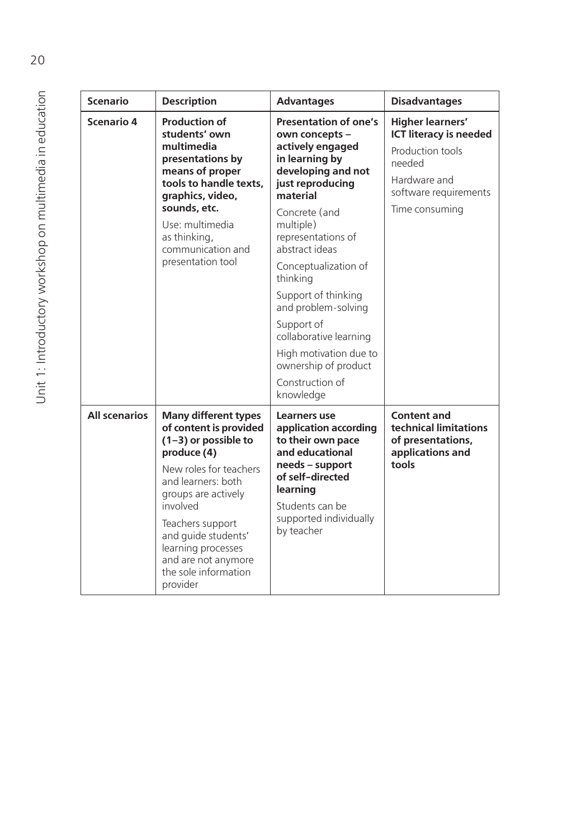| <b>Scenario</b>      | <b>Description</b>                                                                                                                                                                                                                                                                                            | <b>Advantages</b>                                                                                                                                                                                                                                                                                                                                                                                                            | <b>Disadvantages</b>                                                                                                                              |
|----------------------|---------------------------------------------------------------------------------------------------------------------------------------------------------------------------------------------------------------------------------------------------------------------------------------------------------------|------------------------------------------------------------------------------------------------------------------------------------------------------------------------------------------------------------------------------------------------------------------------------------------------------------------------------------------------------------------------------------------------------------------------------|---------------------------------------------------------------------------------------------------------------------------------------------------|
| Scenario 4           | <b>Production of</b><br>students' own<br>multimedia<br>presentations by<br>means of proper<br>tools to handle texts,<br>graphics, video,<br>sounds, etc.<br>Use: multimedia<br>as thinking,<br>communication and<br>presentation tool                                                                         | <b>Presentation of one's</b><br>own concepts -<br>actively engaged<br>in learning by<br>developing and not<br>just reproducing<br>material<br>Concrete (and<br>multiple)<br>representations of<br>abstract ideas<br>Conceptualization of<br>thinking<br>Support of thinking<br>and problem-solving<br>Support of<br>collaborative learning<br>High motivation due to<br>ownership of product<br>Construction of<br>knowledge | <b>Higher learners'</b><br><b>ICT literacy is needed</b><br>Production tools<br>needed<br>Hardware and<br>software requirements<br>Time consuming |
| <b>All scenarios</b> | <b>Many different types</b><br>of content is provided<br>$(1-3)$ or possible to<br>produce (4)<br>New roles for teachers<br>and learners: both<br>groups are actively<br>involved<br>Teachers support<br>and guide students'<br>learning processes<br>and are not anymore<br>the sole information<br>provider | Learners use<br>application according<br>to their own pace<br>and educational<br>needs - support<br>of self-directed<br>learning<br>Students can be<br>supported individually<br>by teacher                                                                                                                                                                                                                                  | <b>Content and</b><br>technical limitations<br>of presentations,<br>applications and<br>tools                                                     |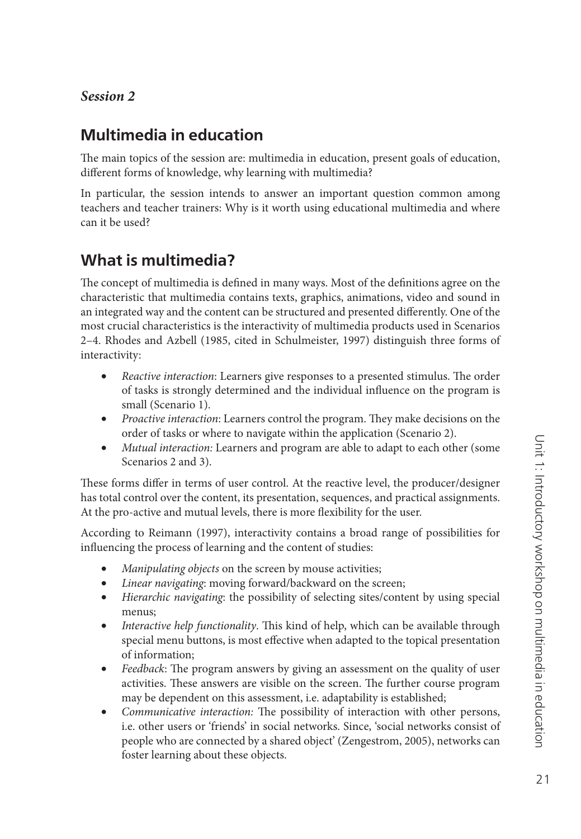#### *Session 2*

#### **Multimedia in education**

The main topics of the session are: multimedia in education, present goals of education, different forms of knowledge, why learning with multimedia?

In particular, the session intends to answer an important question common among teachers and teacher trainers: Why is it worth using educational multimedia and where can it be used?

#### **What is multimedia?**

The concept of multimedia is defined in many ways. Most of the definitions agree on the characteristic that multimedia contains texts, graphics, animations, video and sound in an integrated way and the content can be structured and presented differently. One of the most crucial characteristics is the interactivity of multimedia products used in Scenarios 2–4. Rhodes and Azbell (1985, cited in Schulmeister, 1997) distinguish three forms of interactivity:

- *Reactive interaction*: Learners give responses to a presented stimulus. The order of tasks is strongly determined and the individual influence on the program is small (Scenario 1).
- *Proactive interaction*: Learners control the program. They make decisions on the order of tasks or where to navigate within the application (Scenario 2).
- *Mutual interaction:* Learners and program are able to adapt to each other (some Scenarios 2 and 3).

These forms differ in terms of user control. At the reactive level, the producer/designer has total control over the content, its presentation, sequences, and practical assignments. At the pro-active and mutual levels, there is more flexibility for the user.

According to Reimann (1997), interactivity contains a broad range of possibilities for influencing the process of learning and the content of studies:

- *Manipulating objects* on the screen by mouse activities;
- *Linear navigating*: moving forward/backward on the screen;
- *Hierarchic navigating*: the possibility of selecting sites/content by using special menus;
- *Interactive help functionality*. This kind of help, which can be available through special menu buttons, is most effective when adapted to the topical presentation of information;
- *Feedback*: The program answers by giving an assessment on the quality of user activities. These answers are visible on the screen. The further course program may be dependent on this assessment, i.e. adaptability is established;
- *Communicative interaction*: The possibility of interaction with other persons, i.e. other users or 'friends' in social networks. Since, 'social networks consist of people who are connected by a shared object' (Zengestrom, 2005), networks can foster learning about these objects.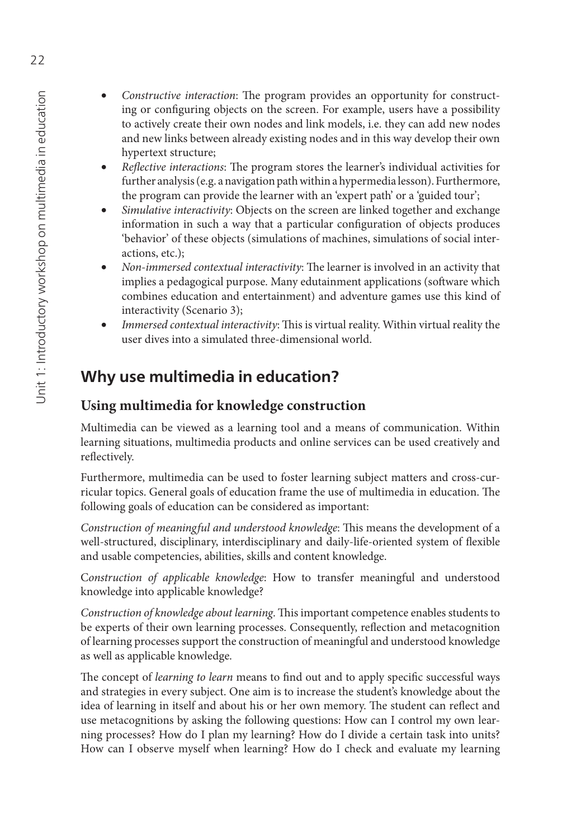- *Constructive interaction*: The program provides an opportunity for constructing or configuring objects on the screen. For example, users have a possibility to actively create their own nodes and link models, i.e. they can add new nodes and new links between already existing nodes and in this way develop their own hypertext structure;
- *Reflective interactions*: The program stores the learner's individual activities for further analysis (e.g. a navigation path within a hypermedia lesson). Furthermore, the program can provide the learner with an 'expert path' or a 'guided tour';
- *Simulative interactivity*: Objects on the screen are linked together and exchange information in such a way that a particular configuration of objects produces 'behavior' of these objects (simulations of machines, simulations of social interactions, etc.);
- *Non-immersed contextual interactivity*: The learner is involved in an activity that implies a pedagogical purpose. Many edutainment applications (software which combines education and entertainment) and adventure games use this kind of interactivity (Scenario 3);
- *Immersed contextual interactivity*: This is virtual reality. Within virtual reality the user dives into a simulated three-dimensional world.

## **Why use multimedia in education?**

#### **Using multimedia for knowledge construction**

Multimedia can be viewed as a learning tool and a means of communication. Within learning situations, multimedia products and online services can be used creatively and reflectively.

Furthermore, multimedia can be used to foster learning subject matters and cross-curricular topics. General goals of education frame the use of multimedia in education. The following goals of education can be considered as important:

*Construction of meaningful and understood knowledge*: This means the development of a well-structured, disciplinary, interdisciplinary and daily-life-oriented system of flexible and usable competencies, abilities, skills and content knowledge. C*onstruction of applicable knowledge*: How to transfer meaningful and understood

knowledge into applicable knowledge?

*Construction of knowledge about learning*. This important competence enables students to be experts of their own learning processes. Consequently, reflection and metacognition of learning processes support the construction of meaningful and understood knowledge as well as applicable knowledge.<br>The concept of *learning to learn* means to find out and to apply specific successful ways

and strategies in every subject. One aim is to increase the student's knowledge about the idea of learning in itself and about his or her own memory. The student can reflect and use metacognitions by asking the following questions: How can I control my own learning processes? How do I plan my learning? How do I divide a certain task into units? How can I observe myself when learning? How do I check and evaluate my learning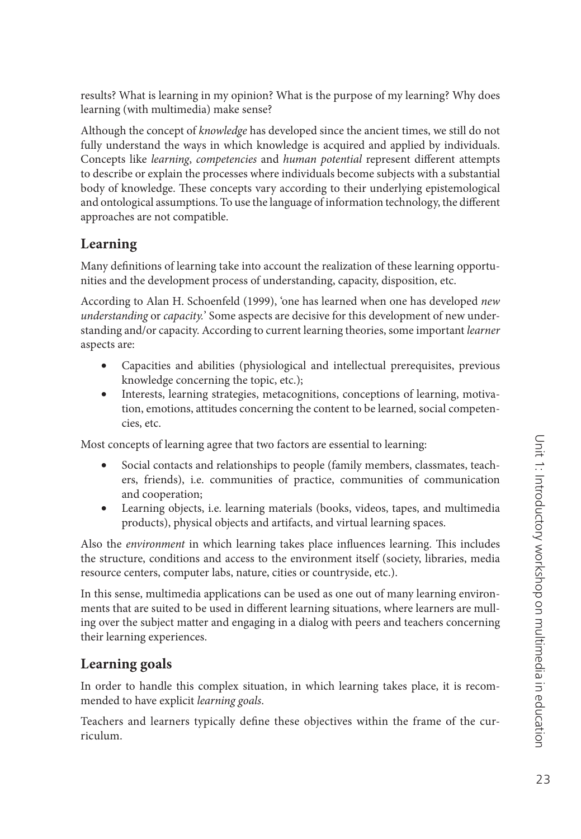results? What is learning in my opinion? What is the purpose of my learning? Why does learning (with multimedia) make sense?

Although the concept of *knowledge* has developed since the ancient times, we still do not fully understand the ways in which knowledge is acquired and applied by individuals. Concepts like *learning*, *competencies* and *human potential* represent different attempts to describe or explain the processes where individuals become subjects with a substantial body of knowledge. These concepts vary according to their underlying epistemological and ontological assumptions. To use the language of information technology, the different approaches are not compatible.

#### **Learning**

Many definitions of learning take into account the realization of these learning opportunities and the development process of understanding, capacity, disposition, etc.

According to Alan H. Schoenfeld (1999), 'one has learned when one has developed *new understanding* or *capacity.*' Some aspects are decisive for this development of new understanding and/or capacity. According to current learning theories, some important *learner*  aspects are:

- Capacities and abilities (physiological and intellectual prerequisites, previous knowledge concerning the topic, etc.);
- Interests, learning strategies, metacognitions, conceptions of learning, motivation, emotions, attitudes concerning the content to be learned, social competencies, etc.

Most concepts of learning agree that two factors are essential to learning:

- Social contacts and relationships to people (family members, classmates, teachers, friends), i.e. communities of practice, communities of communication and cooperation;
- Learning objects, i.e. learning materials (books, videos, tapes, and multimedia products), physical objects and artifacts, and virtual learning spaces.

Also the *environment* in which learning takes place influences learning. This includes the structure, conditions and access to the environment itself (society, libraries, media resource centers, computer labs, nature, cities or countryside, etc.).

In this sense, multimedia applications can be used as one out of many learning environments that are suited to be used in different learning situations, where learners are mulling over the subject matter and engaging in a dialog with peers and teachers concerning their learning experiences.

#### **Learning goals**

In order to handle this complex situation, in which learning takes place, it is recommended to have explicit *learning goals*.

Teachers and learners typically define these objectives within the frame of the curriculum.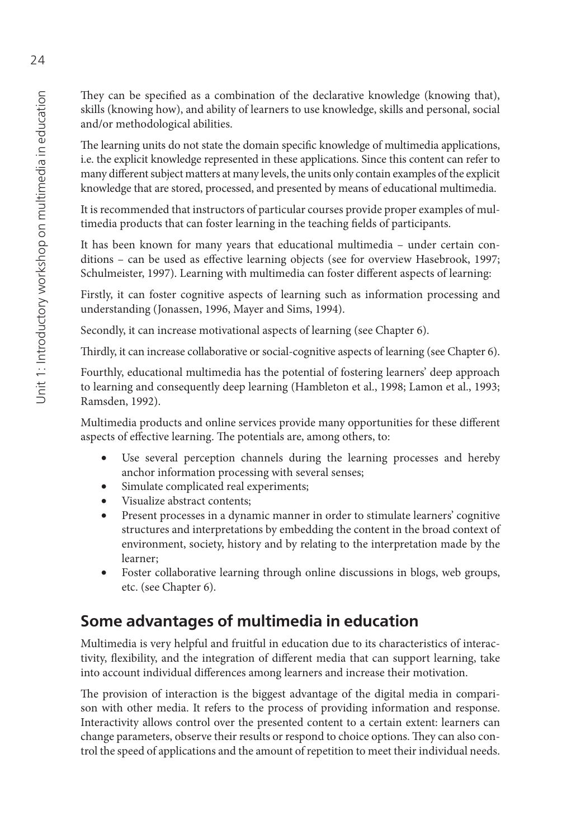They can be specified as a combination of the declarative knowledge (knowing that), skills (knowing how), and ability of learners to use knowledge, skills and personal, social and/or methodological abilities.

The learning units do not state the domain specific knowledge of multimedia applications, i.e. the explicit knowledge represented in these applications. Since this content can refer to many different subject matters at many levels, the units only contain examples of the explicit knowledge that are stored, processed, and presented by means of educational multimedia.

It is recommended that instructors of particular courses provide proper examples of multimedia products that can foster learning in the teaching fields of participants.

It has been known for many years that educational multimedia – under certain conditions - can be used as effective learning objects (see for overview Hasebrook, 1997; Schulmeister, 1997). Learning with multimedia can foster different aspects of learning:

Firstly, it can foster cognitive aspects of learning such as information processing and understanding (Jonassen, 1996, Mayer and Sims, 1994).

Secondly, it can increase motivational aspects of learning (see Chapter 6).<br>Thirdly, it can increase collaborative or social-cognitive aspects of learning (see Chapter 6).

Fourthly, educational multimedia has the potential of fostering learners' deep approach to learning and consequently deep learning (Hambleton et al., 1998; Lamon et al., 1993; Ramsden, 1992).

Multimedia products and online services provide many opportunities for these different aspects of effective learning. The potentials are, among others, to:

- Use several perception channels during the learning processes and hereby anchor information processing with several senses;
- Simulate complicated real experiments;
- Visualize abstract contents;
- Present processes in a dynamic manner in order to stimulate learners' cognitive structures and interpretations by embedding the content in the broad context of environment, society, history and by relating to the interpretation made by the learner;
- Foster collaborative learning through online discussions in blogs, web groups, etc. (see Chapter 6).

## **Some advantages of multimedia in education**

Multimedia is very helpful and fruitful in education due to its characteristics of interactivity, flexibility, and the integration of different media that can support learning, take into account individual differences among learners and increase their motivation.<br>The provision of interaction is the biggest advantage of the digital media in compari-

son with other media. It refers to the process of providing information and response. Interactivity allows control over the presented content to a certain extent: learners can change parameters, observe their results or respond to choice options. They can also control the speed of applications and the amount of repetition to meet their individual needs.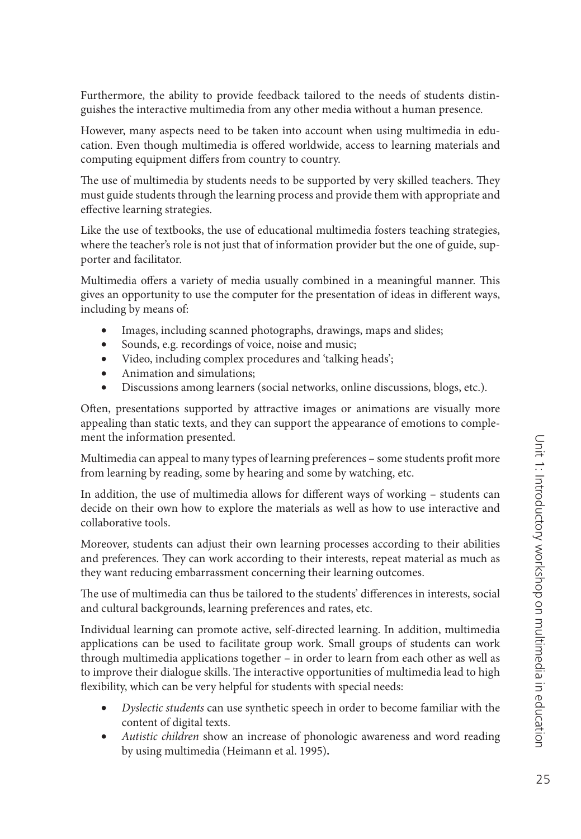Furthermore, the ability to provide feedback tailored to the needs of students distinguishes the interactive multimedia from any other media without a human presence.

However, many aspects need to be taken into account when using multimedia in education. Even though multimedia is offered worldwide, access to learning materials and computing equipment differs from country to country.<br>The use of multimedia by students needs to be supported by very skilled teachers. They

must guide students through the learning process and provide them with appropriate and effective learning strategies.

Like the use of textbooks, the use of educational multimedia fosters teaching strategies, where the teacher's role is not just that of information provider but the one of guide, supporter and facilitator.

Multimedia offers a variety of media usually combined in a meaningful manner. This gives an opportunity to use the computer for the presentation of ideas in different ways, including by means of:

- Images, including scanned photographs, drawings, maps and slides;
- Sounds, e.g. recordings of voice, noise and music;
- Video, including complex procedures and 'talking heads';
- Animation and simulations;
- Discussions among learners (social networks, online discussions, blogs, etc.).

Often, presentations supported by attractive images or animations are visually more appealing than static texts, and they can support the appearance of emotions to complement the information presented.

Multimedia can appeal to many types of learning preferences - some students profit more from learning by reading, some by hearing and some by watching, etc.

In addition, the use of multimedia allows for different ways of working – students can decide on their own how to explore the materials as well as how to use interactive and collaborative tools.

Moreover, students can adjust their own learning processes according to their abilities and preferences. They can work according to their interests, repeat material as much as

they want reducing embarrassment concerning their learning outcomes.<br>The use of multimedia can thus be tailored to the students' differences in interests, social and cultural backgrounds, learning preferences and rates, etc.

Individual learning can promote active, self-directed learning. In addition, multimedia applications can be used to facilitate group work. Small groups of students can work through multimedia applications together – in order to learn from each other as well as to improve their dialogue skills. The interactive opportunities of multimedia lead to high flexibility, which can be very helpful for students with special needs:

- *Dyslectic students* can use synthetic speech in order to become familiar with the content of digital texts.
- *Autistic children* show an increase of phonologic awareness and word reading by using multimedia (Heimann et al. 1995) **.**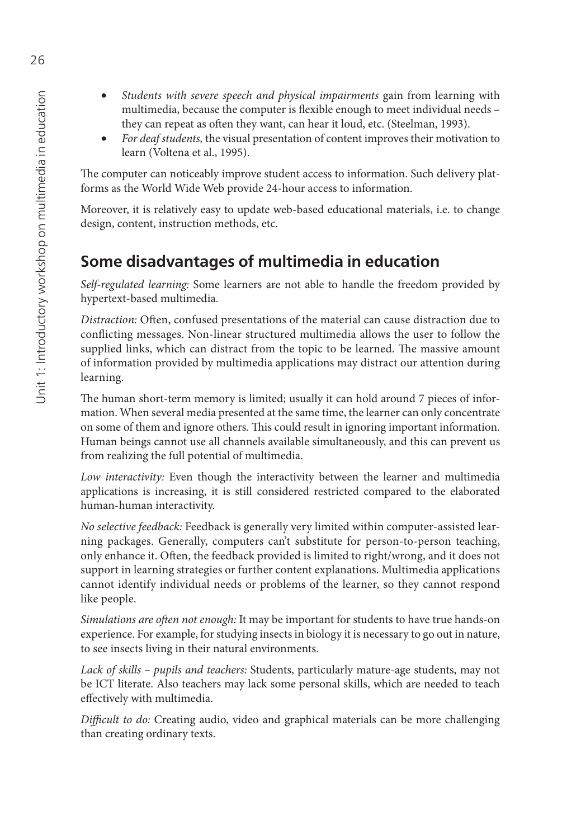- *Students with severe speech and physical impairments* gain from learning with multimedia, because the computer is flexible enough to meet individual needs they can repeat as often they want, can hear it loud, etc. (Steelman, 1993).
- *For deaf students,* the visual presentation of content improves their motivation to learn (Voltena et al., 1995).

The computer can noticeably improve student access to information. Such delivery platforms as the World Wide Web provide 24-hour access to information.

Moreover, it is relatively easy to update web-based educational materials, i.e. to change design, content, instruction methods, etc.

## **Some disadvantages of multimedia in education**

*Self-regulated learning:* Some learners are not able to handle the freedom provided by hypertext-based multimedia.

*Distraction:* Often, confused presentations of the material can cause distraction due to conflicting messages. Non-linear structured multimedia allows the user to follow the supplied links, which can distract from the topic to be learned. The massive amount of information provided by multimedia applications may distract our attention during learning.

The human short-term memory is limited; usually it can hold around 7 pieces of information. When several media presented at the same time, the learner can only concentrate on some of them and ignore others. This could result in ignoring important information. Human beings cannot use all channels available simultaneously, and this can prevent us from realizing the full potential of multimedia.

*Low interactivity:* Even though the interactivity between the learner and multimedia applications is increasing, it is still considered restricted compared to the elaborated human-human interactivity.

*No selective feedback:* Feedback is generally very limited within computer-assisted learning packages. Generally, computers can't substitute for person-to-person teaching, only enhance it. Often, the feedback provided is limited to right/wrong, and it does not support in learning strategies or further content explanations. Multimedia applications cannot identify individual needs or problems of the learner, so they cannot respond like people.

Simulations are often not enough: It may be important for students to have true hands-on experience. For example, for studying insects in biology it is necessary to go out in nature, to see insects living in their natural environments.

*Lack of skills – pupils and teachers:* Students, particularly mature-age students, may not be ICT literate. Also teachers may lack some personal skills, which are needed to teach effectively with multimedia.

*Difficult to do:* Creating audio, video and graphical materials can be more challenging than creating ordinary texts.

26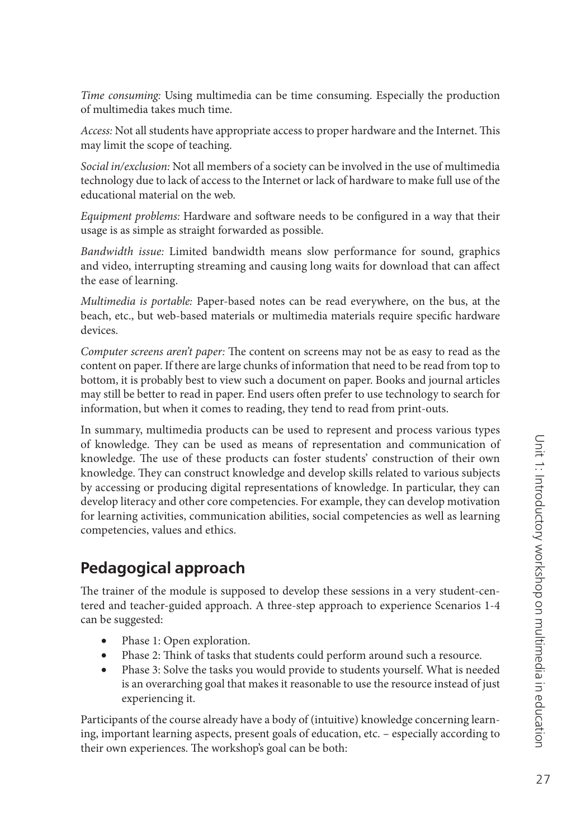*Time consuming:* Using multimedia can be time consuming. Especially the production of multimedia takes much time.

*Access:* Not all students have appropriate access to proper hardware and the Internet. This may limit the scope of teaching.

*Social in/exclusion:* Not all members of a society can be involved in the use of multimedia technology due to lack of access to the Internet or lack of hardware to make full use of the educational material on the web.

*Equipment problems:* Hardware and software needs to be configured in a way that their usage is as simple as straight forwarded as possible.

*Bandwidth issue:* Limited bandwidth means slow performance for sound, graphics and video, interrupting streaming and causing long waits for download that can affect the ease of learning.

*Multimedia is portable:* Paper-based notes can be read everywhere, on the bus, at the beach, etc., but web-based materials or multimedia materials require specific hardware devices.

Computer screens aren't paper: The content on screens may not be as easy to read as the content on paper. If there are large chunks of information that need to be read from top to bottom, it is probably best to view such a document on paper. Books and journal articles may still be better to read in paper. End users often prefer to use technology to search for information, but when it comes to reading, they tend to read from print-outs.

In summary, multimedia products can be used to represent and process various types of knowledge. They can be used as means of representation and communication of knowledge. The use of these products can foster students' construction of their own knowledge. They can construct knowledge and develop skills related to various subjects by accessing or producing digital representations of knowledge. In particular, they can develop literacy and other core competencies. For example, they can develop motivation for learning activities, communication abilities, social competencies as well as learning competencies, values and ethics.

#### **Pedagogical approach**

The trainer of the module is supposed to develop these sessions in a very student-centered and teacher-guided approach. A three-step approach to experience Scenarios 1-4 can be suggested:

- Phase 1: Open exploration.
- Phase 2: Think of tasks that students could perform around such a resource.
- Phase 3: Solve the tasks you would provide to students yourself. What is needed is an overarching goal that makes it reasonable to use the resource instead of just experiencing it.

Participants of the course already have a body of (intuitive) knowledge concerning learning, important learning aspects, present goals of education, etc. – especially according to their own experiences. The workshop's goal can be both: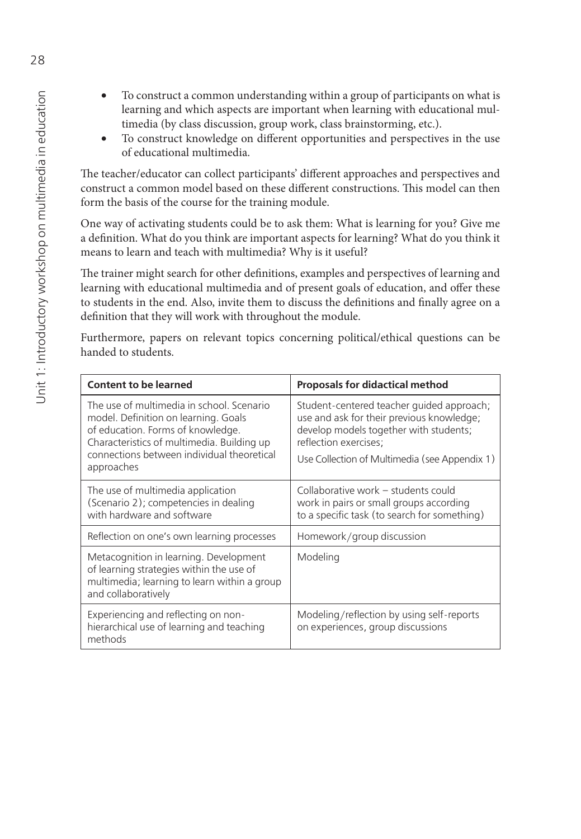- To construct a common understanding within a group of participants on what is learning and which aspects are important when learning with educational multimedia (by class discussion, group work, class brainstorming, etc.).
- To construct knowledge on different opportunities and perspectives in the use of educational multimedia.

The teacher/educator can collect participants' different approaches and perspectives and construct a common model based on these different constructions. This model can then form the basis of the course for the training module.

One way of activating students could be to ask them: What is learning for you? Give me a definition. What do you think are important aspects for learning? What do you think it means to learn and teach with multimedia? Why is it useful?

The trainer might search for other definitions, examples and perspectives of learning and learning with educational multimedia and of present goals of education, and offer these to students in the end. Also, invite them to discuss the definitions and finally agree on a definition that they will work with throughout the module.

Furthermore, papers on relevant topics concerning political/ethical questions can be handed to students.

| <b>Content to be learned</b>                                                                                                                                                                                                     | <b>Proposals for didactical method</b>                                                                                                                                                                     |
|----------------------------------------------------------------------------------------------------------------------------------------------------------------------------------------------------------------------------------|------------------------------------------------------------------------------------------------------------------------------------------------------------------------------------------------------------|
| The use of multimedia in school. Scenario<br>model. Definition on learning. Goals<br>of education. Forms of knowledge.<br>Characteristics of multimedia. Building up<br>connections between individual theoretical<br>approaches | Student-centered teacher guided approach;<br>use and ask for their previous knowledge;<br>develop models together with students;<br>reflection exercises;<br>Use Collection of Multimedia (see Appendix 1) |
| The use of multimedia application<br>(Scenario 2); competencies in dealing<br>with hardware and software                                                                                                                         | Collaborative work – students could<br>work in pairs or small groups according<br>to a specific task (to search for something)                                                                             |
| Reflection on one's own learning processes                                                                                                                                                                                       | Homework/group discussion                                                                                                                                                                                  |
| Metacognition in learning. Development<br>of learning strategies within the use of<br>multimedia; learning to learn within a group<br>and collaboratively                                                                        | Modeling                                                                                                                                                                                                   |
| Experiencing and reflecting on non-<br>hierarchical use of learning and teaching<br>methods                                                                                                                                      | Modeling/reflection by using self-reports<br>on experiences, group discussions                                                                                                                             |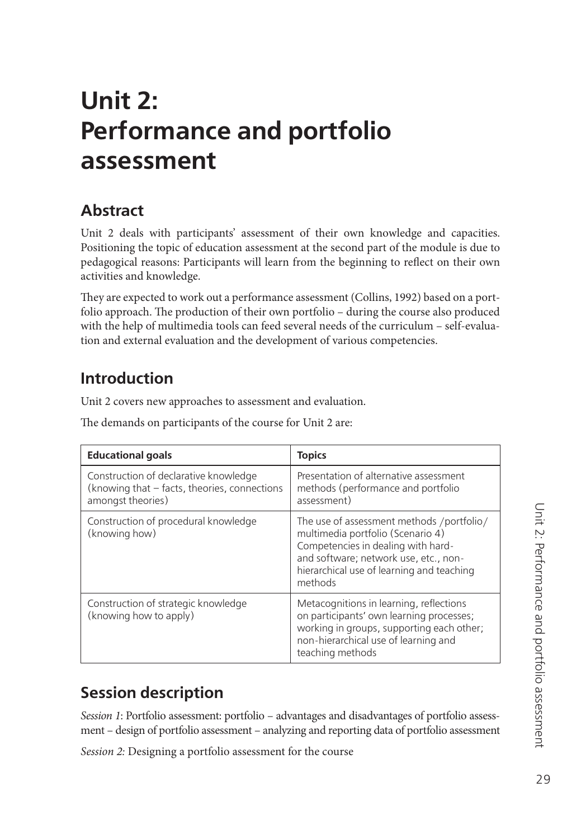# <span id="page-29-0"></span>**Unit 2: Performance and portfolio assessment**

## **Abstract**

Unit 2 deals with participants' assessment of their own knowledge and capacities. Positioning the topic of education assessment at the second part of the module is due to pedagogical reasons: Participants will learn from the beginning to reflect on their own activities and knowledge.

They are expected to work out a performance assessment (Collins, 1992) based on a portfolio approach. The production of their own portfolio - during the course also produced with the help of multimedia tools can feed several needs of the curriculum – self-evaluation and external evaluation and the development of various competencies.

## **Introduction**

Unit 2 covers new approaches to assessment and evaluation.

The demands on participants of the course for Unit 2 are:

| <b>Educational goals</b>                                                                                   | <b>Topics</b>                                                                                                                                                                                                         |
|------------------------------------------------------------------------------------------------------------|-----------------------------------------------------------------------------------------------------------------------------------------------------------------------------------------------------------------------|
| Construction of declarative knowledge<br>(knowing that - facts, theories, connections<br>amongst theories) | Presentation of alternative assessment<br>methods (performance and portfolio<br>assessment)                                                                                                                           |
| Construction of procedural knowledge<br>(knowing how)                                                      | The use of assessment methods /portfolio/<br>multimedia portfolio (Scenario 4)<br>Competencies in dealing with hard-<br>and software; network use, etc., non-<br>hierarchical use of learning and teaching<br>methods |
| Construction of strategic knowledge<br>(knowing how to apply)                                              | Metacognitions in learning, reflections<br>on participants' own learning processes;<br>working in groups, supporting each other;<br>non-hierarchical use of learning and<br>teaching methods                          |

## **Session description**

*Session 1*: Portfolio assessment: portfolio – advantages and disadvantages of portfolio assessment – design of portfolio assessment – analyzing and reporting data of portfolio assessment

*Session 2:* Designing a portfolio assessment for the course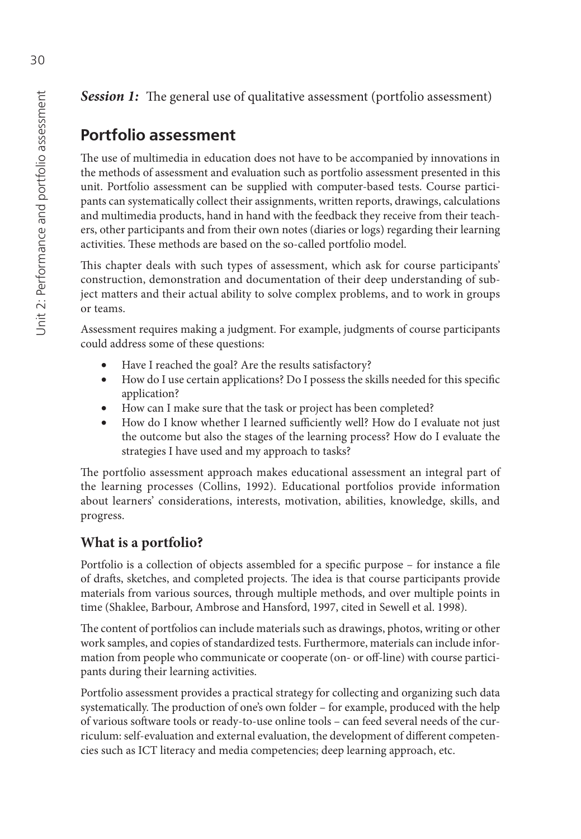**Session 1:** The general use of qualitative assessment (portfolio assessment)

## **Portfolio assessment**

The use of multimedia in education does not have to be accompanied by innovations in the methods of assessment and evaluation such as portfolio assessment presented in this unit. Portfolio assessment can be supplied with computer-based tests. Course participants can systematically collect their assignments, written reports, drawings, calculations and multimedia products, hand in hand with the feedback they receive from their teachers, other participants and from their own notes (diaries or logs) regarding their learning activities. These methods are based on the so-called portfolio model.

This chapter deals with such types of assessment, which ask for course participants' construction, demonstration and documentation of their deep understanding of subject matters and their actual ability to solve complex problems, and to work in groups or teams.

Assessment requires making a judgment. For example, judgments of course participants could address some of these questions:

- Have I reached the goal? Are the results satisfactory?
- How do I use certain applications? Do I possess the skills needed for this specific application?
- How can I make sure that the task or project has been completed?
- How do I know whether I learned sufficiently well? How do I evaluate not just the outcome but also the stages of the learning process? How do I evaluate the strategies I have used and my approach to tasks?

The portfolio assessment approach makes educational assessment an integral part of the learning processes (Collins, 1992). Educational portfolios provide information about learners' considerations, interests, motivation, abilities, knowledge, skills, and progress.

#### **What is a portfolio?**

Portfolio is a collection of objects assembled for a specific purpose – for instance a file of drafts, sketches, and completed projects. The idea is that course participants provide materials from various sources, through multiple methods, and over multiple points in time (Shaklee, Barbour, Ambrose and Hansford, 1997, cited in Sewell et al. 1998).

The content of portfolios can include materials such as drawings, photos, writing or other work samples, and copies of standardized tests. Furthermore, materials can include information from people who communicate or cooperate (on- or off -line) with course participants during their learning activities.

Portfolio assessment provides a practical strategy for collecting and organizing such data systematically. The production of one's own folder - for example, produced with the help of various software tools or ready-to-use online tools - can feed several needs of the curriculum: self-evaluation and external evaluation, the development of different competencies such as ICT literacy and media competencies; deep learning approach, etc.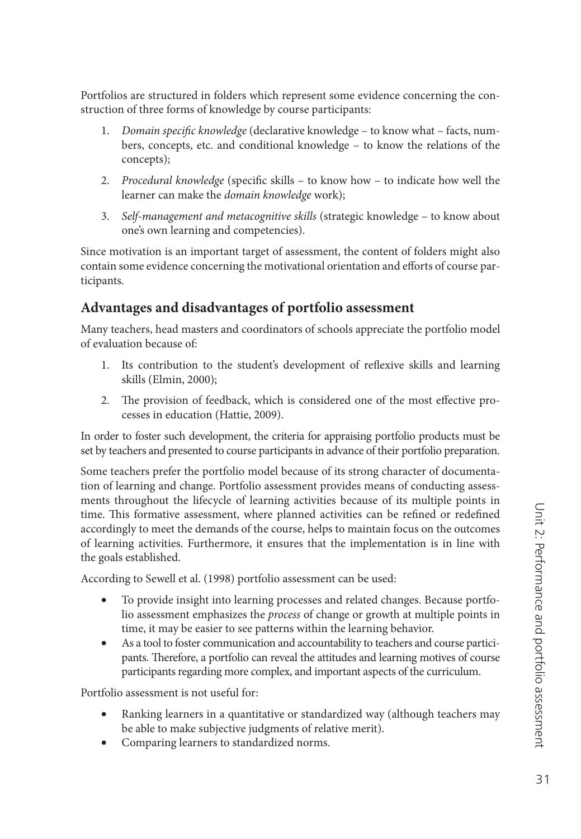Portfolios are structured in folders which represent some evidence concerning the construction of three forms of knowledge by course participants:

- 1. *Domain specific knowledge* (declarative knowledge to know what facts, numbers, concepts, etc. and conditional knowledge – to know the relations of the concepts);
- 2. *Procedural knowledge* (specific skills to know how to indicate how well the learner can make the *domain knowledge* work);
- 3. *Self-management and metacognitive skills* (strategic knowledge to know about one's own learning and competencies).

Since motivation is an important target of assessment, the content of folders might also contain some evidence concerning the motivational orientation and efforts of course participants.

#### **Advantages and disadvantages of portfolio assessment**

Many teachers, head masters and coordinators of schools appreciate the portfolio model of evaluation because of:

- 1. Its contribution to the student's development of reflexive skills and learning skills (Elmin, 2000);
- 2. The provision of feedback, which is considered one of the most effective processes in education (Hattie, 2009).

In order to foster such development, the criteria for appraising portfolio products must be set by teachers and presented to course participants in advance of their portfolio preparation.

Some teachers prefer the portfolio model because of its strong character of documentation of learning and change. Portfolio assessment provides means of conducting assessments throughout the lifecycle of learning activities because of its multiple points in time. This formative assessment, where planned activities can be refined or redefined accordingly to meet the demands of the course, helps to maintain focus on the outcomes of learning activities. Furthermore, it ensures that the implementation is in line with the goals established.

According to Sewell et al. (1998) portfolio assessment can be used:

- To provide insight into learning processes and related changes. Because portfolio assessment emphasizes the *process* of change or growth at multiple points in time, it may be easier to see patterns within the learning behavior.
- As a tool to foster communication and accountability to teachers and course participants. Therefore, a portfolio can reveal the attitudes and learning motives of course participants regarding more complex, and important aspects of the curriculum.

Portfolio assessment is not useful for:

- Ranking learners in a quantitative or standardized way (although teachers may be able to make subjective judgments of relative merit).
- Comparing learners to standardized norms.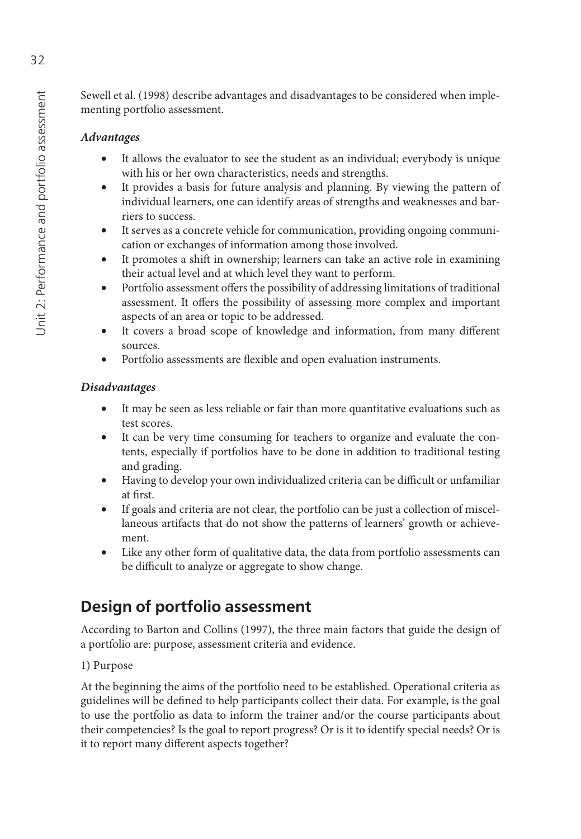Sewell et al. (1998) describe advantages and disadvantages to be considered when implementing portfolio assessment.

#### *Advantages*

- It allows the evaluator to see the student as an individual; everybody is unique with his or her own characteristics, needs and strengths.
- It provides a basis for future analysis and planning. By viewing the pattern of individual learners, one can identify areas of strengths and weaknesses and barriers to success.
- It serves as a concrete vehicle for communication, providing ongoing communication or exchanges of information among those involved.
- It promotes a shift in ownership; learners can take an active role in examining their actual level and at which level they want to perform.
- Portfolio assessment offers the possibility of addressing limitations of traditional assessment. It offers the possibility of assessing more complex and important aspects of an area or topic to be addressed.
- It covers a broad scope of knowledge and information, from many different sources.
- Portfolio assessments are flexible and open evaluation instruments.

#### *Disadvantages*

- It may be seen as less reliable or fair than more quantitative evaluations such as test scores.
- It can be very time consuming for teachers to organize and evaluate the contents, especially if portfolios have to be done in addition to traditional testing and grading.
- Having to develop your own individualized criteria can be difficult or unfamiliar at first.
- If goals and criteria are not clear, the portfolio can be just a collection of miscellaneous artifacts that do not show the patterns of learners' growth or achievement.
- Like any other form of qualitative data, the data from portfolio assessments can be difficult to analyze or aggregate to show change.

## **Design of portfolio assessment**

According to Barton and Collins (1997), the three main factors that guide the design of a portfolio are: purpose, assessment criteria and evidence.

#### 1) Purpose

At the beginning the aims of the portfolio need to be established. Operational criteria as guidelines will be defined to help participants collect their data. For example, is the goal to use the portfolio as data to inform the trainer and/or the course participants about their competencies? Is the goal to report progress? Or is it to identify special needs? Or is it to report many different aspects together?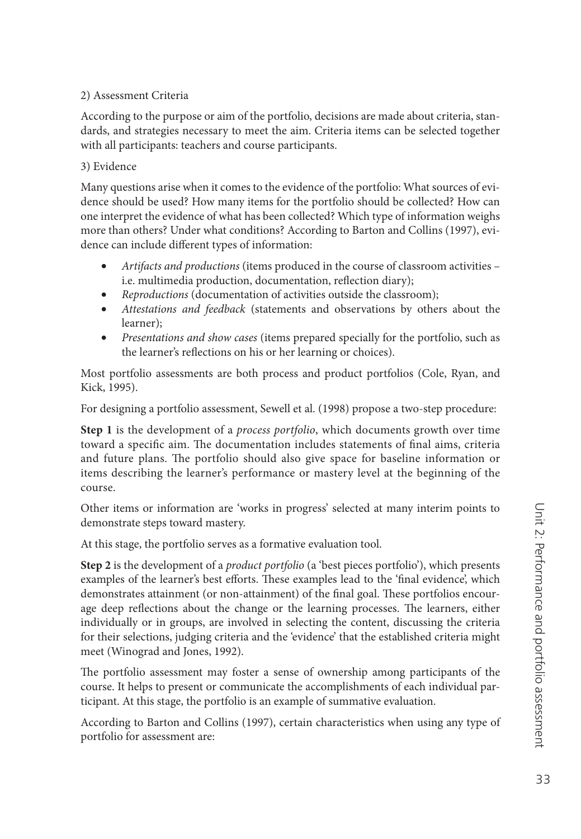#### 2) Assessment Criteria

According to the purpose or aim of the portfolio, decisions are made about criteria, standards, and strategies necessary to meet the aim. Criteria items can be selected together with all participants: teachers and course participants.

#### 3) Evidence

Many questions arise when it comes to the evidence of the portfolio: What sources of evidence should be used? How many items for the portfolio should be collected? How can one interpret the evidence of what has been collected? Which type of information weighs more than others? Under what conditions? According to Barton and Collins (1997), evidence can include different types of information:

- *Artifacts and productions* (items produced in the course of classroom activities i.e. multimedia production, documentation, reflection diary);
- *Reproductions* (documentation of activities outside the classroom);
- *Attestations and feedback* (statements and observations by others about the learner);
- *Presentations and show cases* (items prepared specially for the portfolio, such as the learner's reflections on his or her learning or choices).

Most portfolio assessments are both process and product portfolios (Cole, Ryan, and Kick, 1995).

For designing a portfolio assessment, Sewell et al. (1998) propose a two-step procedure:

**Step 1** is the development of a *process portfolio*, which documents growth over time toward a specific aim. The documentation includes statements of final aims, criteria and future plans. The portfolio should also give space for baseline information or items describing the learner's performance or mastery level at the beginning of the course.

Other items or information are 'works in progress' selected at many interim points to demonstrate steps toward mastery.

At this stage, the portfolio serves as a formative evaluation tool.

**Step 2** is the development of a *product portfolio* (a 'best pieces portfolio'), which presents examples of the learner's best efforts. These examples lead to the 'final evidence', which demonstrates attainment (or non-attainment) of the final goal. These portfolios encourage deep reflections about the change or the learning processes. The learners, either individually or in groups, are involved in selecting the content, discussing the criteria for their selections, judging criteria and the 'evidence' that the established criteria might meet (Winograd and Jones, 1992).

The portfolio assessment may foster a sense of ownership among participants of the course. It helps to present or communicate the accomplishments of each individual participant. At this stage, the portfolio is an example of summative evaluation.

According to Barton and Collins (1997), certain characteristics when using any type of portfolio for assessment are: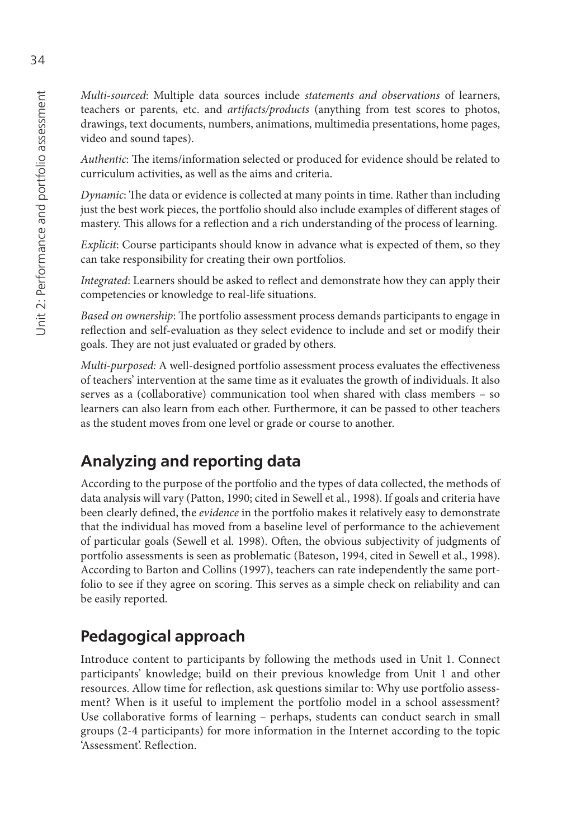*Multi-sourced*: Multiple data sources include *statements and observations* of learners, teachers or parents, etc. and *artifacts/products* (anything from test scores to photos, drawings, text documents, numbers, animations, multimedia presentations, home pages, video and sound tapes).

*Authentic*: The items/information selected or produced for evidence should be related to curriculum activities, as well as the aims and criteria.

*Dynamic*: The data or evidence is collected at many points in time. Rather than including just the best work pieces, the portfolio should also include examples of different stages of mastery. This allows for a reflection and a rich understanding of the process of learning.

*Explicit*: Course participants should know in advance what is expected of them, so they can take responsibility for creating their own portfolios.

*Integrated*: Learners should be asked to reflect and demonstrate how they can apply their competencies or knowledge to real-life situations.

*Based on ownership*: The portfolio assessment process demands participants to engage in reflection and self-evaluation as they select evidence to include and set or modify their goals. They are not just evaluated or graded by others.

*Multi-purposed:* A well-designed portfolio assessment process evaluates the effectiveness of teachers' intervention at the same time as it evaluates the growth of individuals. It also serves as a (collaborative) communication tool when shared with class members – so learners can also learn from each other. Furthermore, it can be passed to other teachers as the student moves from one level or grade or course to another.

### **Analyzing and reporting data**

According to the purpose of the portfolio and the types of data collected, the methods of data analysis will vary (Patton, 1990; cited in Sewell et al., 1998). If goals and criteria have been clearly defined, the *evidence* in the portfolio makes it relatively easy to demonstrate that the individual has moved from a baseline level of performance to the achievement of particular goals (Sewell et al. 1998). Often, the obvious subjectivity of judgments of portfolio assessments is seen as problematic (Bateson, 1994, cited in Sewell et al., 1998). According to Barton and Collins (1997), teachers can rate independently the same portfolio to see if they agree on scoring. This serves as a simple check on reliability and can be easily reported.

### **Pedagogical approach**

Introduce content to participants by following the methods used in Unit 1. Connect participants' knowledge; build on their previous knowledge from Unit 1 and other resources. Allow time for reflection, ask questions similar to: Why use portfolio assessment? When is it useful to implement the portfolio model in a school assessment? Use collaborative forms of learning – perhaps, students can conduct search in small groups (2-4 participants) for more information in the Internet according to the topic 'Assessment'. Reflection.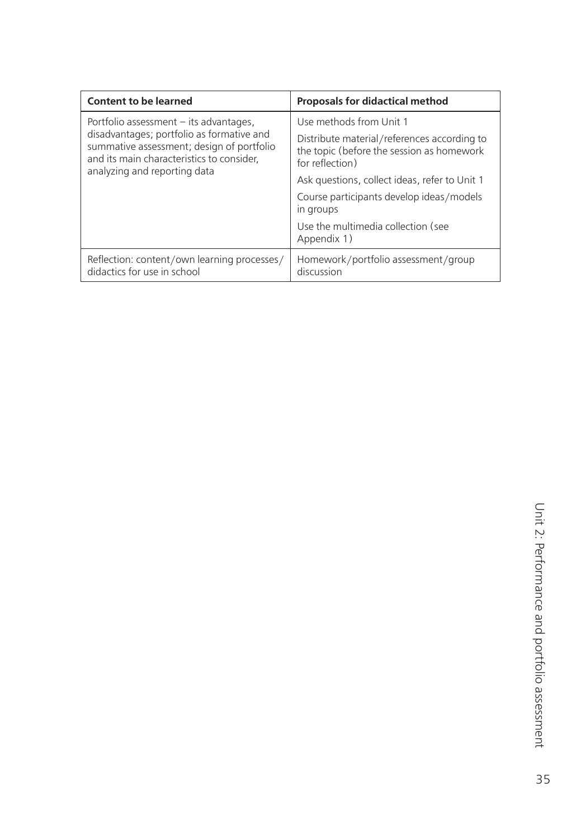| <b>Content to be learned</b>                                                                                                                                                                                    | <b>Proposals for didactical method</b>                                                                      |
|-----------------------------------------------------------------------------------------------------------------------------------------------------------------------------------------------------------------|-------------------------------------------------------------------------------------------------------------|
| Portfolio assessment $-$ its advantages,<br>disadvantages; portfolio as formative and<br>summative assessment; design of portfolio<br>and its main characteristics to consider,<br>analyzing and reporting data | Use methods from Unit 1                                                                                     |
|                                                                                                                                                                                                                 | Distribute material/references according to<br>the topic (before the session as homework<br>for reflection) |
|                                                                                                                                                                                                                 | Ask questions, collect ideas, refer to Unit 1                                                               |
|                                                                                                                                                                                                                 | Course participants develop ideas/models<br>in groups                                                       |
|                                                                                                                                                                                                                 | Use the multimedia collection (see<br>Appendix 1)                                                           |
| Reflection: content/own learning processes/<br>didactics for use in school                                                                                                                                      | Homework/portfolio assessment/group<br>discussion                                                           |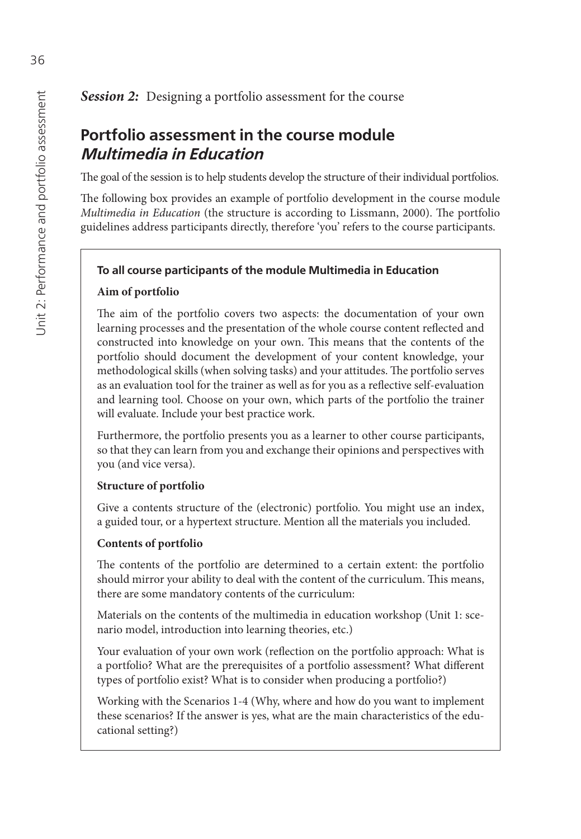## *Session 2:* Designing a portfolio assessment for the course

# **Portfolio assessment in the course module Multimedia in Education**

The goal of the session is to help students develop the structure of their individual portfolios.

The following box provides an example of portfolio development in the course module *Multimedia in Education* (the structure is according to Lissmann, 2000). The portfolio guidelines address participants directly, therefore 'you' refers to the course participants.

#### **To all course participants of the module Multimedia in Education**

#### **Aim of portfolio**

The aim of the portfolio covers two aspects: the documentation of your own learning processes and the presentation of the whole course content reflected and constructed into knowledge on your own. This means that the contents of the portfolio should document the development of your content knowledge, your methodological skills (when solving tasks) and your attitudes. The portfolio serves as an evaluation tool for the trainer as well as for you as a reflective self-evaluation and learning tool. Choose on your own, which parts of the portfolio the trainer will evaluate. Include your best practice work.

Furthermore, the portfolio presents you as a learner to other course participants, so that they can learn from you and exchange their opinions and perspectives with you (and vice versa).

#### **Structure of portfolio**

Give a contents structure of the (electronic) portfolio. You might use an index, a guided tour, or a hypertext structure. Mention all the materials you included.

#### **Contents of portfolio**

The contents of the portfolio are determined to a certain extent: the portfolio should mirror your ability to deal with the content of the curriculum. This means, there are some mandatory contents of the curriculum:

Materials on the contents of the multimedia in education workshop (Unit 1: scenario model, introduction into learning theories, etc.)

Your evaluation of your own work (reflection on the portfolio approach: What is a portfolio? What are the prerequisites of a portfolio assessment? What different types of portfolio exist? What is to consider when producing a portfolio?)

Working with the Scenarios 1-4 (Why, where and how do you want to implement these scenarios? If the answer is yes, what are the main characteristics of the educational setting?)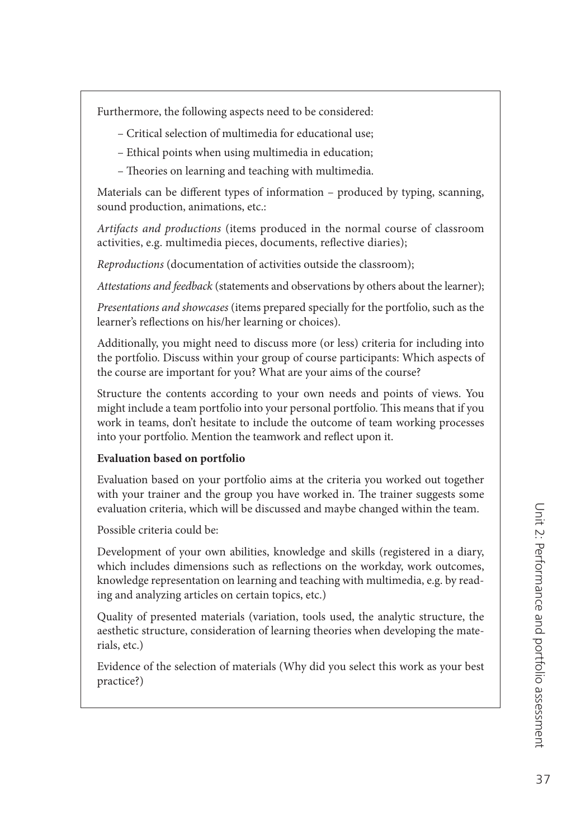Furthermore, the following aspects need to be considered:

- Critical selection of multimedia for educational use;
- Ethical points when using multimedia in education;
- Theories on learning and teaching with multimedia.

Materials can be different types of information – produced by typing, scanning, sound production, animations, etc.:

*Artifacts and productions* (items produced in the normal course of classroom activities, e.g. multimedia pieces, documents, reflective diaries);

*Reproductions* (documentation of activities outside the classroom);

*Attestations and feedback* (statements and observations by others about the learner);

*Presentations and showcases* (items prepared specially for the portfolio, such as the learner's reflections on his/her learning or choices).

Additionally, you might need to discuss more (or less) criteria for including into the portfolio. Discuss within your group of course participants: Which aspects of the course are important for you? What are your aims of the course?

Structure the contents according to your own needs and points of views. You might include a team portfolio into your personal portfolio. This means that if you work in teams, don't hesitate to include the outcome of team working processes into your portfolio. Mention the teamwork and reflect upon it.

## **Evaluation based on portfolio**

Evaluation based on your portfolio aims at the criteria you worked out together with your trainer and the group you have worked in. The trainer suggests some evaluation criteria, which will be discussed and maybe changed within the team.

Possible criteria could be:

Development of your own abilities, knowledge and skills (registered in a diary, which includes dimensions such as reflections on the workday, work outcomes, knowledge representation on learning and teaching with multimedia, e.g. by reading and analyzing articles on certain topics, etc.)

Quality of presented materials (variation, tools used, the analytic structure, the aesthetic structure, consideration of learning theories when developing the materials, etc.)

Evidence of the selection of materials (Why did you select this work as your best practice?)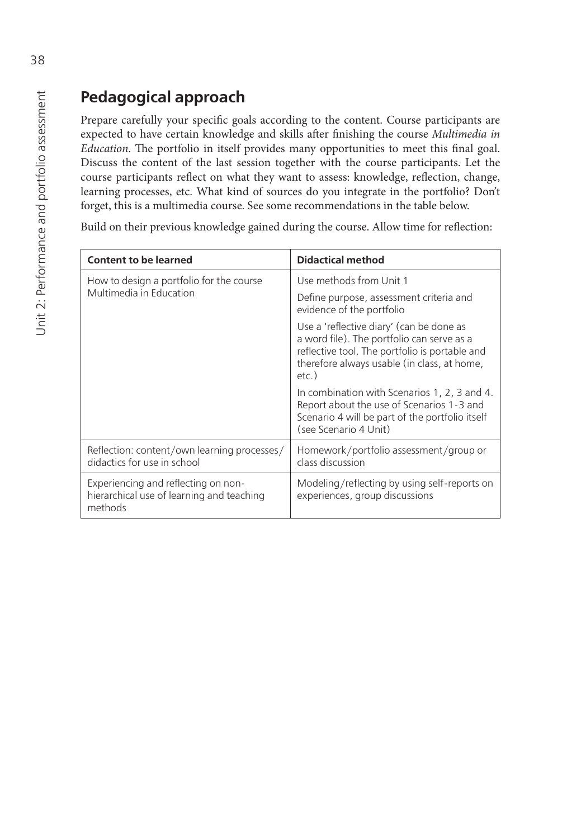# **Pedagogical approach**

Prepare carefully your specific goals according to the content. Course participants are expected to have certain knowledge and skills after finishing the course *Multimedia in Education*. The portfolio in itself provides many opportunities to meet this final goal. Discuss the content of the last session together with the course participants. Let the course participants reflect on what they want to assess: knowledge, reflection, change, learning processes, etc. What kind of sources do you integrate in the portfolio? Don't forget, this is a multimedia course. See some recommendations in the table below.

Build on their previous knowledge gained during the course. Allow time for reflection:

| <b>Content to be learned</b>                                                                | <b>Didactical method</b>                                                                                                                                                                            |
|---------------------------------------------------------------------------------------------|-----------------------------------------------------------------------------------------------------------------------------------------------------------------------------------------------------|
| How to design a portfolio for the course<br>Multimedia in Education                         | Use methods from Unit 1                                                                                                                                                                             |
|                                                                                             | Define purpose, assessment criteria and<br>evidence of the portfolio                                                                                                                                |
|                                                                                             | Use a 'reflective diary' (can be done as<br>a word file). The portfolio can serve as a<br>reflective tool. The portfolio is portable and<br>therefore always usable (in class, at home,<br>$etc.$ ) |
|                                                                                             | In combination with Scenarios 1, 2, 3 and 4.<br>Report about the use of Scenarios 1-3 and<br>Scenario 4 will be part of the portfolio itself<br>(see Scenario 4 Unit)                               |
| Reflection: content/own learning processes/<br>didactics for use in school                  | Homework/portfolio assessment/group or<br>class discussion                                                                                                                                          |
| Experiencing and reflecting on non-<br>hierarchical use of learning and teaching<br>methods | Modeling/reflecting by using self-reports on<br>experiences, group discussions                                                                                                                      |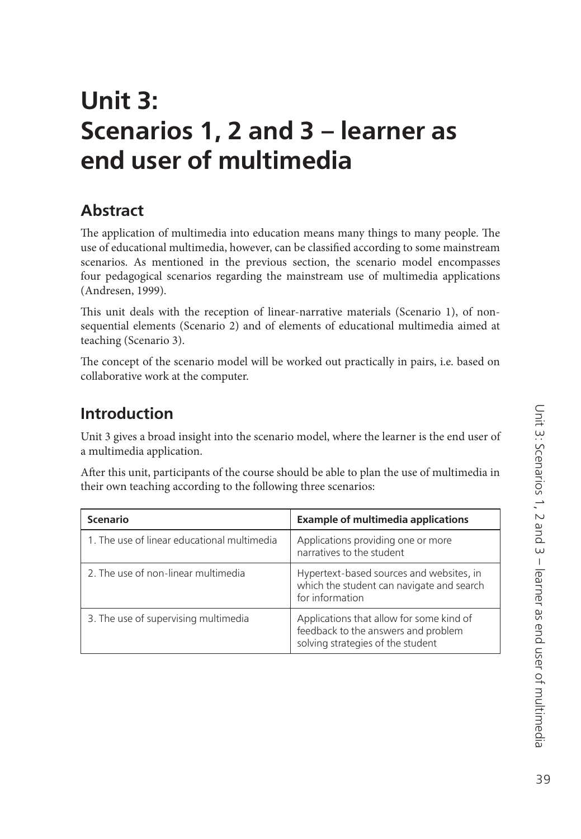# **Unit 3: Scenarios 1, 2 and 3 – learner as end user of multimedia**

# **Abstract**

The application of multimedia into education means many things to many people. The use of educational multimedia, however, can be classified according to some mainstream scenarios. As mentioned in the previous section, the scenario model encompasses four pedagogical scenarios regarding the mainstream use of multimedia applications (Andresen, 1999).

This unit deals with the reception of linear-narrative materials (Scenario 1), of nonsequential elements (Scenario 2) and of elements of educational multimedia aimed at teaching (Scenario 3).

The concept of the scenario model will be worked out practically in pairs, i.e. based on collaborative work at the computer.

# **Introduction**

Unit 3 gives a broad insight into the scenario model, where the learner is the end user of a multimedia application.

After this unit, participants of the course should be able to plan the use of multimedia in their own teaching according to the following three scenarios:

| <b>Scenario</b>                             | <b>Example of multimedia applications</b>                                                                            |
|---------------------------------------------|----------------------------------------------------------------------------------------------------------------------|
| 1. The use of linear educational multimedia | Applications providing one or more<br>narratives to the student                                                      |
| 2. The use of non-linear multimedia         | Hypertext-based sources and websites, in<br>which the student can navigate and search<br>for information             |
| 3. The use of supervising multimedia        | Applications that allow for some kind of<br>feedback to the answers and problem<br>solving strategies of the student |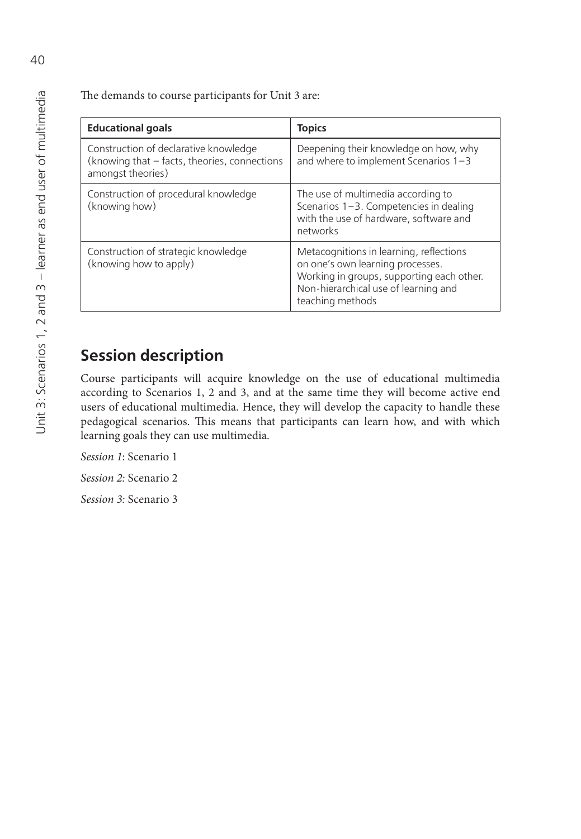The demands to course participants for Unit 3 are:

| <b>Educational goals</b>                                                                                   | <b>Topics</b>                                                                                                                                                                        |
|------------------------------------------------------------------------------------------------------------|--------------------------------------------------------------------------------------------------------------------------------------------------------------------------------------|
| Construction of declarative knowledge<br>(knowing that - facts, theories, connections<br>amongst theories) | Deepening their knowledge on how, why<br>and where to implement Scenarios $1-3$                                                                                                      |
| Construction of procedural knowledge<br>(knowing how)                                                      | The use of multimedia according to<br>Scenarios 1-3. Competencies in dealing<br>with the use of hardware, software and<br>networks                                                   |
| Construction of strategic knowledge<br>(knowing how to apply)                                              | Metacognitions in learning, reflections<br>on one's own learning processes.<br>Working in groups, supporting each other.<br>Non-hierarchical use of learning and<br>teaching methods |

# **Session description**

Course participants will acquire knowledge on the use of educational multimedia according to Scenarios 1, 2 and 3, and at the same time they will become active end users of educational multimedia. Hence, they will develop the capacity to handle these pedagogical scenarios. This means that participants can learn how, and with which learning goals they can use multimedia.

*Session 1*: Scenario 1

*Session 2:* Scenario 2

*Session 3:* Scenario 3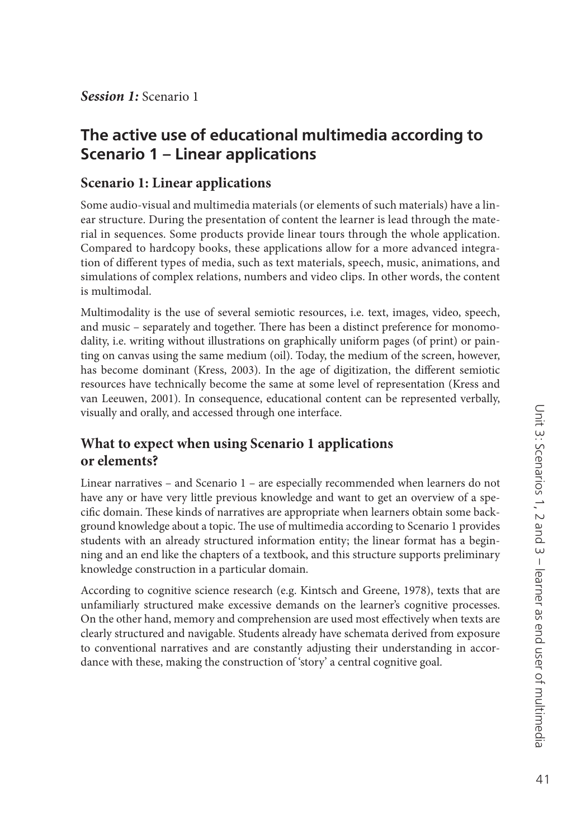*Session 1:* Scenario 1

## **The active use of educational multimedia according to Scenario 1 – Linear applications**

#### **Scenario 1: Linear applications**

Some audio-visual and multimedia materials (or elements of such materials) have a linear structure. During the presentation of content the learner is lead through the material in sequences. Some products provide linear tours through the whole application. Compared to hardcopy books, these applications allow for a more advanced integration of different types of media, such as text materials, speech, music, animations, and simulations of complex relations, numbers and video clips. In other words, the content is multimodal.

Multimodality is the use of several semiotic resources, i.e. text, images, video, speech, and music – separately and together. There has been a distinct preference for monomodality, i.e. writing without illustrations on graphically uniform pages (of print) or painting on canvas using the same medium (oil). Today, the medium of the screen, however, has become dominant (Kress, 2003). In the age of digitization, the different semiotic resources have technically become the same at some level of representation (Kress and van Leeuwen, 2001). In consequence, educational content can be represented verbally, visually and orally, and accessed through one interface.

## **What to expect when using Scenario 1 applications or elements?**

Linear narratives – and Scenario 1 – are especially recommended when learners do not have any or have very little previous knowledge and want to get an overview of a specific domain. These kinds of narratives are appropriate when learners obtain some background knowledge about a topic. The use of multimedia according to Scenario 1 provides students with an already structured information entity; the linear format has a beginning and an end like the chapters of a textbook, and this structure supports preliminary knowledge construction in a particular domain.

According to cognitive science research (e.g. Kintsch and Greene, 1978), texts that are unfamiliarly structured make excessive demands on the learner's cognitive processes. On the other hand, memory and comprehension are used most effectively when texts are clearly structured and navigable. Students already have schemata derived from exposure to conventional narratives and are constantly adjusting their understanding in accordance with these, making the construction of 'story' a central cognitive goal.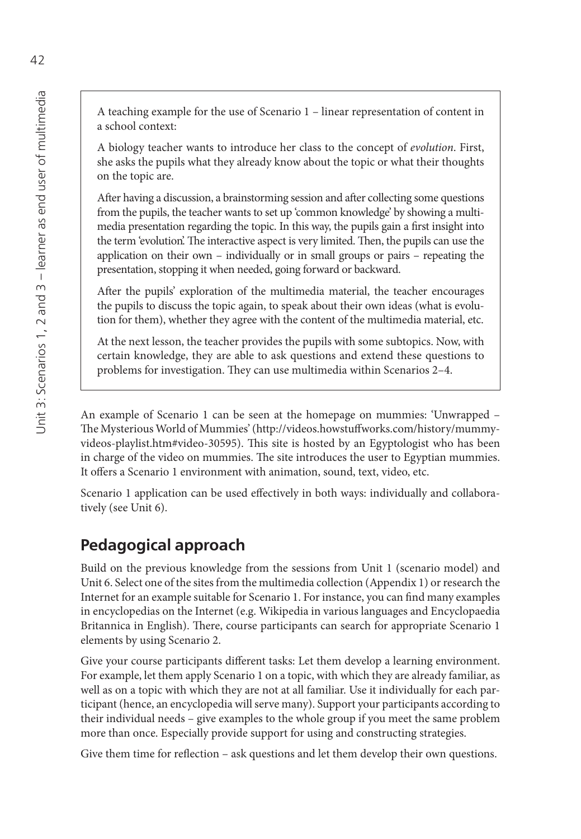A biology teacher wants to introduce her class to the concept of *evolution*. First, she asks the pupils what they already know about the topic or what their thoughts on the topic are.

After having a discussion, a brainstorming session and after collecting some questions from the pupils, the teacher wants to set up 'common knowledge' by showing a multimedia presentation regarding the topic. In this way, the pupils gain a first insight into the term 'evolution'. The interactive aspect is very limited. Then, the pupils can use the application on their own – individually or in small groups or pairs – repeating the presentation, stopping it when needed, going forward or backward.

After the pupils' exploration of the multimedia material, the teacher encourages the pupils to discuss the topic again, to speak about their own ideas (what is evolution for them), whether they agree with the content of the multimedia material, etc.

At the next lesson, the teacher provides the pupils with some subtopics. Now, with certain knowledge, they are able to ask questions and extend these questions to problems for investigation. They can use multimedia within Scenarios 2-4.

An example of Scenario 1 can be seen at the homepage on mummies: 'Unwrapped – The Mysterious World of Mummies' (http://videos.howstuffworks.com/history/mummyvideos-playlist.htm#video-30595). This site is hosted by an Egyptologist who has been in charge of the video on mummies. The site introduces the user to Egyptian mummies. It offers a Scenario 1 environment with animation, sound, text, video, etc.

Scenario 1 application can be used effectively in both ways: individually and collaboratively (see Unit 6).

# **Pedagogical approach**

Build on the previous knowledge from the sessions from Unit 1 (scenario model) and Unit 6. Select one of the sites from the multimedia collection (Appendix 1) or research the Internet for an example suitable for Scenario 1. For instance, you can find many examples in encyclopedias on the Internet (e.g. Wikipedia in various languages and Encyclopaedia Britannica in English). There, course participants can search for appropriate Scenario 1 elements by using Scenario 2.

Give your course participants different tasks: Let them develop a learning environment. For example, let them apply Scenario 1 on a topic, with which they are already familiar, as well as on a topic with which they are not at all familiar. Use it individually for each participant (hence, an encyclopedia will serve many). Support your participants according to their individual needs – give examples to the whole group if you meet the same problem more than once. Especially provide support for using and constructing strategies.

Give them time for reflection – ask questions and let them develop their own questions.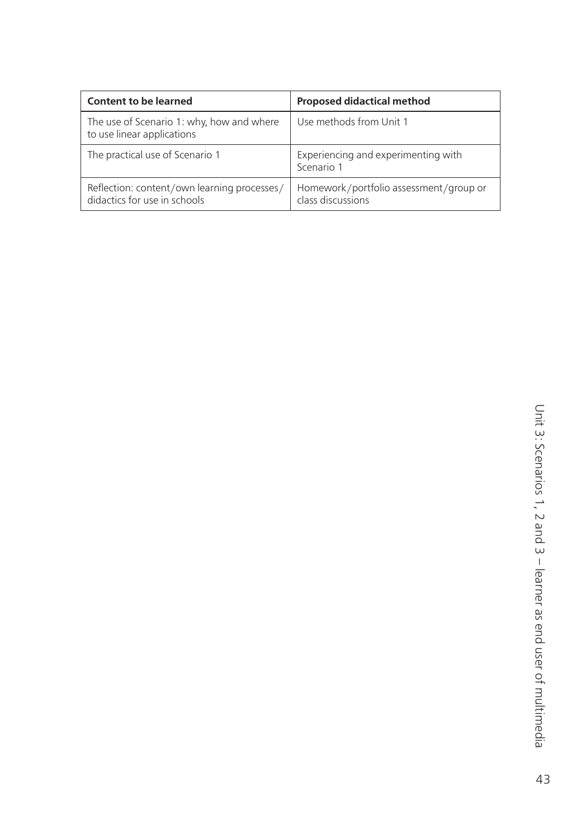| Content to be learned                                                       | <b>Proposed didactical method</b>                           |
|-----------------------------------------------------------------------------|-------------------------------------------------------------|
| The use of Scenario 1: why, how and where<br>to use linear applications     | Use methods from Unit 1                                     |
| The practical use of Scenario 1                                             | Experiencing and experimenting with<br>Scenario 1           |
| Reflection: content/own learning processes/<br>didactics for use in schools | Homework/portfolio assessment/group or<br>class discussions |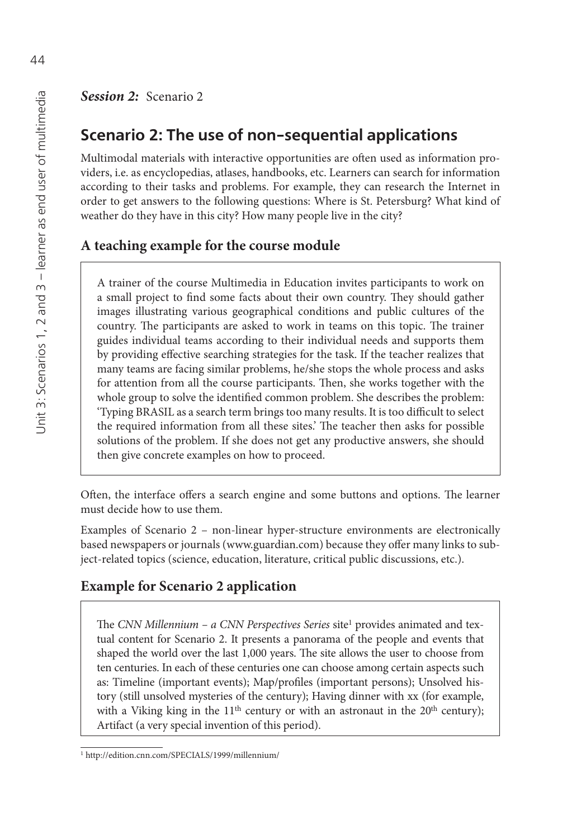# **Scenario 2: The use of non-sequential applications**

Multimodal materials with interactive opportunities are often used as information providers, i.e. as encyclopedias, atlases, handbooks, etc. Learners can search for information according to their tasks and problems. For example, they can research the Internet in order to get answers to the following questions: Where is St. Petersburg? What kind of weather do they have in this city? How many people live in the city?

## **A teaching example for the course module**

A trainer of the course Multimedia in Education invites participants to work on a small project to find some facts about their own country. They should gather images illustrating various geographical conditions and public cultures of the country. The participants are asked to work in teams on this topic. The trainer guides individual teams according to their individual needs and supports them by providing effective searching strategies for the task. If the teacher realizes that many teams are facing similar problems, he/she stops the whole process and asks for attention from all the course participants. Then, she works together with the whole group to solve the identified common problem. She describes the problem: 'Typing BRASIL as a search term brings too many results. It is too difficult to select the required information from all these sites.' The teacher then asks for possible solutions of the problem. If she does not get any productive answers, she should then give concrete examples on how to proceed.

Often, the interface offers a search engine and some buttons and options. The learner must decide how to use them.

Examples of Scenario 2 – non-linear hyper-structure environments are electronically based newspapers or journals [\(www.guardian.com\) be](http://www.guardian.com)cause they offer many links to subject-related topics (science, education, literature, critical public discussions, etc.).

## **Example for Scenario 2 application**

The *CNN Millennium – a CNN Perspectives Series* site<sup>1</sup> provides animated and textual content for Scenario 2. It presents a panorama of the people and events that shaped the world over the last 1,000 years. The site allows the user to choose from ten centuries. In each of these centuries one can choose among certain aspects such as: Timeline (important events); Map/profiles (important persons); Unsolved history (still unsolved mysteries of the century); Having dinner with xx (for example, with a Viking king in the  $11<sup>th</sup>$  century or with an astronaut in the  $20<sup>th</sup>$  century); Artifact (a very special invention of this period).

<sup>1</sup><http://edition.cnn.com/SPECIALS/1999/millennium/>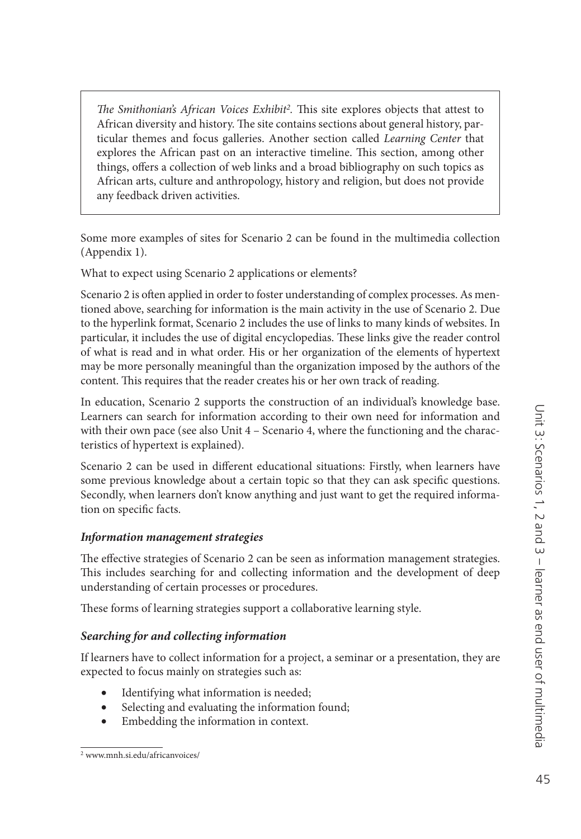*The Smithonian's African Voices Exhibit<sup>2</sup>*. This site explores objects that attest to African diversity and history. The site contains sections about general history, particular themes and focus galleries. Another section called *Learning Center* that explores the African past on an interactive timeline. This section, among other things, offers a collection of web links and a broad bibliography on such topics as African arts, culture and anthropology, history and religion, but does not provide any feedback driven activities.

Some more examples of sites for Scenario 2 can be found in the multimedia collection (Appendix 1).

What to expect using Scenario 2 applications or elements?

Scenario 2 is often applied in order to foster understanding of complex processes. As mentioned above, searching for information is the main activity in the use of Scenario 2. Due to the hyperlink format, Scenario 2 includes the use of links to many kinds of websites. In particular, it includes the use of digital encyclopedias. These links give the reader control of what is read and in what order. His or her organization of the elements of hypertext may be more personally meaningful than the organization imposed by the authors of the content. This requires that the reader creates his or her own track of reading.

In education, Scenario 2 supports the construction of an individual's knowledge base. Learners can search for information according to their own need for information and with their own pace (see also Unit  $4 -$  Scenario 4, where the functioning and the characteristics of hypertext is explained).

Scenario 2 can be used in different educational situations: Firstly, when learners have some previous knowledge about a certain topic so that they can ask specific questions. Secondly, when learners don't know anything and just want to get the required information on specific facts.

## *Information management strategies*

The effective strategies of Scenario 2 can be seen as information management strategies. This includes searching for and collecting information and the development of deep understanding of certain processes or procedures.

These forms of learning strategies support a collaborative learning style.

## *Searching for and collecting information*

If learners have to collect information for a project, a seminar or a presentation, they are expected to focus mainly on strategies such as:

- Identifying what information is needed;
- Selecting and evaluating the information found;
- Embedding the information in context.

<sup>2</sup> [www.mnh.si.edu/africanvoices/](http://www.mnh.si.edu/africanvoices/)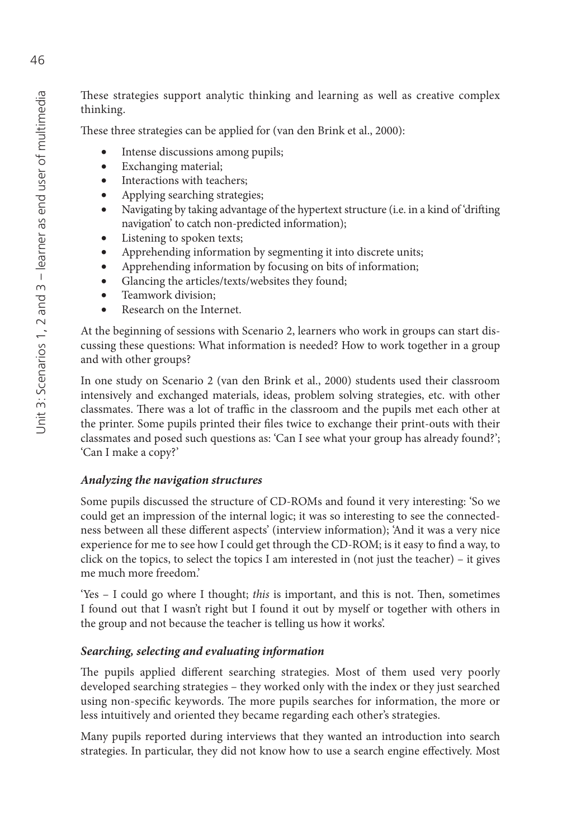These strategies support analytic thinking and learning as well as creative complex thinking.

These three strategies can be applied for (van den Brink et al., 2000):

- Intense discussions among pupils;
- Exchanging material;
- Interactions with teachers;
- Applying searching strategies;
- Navigating by taking advantage of the hypertext structure (i.e. in a kind of 'drifting navigation' to catch non-predicted information);
- Listening to spoken texts;
- Apprehending information by segmenting it into discrete units;
- Apprehending information by focusing on bits of information;
- Glancing the articles/texts/websites they found;
- Teamwork division;
- Research on the Internet

At the beginning of sessions with Scenario 2, learners who work in groups can start discussing these questions: What information is needed? How to work together in a group and with other groups?

In one study on Scenario 2 (van den Brink et al., 2000) students used their classroom intensively and exchanged materials, ideas, problem solving strategies, etc. with other classmates. There was a lot of traffic in the classroom and the pupils met each other at the printer. Some pupils printed their files twice to exchange their print-outs with their classmates and posed such questions as: 'Can I see what your group has already found?'; 'Can I make a copy?'

#### *Analyzing the navigation structures*

Some pupils discussed the structure of CD-ROMs and found it very interesting: 'So we could get an impression of the internal logic; it was so interesting to see the connectedness between all these different aspects' (interview information); 'And it was a very nice experience for me to see how I could get through the CD-ROM; is it easy to find a way, to click on the topics, to select the topics I am interested in (not just the teacher) – it gives me much more freedom.'

'Yes – I could go where I thought; *this* is important, and this is not. Then, sometimes I found out that I wasn't right but I found it out by myself or together with others in the group and not because the teacher is telling us how it works'.

## *Searching, selecting and evaluating information*

The pupils applied different searching strategies. Most of them used very poorly developed searching strategies – they worked only with the index or they just searched using non-specific keywords. The more pupils searches for information, the more or less intuitively and oriented they became regarding each other's strategies.

Many pupils reported during interviews that they wanted an introduction into search strategies. In particular, they did not know how to use a search engine effectively. Most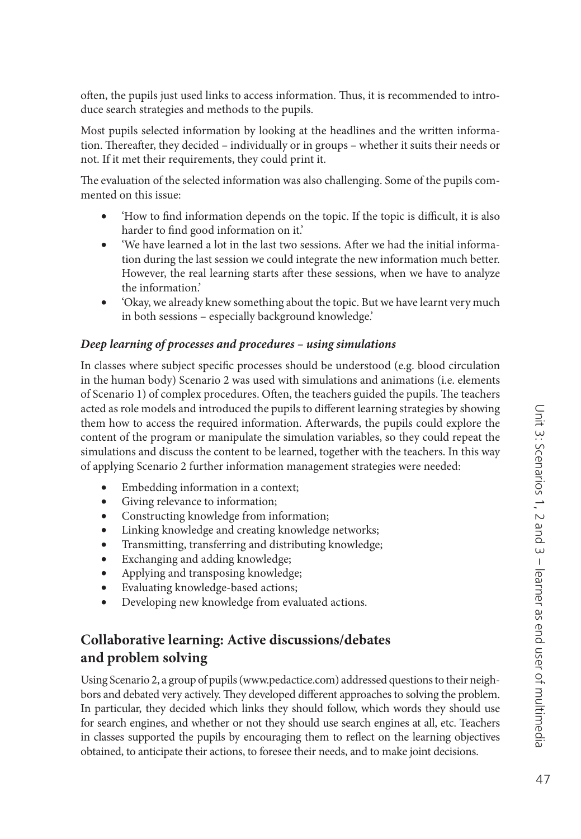often, the pupils just used links to access information. Thus, it is recommended to introduce search strategies and methods to the pupils.

Most pupils selected information by looking at the headlines and the written information. Thereafter, they decided – individually or in groups – whether it suits their needs or not. If it met their requirements, they could print it.

The evaluation of the selected information was also challenging. Some of the pupils commented on this issue:

- 'How to find information depends on the topic. If the topic is difficult, it is also harder to find good information on it.'
- 'We have learned a lot in the last two sessions. After we had the initial information during the last session we could integrate the new information much better. However, the real learning starts after these sessions, when we have to analyze the information.'
- 'Okay, we already knew something about the topic. But we have learnt very much in both sessions – especially background knowledge.'

#### *Deep learning of processes and procedures – using simulations*

In classes where subject specific processes should be understood (e.g. blood circulation in the human body) Scenario 2 was used with simulations and animations (i.e. elements of Scenario 1) of complex procedures. Often, the teachers guided the pupils. The teachers acted as role models and introduced the pupils to different learning strategies by showing them how to access the required information. Afterwards, the pupils could explore the content of the program or manipulate the simulation variables, so they could repeat the simulations and discuss the content to be learned, together with the teachers. In this way of applying Scenario 2 further information management strategies were needed:

- Embedding information in a context;
- Giving relevance to information;
- Constructing knowledge from information;
- Linking knowledge and creating knowledge networks;
- Transmitting, transferring and distributing knowledge;
- Exchanging and adding knowledge;
- Applying and transposing knowledge;
- Evaluating knowledge-based actions;
- Developing new knowledge from evaluated actions.

## **Collaborative learning: Active discussions/debates and problem solving**

Using Scenario 2, a group of pupils [\(www.pedactice.com\) ad](http://www.pedactice.com)dressed questions to their neighbors and debated very actively. They developed different approaches to solving the problem. In particular, they decided which links they should follow, which words they should use for search engines, and whether or not they should use search engines at all, etc. Teachers in classes supported the pupils by encouraging them to reflect on the learning objectives obtained, to anticipate their actions, to foresee their needs, and to make joint decisions.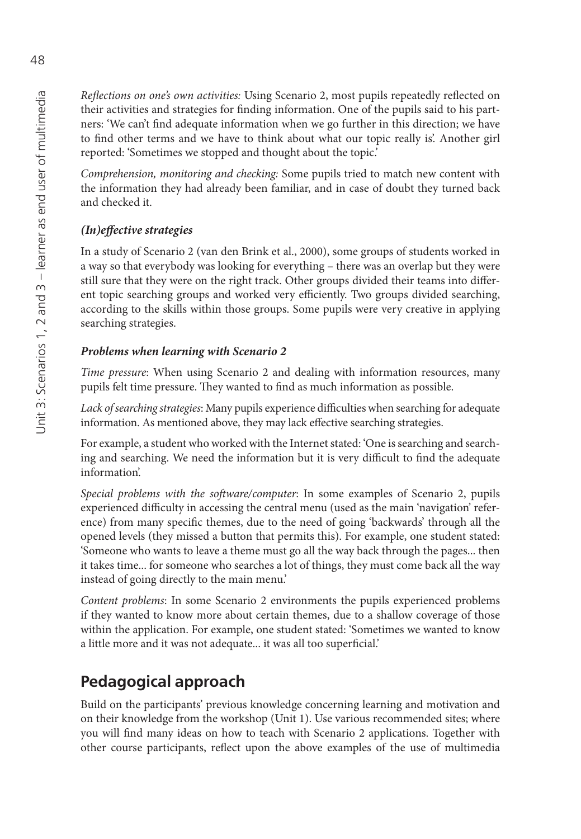*Reflections on one's own activities: Using Scenario 2, most pupils repeatedly reflected on* their activities and strategies for finding information. One of the pupils said to his partners: 'We can't find adequate information when we go further in this direction; we have to find other terms and we have to think about what our topic really is'. Another girl reported: 'Sometimes we stopped and thought about the topic.'

*Comprehension, monitoring and checking:* Some pupils tried to match new content with the information they had already been familiar, and in case of doubt they turned back and checked it.

## *(In)eff ective strategies*

In a study of Scenario 2 (van den Brink et al., 2000), some groups of students worked in a way so that everybody was looking for everything – there was an overlap but they were still sure that they were on the right track. Other groups divided their teams into different topic searching groups and worked very efficiently. Two groups divided searching, according to the skills within those groups. Some pupils were very creative in applying searching strategies.

#### *Problems when learning with Scenario 2*

*Time pressure*: When using Scenario 2 and dealing with information resources, many pupils felt time pressure. They wanted to find as much information as possible.

Lack of searching strategies: Many pupils experience difficulties when searching for adequate information. As mentioned above, they may lack effective searching strategies.

For example, a student who worked with the Internet stated: 'One is searching and searching and searching. We need the information but it is very difficult to find the adequate information'.

*Special problems with the soft ware/computer*: In some examples of Scenario 2, pupils experienced difficulty in accessing the central menu (used as the main 'navigation' reference) from many specific themes, due to the need of going 'backwards' through all the opened levels (they missed a button that permits this). For example, one student stated: 'Someone who wants to leave a theme must go all the way back through the pages... then it takes time... for someone who searches a lot of things, they must come back all the way instead of going directly to the main menu.'

*Content problems*: In some Scenario 2 environments the pupils experienced problems if they wanted to know more about certain themes, due to a shallow coverage of those within the application. For example, one student stated: 'Sometimes we wanted to know a little more and it was not adequate... it was all too superficial.'

## **Pedagogical approach**

Build on the participants' previous knowledge concerning learning and motivation and on their knowledge from the workshop (Unit 1). Use various recommended sites; where you will find many ideas on how to teach with Scenario 2 applications. Together with other course participants, reflect upon the above examples of the use of multimedia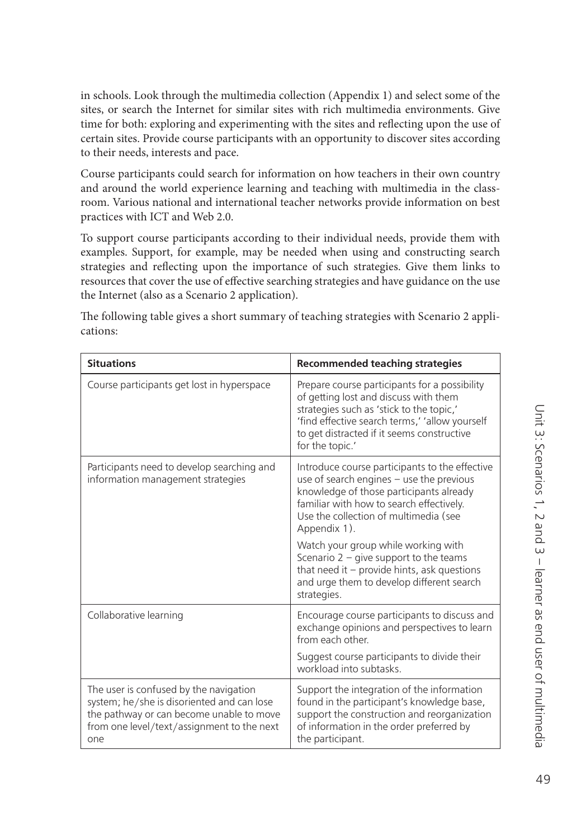in schools. Look through the multimedia collection (Appendix 1) and select some of the sites, or search the Internet for similar sites with rich multimedia environments. Give time for both: exploring and experimenting with the sites and reflecting upon the use of certain sites. Provide course participants with an opportunity to discover sites according to their needs, interests and pace.

Course participants could search for information on how teachers in their own country and around the world experience learning and teaching with multimedia in the classroom. Various national and international teacher networks provide information on best practices with ICT and Web 2.0.

To support course participants according to their individual needs, provide them with examples. Support, for example, may be needed when using and constructing search strategies and reflecting upon the importance of such strategies. Give them links to resources that cover the use of effective searching strategies and have guidance on the use the Internet (also as a Scenario 2 application).

| <b>Situations</b>                                                                                                                                                                     | <b>Recommended teaching strategies</b>                                                                                                                                                                                                                |
|---------------------------------------------------------------------------------------------------------------------------------------------------------------------------------------|-------------------------------------------------------------------------------------------------------------------------------------------------------------------------------------------------------------------------------------------------------|
| Course participants get lost in hyperspace                                                                                                                                            | Prepare course participants for a possibility<br>of getting lost and discuss with them<br>strategies such as 'stick to the topic,'<br>'find effective search terms,' 'allow yourself<br>to get distracted if it seems constructive<br>for the topic.' |
| Participants need to develop searching and<br>information management strategies                                                                                                       | Introduce course participants to the effective<br>use of search engines - use the previous<br>knowledge of those participants already<br>familiar with how to search effectively.<br>Use the collection of multimedia (see<br>Appendix 1).            |
|                                                                                                                                                                                       | Watch your group while working with<br>Scenario $2 -$ give support to the teams<br>that need it $-$ provide hints, ask questions<br>and urge them to develop different search<br>strategies.                                                          |
| Collaborative learning                                                                                                                                                                | Encourage course participants to discuss and<br>exchange opinions and perspectives to learn<br>from each other.                                                                                                                                       |
|                                                                                                                                                                                       | Suggest course participants to divide their<br>workload into subtasks.                                                                                                                                                                                |
| The user is confused by the navigation<br>system; he/she is disoriented and can lose<br>the pathway or can become unable to move<br>from one level/text/assignment to the next<br>one | Support the integration of the information<br>found in the participant's knowledge base,<br>support the construction and reorganization<br>of information in the order preferred by<br>the participant.                                               |

The following table gives a short summary of teaching strategies with Scenario 2 applications: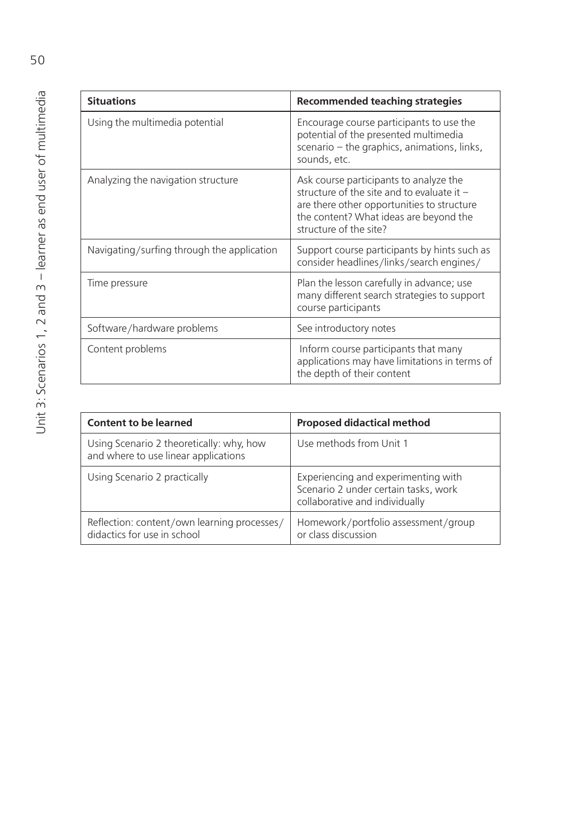| <b>Situations</b>                          | <b>Recommended teaching strategies</b>                                                                                                                                                                   |
|--------------------------------------------|----------------------------------------------------------------------------------------------------------------------------------------------------------------------------------------------------------|
| Using the multimedia potential             | Encourage course participants to use the<br>potential of the presented multimedia<br>scenario - the graphics, animations, links,<br>sounds, etc.                                                         |
| Analyzing the navigation structure         | Ask course participants to analyze the<br>structure of the site and to evaluate it $-$<br>are there other opportunities to structure<br>the content? What ideas are beyond the<br>structure of the site? |
| Navigating/surfing through the application | Support course participants by hints such as<br>consider headlines/links/search engines/                                                                                                                 |
| Time pressure                              | Plan the lesson carefully in advance; use<br>many different search strategies to support<br>course participants                                                                                          |
| Software/hardware problems                 | See introductory notes                                                                                                                                                                                   |
| Content problems                           | Inform course participants that many<br>applications may have limitations in terms of<br>the depth of their content                                                                                      |

| <b>Content to be learned</b>                                                     | <b>Proposed didactical method</b>                                                                             |
|----------------------------------------------------------------------------------|---------------------------------------------------------------------------------------------------------------|
| Using Scenario 2 theoretically: why, how<br>and where to use linear applications | Use methods from Unit 1                                                                                       |
| Using Scenario 2 practically                                                     | Experiencing and experimenting with<br>Scenario 2 under certain tasks, work<br>collaborative and individually |
| Reflection: content/own learning processes/<br>didactics for use in school       | Homework/portfolio assessment/group<br>or class discussion                                                    |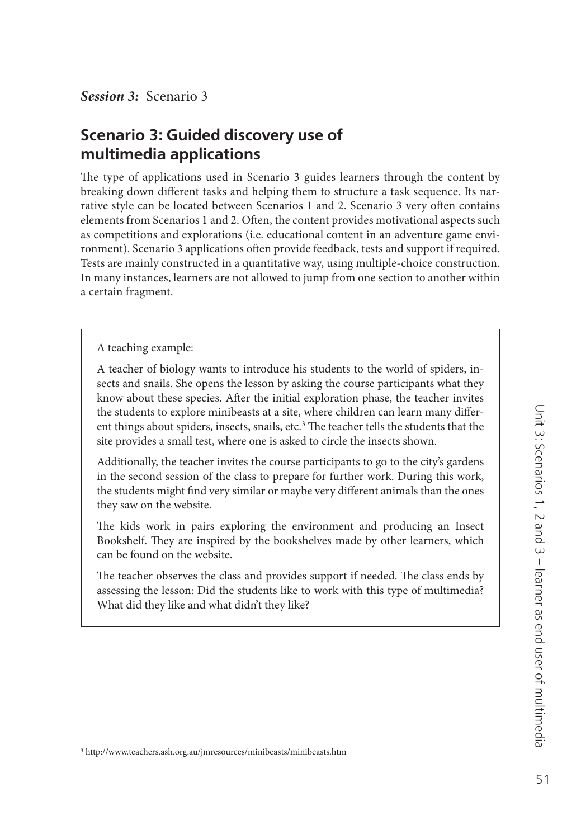*Session 3:* Scenario 3

## **Scenario 3: Guided discovery use of multimedia applications**

The type of applications used in Scenario 3 guides learners through the content by breaking down different tasks and helping them to structure a task sequence. Its narrative style can be located between Scenarios 1 and 2. Scenario 3 very often contains elements from Scenarios 1 and 2. Often, the content provides motivational aspects such as competitions and explorations (i.e. educational content in an adventure game environment). Scenario 3 applications often provide feedback, tests and support if required. Tests are mainly constructed in a quantitative way, using multiple-choice construction. In many instances, learners are not allowed to jump from one section to another within a certain fragment.

A teaching example:

A teacher of biology wants to introduce his students to the world of spiders, insects and snails. She opens the lesson by asking the course participants what they know about these species. After the initial exploration phase, the teacher invites the students to explore minibeasts at a site, where children can learn many different things about spiders, insects, snails, etc.<sup>3</sup> The teacher tells the students that the site provides a small test, where one is asked to circle the insects shown.

Additionally, the teacher invites the course participants to go to the city's gardens in the second session of the class to prepare for further work. During this work, the students might find very similar or maybe very different animals than the ones they saw on the website.

The kids work in pairs exploring the environment and producing an Insect Bookshelf. They are inspired by the bookshelves made by other learners, which can be found on the website.

The teacher observes the class and provides support if needed. The class ends by assessing the lesson: Did the students like to work with this type of multimedia? What did they like and what didn't they like?

<sup>3</sup><http://www.teachers.ash.org.au/jmresources/minibeasts/minibeasts.htm>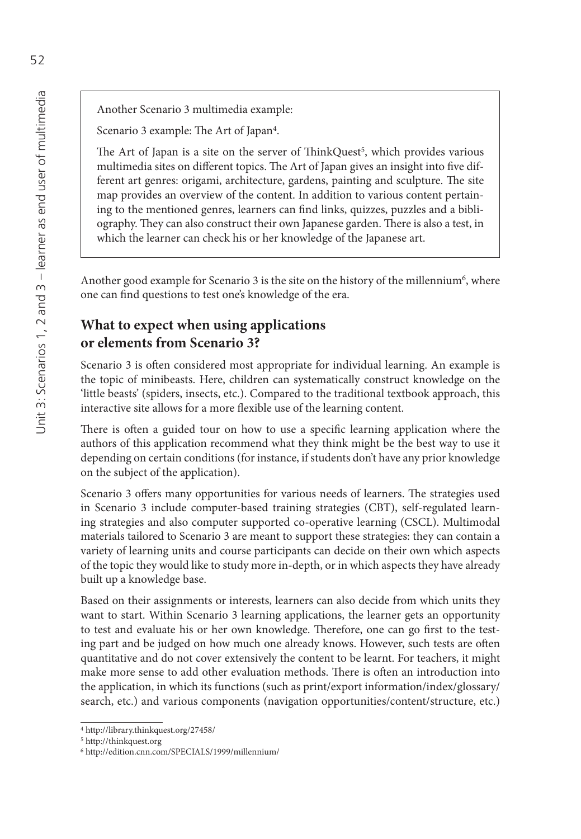Another Scenario 3 multimedia example:

Scenario 3 example: The Art of Japan<sup>4</sup>.

The Art of Japan is a site on the server of ThinkQuest<sup>5</sup>, which provides various multimedia sites on different topics. The Art of Japan gives an insight into five different art genres: origami, architecture, gardens, painting and sculpture. The site map provides an overview of the content. In addition to various content pertaining to the mentioned genres, learners can find links, quizzes, puzzles and a bibliography. They can also construct their own Japanese garden. There is also a test, in which the learner can check his or her knowledge of the Japanese art.

Another good example for Scenario 3 is the site on the history of the millennium<sup>6</sup>, where one can find questions to test one's knowledge of the era.

## **What to expect when using applications or elements from Scenario 3?**

Scenario 3 is often considered most appropriate for individual learning. An example is the topic of minibeasts. Here, children can systematically construct knowledge on the 'little beasts' (spiders, insects, etc.). Compared to the traditional textbook approach, this interactive site allows for a more flexible use of the learning content.

There is often a guided tour on how to use a specific learning application where the authors of this application recommend what they think might be the best way to use it depending on certain conditions (for instance, if students don't have any prior knowledge on the subject of the application).

Scenario 3 offers many opportunities for various needs of learners. The strategies used in Scenario 3 include computer-based training strategies (CBT), self-regulated learning strategies and also computer supported co-operative learning (CSCL). Multimodal materials tailored to Scenario 3 are meant to support these strategies: they can contain a variety of learning units and course participants can decide on their own which aspects of the topic they would like to study more in-depth, or in which aspects they have already built up a knowledge base.

Based on their assignments or interests, learners can also decide from which units they want to start. Within Scenario 3 learning applications, the learner gets an opportunity to test and evaluate his or her own knowledge. Therefore, one can go first to the testing part and be judged on how much one already knows. However, such tests are often quantitative and do not cover extensively the content to be learnt. For teachers, it might make more sense to add other evaluation methods. There is often an introduction into the application, in which its functions (such as print/export information/index/glossary/ search, etc.) and various components (navigation opportunities/content/structure, etc.)

<sup>4</sup><http://library.thinkquest.org/27458/>

<sup>5</sup><http://thinkquest.org>

<sup>6</sup><http://edition.cnn.com/SPECIALS/1999/millennium/>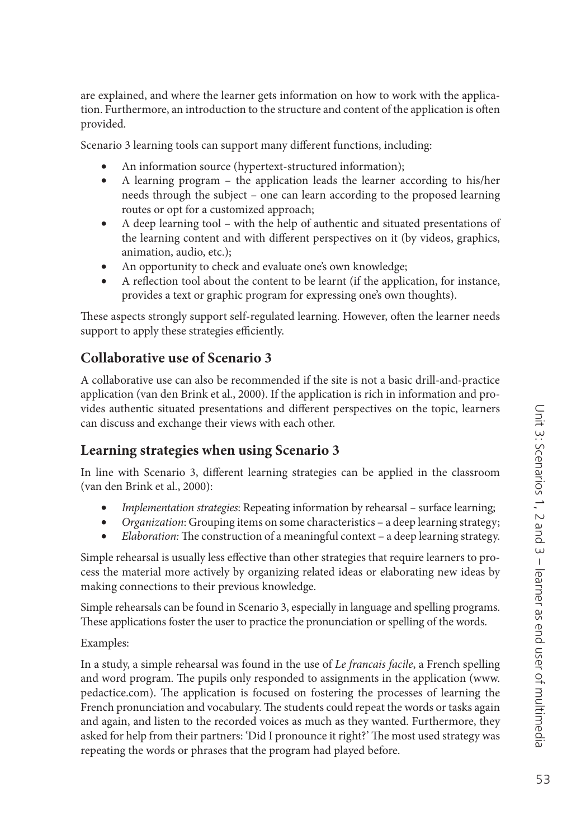are explained, and where the learner gets information on how to work with the application. Furthermore, an introduction to the structure and content of the application is often provided.

Scenario 3 learning tools can support many different functions, including:

- An information source (hypertext-structured information);
- A learning program the application leads the learner according to his/her needs through the subject – one can learn according to the proposed learning routes or opt for a customized approach;
- A deep learning tool with the help of authentic and situated presentations of the learning content and with different perspectives on it (by videos, graphics, animation, audio, etc.);
- An opportunity to check and evaluate one's own knowledge;
- A reflection tool about the content to be learnt (if the application, for instance, provides a text or graphic program for expressing one's own thoughts).

These aspects strongly support self-regulated learning. However, often the learner needs support to apply these strategies efficiently.

## **Collaborative use of Scenario 3**

A collaborative use can also be recommended if the site is not a basic drill-and-practice application (van den Brink et al., 2000). If the application is rich in information and provides authentic situated presentations and different perspectives on the topic, learners can discuss and exchange their views with each other.

## **Learning strategies when using Scenario 3**

In line with Scenario 3, different learning strategies can be applied in the classroom (van den Brink et al., 2000):

- *Implementation strategies*: Repeating information by rehearsalsurface learning;
- *Organization*: Grouping items on some characteristics a deep learning strategy;
- *Elaboration:* The construction of a meaningful context a deep learning strategy.

Simple rehearsal is usually less effective than other strategies that require learners to process the material more actively by organizing related ideas or elaborating new ideas by making connections to their previous knowledge.

Simple rehearsals can be found in Scenario 3, especially in language and spelling programs. These applications foster the user to practice the pronunciation or spelling of the words.

Examples:

In a study, a simple rehearsal was found in the use of *Le francais facile*, a French spelling and word program. The pupils only responded to assignments in the application ([www.](http://www.pedactice.com) pedactice.com). The application is focused on fostering the processes of learning the French pronunciation and vocabulary. The students could repeat the words or tasks again and again, and listen to the recorded voices as much as they wanted. Furthermore, they asked for help from their partners: 'Did I pronounce it right?' The most used strategy was repeating the words or phrases that the program had played before.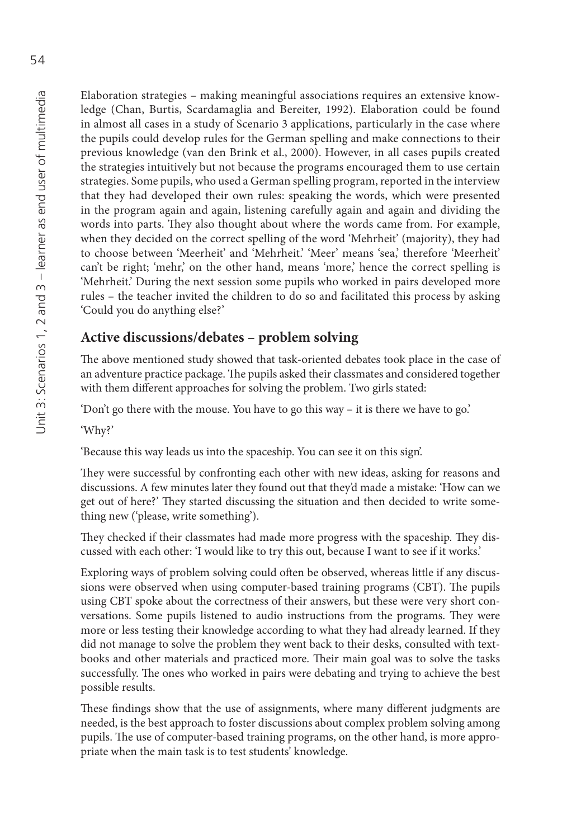Elaboration strategies – making meaningful associations requires an extensive knowledge (Chan, Burtis, Scardamaglia and Bereiter, 1992). Elaboration could be found in almost all cases in a study of Scenario 3 applications, particularly in the case where the pupils could develop rules for the German spelling and make connections to their previous knowledge (van den Brink et al., 2000). However, in all cases pupils created the strategies intuitively but not because the programs encouraged them to use certain strategies. Some pupils, who used a German spelling program, reported in the interview that they had developed their own rules: speaking the words, which were presented in the program again and again, listening carefully again and again and dividing the words into parts. They also thought about where the words came from. For example, when they decided on the correct spelling of the word 'Mehrheit' (majority), they had to choose between 'Meerheit' and 'Mehrheit.' 'Meer' means 'sea,' therefore 'Meerheit' can't be right; 'mehr,' on the other hand, means 'more,' hence the correct spelling is 'Mehrheit.' During the next session some pupils who worked in pairs developed more rules – the teacher invited the children to do so and facilitated this process by asking 'Could you do anything else?'

## **Active discussions/debates – problem solving**

The above mentioned study showed that task-oriented debates took place in the case of an adventure practice package. The pupils asked their classmates and considered together with them different approaches for solving the problem. Two girls stated:

'Don't go there with the mouse. You have to go this way – it is there we have to go.'

'Why?'

'Because this way leads us into the spaceship. You can see it on this sign'.

They were successful by confronting each other with new ideas, asking for reasons and discussions. A few minutes later they found out that they'd made a mistake: 'How can we get out of here?' They started discussing the situation and then decided to write something new ('please, write something').

They checked if their classmates had made more progress with the spaceship. They discussed with each other: 'I would like to try this out, because I want to see if it works.'

Exploring ways of problem solving could often be observed, whereas little if any discussions were observed when using computer-based training programs (CBT). The pupils using CBT spoke about the correctness of their answers, but these were very short conversations. Some pupils listened to audio instructions from the programs. They were more or less testing their knowledge according to what they had already learned. If they did not manage to solve the problem they went back to their desks, consulted with textbooks and other materials and practiced more. Their main goal was to solve the tasks successfully. The ones who worked in pairs were debating and trying to achieve the best possible results.

These findings show that the use of assignments, where many different judgments are needed, is the best approach to foster discussions about complex problem solving among pupils. The use of computer-based training programs, on the other hand, is more appropriate when the main task is to test students' knowledge.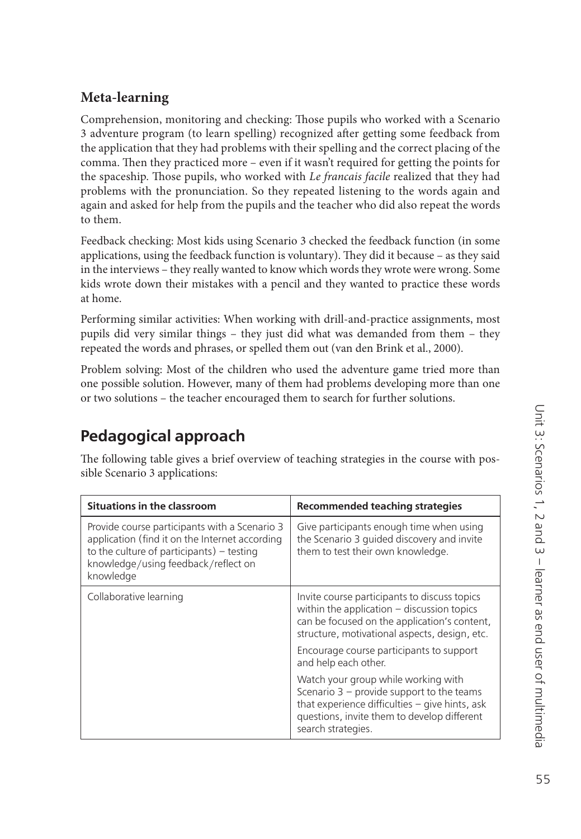## **Meta-learning**

Comprehension, monitoring and checking: Those pupils who worked with a Scenario 3 adventure program (to learn spelling) recognized after getting some feedback from the application that they had problems with their spelling and the correct placing of the comma. Then they practiced more – even if it wasn't required for getting the points for the spaceship. Those pupils, who worked with *Le francais facile* realized that they had problems with the pronunciation. So they repeated listening to the words again and again and asked for help from the pupils and the teacher who did also repeat the words to them.

Feedback checking: Most kids using Scenario 3 checked the feedback function (in some applications, using the feedback function is voluntary). They did it because  $-$  as they said in the interviews – they really wanted to know which words they wrote were wrong. Some kids wrote down their mistakes with a pencil and they wanted to practice these words at home.

Performing similar activities: When working with drill-and-practice assignments, most pupils did very similar things – they just did what was demanded from them – they repeated the words and phrases, or spelled them out (van den Brink et al., 2000).

Problem solving: Most of the children who used the adventure game tried more than one possible solution. However, many of them had problems developing more than one or two solutions – the teacher encouraged them to search for further solutions.

# **Pedagogical approach**

The following table gives a brief overview of teaching strategies in the course with possible Scenario 3 applications:

| <b>Situations in the classroom</b>                                                                                                                                                                 | Recommended teaching strategies                                                                                                                                                                           |
|----------------------------------------------------------------------------------------------------------------------------------------------------------------------------------------------------|-----------------------------------------------------------------------------------------------------------------------------------------------------------------------------------------------------------|
| Provide course participants with a Scenario 3<br>application (find it on the Internet according<br>to the culture of participants) $-$ testing<br>knowledge/using feedback/reflect on<br>knowledge | Give participants enough time when using<br>the Scenario 3 guided discovery and invite<br>them to test their own knowledge.                                                                               |
| Collaborative learning                                                                                                                                                                             | Invite course participants to discuss topics<br>within the application $-$ discussion topics<br>can be focused on the application's content,<br>structure, motivational aspects, design, etc.             |
|                                                                                                                                                                                                    | Encourage course participants to support<br>and help each other.                                                                                                                                          |
|                                                                                                                                                                                                    | Watch your group while working with<br>Scenario $3$ – provide support to the teams<br>that experience difficulties - give hints, ask<br>questions, invite them to develop different<br>search strategies. |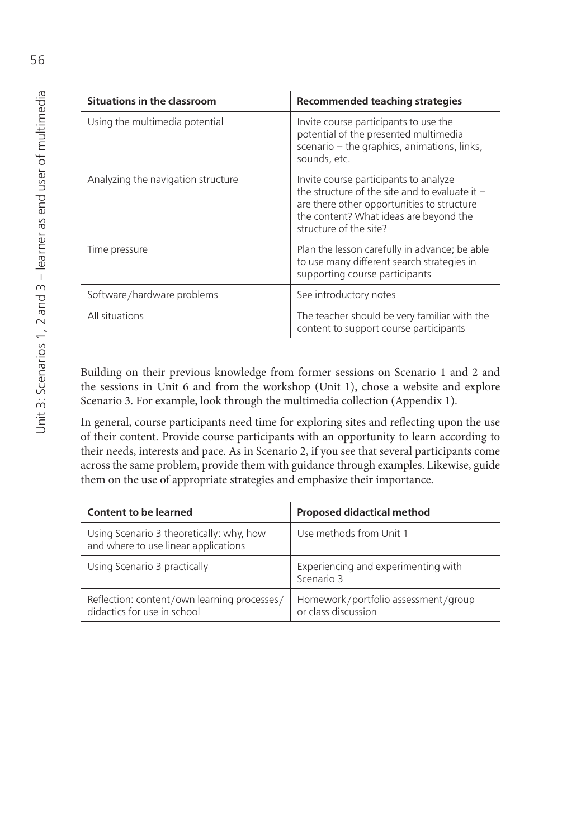| <b>Situations in the classroom</b> | Recommended teaching strategies                                                                                                                                                                             |
|------------------------------------|-------------------------------------------------------------------------------------------------------------------------------------------------------------------------------------------------------------|
| Using the multimedia potential     | Invite course participants to use the<br>potential of the presented multimedia<br>scenario – the graphics, animations, links,<br>sounds, etc.                                                               |
| Analyzing the navigation structure | Invite course participants to analyze<br>the structure of the site and to evaluate it $-$<br>are there other opportunities to structure<br>the content? What ideas are beyond the<br>structure of the site? |
| Time pressure                      | Plan the lesson carefully in advance; be able<br>to use many different search strategies in<br>supporting course participants                                                                               |
| Software/hardware problems         | See introductory notes                                                                                                                                                                                      |
| All situations                     | The teacher should be very familiar with the<br>content to support course participants                                                                                                                      |

Building on their previous knowledge from former sessions on Scenario 1 and 2 and the sessions in Unit 6 and from the workshop (Unit 1), chose a website and explore Scenario 3. For example, look through the multimedia collection (Appendix 1).

In general, course participants need time for exploring sites and reflecting upon the use of their content. Provide course participants with an opportunity to learn according to their needs, interests and pace. As in Scenario 2, if you see that several participants come across the same problem, provide them with guidance through examples. Likewise, guide them on the use of appropriate strategies and emphasize their importance.

| <b>Content to be learned</b>                                                     | <b>Proposed didactical method</b>                          |
|----------------------------------------------------------------------------------|------------------------------------------------------------|
| Using Scenario 3 theoretically: why, how<br>and where to use linear applications | Use methods from Unit 1                                    |
| Using Scenario 3 practically                                                     | Experiencing and experimenting with<br>Scenario 3          |
| Reflection: content/own learning processes/<br>didactics for use in school       | Homework/portfolio assessment/group<br>or class discussion |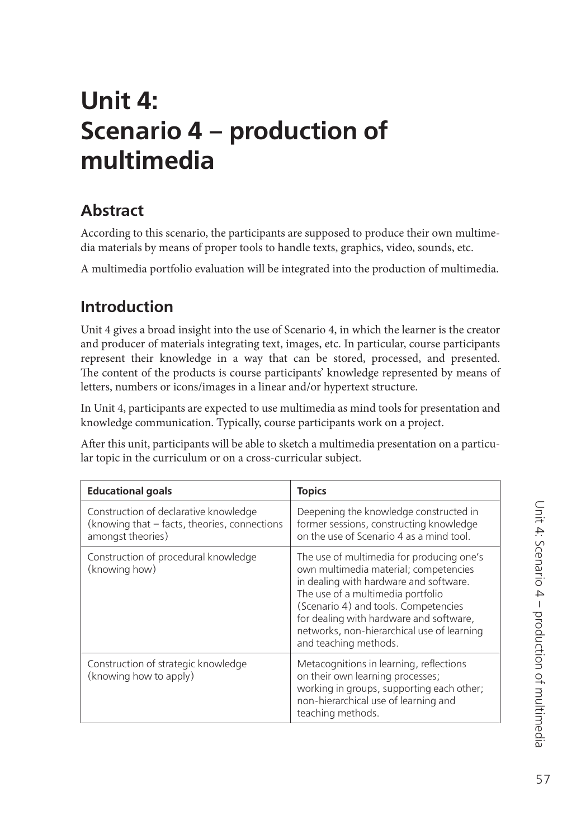# **Unit 4: Scenario 4 – production of multimedia**

# **Abstract**

According to this scenario, the participants are supposed to produce their own multimedia materials by means of proper tools to handle texts, graphics, video, sounds, etc.

A multimedia portfolio evaluation will be integrated into the production of multimedia.

# **Introduction**

Unit 4 gives a broad insight into the use of Scenario 4, in which the learner is the creator and producer of materials integrating text, images, etc. In particular, course participants represent their knowledge in a way that can be stored, processed, and presented. The content of the products is course participants' knowledge represented by means of letters, numbers or icons/images in a linear and/or hypertext structure.

In Unit 4, participants are expected to use multimedia as mind tools for presentation and knowledge communication. Typically, course participants work on a project.

After this unit, participants will be able to sketch a multimedia presentation on a particular topic in the curriculum or on a cross-curricular subject.

| <b>Educational goals</b>                                                                                   | <b>Topics</b>                                                                                                                                                                                                                                                                                                               |
|------------------------------------------------------------------------------------------------------------|-----------------------------------------------------------------------------------------------------------------------------------------------------------------------------------------------------------------------------------------------------------------------------------------------------------------------------|
| Construction of declarative knowledge<br>(knowing that - facts, theories, connections<br>amongst theories) | Deepening the knowledge constructed in<br>former sessions, constructing knowledge<br>on the use of Scenario 4 as a mind tool.                                                                                                                                                                                               |
| Construction of procedural knowledge<br>(knowing how)                                                      | The use of multimedia for producing one's<br>own multimedia material; competencies<br>in dealing with hardware and software.<br>The use of a multimedia portfolio<br>(Scenario 4) and tools. Competencies<br>for dealing with hardware and software,<br>networks, non-hierarchical use of learning<br>and teaching methods. |
| Construction of strategic knowledge<br>(knowing how to apply)                                              | Metacognitions in learning, reflections<br>on their own learning processes;<br>working in groups, supporting each other;<br>non-hierarchical use of learning and<br>teaching methods.                                                                                                                                       |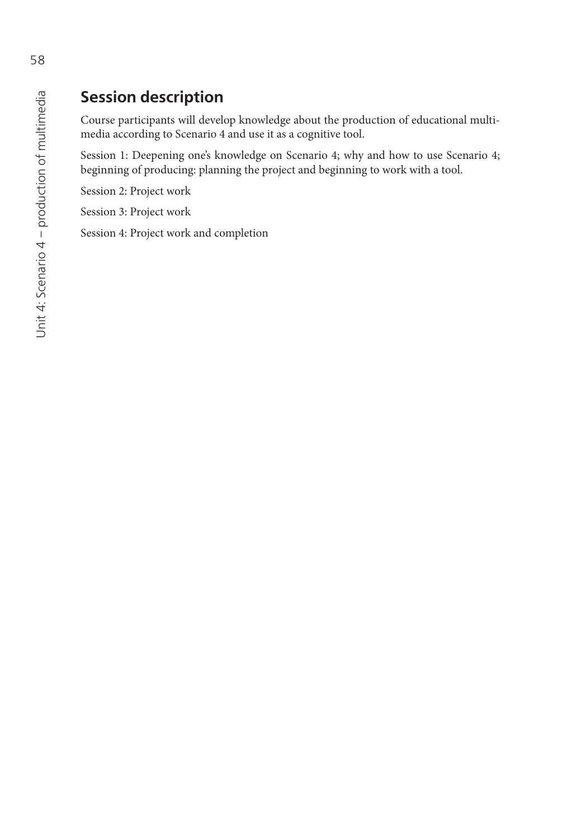# **Session description**

Course participants will develop knowledge about the production of educational multimedia according to Scenario 4 and use it as a cognitive tool.

Session 1: Deepening one's knowledge on Scenario 4; why and how to use Scenario 4; beginning of producing: planning the project and beginning to work with a tool.

Session 2: Project work

Session 3: Project work

Session 4: Project work and completion

58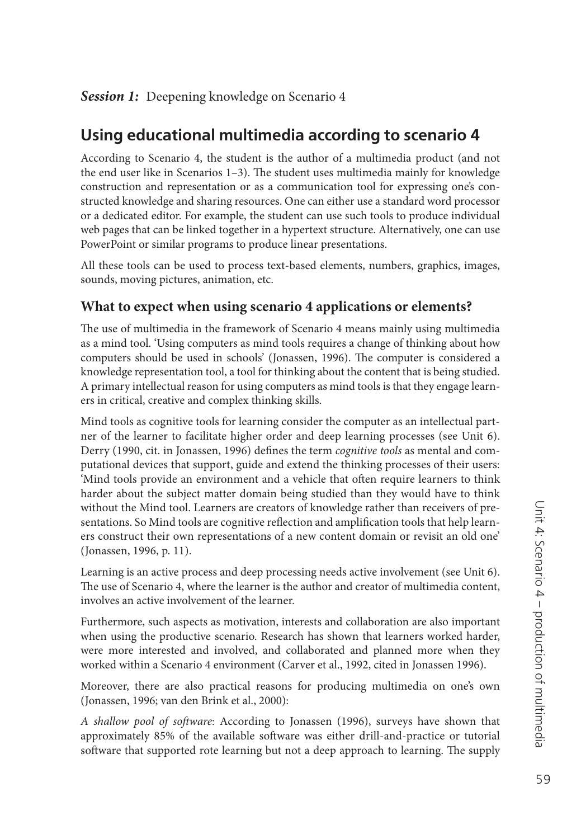# **Using educational multimedia according to scenario 4**

According to Scenario 4, the student is the author of a multimedia product (and not the end user like in Scenarios  $1-3$ ). The student uses multimedia mainly for knowledge construction and representation or as a communication tool for expressing one's constructed knowledge and sharing resources. One can either use a standard word processor or a dedicated editor. For example, the student can use such tools to produce individual web pages that can be linked together in a hypertext structure. Alternatively, one can use PowerPoint or similar programs to produce linear presentations.

All these tools can be used to process text-based elements, numbers, graphics, images, sounds, moving pictures, animation, etc.

## **What to expect when using scenario 4 applications or elements?**

The use of multimedia in the framework of Scenario 4 means mainly using multimedia as a mind tool. 'Using computers as mind tools requires a change of thinking about how computers should be used in schools' (Jonassen, 1996). The computer is considered a knowledge representation tool, a tool for thinking about the content that is being studied. A primary intellectual reason for using computers as mind tools is that they engage learners in critical, creative and complex thinking skills.

Mind tools as cognitive tools for learning consider the computer as an intellectual partner of the learner to facilitate higher order and deep learning processes (see Unit 6). Derry (1990, cit. in Jonassen, 1996) defines the term *cognitive tools* as mental and computational devices that support, guide and extend the thinking processes of their users: 'Mind tools provide an environment and a vehicle that often require learners to think harder about the subject matter domain being studied than they would have to think without the Mind tool. Learners are creators of knowledge rather than receivers of presentations. So Mind tools are cognitive reflection and amplification tools that help learners construct their own representations of a new content domain or revisit an old one' (Jonassen, 1996, p. 11).

Learning is an active process and deep processing needs active involvement (see Unit 6). The use of Scenario 4, where the learner is the author and creator of multimedia content, involves an active involvement of the learner.

Furthermore, such aspects as motivation, interests and collaboration are also important when using the productive scenario. Research has shown that learners worked harder, were more interested and involved, and collaborated and planned more when they worked within a Scenario 4 environment (Carver et al., 1992, cited in Jonassen 1996).

Moreover, there are also practical reasons for producing multimedia on one's own (Jonassen, 1996; van den Brink et al., 2000):

*A shallow pool of soft ware*: According to Jonassen (1996), surveys have shown that approximately 85% of the available software was either drill-and-practice or tutorial software that supported rote learning but not a deep approach to learning. The supply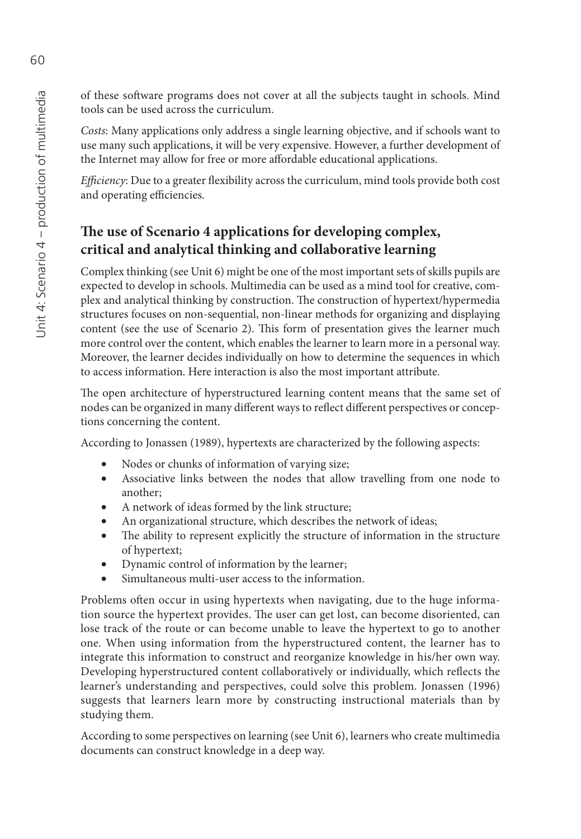of these software programs does not cover at all the subjects taught in schools. Mind tools can be used across the curriculum.

*Costs*: Many applications only address a single learning objective, and if schools want to use many such applications, it will be very expensive. However, a further development of the Internet may allow for free or more affordable educational applications.

*Efficiency*: Due to a greater flexibility across the curriculum, mind tools provide both cost and operating efficiencies.

## The use of Scenario 4 applications for developing complex, **critical and analytical thinking and collaborative learning**

Complex thinking (see Unit 6) might be one of the most important sets of skills pupils are expected to develop in schools. Multimedia can be used as a mind tool for creative, complex and analytical thinking by construction. The construction of hypertext/hypermedia structures focuses on non-sequential, non-linear methods for organizing and displaying content (see the use of Scenario 2). This form of presentation gives the learner much more control over the content, which enables the learner to learn more in a personal way. Moreover, the learner decides individually on how to determine the sequences in which to access information. Here interaction is also the most important attribute.

The open architecture of hyperstructured learning content means that the same set of nodes can be organized in many different ways to reflect different perspectives or conceptions concerning the content.

According to Jonassen (1989), hypertexts are characterized by the following aspects:

- Nodes or chunks of information of varying size;
- Associative links between the nodes that allow travelling from one node to another;
- A network of ideas formed by the link structure;
- An organizational structure, which describes the network of ideas;
- The ability to represent explicitly the structure of information in the structure of hypertext;
- Dynamic control of information by the learner;
- Simultaneous multi-user access to the information.

Problems often occur in using hypertexts when navigating, due to the huge information source the hypertext provides. The user can get lost, can become disoriented, can lose track of the route or can become unable to leave the hypertext to go to another one. When using information from the hyperstructured content, the learner has to integrate this information to construct and reorganize knowledge in his/her own way. Developing hyperstructured content collaboratively or individually, which reflects the learner's understanding and perspectives, could solve this problem. Jonassen (1996) suggests that learners learn more by constructing instructional materials than by studying them.

According to some perspectives on learning (see Unit 6), learners who create multimedia documents can construct knowledge in a deep way.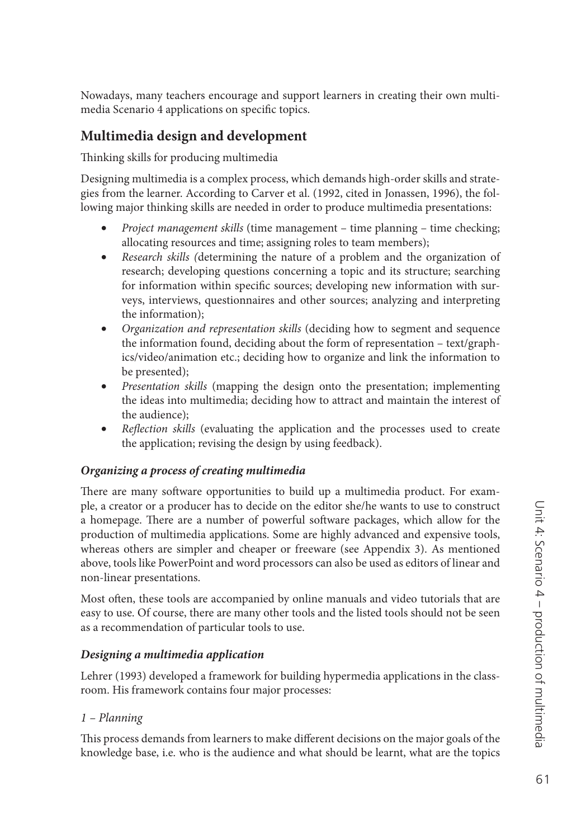Nowadays, many teachers encourage and support learners in creating their own multimedia Scenario 4 applications on specific topics.

#### **Multimedia design and development**

Thinking skills for producing multimedia

Designing multimedia is a complex process, which demands high-order skills and strategies from the learner. According to Carver et al. (1992, cited in Jonassen, 1996), the following major thinking skills are needed in order to produce multimedia presentations:

- *Project management skills* (time management time planning time checking; allocating resources and time; assigning roles to team members);
- *Research skills (*determining the nature of a problem and the organization of research; developing questions concerning a topic and its structure; searching for information within specific sources; developing new information with surveys, interviews, questionnaires and other sources; analyzing and interpreting the information);
- *Organization and representation skills* (deciding how to segment and sequence the information found, deciding about the form of representation – text/graphics/video/animation etc.; deciding how to organize and link the information to be presented);
- *Presentation skills* (mapping the design onto the presentation; implementing the ideas into multimedia; deciding how to attract and maintain the interest of the audience);
- *Reflection skills* (evaluating the application and the processes used to create the application; revising the design by using feedback).

#### *Organizing a process of creating multimedia*

There are many software opportunities to build up a multimedia product. For example, a creator or a producer has to decide on the editor she/he wants to use to construct a homepage. There are a number of powerful software packages, which allow for the production of multimedia applications. Some are highly advanced and expensive tools, whereas others are simpler and cheaper or freeware (see Appendix 3). As mentioned above, tools like PowerPoint and word processors can also be used as editors of linear and non-linear presentations.

Most often, these tools are accompanied by online manuals and video tutorials that are easy to use. Of course, there are many other tools and the listed tools should not be seen as a recommendation of particular tools to use.

#### *Designing a multimedia application*

Lehrer (1993) developed a framework for building hypermedia applications in the classroom. His framework contains four major processes:

#### *1 – Planning*

This process demands from learners to make different decisions on the major goals of the knowledge base, i.e. who is the audience and what should be learnt, what are the topics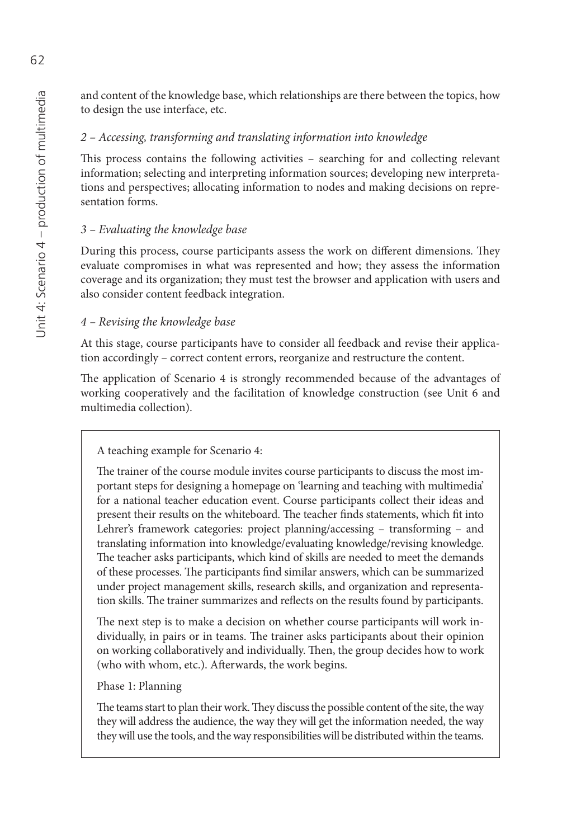and content of the knowledge base, which relationships are there between the topics, how to design the use interface, etc.

#### *2 – Accessing, transforming and translating information into knowledge*

This process contains the following activities  $-$  searching for and collecting relevant information; selecting and interpreting information sources; developing new interpretations and perspectives; allocating information to nodes and making decisions on representation forms.

## *3 – Evaluating the knowledge base*

During this process, course participants assess the work on different dimensions. They evaluate compromises in what was represented and how; they assess the information coverage and its organization; they must test the browser and application with users and also consider content feedback integration.

## *4 – Revising the knowledge base*

At this stage, course participants have to consider all feedback and revise their application accordingly – correct content errors, reorganize and restructure the content.

The application of Scenario 4 is strongly recommended because of the advantages of working cooperatively and the facilitation of knowledge construction (see Unit 6 and multimedia collection).

## A teaching example for Scenario 4:

The trainer of the course module invites course participants to discuss the most important steps for designing a homepage on 'learning and teaching with multimedia' for a national teacher education event. Course participants collect their ideas and present their results on the whiteboard. The teacher finds statements, which fit into Lehrer's framework categories: project planning/accessing – transforming – and translating information into knowledge/evaluating knowledge/revising knowledge. The teacher asks participants, which kind of skills are needed to meet the demands of these processes. The participants find similar answers, which can be summarized under project management skills, research skills, and organization and representation skills. The trainer summarizes and reflects on the results found by participants.

The next step is to make a decision on whether course participants will work individually, in pairs or in teams. The trainer asks participants about their opinion on working collaboratively and individually. Then, the group decides how to work (who with whom, etc.). Afterwards, the work begins.

## Phase 1: Planning

The teams start to plan their work. They discuss the possible content of the site, the way they will address the audience, the way they will get the information needed, the way they will use the tools, and the way responsibilities will be distributed within the teams.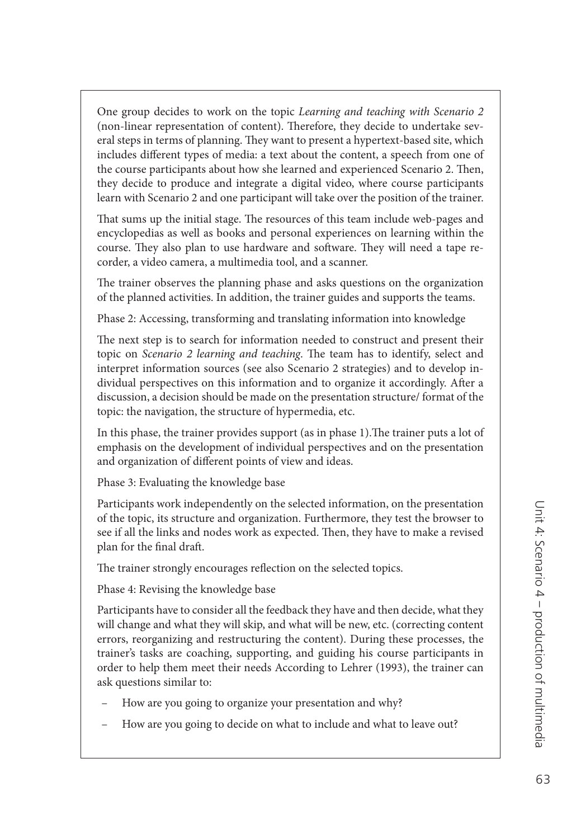One group decides to work on the topic *Learning and teaching with Scenario 2* (non-linear representation of content). Therefore, they decide to undertake several steps in terms of planning. They want to present a hypertext-based site, which includes different types of media: a text about the content, a speech from one of the course participants about how she learned and experienced Scenario 2. Then, they decide to produce and integrate a digital video, where course participants learn with Scenario 2 and one participant will take over the position of the trainer.

That sums up the initial stage. The resources of this team include web-pages and encyclopedias as well as books and personal experiences on learning within the course. They also plan to use hardware and software. They will need a tape recorder, a video camera, a multimedia tool, and a scanner.

The trainer observes the planning phase and asks questions on the organization of the planned activities. In addition, the trainer guides and supports the teams.

Phase 2: Accessing, transforming and translating information into knowledge

The next step is to search for information needed to construct and present their topic on *Scenario 2 learning and teaching*. The team has to identify, select and interpret information sources (see also Scenario 2 strategies) and to develop individual perspectives on this information and to organize it accordingly. After a discussion, a decision should be made on the presentation structure/ format of the topic: the navigation, the structure of hypermedia, etc.

In this phase, the trainer provides support (as in phase 1). The trainer puts a lot of emphasis on the development of individual perspectives and on the presentation and organization of different points of view and ideas.

Phase 3: Evaluating the knowledge base

Participants work independently on the selected information, on the presentation of the topic, its structure and organization. Furthermore, they test the browser to see if all the links and nodes work as expected. Then, they have to make a revised plan for the final draft.

The trainer strongly encourages reflection on the selected topics.

Phase 4: Revising the knowledge base

Participants have to consider all the feedback they have and then decide, what they will change and what they will skip, and what will be new, etc. (correcting content errors, reorganizing and restructuring the content). During these processes, the trainer's tasks are coaching, supporting, and guiding his course participants in order to help them meet their needs According to Lehrer (1993), the trainer can ask questions similar to:

- How are you going to organize your presentation and why?
- How are you going to decide on what to include and what to leave out?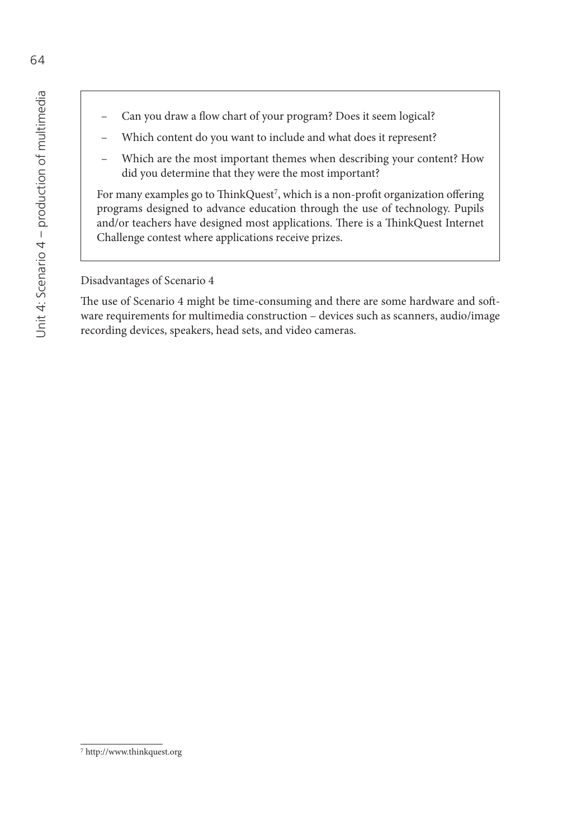- Can you draw a flow chart of your program? Does it seem logical?
- Which content do you want to include and what does it represent?
- Which are the most important themes when describing your content? How did you determine that they were the most important?

For many examples go to ThinkQuest<sup>7</sup>, which is a non-profit organization offering programs designed to advance education through the use of technology. Pupils and/or teachers have designed most applications. There is a ThinkQuest Internet Challenge contest where applications receive prizes.

Disadvantages of Scenario 4

The use of Scenario 4 might be time-consuming and there are some hardware and software requirements for multimedia construction – devices such as scanners, audio/image recording devices, speakers, head sets, and video cameras.

<sup>7</sup><http://www.thinkquest.org>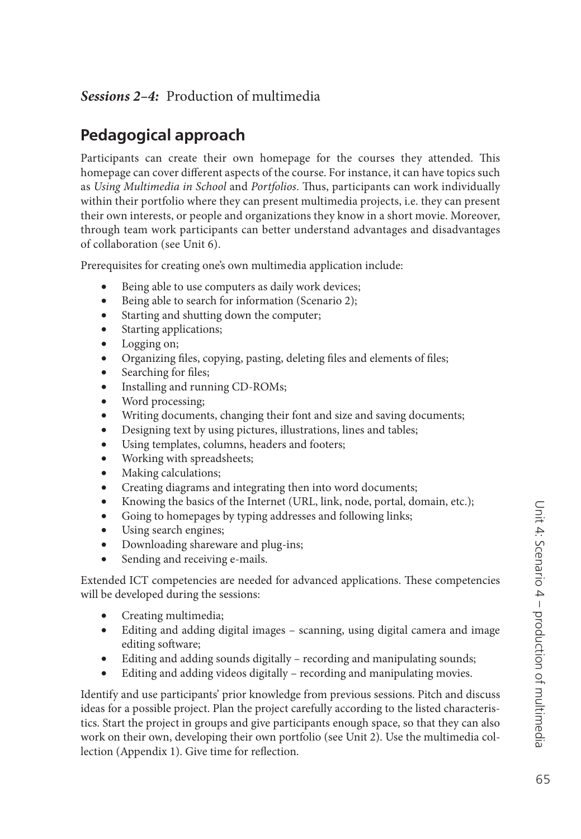## *Sessions 2–4:* Production of multimedia

# **Pedagogical approach**

Participants can create their own homepage for the courses they attended. This homepage can cover different aspects of the course. For instance, it can have topics such as *Using Multimedia in School* and *Portfolios*. Thus, participants can work individually within their portfolio where they can present multimedia projects, i.e. they can present their own interests, or people and organizations they know in a short movie. Moreover, through team work participants can better understand advantages and disadvantages of collaboration (see Unit 6).

Prerequisites for creating one's own multimedia application include:

- Being able to use computers as daily work devices;
- Being able to search for information (Scenario 2);
- Starting and shutting down the computer;
- Starting applications;
- Logging on;
- Organizing files, copying, pasting, deleting files and elements of files;
- Searching for files;
- Installing and running CD-ROMs;
- Word processing;
- Writing documents, changing their font and size and saving documents;
- Designing text by using pictures, illustrations, lines and tables;
- Using templates, columns, headers and footers;
- Working with spreadsheets;
- Making calculations;
- Creating diagrams and integrating then into word documents;
- Knowing the basics of the Internet (URL, link, node, portal, domain, etc.);
- Going to homepages by typing addresses and following links;
- Using search engines;
- Downloading shareware and plug-ins;
- Sending and receiving e-mails.

Extended ICT competencies are needed for advanced applications. These competencies will be developed during the sessions:

- Creating multimedia;
- Editing and adding digital images scanning, using digital camera and image editing software;
- Editing and adding sounds digitally recording and manipulating sounds;
- Editing and adding videos digitally recording and manipulating movies.

Identify and use participants' prior knowledge from previous sessions. Pitch and discuss ideas for a possible project. Plan the project carefully according to the listed characteristics. Start the project in groups and give participants enough space, so that they can also work on their own, developing their own portfolio (see Unit 2). Use the multimedia collection (Appendix 1). Give time for reflection.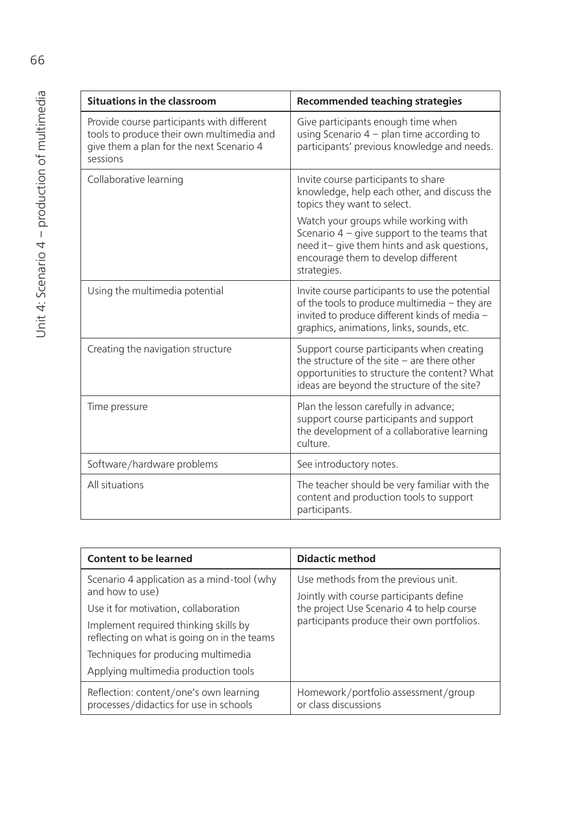| <b>Situations in the classroom</b>                                                                                                              | <b>Recommended teaching strategies</b>                                                                                                                                                         |
|-------------------------------------------------------------------------------------------------------------------------------------------------|------------------------------------------------------------------------------------------------------------------------------------------------------------------------------------------------|
| Provide course participants with different<br>tools to produce their own multimedia and<br>give them a plan for the next Scenario 4<br>sessions | Give participants enough time when<br>using Scenario $4$ – plan time according to<br>participants' previous knowledge and needs.                                                               |
| Collaborative learning                                                                                                                          | Invite course participants to share<br>knowledge, help each other, and discuss the<br>topics they want to select.                                                                              |
|                                                                                                                                                 | Watch your groups while working with<br>Scenario $4 -$ give support to the teams that<br>need it- give them hints and ask questions,<br>encourage them to develop different<br>strategies.     |
| Using the multimedia potential                                                                                                                  | Invite course participants to use the potential<br>of the tools to produce multimedia - they are<br>invited to produce different kinds of media -<br>graphics, animations, links, sounds, etc. |
| Creating the navigation structure                                                                                                               | Support course participants when creating<br>the structure of the site $-$ are there other<br>opportunities to structure the content? What<br>ideas are beyond the structure of the site?      |
| Time pressure                                                                                                                                   | Plan the lesson carefully in advance;<br>support course participants and support<br>the development of a collaborative learning<br>culture.                                                    |
| Software/hardware problems                                                                                                                      | See introductory notes.                                                                                                                                                                        |
| All situations                                                                                                                                  | The teacher should be very familiar with the<br>content and production tools to support<br>participants.                                                                                       |

| <b>Content to be learned</b>                                                         | <b>Didactic method</b>                                                                  |
|--------------------------------------------------------------------------------------|-----------------------------------------------------------------------------------------|
| Scenario 4 application as a mind-tool (why                                           | Use methods from the previous unit.                                                     |
| and how to use)                                                                      | Jointly with course participants define                                                 |
| Use it for motivation, collaboration                                                 | the project Use Scenario 4 to help course<br>participants produce their own portfolios. |
| Implement required thinking skills by<br>reflecting on what is going on in the teams |                                                                                         |
| Techniques for producing multimedia                                                  |                                                                                         |
| Applying multimedia production tools                                                 |                                                                                         |
| Reflection: content/one's own learning<br>processes/didactics for use in schools     | Homework/portfolio assessment/group<br>or class discussions                             |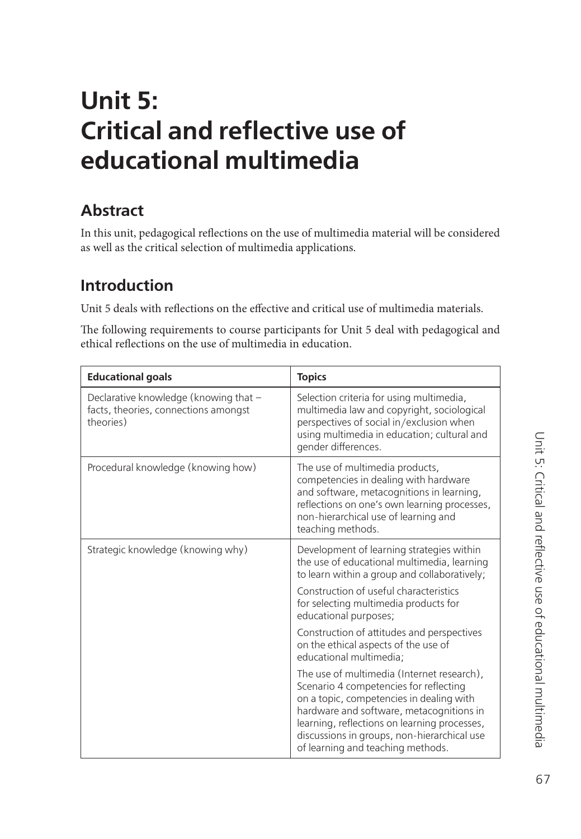# 67

# **Unit 5: Critical and reflective use of educational multimedia**

# **Abstract**

In this unit, pedagogical reflections on the use of multimedia material will be considered as well as the critical selection of multimedia applications.

# **Introduction**

Unit 5 deals with reflections on the effective and critical use of multimedia materials.

The following requirements to course participants for Unit 5 deal with pedagogical and ethical reflections on the use of multimedia in education.

| <b>Educational goals</b>                                                                   | <b>Topics</b>                                                                                                                                                                                                                                                                                                    |
|--------------------------------------------------------------------------------------------|------------------------------------------------------------------------------------------------------------------------------------------------------------------------------------------------------------------------------------------------------------------------------------------------------------------|
| Declarative knowledge (knowing that -<br>facts, theories, connections amongst<br>theories) | Selection criteria for using multimedia,<br>multimedia law and copyright, sociological<br>perspectives of social in/exclusion when<br>using multimedia in education; cultural and<br>gender differences.                                                                                                         |
| Procedural knowledge (knowing how)                                                         | The use of multimedia products,<br>competencies in dealing with hardware<br>and software, metacognitions in learning,<br>reflections on one's own learning processes,<br>non-hierarchical use of learning and<br>teaching methods.                                                                               |
| Strategic knowledge (knowing why)                                                          | Development of learning strategies within<br>the use of educational multimedia, learning<br>to learn within a group and collaboratively;<br>Construction of useful characteristics<br>for selecting multimedia products for<br>educational purposes;                                                             |
|                                                                                            | Construction of attitudes and perspectives<br>on the ethical aspects of the use of<br>educational multimedia;                                                                                                                                                                                                    |
|                                                                                            | The use of multimedia (Internet research),<br>Scenario 4 competencies for reflecting<br>on a topic, competencies in dealing with<br>hardware and software, metacognitions in<br>learning, reflections on learning processes,<br>discussions in groups, non-hierarchical use<br>of learning and teaching methods. |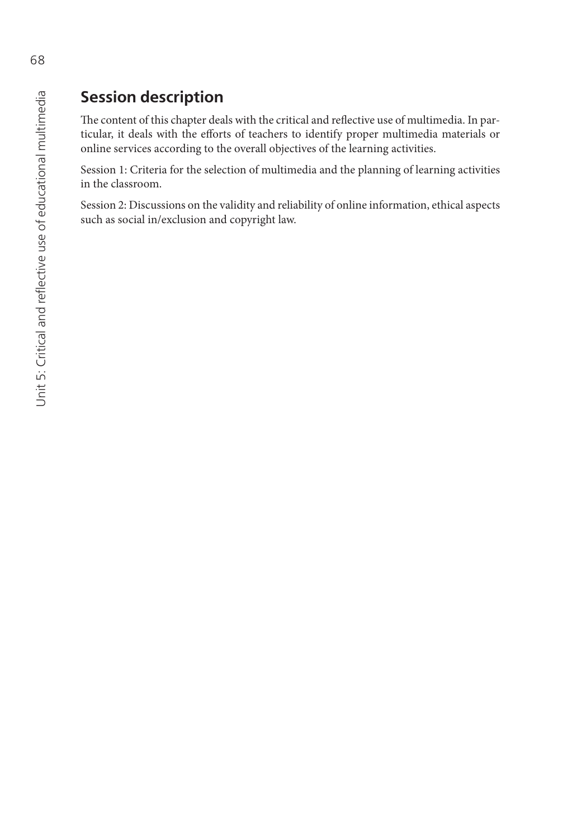# **Session description**

The content of this chapter deals with the critical and reflective use of multimedia. In particular, it deals with the efforts of teachers to identify proper multimedia materials or online services according to the overall objectives of the learning activities.

Session 1: Criteria for the selection of multimedia and the planning of learning activities in the classroom.

Session 2: Discussions on the validity and reliability of online information, ethical aspects such as social in/exclusion and copyright law.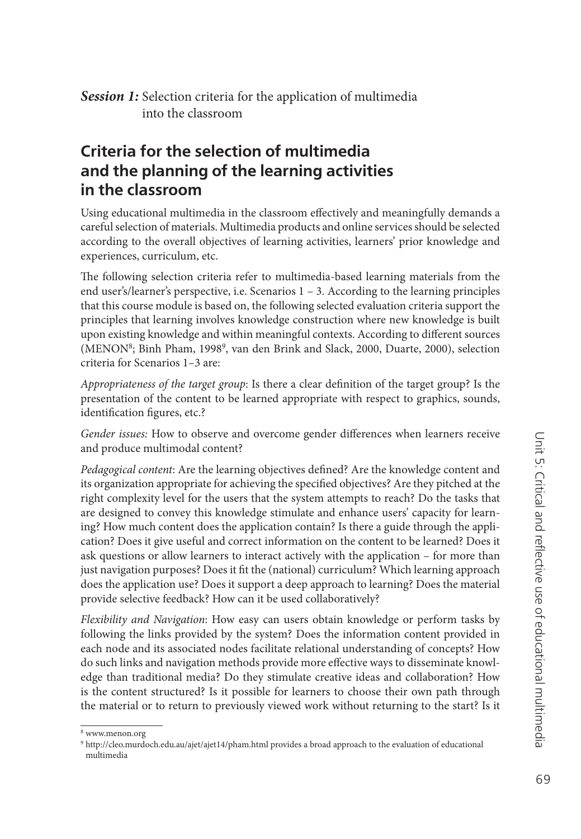**Session 1:** Selection criteria for the application of multimedia into the classroom

# **Criteria for the selection of multimedia and the planning of the learning activities in the classroom**

Using educational multimedia in the classroom effectively and meaningfully demands a careful selection of materials. Multimedia products and online services should be selected according to the overall objectives of learning activities, learners' prior knowledge and experiences, curriculum, etc.

The following selection criteria refer to multimedia-based learning materials from the end user's/learner's perspective, i.e. Scenarios 1 – 3. According to the learning principles that this course module is based on, the following selected evaluation criteria support the principles that learning involves knowledge construction where new knowledge is built upon existing knowledge and within meaningful contexts. According to different sources (MENON8; Binh Pham, 19989, van den Brink and Slack, 2000, Duarte, 2000), selection criteria for Scenarios 1–3 are:

*Appropriateness of the target group*: Is there a clear definition of the target group? Is the presentation of the content to be learned appropriate with respect to graphics, sounds, identification figures, etc.?

Gender issues: How to observe and overcome gender differences when learners receive and produce multimodal content?

Pedagogical content: Are the learning objectives defined? Are the knowledge content and its organization appropriate for achieving the specified objectives? Are they pitched at the right complexity level for the users that the system attempts to reach? Do the tasks that are designed to convey this knowledge stimulate and enhance users' capacity for learning? How much content does the application contain? Is there a guide through the application? Does it give useful and correct information on the content to be learned? Does it ask questions or allow learners to interact actively with the application – for more than just navigation purposes? Does it fit the (national) curriculum? Which learning approach does the application use? Does it support a deep approach to learning? Does the material provide selective feedback? How can it be used collaboratively?

*Flexibility and Navigation*: How easy can users obtain knowledge or perform tasks by following the links provided by the system? Does the information content provided in each node and its associated nodes facilitate relational understanding of concepts? How do such links and navigation methods provide more effective ways to disseminate knowledge than traditional media? Do they stimulate creative ideas and collaboration? How is the content structured? Is it possible for learners to choose their own path through the material or to return to previously viewed work without returning to the start? Is it

<sup>8</sup> [www.menon.org](http://www.menon.org)

<sup>9</sup> [http://cleo.murdoch.edu.au/ajet/ajet14/pham.html pr](http://cleo.murdoch.edu.au/ajet/ajet14/pham.html)ovides a broad approach to the evaluation of educational multimedia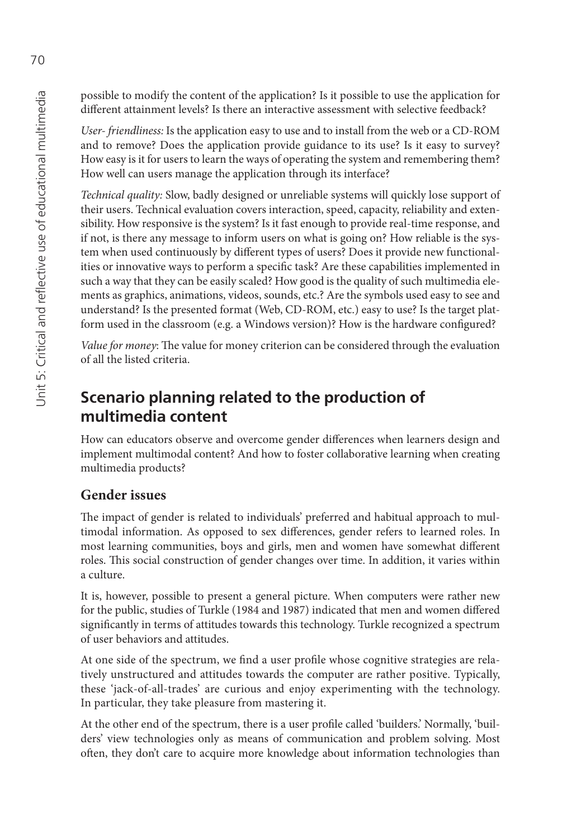possible to modify the content of the application? Is it possible to use the application for different attainment levels? Is there an interactive assessment with selective feedback?

*User- friendliness:* Is the application easy to use and to install from the web or a CD-ROM and to remove? Does the application provide guidance to its use? Is it easy to survey? How easy is it for users to learn the ways of operating the system and remembering them? How well can users manage the application through its interface?

*Technical quality:* Slow, badly designed or unreliable systems will quickly lose support of their users. Technical evaluation covers interaction, speed, capacity, reliability and extensibility. How responsive is the system? Is it fast enough to provide real-time response, and if not, is there any message to inform users on what is going on? How reliable is the system when used continuously by different types of users? Does it provide new functionalities or innovative ways to perform a specific task? Are these capabilities implemented in such a way that they can be easily scaled? How good is the quality of such multimedia elements as graphics, animations, videos, sounds, etc.? Are the symbols used easy to see and understand? Is the presented format (Web, CD-ROM, etc.) easy to use? Is the target platform used in the classroom (e.g. a Windows version)? How is the hardware configured?

*Value for money*: The value for money criterion can be considered through the evaluation of all the listed criteria.

# **Scenario planning related to the production of multimedia content**

How can educators observe and overcome gender differences when learners design and implement multimodal content? And how to foster collaborative learning when creating multimedia products?

## **Gender issues**

The impact of gender is related to individuals' preferred and habitual approach to multimodal information. As opposed to sex differences, gender refers to learned roles. In most learning communities, boys and girls, men and women have somewhat different roles. This social construction of gender changes over time. In addition, it varies within a culture.

It is, however, possible to present a general picture. When computers were rather new for the public, studies of Turkle (1984 and 1987) indicated that men and women differed significantly in terms of attitudes towards this technology. Turkle recognized a spectrum of user behaviors and attitudes.

At one side of the spectrum, we find a user profile whose cognitive strategies are relatively unstructured and attitudes towards the computer are rather positive. Typically, these 'jack-of-all-trades' are curious and enjoy experimenting with the technology. In particular, they take pleasure from mastering it.

At the other end of the spectrum, there is a user profile called 'builders.' Normally, 'builders' view technologies only as means of communication and problem solving. Most often, they don't care to acquire more knowledge about information technologies than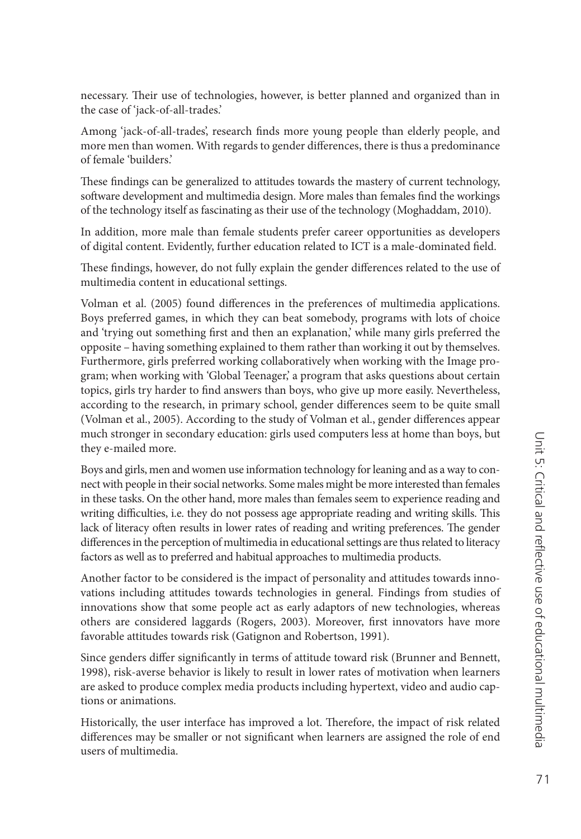necessary. Their use of technologies, however, is better planned and organized than in the case of 'jack-of-all-trades.'

Among 'jack-of-all-trades', research finds more young people than elderly people, and more men than women. With regards to gender differences, there is thus a predominance of female 'builders.'

These findings can be generalized to attitudes towards the mastery of current technology, software development and multimedia design. More males than females find the workings of the technology itself as fascinating as their use of the technology (Moghaddam, 2010).

In addition, more male than female students prefer career opportunities as developers of digital content. Evidently, further education related to ICT is a male-dominated field.

These findings, however, do not fully explain the gender differences related to the use of multimedia content in educational settings.

Volman et al. (2005) found differences in the preferences of multimedia applications. Boys preferred games, in which they can beat somebody, programs with lots of choice and 'trying out something first and then an explanation,' while many girls preferred the opposite – having something explained to them rather than working it out by themselves. Furthermore, girls preferred working collaboratively when working with the Image program; when working with 'Global Teenager,' a program that asks questions about certain topics, girls try harder to find answers than boys, who give up more easily. Nevertheless, according to the research, in primary school, gender differences seem to be quite small (Volman et al., 2005). According to the study of Volman et al., gender differences appear much stronger in secondary education: girls used computers less at home than boys, but they e-mailed more.

Boys and girls, men and women use information technology for leaning and as a way to connect with people in their social networks. Some males might be more interested than females in these tasks. On the other hand, more males than females seem to experience reading and writing difficulties, i.e. they do not possess age appropriate reading and writing skills. This lack of literacy often results in lower rates of reading and writing preferences. The gender differences in the perception of multimedia in educational settings are thus related to literacy factors as well as to preferred and habitual approaches to multimedia products.

Another factor to be considered is the impact of personality and attitudes towards innovations including attitudes towards technologies in general. Findings from studies of innovations show that some people act as early adaptors of new technologies, whereas others are considered laggards (Rogers, 2003). Moreover, first innovators have more favorable attitudes towards risk (Gatignon and Robertson, 1991).

Since genders differ significantly in terms of attitude toward risk (Brunner and Bennett, 1998), risk-averse behavior is likely to result in lower rates of motivation when learners are asked to produce complex media products including hypertext, video and audio captions or animations.

Historically, the user interface has improved a lot. Therefore, the impact of risk related differences may be smaller or not significant when learners are assigned the role of end users of multimedia.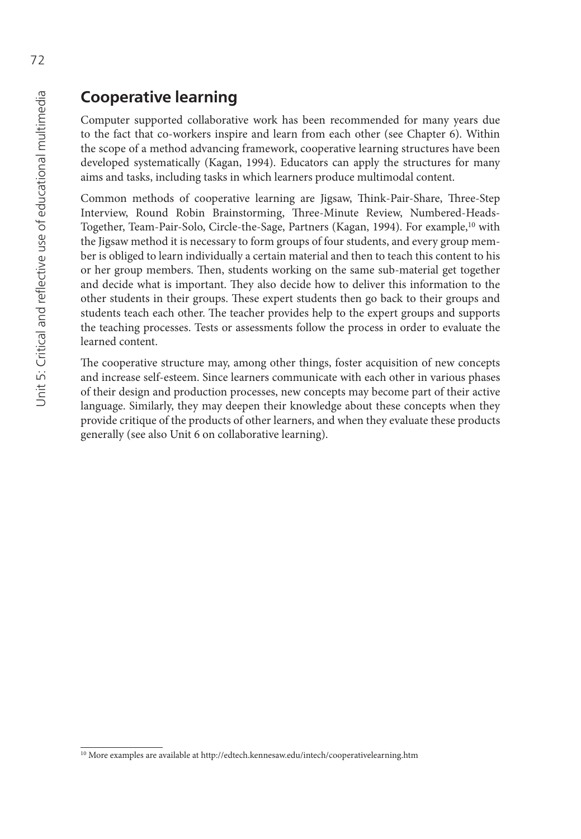### **Cooperative learning**

Computer supported collaborative work has been recommended for many years due to the fact that co-workers inspire and learn from each other (see Chapter 6). Within the scope of a method advancing framework, cooperative learning structures have been developed systematically (Kagan, 1994). Educators can apply the structures for many aims and tasks, including tasks in which learners produce multimodal content.

Common methods of cooperative learning are Jigsaw, Think-Pair-Share, Three-Step Interview, Round Robin Brainstorming, Three-Minute Review, Numbered-Heads-Together, Team-Pair-Solo, Circle-the-Sage, Partners (Kagan, 1994). For example,<sup>10</sup> with the Jigsaw method it is necessary to form groups of four students, and every group member is obliged to learn individually a certain material and then to teach this content to his or her group members. Then, students working on the same sub-material get together and decide what is important. They also decide how to deliver this information to the other students in their groups. These expert students then go back to their groups and students teach each other. The teacher provides help to the expert groups and supports the teaching processes. Tests or assessments follow the process in order to evaluate the learned content.

The cooperative structure may, among other things, foster acquisition of new concepts and increase self-esteem. Since learners communicate with each other in various phases of their design and production processes, new concepts may become part of their active language. Similarly, they may deepen their knowledge about these concepts when they provide critique of the products of other learners, and when they evaluate these products generally (see also Unit 6 on collaborative learning).

<sup>10</sup> More examples are available at <http://edtech.kennesaw.edu/intech/cooperativelearning.htm>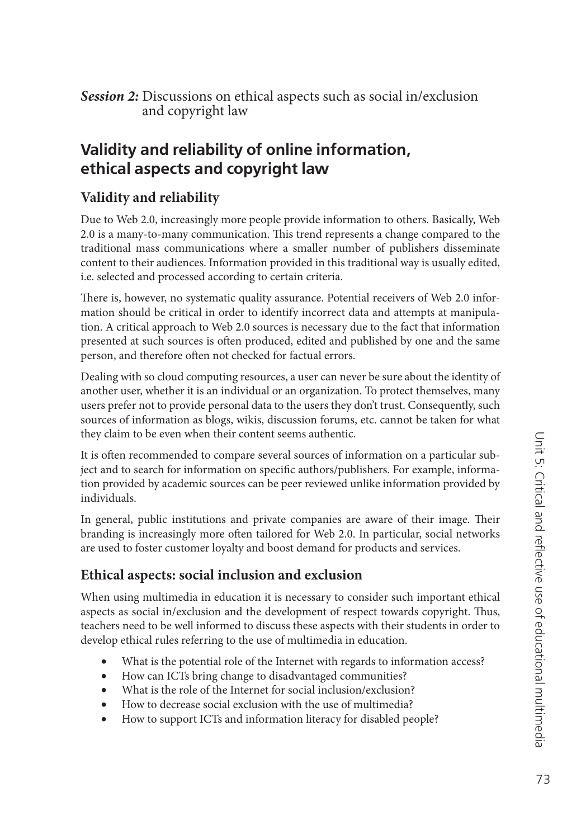**Session 2:** Discussions on ethical aspects such as social in/exclusion and copyright law

### **Validity and reliability of online information, ethical aspects and copyright law**

### **Validity and reliability**

Due to Web 2.0, increasingly more people provide information to others. Basically, Web 2.0 is a many-to-many communication. This trend represents a change compared to the traditional mass communications where a smaller number of publishers disseminate content to their audiences. Information provided in this traditional way is usually edited, i.e. selected and processed according to certain criteria.

There is, however, no systematic quality assurance. Potential receivers of Web 2.0 information should be critical in order to identify incorrect data and attempts at manipulation. A critical approach to Web 2.0 sources is necessary due to the fact that information presented at such sources is often produced, edited and published by one and the same person, and therefore often not checked for factual errors.

Dealing with so cloud computing resources, a user can never be sure about the identity of another user, whether it is an individual or an organization. To protect themselves, many users prefer not to provide personal data to the users they don't trust. Consequently, such sources of information as blogs, wikis, discussion forums, etc. cannot be taken for what they claim to be even when their content seems authentic.

It is often recommended to compare several sources of information on a particular subject and to search for information on specific authors/publishers. For example, information provided by academic sources can be peer reviewed unlike information provided by individuals.

In general, public institutions and private companies are aware of their image. Their branding is increasingly more often tailored for Web 2.0. In particular, social networks are used to foster customer loyalty and boost demand for products and services.

### **Ethical aspects: social inclusion and exclusion**

When using multimedia in education it is necessary to consider such important ethical aspects as social in/exclusion and the development of respect towards copyright. Thus, teachers need to be well informed to discuss these aspects with their students in order to develop ethical rules referring to the use of multimedia in education.

- What is the potential role of the Internet with regards to information access?
- How can ICTs bring change to disadvantaged communities?
- What is the role of the Internet for social inclusion/exclusion?
- How to decrease social exclusion with the use of multimedia?
- How to support ICTs and information literacy for disabled people?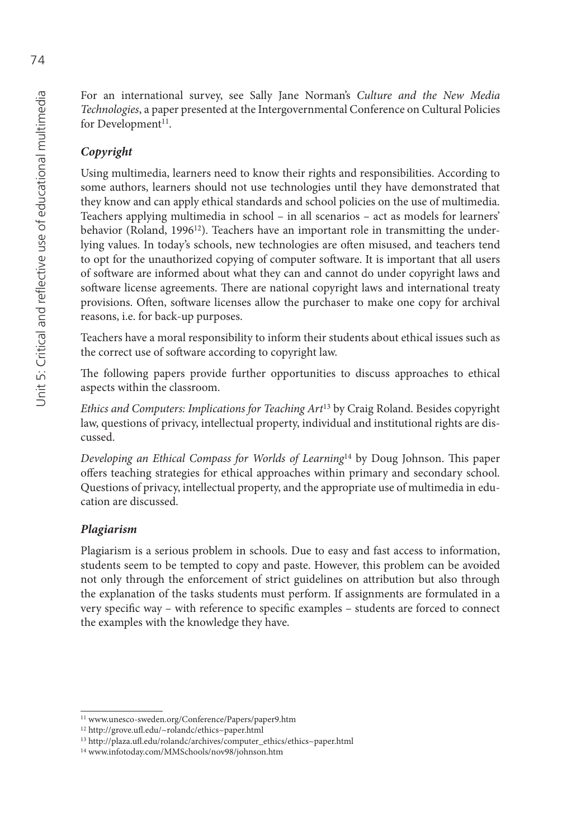For an international survey, see Sally Jane Norman's *Culture and the New Media Technologies*, a paper presented at the Intergovernmental Conference on Cultural Policies for Development<sup>11</sup>.

#### *Copyright*

Using multimedia, learners need to know their rights and responsibilities. According to some authors, learners should not use technologies until they have demonstrated that they know and can apply ethical standards and school policies on the use of multimedia. Teachers applying multimedia in school – in all scenarios – act as models for learners' behavior (Roland, 1996<sup>12</sup>). Teachers have an important role in transmitting the underlying values. In today's schools, new technologies are often misused, and teachers tend to opt for the unauthorized copying of computer software. It is important that all users of soft ware are informed about what they can and cannot do under copyright laws and software license agreements. There are national copyright laws and international treaty provisions. Often, software licenses allow the purchaser to make one copy for archival reasons, i.e. for back-up purposes.

Teachers have a moral responsibility to inform their students about ethical issues such as the correct use of software according to copyright law.

The following papers provide further opportunities to discuss approaches to ethical aspects within the classroom.

*Ethics and Computers: Implications for Teaching Art*13 by Craig Roland. Besides copyright law, questions of privacy, intellectual property, individual and institutional rights are discussed.

*Developing an Ethical Compass for Worlds of Learning*<sup>14</sup> by Doug Johnson. This paper offers teaching strategies for ethical approaches within primary and secondary school. Questions of privacy, intellectual property, and the appropriate use of multimedia in education are discussed.

#### *Plagiarism*

Plagiarism is a serious problem in schools. Due to easy and fast access to information, students seem to be tempted to copy and paste. However, this problem can be avoided not only through the enforcement of strict guidelines on attribution but also through the explanation of the tasks students must perform. If assignments are formulated in a very specific way – with reference to specific examples – students are forced to connect the examples with the knowledge they have.

<sup>11</sup> [www.unesco-sweden.org/Conference/Papers/paper9.htm](http://www.unesco-sweden.org/Conference/Papers/paper9.htm)

<sup>12</sup> [http://grove.ufl .ed](http://grove.ufl)u/~rolandc/ethics~paper.html

<sup>13</sup> [http://plaza.ufl .ed](http://plaza.ufl)u/rolandc/archives/computer\_ethics/ethics~paper.html

<sup>14</sup> [www.infotoday.com/MMSchools/nov98/johnson.htm](http://www.infotoday.com/MMSchools/nov98/johnson.htm)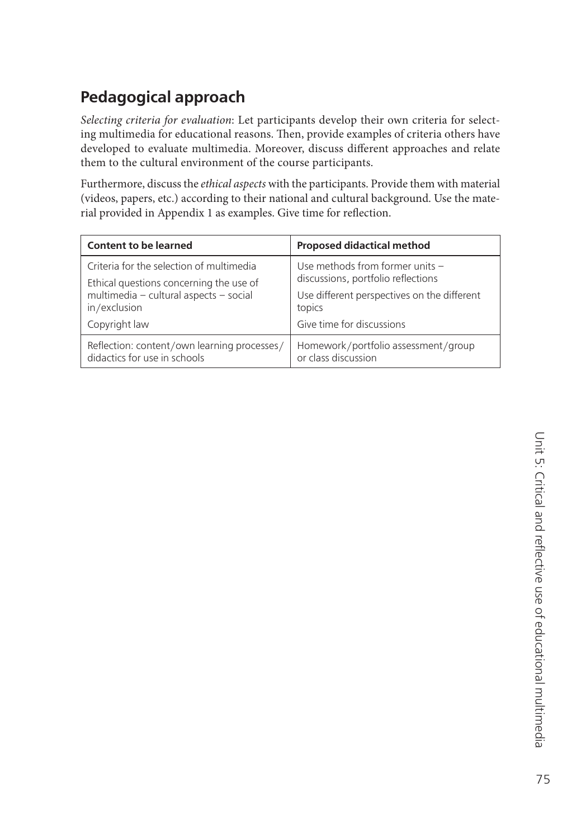# **Pedagogical approach**

*Selecting criteria for evaluation*: Let participants develop their own criteria for selecting multimedia for educational reasons. Then, provide examples of criteria others have developed to evaluate multimedia. Moreover, discuss different approaches and relate them to the cultural environment of the course participants.

Furthermore, discuss the *ethical aspects* with the participants. Provide them with material (videos, papers, etc.) according to their national and cultural background. Use the material provided in Appendix 1 as examples. Give time for reflection.

| <b>Content to be learned</b>                | <b>Proposed didactical method</b>           |
|---------------------------------------------|---------------------------------------------|
| Criteria for the selection of multimedia    | Use methods from former units -             |
| Ethical questions concerning the use of     | discussions, portfolio reflections          |
| multimedia - cultural aspects - social      | Use different perspectives on the different |
| in/exclusion                                | topics                                      |
| Copyright law                               | Give time for discussions                   |
| Reflection: content/own learning processes/ | Homework/portfolio assessment/group         |
| didactics for use in schools                | or class discussion                         |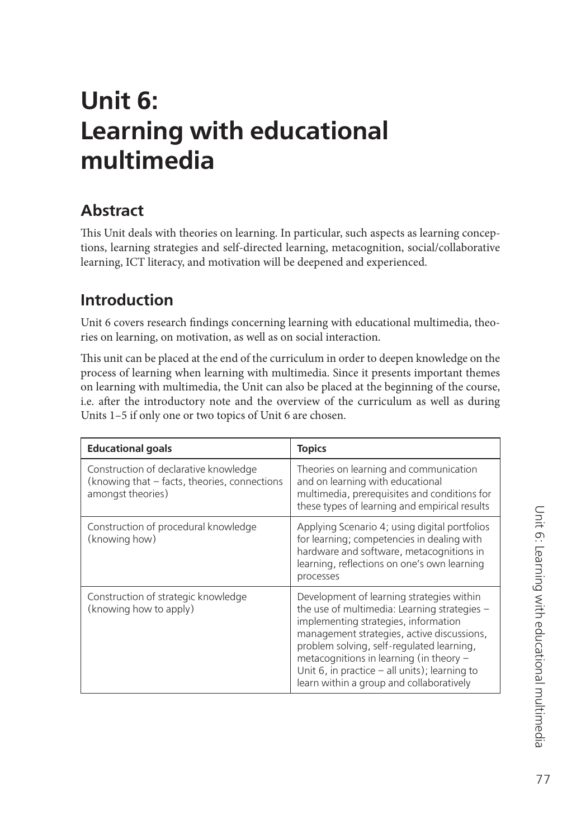# **Unit 6: Learning with educational multimedia**

### **Abstract**

This Unit deals with theories on learning. In particular, such aspects as learning conceptions, learning strategies and self-directed learning, metacognition, social/collaborative learning, ICT literacy, and motivation will be deepened and experienced.

# **Introduction**

Unit 6 covers research findings concerning learning with educational multimedia, theories on learning, on motivation, as well as on social interaction.

This unit can be placed at the end of the curriculum in order to deepen knowledge on the process of learning when learning with multimedia. Since it presents important themes on learning with multimedia, the Unit can also be placed at the beginning of the course, i.e. after the introductory note and the overview of the curriculum as well as during Units 1–5 if only one or two topics of Unit 6 are chosen.

| <b>Educational goals</b>                                                                                   | <b>Topics</b>                                                                                                                                                                                                                                                                                                                                                          |
|------------------------------------------------------------------------------------------------------------|------------------------------------------------------------------------------------------------------------------------------------------------------------------------------------------------------------------------------------------------------------------------------------------------------------------------------------------------------------------------|
| Construction of declarative knowledge<br>(knowing that - facts, theories, connections<br>amongst theories) | Theories on learning and communication<br>and on learning with educational<br>multimedia, prerequisites and conditions for<br>these types of learning and empirical results                                                                                                                                                                                            |
| Construction of procedural knowledge<br>(knowing how)                                                      | Applying Scenario 4; using digital portfolios<br>for learning; competencies in dealing with<br>hardware and software, metacognitions in<br>learning, reflections on one's own learning<br>processes                                                                                                                                                                    |
| Construction of strategic knowledge<br>(knowing how to apply)                                              | Development of learning strategies within<br>the use of multimedia: Learning strategies -<br>implementing strategies, information<br>management strategies, active discussions,<br>problem solving, self-regulated learning,<br>metacognitions in learning (in theory -<br>Unit 6, in practice $-$ all units); learning to<br>learn within a group and collaboratively |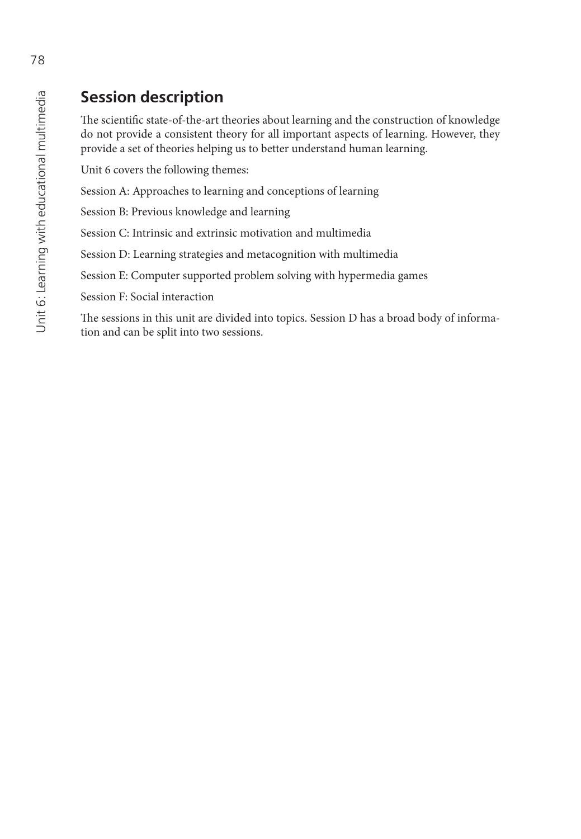# **Session description**

The scientific state-of-the-art theories about learning and the construction of knowledge do not provide a consistent theory for all important aspects of learning. However, they provide a set of theories helping us to better understand human learning.

Unit 6 covers the following themes:

Session A: Approaches to learning and conceptions of learning

Session B: Previous knowledge and learning

Session C: Intrinsic and extrinsic motivation and multimedia

Session D: Learning strategies and metacognition with multimedia

Session E: Computer supported problem solving with hypermedia games

Session F: Social interaction

The sessions in this unit are divided into topics. Session D has a broad body of information and can be split into two sessions.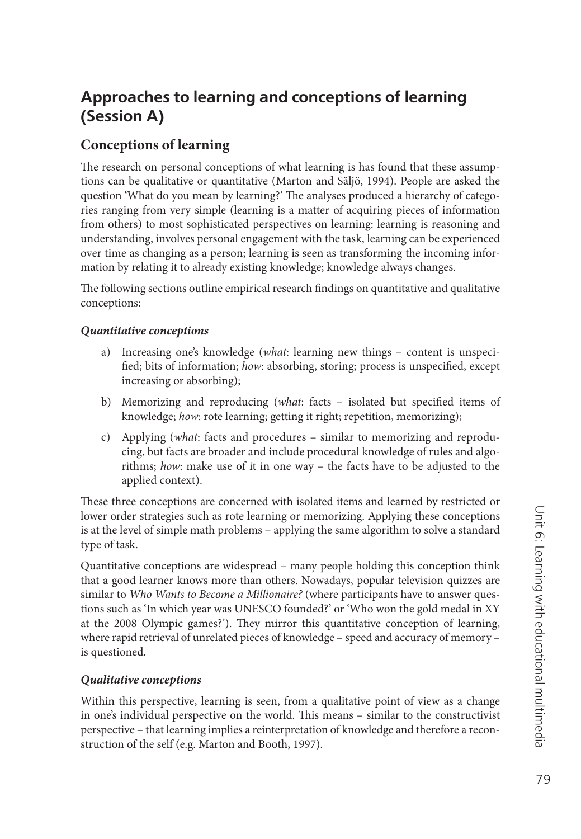# **Approaches to learning and conceptions of learning (Session A)**

### **Conceptions of learning**

The research on personal conceptions of what learning is has found that these assumptions can be qualitative or quantitative (Marton and Säljö, 1994). People are asked the question 'What do you mean by learning?' The analyses produced a hierarchy of categories ranging from very simple (learning is a matter of acquiring pieces of information from others) to most sophisticated perspectives on learning: learning is reasoning and understanding, involves personal engagement with the task, learning can be experienced over time as changing as a person; learning is seen as transforming the incoming information by relating it to already existing knowledge; knowledge always changes.

The following sections outline empirical research findings on quantitative and qualitative conceptions:

#### *Quantitative conceptions*

- a) Increasing one's knowledge (*what*: learning new things content is unspecified; bits of information; how: absorbing, storing; process is unspecified, except increasing or absorbing);
- b) Memorizing and reproducing (*what*: facts isolated but specified items of knowledge; *how*: rote learning; getting it right; repetition, memorizing);
- c) Applying (*what*: facts and procedures similar to memorizing and reproducing, but facts are broader and include procedural knowledge of rules and algorithms; *how*: make use of it in one way – the facts have to be adjusted to the applied context).

These three conceptions are concerned with isolated items and learned by restricted or lower order strategies such as rote learning or memorizing. Applying these conceptions is at the level of simple math problems – applying the same algorithm to solve a standard type of task.

Quantitative conceptions are widespread – many people holding this conception think that a good learner knows more than others. Nowadays, popular television quizzes are similar to *Who Wants to Become a Millionaire?* (where participants have to answer questions such as 'In which year was UNESCO founded?' or 'Who won the gold medal in XY at the 2008 Olympic games?'). They mirror this quantitative conception of learning, where rapid retrieval of unrelated pieces of knowledge - speed and accuracy of memory is questioned.

#### *Qualitative conceptions*

Within this perspective, learning is seen, from a qualitative point of view as a change in one's individual perspective on the world. This means – similar to the constructivist perspective – that learning implies a reinterpretation of knowledge and therefore a reconstruction of the self (e.g. Marton and Booth, 1997).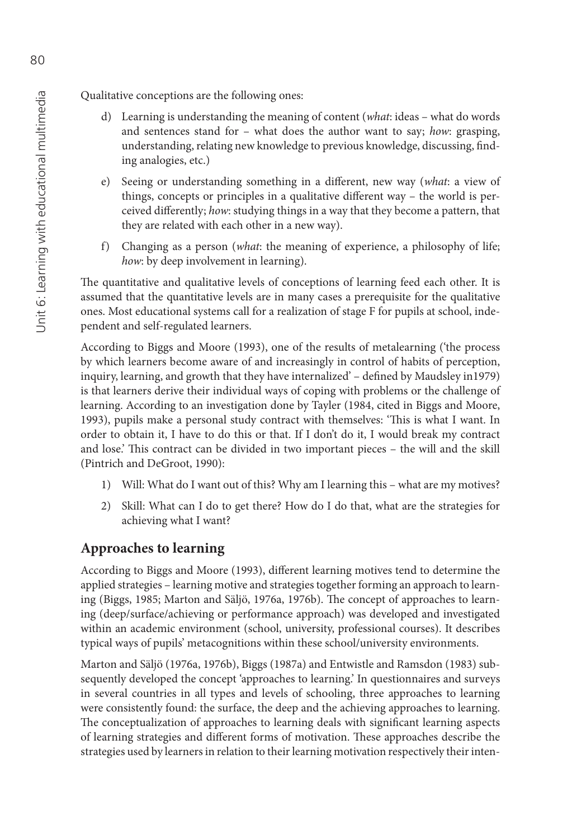Qualitative conceptions are the following ones:

- d) Learning is understanding the meaning of content (*what*: ideas what do words and sentences stand for – what does the author want to say; *how*: grasping, understanding, relating new knowledge to previous knowledge, discussing, finding analogies, etc.)
- e) Seeing or understanding something in a different, new way (what: a view of things, concepts or principles in a qualitative different way - the world is perceived differently; how: studying things in a way that they become a pattern, that they are related with each other in a new way).
- f) Changing as a person (*what*: the meaning of experience, a philosophy of life; *how*: by deep involvement in learning).

The quantitative and qualitative levels of conceptions of learning feed each other. It is assumed that the quantitative levels are in many cases a prerequisite for the qualitative ones. Most educational systems call for a realization of stage F for pupils at school, independent and self-regulated learners.

According to Biggs and Moore (1993), one of the results of metalearning ('the process by which learners become aware of and increasingly in control of habits of perception, inquiry, learning, and growth that they have internalized' – defined by Maudsley in1979) is that learners derive their individual ways of coping with problems or the challenge of learning. According to an investigation done by Tayler (1984, cited in Biggs and Moore, 1993), pupils make a personal study contract with themselves: 'This is what I want. In order to obtain it, I have to do this or that. If I don't do it, I would break my contract and lose.' This contract can be divided in two important pieces – the will and the skill (Pintrich and DeGroot, 1990):

- 1) Will: What do I want out of this? Why am I learning this what are my motives?
- 2) Skill: What can I do to get there? How do I do that, what are the strategies for achieving what I want?

### **Approaches to learning**

According to Biggs and Moore (1993), different learning motives tend to determine the applied strategies – learning motive and strategies together forming an approach to learning (Biggs, 1985; Marton and Säljö, 1976a, 1976b). The concept of approaches to learning (deep/surface/achieving or performance approach) was developed and investigated within an academic environment (school, university, professional courses). It describes typical ways of pupils' metacognitions within these school/university environments.

Marton and Säljö (1976a, 1976b), Biggs (1987a) and Entwistle and Ramsdon (1983) subsequently developed the concept 'approaches to learning.' In questionnaires and surveys in several countries in all types and levels of schooling, three approaches to learning were consistently found: the surface, the deep and the achieving approaches to learning. The conceptualization of approaches to learning deals with significant learning aspects of learning strategies and different forms of motivation. These approaches describe the strategies used by learners in relation to their learning motivation respectively their inten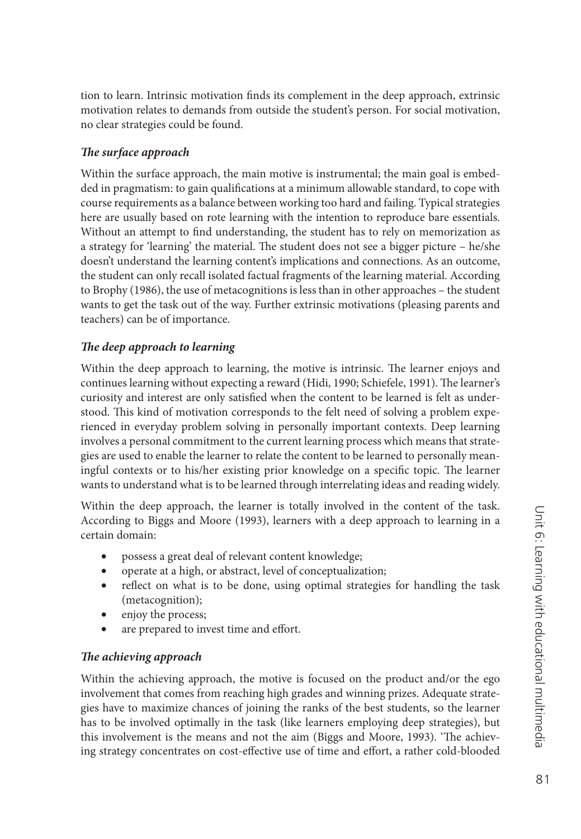tion to learn. Intrinsic motivation finds its complement in the deep approach, extrinsic motivation relates to demands from outside the student's person. For social motivation, no clear strategies could be found.

#### **The surface approach**

Within the surface approach, the main motive is instrumental; the main goal is embedded in pragmatism: to gain qualifications at a minimum allowable standard, to cope with course requirements as a balance between working too hard and failing. Typical strategies here are usually based on rote learning with the intention to reproduce bare essentials. Without an attempt to find understanding, the student has to rely on memorization as a strategy for 'learning' the material. The student does not see a bigger picture  $-$  he/she doesn't understand the learning content's implications and connections. As an outcome, the student can only recall isolated factual fragments of the learning material. According to Brophy (1986), the use of metacognitions is less than in other approaches – the student wants to get the task out of the way. Further extrinsic motivations (pleasing parents and teachers) can be of importance.

#### The deep approach to learning

Within the deep approach to learning, the motive is intrinsic. The learner enjoys and continues learning without expecting a reward (Hidi, 1990; Schiefele, 1991). The learner's curiosity and interest are only satisfied when the content to be learned is felt as understood. This kind of motivation corresponds to the felt need of solving a problem experienced in everyday problem solving in personally important contexts. Deep learning involves a personal commitment to the current learning process which means that strategies are used to enable the learner to relate the content to be learned to personally meaningful contexts or to his/her existing prior knowledge on a specific topic. The learner wants to understand what is to be learned through interrelating ideas and reading widely.

Within the deep approach, the learner is totally involved in the content of the task. According to Biggs and Moore (1993), learners with a deep approach to learning in a certain domain:

- possess a great deal of relevant content knowledge;
- operate at a high, or abstract, level of conceptualization;
- reflect on what is to be done, using optimal strategies for handling the task (metacognition);
- enjoy the process;
- are prepared to invest time and effort.

#### **The achieving approach**

Within the achieving approach, the motive is focused on the product and/or the ego involvement that comes from reaching high grades and winning prizes. Adequate strategies have to maximize chances of joining the ranks of the best students, so the learner has to be involved optimally in the task (like learners employing deep strategies), but this involvement is the means and not the aim (Biggs and Moore, 1993). 'The achieving strategy concentrates on cost-effective use of time and effort, a rather cold-blooded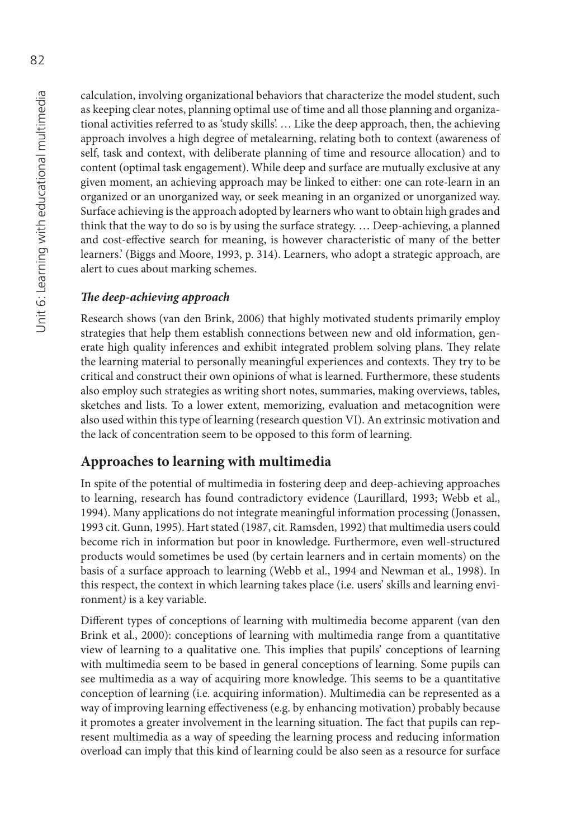calculation, involving organizational behaviors that characterize the model student, such as keeping clear notes, planning optimal use of time and all those planning and organizational activities referred to as 'study skills'. … Like the deep approach, then, the achieving approach involves a high degree of metalearning, relating both to context (awareness of self, task and context, with deliberate planning of time and resource allocation) and to content (optimal task engagement). While deep and surface are mutually exclusive at any given moment, an achieving approach may be linked to either: one can rote-learn in an organized or an unorganized way, or seek meaning in an organized or unorganized way. Surface achieving is the approach adopted by learners who want to obtain high grades and think that the way to do so is by using the surface strategy. … Deep-achieving, a planned and cost-effective search for meaning, is however characteristic of many of the better learners.' (Biggs and Moore, 1993, p. 314). Learners, who adopt a strategic approach, are alert to cues about marking schemes.

#### **The deep-achieving approach**

Research shows (van den Brink, 2006) that highly motivated students primarily employ strategies that help them establish connections between new and old information, generate high quality inferences and exhibit integrated problem solving plans. They relate the learning material to personally meaningful experiences and contexts. They try to be critical and construct their own opinions of what is learned. Furthermore, these students also employ such strategies as writing short notes, summaries, making overviews, tables, sketches and lists. To a lower extent, memorizing, evaluation and metacognition were also used within this type of learning (research question VI). An extrinsic motivation and the lack of concentration seem to be opposed to this form of learning.

#### **Approaches to learning with multimedia**

In spite of the potential of multimedia in fostering deep and deep-achieving approaches to learning, research has found contradictory evidence (Laurillard, 1993; Webb et al., 1994). Many applications do not integrate meaningful information processing (Jonassen, 1993 cit. Gunn, 1995). Hart stated (1987, cit. Ramsden, 1992) that multimedia users could become rich in information but poor in knowledge. Furthermore, even well-structured products would sometimes be used (by certain learners and in certain moments) on the basis of a surface approach to learning (Webb et al., 1994 and Newman et al., 1998). In this respect, the context in which learning takes place (i.e. users' skills and learning environment*)* is a key variable.

Different types of conceptions of learning with multimedia become apparent (van den Brink et al., 2000): conceptions of learning with multimedia range from a quantitative view of learning to a qualitative one. This implies that pupils' conceptions of learning with multimedia seem to be based in general conceptions of learning. Some pupils can see multimedia as a way of acquiring more knowledge. This seems to be a quantitative conception of learning (i.e. acquiring information). Multimedia can be represented as a way of improving learning effectiveness (e.g. by enhancing motivation) probably because it promotes a greater involvement in the learning situation. The fact that pupils can represent multimedia as a way of speeding the learning process and reducing information overload can imply that this kind of learning could be also seen as a resource for surface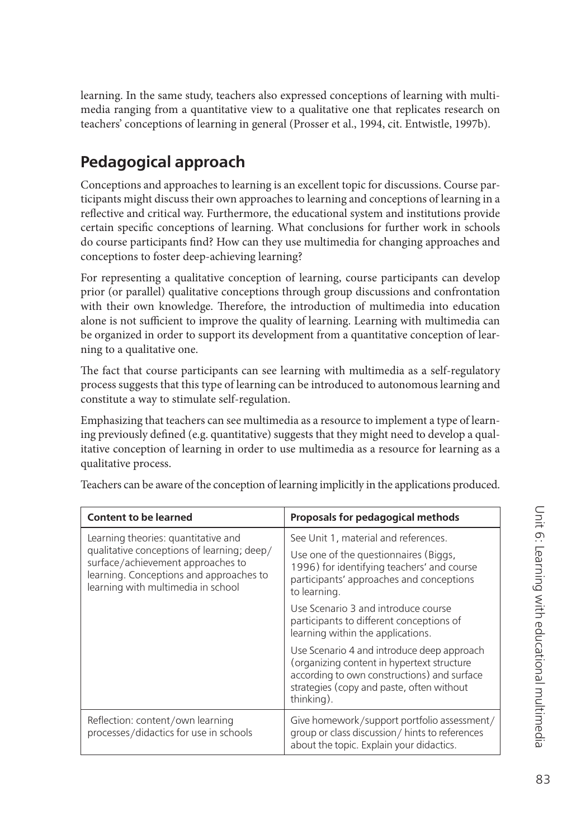learning. In the same study, teachers also expressed conceptions of learning with multimedia ranging from a quantitative view to a qualitative one that replicates research on teachers' conceptions of learning in general (Prosser et al., 1994, cit. Entwistle, 1997b).

# **Pedagogical approach**

Conceptions and approaches to learning is an excellent topic for discussions. Course participants might discuss their own approaches to learning and conceptions of learning in a reflective and critical way. Furthermore, the educational system and institutions provide certain specific conceptions of learning. What conclusions for further work in schools do course participants find? How can they use multimedia for changing approaches and conceptions to foster deep-achieving learning?

For representing a qualitative conception of learning, course participants can develop prior (or parallel) qualitative conceptions through group discussions and confrontation with their own knowledge. Therefore, the introduction of multimedia into education alone is not sufficient to improve the quality of learning. Learning with multimedia can be organized in order to support its development from a quantitative conception of learning to a qualitative one.

The fact that course participants can see learning with multimedia as a self-regulatory process suggests that this type of learning can be introduced to autonomous learning and constitute a way to stimulate self-regulation.

Emphasizing that teachers can see multimedia as a resource to implement a type of learning previously defined (e.g. quantitative) suggests that they might need to develop a qualitative conception of learning in order to use multimedia as a resource for learning as a qualitative process.

| <b>Content to be learned</b>                                                                                                                                     | Proposals for pedagogical methods                                                                                                                                                                  |
|------------------------------------------------------------------------------------------------------------------------------------------------------------------|----------------------------------------------------------------------------------------------------------------------------------------------------------------------------------------------------|
| Learning theories: quantitative and                                                                                                                              | See Unit 1, material and references.                                                                                                                                                               |
| qualitative conceptions of learning; deep/<br>surface/achievement approaches to<br>learning. Conceptions and approaches to<br>learning with multimedia in school | Use one of the questionnaires (Biggs,<br>1996) for identifying teachers' and course<br>participants' approaches and conceptions<br>to learning.                                                    |
|                                                                                                                                                                  | Use Scenario 3 and introduce course<br>participants to different conceptions of<br>learning within the applications.                                                                               |
|                                                                                                                                                                  | Use Scenario 4 and introduce deep approach<br>(organizing content in hypertext structure<br>according to own constructions) and surface<br>strategies (copy and paste, often without<br>thinking). |
| Reflection: content/own learning<br>processes/didactics for use in schools                                                                                       | Give homework/support portfolio assessment/<br>group or class discussion/hints to references<br>about the topic. Explain your didactics.                                                           |

Teachers can be aware of the conception of learning implicitly in the applications produced.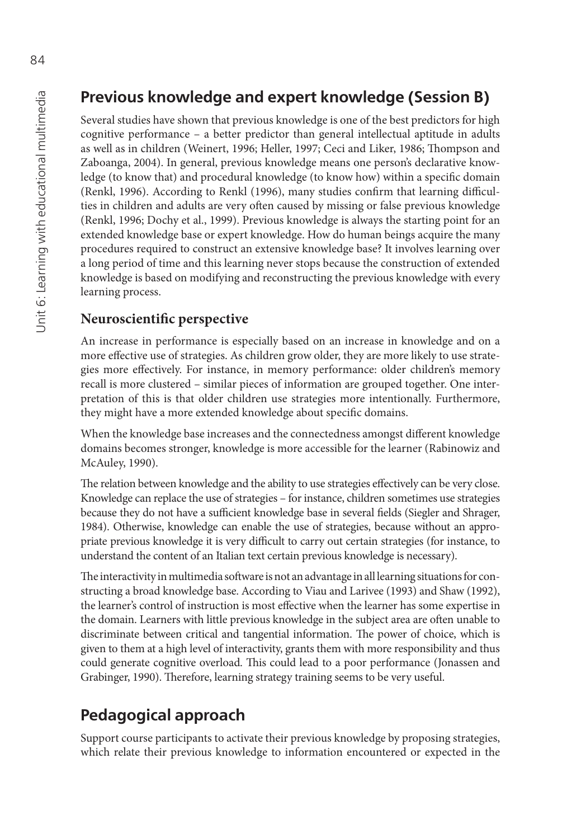### **Previous knowledge and expert knowledge (Session B)**

Several studies have shown that previous knowledge is one of the best predictors for high cognitive performance – a better predictor than general intellectual aptitude in adults as well as in children (Weinert, 1996; Heller, 1997; Ceci and Liker, 1986; Thompson and Zaboanga, 2004). In general, previous knowledge means one person's declarative knowledge (to know that) and procedural knowledge (to know how) within a specific domain (Renkl, 1996). According to Renkl (1996), many studies confirm that learning difficulties in children and adults are very often caused by missing or false previous knowledge (Renkl, 1996; Dochy et al., 1999). Previous knowledge is always the starting point for an extended knowledge base or expert knowledge. How do human beings acquire the many procedures required to construct an extensive knowledge base? It involves learning over a long period of time and this learning never stops because the construction of extended knowledge is based on modifying and reconstructing the previous knowledge with every learning process.

#### **Neuroscientific perspective**

An increase in performance is especially based on an increase in knowledge and on a more effective use of strategies. As children grow older, they are more likely to use strategies more effectively. For instance, in memory performance: older children's memory recall is more clustered – similar pieces of information are grouped together. One interpretation of this is that older children use strategies more intentionally. Furthermore, they might have a more extended knowledge about specific domains.

When the knowledge base increases and the connectedness amongst different knowledge domains becomes stronger, knowledge is more accessible for the learner (Rabinowiz and McAuley, 1990).

The relation between knowledge and the ability to use strategies effectively can be very close. Knowledge can replace the use of strategies – for instance, children sometimes use strategies because they do not have a sufficient knowledge base in several fields (Siegler and Shrager, 1984). Otherwise, knowledge can enable the use of strategies, because without an appropriate previous knowledge it is very difficult to carry out certain strategies (for instance, to understand the content of an Italian text certain previous knowledge is necessary).

The interactivity in multimedia software is not an advantage in all learning situations for constructing a broad knowledge base. According to Viau and Larivee (1993) and Shaw (1992), the learner's control of instruction is most effective when the learner has some expertise in the domain. Learners with little previous knowledge in the subject area are often unable to discriminate between critical and tangential information. The power of choice, which is given to them at a high level of interactivity, grants them with more responsibility and thus could generate cognitive overload. This could lead to a poor performance (Jonassen and Grabinger, 1990). Therefore, learning strategy training seems to be very useful.

# **Pedagogical approach**

Support course participants to activate their previous knowledge by proposing strategies, which relate their previous knowledge to information encountered or expected in the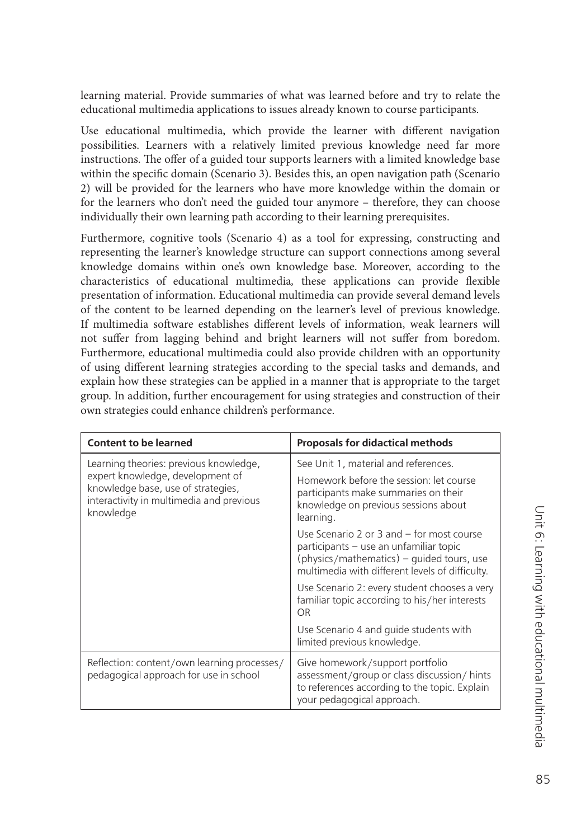learning material. Provide summaries of what was learned before and try to relate the educational multimedia applications to issues already known to course participants.

Use educational multimedia, which provide the learner with different navigation possibilities. Learners with a relatively limited previous knowledge need far more instructions. The offer of a guided tour supports learners with a limited knowledge base within the specific domain (Scenario 3). Besides this, an open navigation path (Scenario 2) will be provided for the learners who have more knowledge within the domain or for the learners who don't need the guided tour anymore – therefore, they can choose individually their own learning path according to their learning prerequisites.

Furthermore, cognitive tools (Scenario 4) as a tool for expressing, constructing and representing the learner's knowledge structure can support connections among several knowledge domains within one's own knowledge base. Moreover, according to the characteristics of educational multimedia, these applications can provide flexible presentation of information. Educational multimedia can provide several demand levels of the content to be learned depending on the learner's level of previous knowledge. If multimedia software establishes different levels of information, weak learners will not suffer from lagging behind and bright learners will not suffer from boredom. Furthermore, educational multimedia could also provide children with an opportunity of using different learning strategies according to the special tasks and demands, and explain how these strategies can be applied in a manner that is appropriate to the target group. In addition, further encouragement for using strategies and construction of their own strategies could enhance children's performance.

| <b>Content to be learned</b>                                                                                                                                              | <b>Proposals for didactical methods</b>                                                                                                                                                 |
|---------------------------------------------------------------------------------------------------------------------------------------------------------------------------|-----------------------------------------------------------------------------------------------------------------------------------------------------------------------------------------|
| Learning theories: previous knowledge,<br>expert knowledge, development of<br>knowledge base, use of strategies,<br>interactivity in multimedia and previous<br>knowledge | See Unit 1, material and references.                                                                                                                                                    |
|                                                                                                                                                                           | Homework before the session: let course<br>participants make summaries on their<br>knowledge on previous sessions about<br>learning.                                                    |
|                                                                                                                                                                           | Use Scenario 2 or 3 and $-$ for most course<br>participants – use an unfamiliar topic<br>$(physics/mathematics)$ – quided tours, use<br>multimedia with different levels of difficulty. |
|                                                                                                                                                                           | Use Scenario 2: every student chooses a very<br>familiar topic according to his/her interests<br>OR                                                                                     |
|                                                                                                                                                                           | Use Scenario 4 and guide students with<br>limited previous knowledge.                                                                                                                   |
| Reflection: content/own learning processes/<br>pedagogical approach for use in school                                                                                     | Give homework/support portfolio<br>assessment/group or class discussion/ hints<br>to references according to the topic. Explain<br>your pedagogical approach.                           |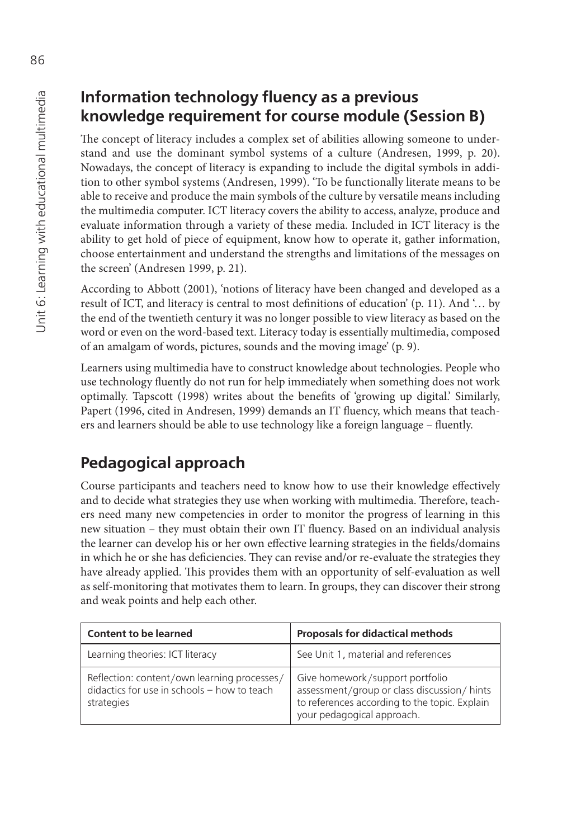### **Information technology fluency as a previous knowledge requirement for course module (Session B)**

The concept of literacy includes a complex set of abilities allowing someone to understand and use the dominant symbol systems of a culture (Andresen, 1999, p. 20). Nowadays, the concept of literacy is expanding to include the digital symbols in addition to other symbol systems (Andresen, 1999). 'To be functionally literate means to be able to receive and produce the main symbols of the culture by versatile means including the multimedia computer. ICT literacy covers the ability to access, analyze, produce and evaluate information through a variety of these media. Included in ICT literacy is the ability to get hold of piece of equipment, know how to operate it, gather information, choose entertainment and understand the strengths and limitations of the messages on the screen' (Andresen 1999, p. 21).

According to Abbott (2001), 'notions of literacy have been changed and developed as a result of ICT, and literacy is central to most definitions of education' (p. 11). And '... by the end of the twentieth century it was no longer possible to view literacy as based on the word or even on the word-based text. Literacy today is essentially multimedia, composed of an amalgam of words, pictures, sounds and the moving image' (p. 9).

Learners using multimedia have to construct knowledge about technologies. People who use technology fluently do not run for help immediately when something does not work optimally. Tapscott (1998) writes about the benefits of 'growing up digital.' Similarly, Papert (1996, cited in Andresen, 1999) demands an IT fluency, which means that teachers and learners should be able to use technology like a foreign language - fluently.

### **Pedagogical approach**

Course participants and teachers need to know how to use their knowledge effectively and to decide what strategies they use when working with multimedia. Therefore, teachers need many new competencies in order to monitor the progress of learning in this new situation – they must obtain their own IT fluency. Based on an individual analysis the learner can develop his or her own effective learning strategies in the fields/domains in which he or she has deficiencies. They can revise and/or re-evaluate the strategies they have already applied. This provides them with an opportunity of self-evaluation as well as self-monitoring that motivates them to learn. In groups, they can discover their strong and weak points and help each other.

| <b>Content to be learned</b>                                                                             | <b>Proposals for didactical methods</b>                                                                                                                       |
|----------------------------------------------------------------------------------------------------------|---------------------------------------------------------------------------------------------------------------------------------------------------------------|
| Learning theories: ICT literacy                                                                          | See Unit 1, material and references                                                                                                                           |
| Reflection: content/own learning processes/<br>didactics for use in schools - how to teach<br>strategies | Give homework/support portfolio<br>assessment/group or class discussion/ hints<br>to references according to the topic. Explain<br>your pedagogical approach. |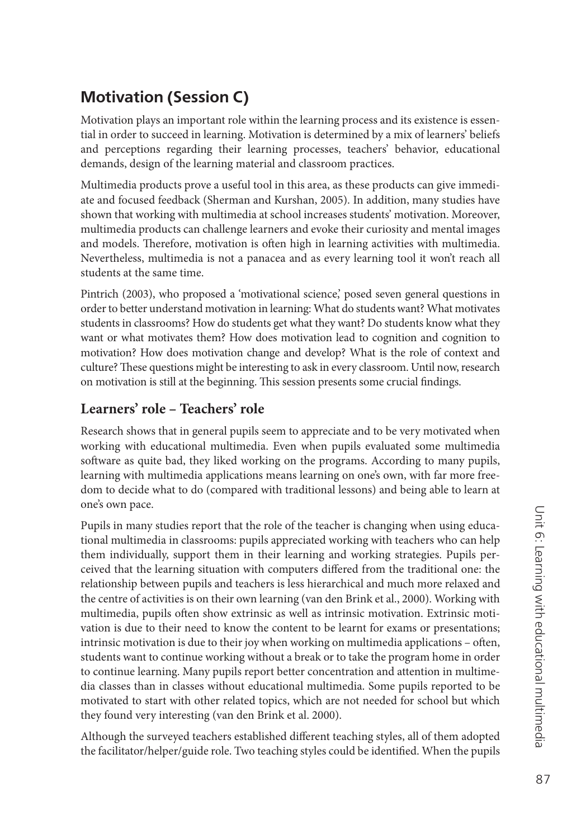### **Motivation (Session C)**

Motivation plays an important role within the learning process and its existence is essential in order to succeed in learning. Motivation is determined by a mix of learners' beliefs and perceptions regarding their learning processes, teachers' behavior, educational demands, design of the learning material and classroom practices.

Multimedia products prove a useful tool in this area, as these products can give immediate and focused feedback (Sherman and Kurshan, 2005). In addition, many studies have shown that working with multimedia at school increases students' motivation. Moreover, multimedia products can challenge learners and evoke their curiosity and mental images and models. Therefore, motivation is often high in learning activities with multimedia. Nevertheless, multimedia is not a panacea and as every learning tool it won't reach all students at the same time.

Pintrich (2003), who proposed a 'motivational science,' posed seven general questions in order to better understand motivation in learning: What do students want? What motivates students in classrooms? How do students get what they want? Do students know what they want or what motivates them? How does motivation lead to cognition and cognition to motivation? How does motivation change and develop? What is the role of context and culture? These questions might be interesting to ask in every classroom. Until now, research on motivation is still at the beginning. This session presents some crucial findings.

### **Learners' role – Teachers' role**

Research shows that in general pupils seem to appreciate and to be very motivated when working with educational multimedia. Even when pupils evaluated some multimedia software as quite bad, they liked working on the programs. According to many pupils, learning with multimedia applications means learning on one's own, with far more freedom to decide what to do (compared with traditional lessons) and being able to learn at one's own pace.

Pupils in many studies report that the role of the teacher is changing when using educational multimedia in classrooms: pupils appreciated working with teachers who can help them individually, support them in their learning and working strategies. Pupils perceived that the learning situation with computers differed from the traditional one: the relationship between pupils and teachers is less hierarchical and much more relaxed and the centre of activities is on their own learning (van den Brink et al., 2000). Working with multimedia, pupils often show extrinsic as well as intrinsic motivation. Extrinsic motivation is due to their need to know the content to be learnt for exams or presentations; intrinsic motivation is due to their joy when working on multimedia applications – often, students want to continue working without a break or to take the program home in order to continue learning. Many pupils report better concentration and attention in multimedia classes than in classes without educational multimedia. Some pupils reported to be motivated to start with other related topics, which are not needed for school but which they found very interesting (van den Brink et al. 2000).

Although the surveyed teachers established different teaching styles, all of them adopted the facilitator/helper/guide role. Two teaching styles could be identified. When the pupils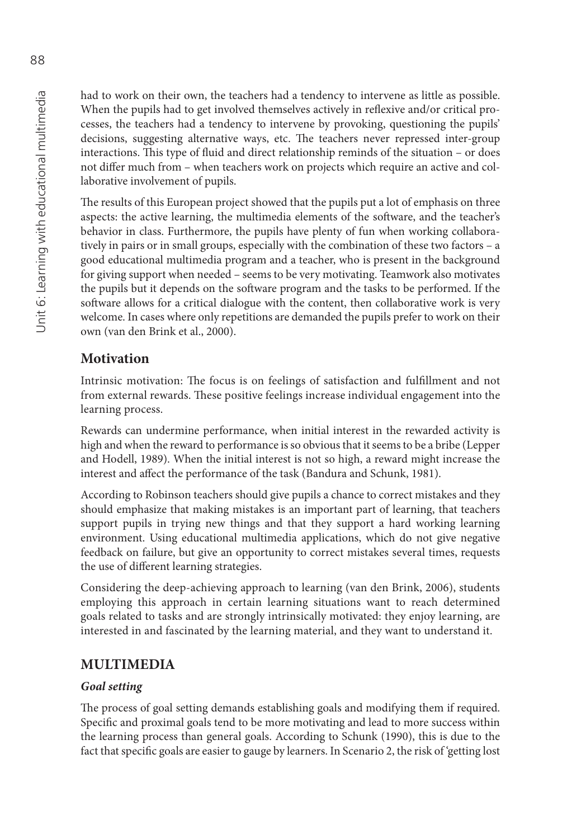had to work on their own, the teachers had a tendency to intervene as little as possible. When the pupils had to get involved themselves actively in reflexive and/or critical processes, the teachers had a tendency to intervene by provoking, questioning the pupils' decisions, suggesting alternative ways, etc. The teachers never repressed inter-group interactions. This type of fluid and direct relationship reminds of the situation - or does not differ much from – when teachers work on projects which require an active and collaborative involvement of pupils.

The results of this European project showed that the pupils put a lot of emphasis on three aspects: the active learning, the multimedia elements of the software, and the teacher's behavior in class. Furthermore, the pupils have plenty of fun when working collaboratively in pairs or in small groups, especially with the combination of these two factors – a good educational multimedia program and a teacher, who is present in the background for giving support when needed – seems to be very motivating. Teamwork also motivates the pupils but it depends on the software program and the tasks to be performed. If the software allows for a critical dialogue with the content, then collaborative work is very welcome. In cases where only repetitions are demanded the pupils prefer to work on their own (van den Brink et al., 2000).

#### **Motivation**

Intrinsic motivation: The focus is on feelings of satisfaction and fulfillment and not from external rewards. These positive feelings increase individual engagement into the learning process.

Rewards can undermine performance, when initial interest in the rewarded activity is high and when the reward to performance is so obvious that it seems to be a bribe (Lepper and Hodell, 1989). When the initial interest is not so high, a reward might increase the interest and affect the performance of the task (Bandura and Schunk, 1981).

According to Robinson teachers should give pupils a chance to correct mistakes and they should emphasize that making mistakes is an important part of learning, that teachers support pupils in trying new things and that they support a hard working learning environment. Using educational multimedia applications, which do not give negative feedback on failure, but give an opportunity to correct mistakes several times, requests the use of different learning strategies.

Considering the deep-achieving approach to learning (van den Brink, 2006), students employing this approach in certain learning situations want to reach determined goals related to tasks and are strongly intrinsically motivated: they enjoy learning, are interested in and fascinated by the learning material, and they want to understand it.

#### **MULTIMEDIA**

#### *Goal setting*

The process of goal setting demands establishing goals and modifying them if required. Specific and proximal goals tend to be more motivating and lead to more success within the learning process than general goals. According to Schunk (1990), this is due to the fact that specific goals are easier to gauge by learners. In Scenario 2, the risk of 'getting lost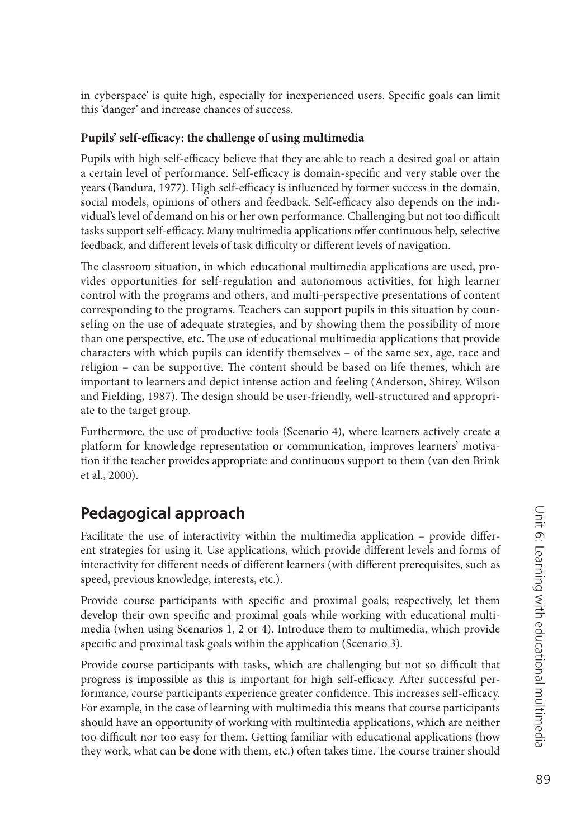in cyberspace' is quite high, especially for inexperienced users. Specific goals can limit this 'danger' and increase chances of success.

#### Pupils' self-efficacy: the challenge of using multimedia

Pupils with high self-efficacy believe that they are able to reach a desired goal or attain a certain level of performance. Self-efficacy is domain-specific and very stable over the years (Bandura, 1977). High self-efficacy is influenced by former success in the domain, social models, opinions of others and feedback. Self-efficacy also depends on the individual's level of demand on his or her own performance. Challenging but not too difficult tasks support self-efficacy. Many multimedia applications offer continuous help, selective feedback, and different levels of task difficulty or different levels of navigation.

The classroom situation, in which educational multimedia applications are used, provides opportunities for self-regulation and autonomous activities, for high learner control with the programs and others, and multi-perspective presentations of content corresponding to the programs. Teachers can support pupils in this situation by counseling on the use of adequate strategies, and by showing them the possibility of more than one perspective, etc. The use of educational multimedia applications that provide characters with which pupils can identify themselves – of the same sex, age, race and religion – can be supportive. The content should be based on life themes, which are important to learners and depict intense action and feeling (Anderson, Shirey, Wilson and Fielding, 1987). The design should be user-friendly, well-structured and appropriate to the target group.

Furthermore, the use of productive tools (Scenario 4), where learners actively create a platform for knowledge representation or communication, improves learners' motivation if the teacher provides appropriate and continuous support to them (van den Brink et al., 2000).

# **Pedagogical approach**

Facilitate the use of interactivity within the multimedia application - provide different strategies for using it. Use applications, which provide different levels and forms of interactivity for different needs of different learners (with different prerequisites, such as speed, previous knowledge, interests, etc.).

Provide course participants with specific and proximal goals; respectively, let them develop their own specific and proximal goals while working with educational multimedia (when using Scenarios 1, 2 or 4). Introduce them to multimedia, which provide specific and proximal task goals within the application (Scenario 3).

Provide course participants with tasks, which are challenging but not so difficult that progress is impossible as this is important for high self-efficacy. After successful performance, course participants experience greater confidence. This increases self-efficacy. For example, in the case of learning with multimedia this means that course participants should have an opportunity of working with multimedia applications, which are neither too difficult nor too easy for them. Getting familiar with educational applications (how they work, what can be done with them, etc.) often takes time. The course trainer should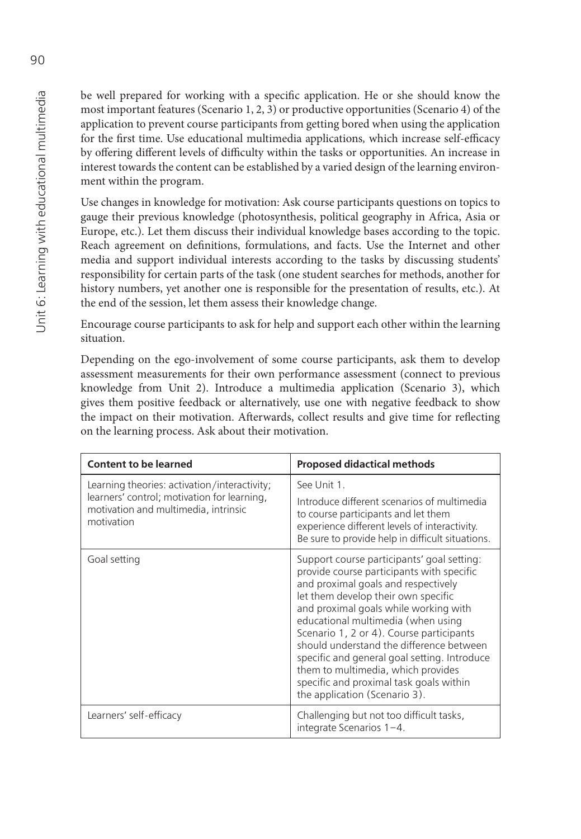be well prepared for working with a specific application. He or she should know the most important features (Scenario 1, 2, 3) or productive opportunities (Scenario 4) of the application to prevent course participants from getting bored when using the application for the first time. Use educational multimedia applications, which increase self-efficacy by offering different levels of difficulty within the tasks or opportunities. An increase in interest towards the content can be established by a varied design of the learning environment within the program.

Use changes in knowledge for motivation: Ask course participants questions on topics to gauge their previous knowledge (photosynthesis, political geography in Africa, Asia or Europe, etc.). Let them discuss their individual knowledge bases according to the topic. Reach agreement on definitions, formulations, and facts. Use the Internet and other media and support individual interests according to the tasks by discussing students' responsibility for certain parts of the task (one student searches for methods, another for history numbers, yet another one is responsible for the presentation of results, etc.). At the end of the session, let them assess their knowledge change.

Encourage course participants to ask for help and support each other within the learning situation.

Depending on the ego-involvement of some course participants, ask them to develop assessment measurements for their own performance assessment (connect to previous knowledge from Unit 2). Introduce a multimedia application (Scenario 3), which gives them positive feedback or alternatively, use one with negative feedback to show the impact on their motivation. Afterwards, collect results and give time for reflecting on the learning process. Ask about their motivation.

| <b>Content to be learned</b>                                                                                                                      | <b>Proposed didactical methods</b>                                                                                                                                                                                                                                                                                                                                                                                                                                                                             |
|---------------------------------------------------------------------------------------------------------------------------------------------------|----------------------------------------------------------------------------------------------------------------------------------------------------------------------------------------------------------------------------------------------------------------------------------------------------------------------------------------------------------------------------------------------------------------------------------------------------------------------------------------------------------------|
| Learning theories: activation/interactivity;<br>learners' control; motivation for learning,<br>motivation and multimedia, intrinsic<br>motivation | See Unit 1.<br>Introduce different scenarios of multimedia<br>to course participants and let them<br>experience different levels of interactivity.<br>Be sure to provide help in difficult situations.                                                                                                                                                                                                                                                                                                         |
| Goal setting                                                                                                                                      | Support course participants' goal setting:<br>provide course participants with specific<br>and proximal goals and respectively<br>let them develop their own specific<br>and proximal goals while working with<br>educational multimedia (when using<br>Scenario 1, 2 or 4). Course participants<br>should understand the difference between<br>specific and general goal setting. Introduce<br>them to multimedia, which provides<br>specific and proximal task goals within<br>the application (Scenario 3). |
| Learners' self-efficacy                                                                                                                           | Challenging but not too difficult tasks,<br>integrate Scenarios 1-4.                                                                                                                                                                                                                                                                                                                                                                                                                                           |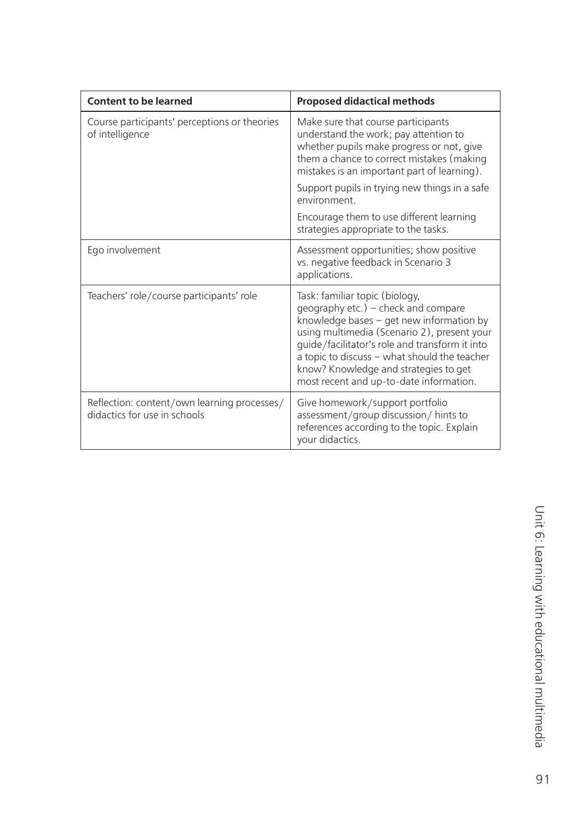| <b>Content to be learned</b>                                                | <b>Proposed didactical methods</b>                                                                                                                                                                                                                                                                                                                     |
|-----------------------------------------------------------------------------|--------------------------------------------------------------------------------------------------------------------------------------------------------------------------------------------------------------------------------------------------------------------------------------------------------------------------------------------------------|
| Course participants' perceptions or theories<br>of intelligence             | Make sure that course participants<br>understand the work; pay attention to<br>whether pupils make progress or not, give<br>them a chance to correct mistakes (making<br>mistakes is an important part of learning).                                                                                                                                   |
|                                                                             | Support pupils in trying new things in a safe<br>environment.                                                                                                                                                                                                                                                                                          |
|                                                                             | Encourage them to use different learning<br>strategies appropriate to the tasks.                                                                                                                                                                                                                                                                       |
| Ego involvement                                                             | Assessment opportunities; show positive<br>vs. negative feedback in Scenario 3<br>applications.                                                                                                                                                                                                                                                        |
| Teachers' role/course participants' role                                    | Task: familiar topic (biology,<br>geography etc.) - check and compare<br>knowledge bases - get new information by<br>using multimedia (Scenario 2), present your<br>guide/facilitator's role and transform it into<br>a topic to discuss - what should the teacher<br>know? Knowledge and strategies to get<br>most recent and up-to-date information. |
| Reflection: content/own learning processes/<br>didactics for use in schools | Give homework/support portfolio<br>assessment/group discussion/hints to<br>references according to the topic. Explain<br>your didactics.                                                                                                                                                                                                               |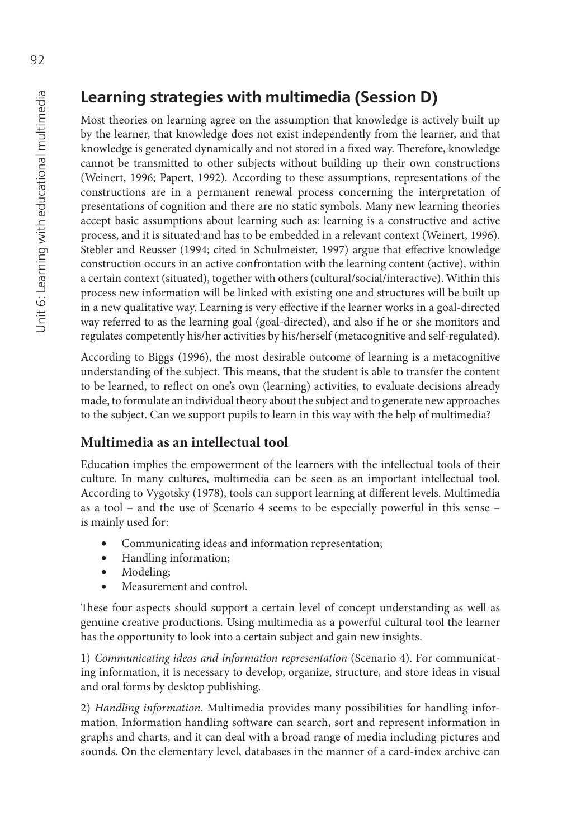### **Learning strategies with multimedia (Session D)**

Most theories on learning agree on the assumption that knowledge is actively built up by the learner, that knowledge does not exist independently from the learner, and that knowledge is generated dynamically and not stored in a fixed way. Therefore, knowledge cannot be transmitted to other subjects without building up their own constructions (Weinert, 1996; Papert, 1992). According to these assumptions, representations of the constructions are in a permanent renewal process concerning the interpretation of presentations of cognition and there are no static symbols. Many new learning theories accept basic assumptions about learning such as: learning is a constructive and active process, and it is situated and has to be embedded in a relevant context (Weinert, 1996). Stebler and Reusser (1994; cited in Schulmeister, 1997) argue that effective knowledge construction occurs in an active confrontation with the learning content (active), within a certain context (situated), together with others (cultural/social/interactive). Within this process new information will be linked with existing one and structures will be built up in a new qualitative way. Learning is very effective if the learner works in a goal-directed way referred to as the learning goal (goal-directed), and also if he or she monitors and regulates competently his/her activities by his/herself (metacognitive and self-regulated).

According to Biggs (1996), the most desirable outcome of learning is a metacognitive understanding of the subject. This means, that the student is able to transfer the content to be learned, to reflect on one's own (learning) activities, to evaluate decisions already made, to formulate an individual theory about the subject and to generate new approaches to the subject. Can we support pupils to learn in this way with the help of multimedia?

### **Multimedia as an intellectual tool**

Education implies the empowerment of the learners with the intellectual tools of their culture. In many cultures, multimedia can be seen as an important intellectual tool. According to Vygotsky (1978), tools can support learning at different levels. Multimedia as a tool – and the use of Scenario 4 seems to be especially powerful in this sense – is mainly used for:

- Communicating ideas and information representation;
- Handling information;
- Modeling;
- Measurement and control.

These four aspects should support a certain level of concept understanding as well as genuine creative productions. Using multimedia as a powerful cultural tool the learner has the opportunity to look into a certain subject and gain new insights.

1) *Communicating ideas and information representation* (Scenario 4). For communicating information, it is necessary to develop, organize, structure, and store ideas in visual and oral forms by desktop publishing.

2) *Handling information*. Multimedia provides many possibilities for handling information. Information handling software can search, sort and represent information in graphs and charts, and it can deal with a broad range of media including pictures and sounds. On the elementary level, databases in the manner of a card-index archive can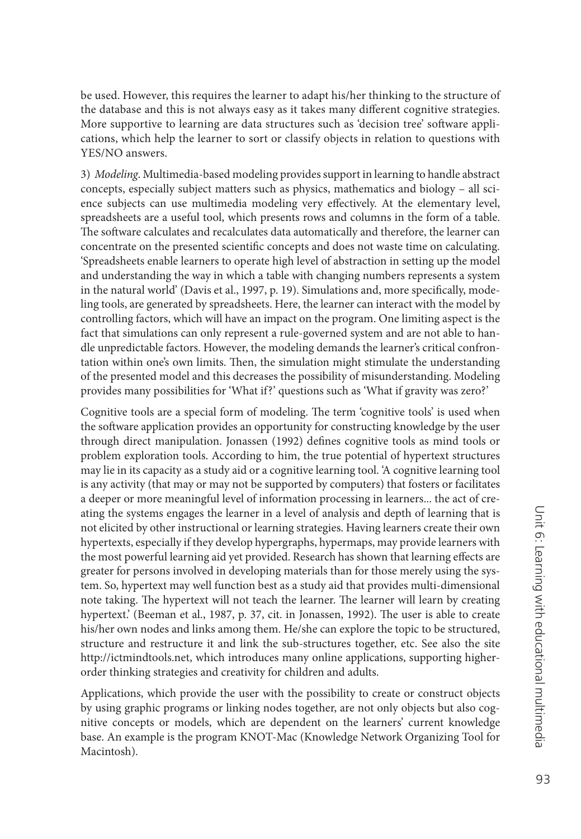be used. However, this requires the learner to adapt his/her thinking to the structure of the database and this is not always easy as it takes many different cognitive strategies. More supportive to learning are data structures such as 'decision tree' software applications, which help the learner to sort or classify objects in relation to questions with YES/NO answers.

3) *Modeling*. Multimedia-based modeling provides support in learning to handle abstract concepts, especially subject matters such as physics, mathematics and biology – all science subjects can use multimedia modeling very effectively. At the elementary level, spreadsheets are a useful tool, which presents rows and columns in the form of a table. The software calculates and recalculates data automatically and therefore, the learner can concentrate on the presented scientific concepts and does not waste time on calculating. 'Spreadsheets enable learners to operate high level of abstraction in setting up the model and understanding the way in which a table with changing numbers represents a system in the natural world' (Davis et al., 1997, p. 19). Simulations and, more specifically, modeling tools, are generated by spreadsheets. Here, the learner can interact with the model by controlling factors, which will have an impact on the program. One limiting aspect is the fact that simulations can only represent a rule-governed system and are not able to handle unpredictable factors. However, the modeling demands the learner's critical confrontation within one's own limits. Then, the simulation might stimulate the understanding of the presented model and this decreases the possibility of misunderstanding. Modeling provides many possibilities for 'What if?' questions such as 'What if gravity was zero?'

Cognitive tools are a special form of modeling. The term 'cognitive tools' is used when the software application provides an opportunity for constructing knowledge by the user through direct manipulation. Jonassen (1992) defines cognitive tools as mind tools or problem exploration tools. According to him, the true potential of hypertext structures may lie in its capacity as a study aid or a cognitive learning tool. 'A cognitive learning tool is any activity (that may or may not be supported by computers) that fosters or facilitates a deeper or more meaningful level of information processing in learners... the act of creating the systems engages the learner in a level of analysis and depth of learning that is not elicited by other instructional or learning strategies. Having learners create their own hypertexts, especially if they develop hypergraphs, hypermaps, may provide learners with the most powerful learning aid yet provided. Research has shown that learning effects are greater for persons involved in developing materials than for those merely using the system. So, hypertext may well function best as a study aid that provides multi-dimensional note taking. The hypertext will not teach the learner. The learner will learn by creating hypertext.' (Beeman et al., 1987, p. 37, cit. in Jonassen, 1992). The user is able to create his/her own nodes and links among them. He/she can explore the topic to be structured, structure and restructure it and link the sub-structures together, etc. See also the site [http://ictmindtools.net, w](http://ictmindtools.net)hich introduces many online applications, supporting higherorder thinking strategies and creativity for children and adults.

Applications, which provide the user with the possibility to create or construct objects by using graphic programs or linking nodes together, are not only objects but also cognitive concepts or models, which are dependent on the learners' current knowledge base. An example is the program KNOT-Mac (Knowledge Network Organizing Tool for Macintosh).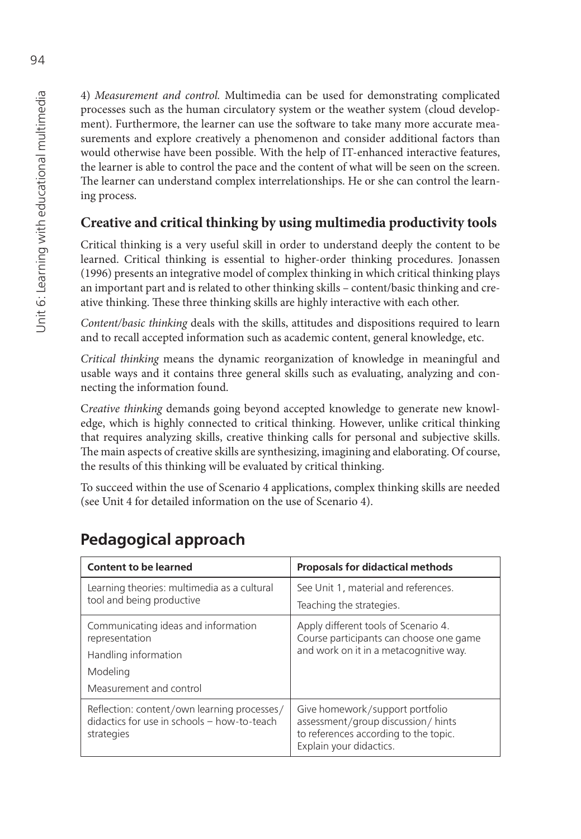4) *Measurement and control.* Multimedia can be used for demonstrating complicated processes such as the human circulatory system or the weather system (cloud development). Furthermore, the learner can use the software to take many more accurate measurements and explore creatively a phenomenon and consider additional factors than would otherwise have been possible. With the help of IT-enhanced interactive features, the learner is able to control the pace and the content of what will be seen on the screen. The learner can understand complex interrelationships. He or she can control the learning process.

### **Creative and critical thinking by using multimedia productivity tools**

Critical thinking is a very useful skill in order to understand deeply the content to be learned. Critical thinking is essential to higher-order thinking procedures. Jonassen (1996) presents an integrative model of complex thinking in which critical thinking plays an important part and is related to other thinking skills – content/basic thinking and creative thinking. These three thinking skills are highly interactive with each other.

*Content/basic thinking* deals with the skills, attitudes and dispositions required to learn and to recall accepted information such as academic content, general knowledge, etc.

*Critical thinking* means the dynamic reorganization of knowledge in meaningful and usable ways and it contains three general skills such as evaluating, analyzing and connecting the information found.

C*reative thinking* demands going beyond accepted knowledge to generate new knowledge, which is highly connected to critical thinking. However, unlike critical thinking that requires analyzing skills, creative thinking calls for personal and subjective skills. The main aspects of creative skills are synthesizing, imagining and elaborating. Of course, the results of this thinking will be evaluated by critical thinking.

To succeed within the use of Scenario 4 applications, complex thinking skills are needed (see Unit 4 for detailed information on the use of Scenario 4).

# **Pedagogical approach**

| <b>Content to be learned</b>                                                                             | <b>Proposals for didactical methods</b>                                                                                                  |
|----------------------------------------------------------------------------------------------------------|------------------------------------------------------------------------------------------------------------------------------------------|
| Learning theories: multimedia as a cultural<br>tool and being productive                                 | See Unit 1, material and references.                                                                                                     |
|                                                                                                          | Teaching the strategies.                                                                                                                 |
| Communicating ideas and information<br>representation                                                    | Apply different tools of Scenario 4.<br>Course participants can choose one game                                                          |
| Handling information                                                                                     | and work on it in a metacognitive way.                                                                                                   |
| Modeling                                                                                                 |                                                                                                                                          |
| Measurement and control                                                                                  |                                                                                                                                          |
| Reflection: content/own learning processes/<br>didactics for use in schools - how-to-teach<br>strategies | Give homework/support portfolio<br>assessment/group discussion/hints<br>to references according to the topic.<br>Explain your didactics. |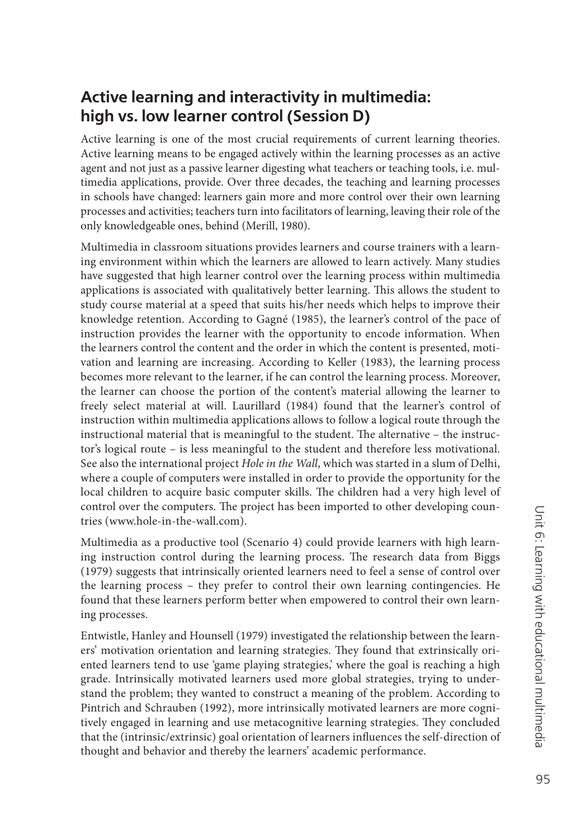### **Active learning and interactivity in multimedia: high vs. low learner control (Session D)**

Active learning is one of the most crucial requirements of current learning theories. Active learning means to be engaged actively within the learning processes as an active agent and not just as a passive learner digesting what teachers or teaching tools, i.e. multimedia applications, provide. Over three decades, the teaching and learning processes in schools have changed: learners gain more and more control over their own learning processes and activities; teachers turn into facilitators of learning, leaving their role of the only knowledgeable ones, behind (Merill, 1980).

Multimedia in classroom situations provides learners and course trainers with a learning environment within which the learners are allowed to learn actively. Many studies have suggested that high learner control over the learning process within multimedia applications is associated with qualitatively better learning. This allows the student to study course material at a speed that suits his/her needs which helps to improve their knowledge retention. According to Gagné (1985), the learner's control of the pace of instruction provides the learner with the opportunity to encode information. When the learners control the content and the order in which the content is presented, motivation and learning are increasing. According to Keller (1983), the learning process becomes more relevant to the learner, if he can control the learning process. Moreover, the learner can choose the portion of the content's material allowing the learner to freely select material at will. Laurillard (1984) found that the learner's control of instruction within multimedia applications allows to follow a logical route through the instructional material that is meaningful to the student. The alternative - the instructor's logical route – is less meaningful to the student and therefore less motivational. See also the international project *Hole in the Wall*, which was started in a slum of Delhi, where a couple of computers were installed in order to provide the opportunity for the local children to acquire basic computer skills. The children had a very high level of control over the computers. The project has been imported to other developing countries ([www.hole-in-the-wall.com\).](http://www.hole-in-the-wall.com)

Multimedia as a productive tool (Scenario 4) could provide learners with high learning instruction control during the learning process. The research data from Biggs (1979) suggests that intrinsically oriented learners need to feel a sense of control over the learning process – they prefer to control their own learning contingencies. He found that these learners perform better when empowered to control their own learning processes.

Entwistle, Hanley and Hounsell (1979) investigated the relationship between the learners' motivation orientation and learning strategies. They found that extrinsically oriented learners tend to use 'game playing strategies,' where the goal is reaching a high grade. Intrinsically motivated learners used more global strategies, trying to understand the problem; they wanted to construct a meaning of the problem. According to Pintrich and Schrauben (1992), more intrinsically motivated learners are more cognitively engaged in learning and use metacognitive learning strategies. They concluded that the (intrinsic/extrinsic) goal orientation of learners influences the self-direction of thought and behavior and thereby the learners' academic performance.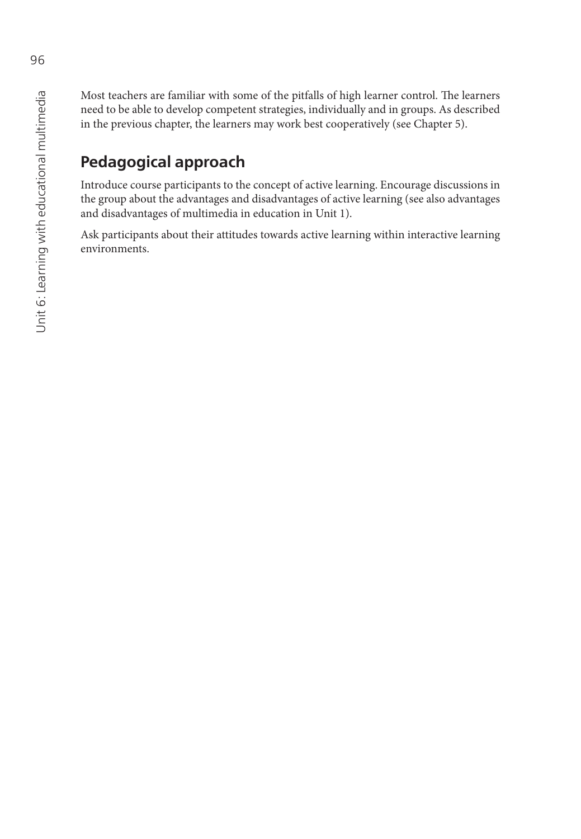Most teachers are familiar with some of the pitfalls of high learner control. The learners need to be able to develop competent strategies, individually and in groups. As described in the previous chapter, the learners may work best cooperatively (see Chapter 5).

# **Pedagogical approach**

Introduce course participants to the concept of active learning. Encourage discussions in the group about the advantages and disadvantages of active learning (see also advantages and disadvantages of multimedia in education in Unit 1).

Ask participants about their attitudes towards active learning within interactive learning environments.

96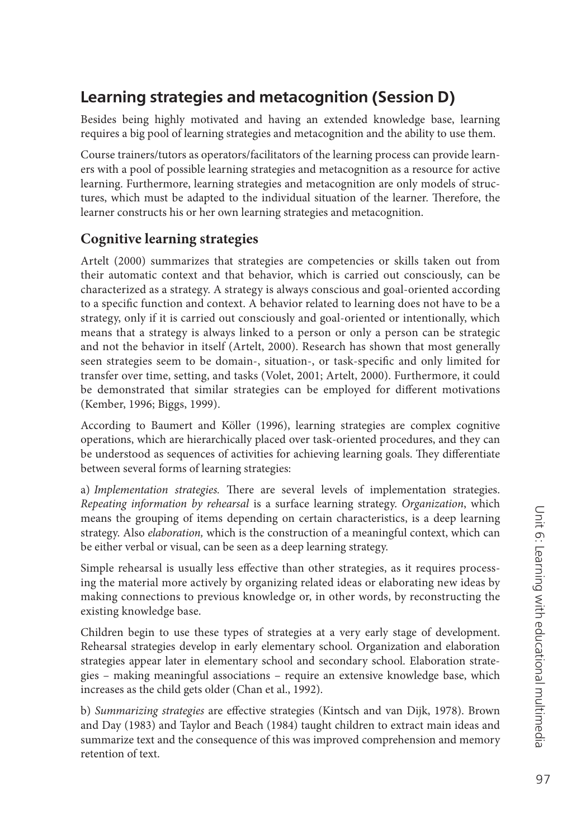# **Learning strategies and metacognition (Session D)**

Besides being highly motivated and having an extended knowledge base, learning requires a big pool of learning strategies and metacognition and the ability to use them.

Course trainers/tutors as operators/facilitators of the learning process can provide learners with a pool of possible learning strategies and metacognition as a resource for active learning. Furthermore, learning strategies and metacognition are only models of structures, which must be adapted to the individual situation of the learner. Therefore, the learner constructs his or her own learning strategies and metacognition.

### **Cognitive learning strategies**

Artelt (2000) summarizes that strategies are competencies or skills taken out from their automatic context and that behavior, which is carried out consciously, can be characterized as a strategy. A strategy is always conscious and goal-oriented according to a specific function and context. A behavior related to learning does not have to be a strategy, only if it is carried out consciously and goal-oriented or intentionally, which means that a strategy is always linked to a person or only a person can be strategic and not the behavior in itself (Artelt, 2000). Research has shown that most generally seen strategies seem to be domain-, situation-, or task-specific and only limited for transfer over time, setting, and tasks (Volet, 2001; Artelt, 2000). Furthermore, it could be demonstrated that similar strategies can be employed for different motivations (Kember, 1996; Biggs, 1999).

According to Baumert and Köller (1996), learning strategies are complex cognitive operations, which are hierarchically placed over task-oriented procedures, and they can be understood as sequences of activities for achieving learning goals. They differentiate between several forms of learning strategies:

a) *Implementation strategies*. There are several levels of implementation strategies. *Repeating information by rehearsal* is a surface learning strategy. *Organization*, which means the grouping of items depending on certain characteristics, is a deep learning strategy. Also *elaboration,* which is the construction of a meaningful context, which can be either verbal or visual, can be seen as a deep learning strategy.

Simple rehearsal is usually less effective than other strategies, as it requires processing the material more actively by organizing related ideas or elaborating new ideas by making connections to previous knowledge or, in other words, by reconstructing the existing knowledge base.

Children begin to use these types of strategies at a very early stage of development. Rehearsal strategies develop in early elementary school. Organization and elaboration strategies appear later in elementary school and secondary school. Elaboration strategies – making meaningful associations – require an extensive knowledge base, which increases as the child gets older (Chan et al., 1992).

b) *Summarizing strategies* are effective strategies (Kintsch and van Dijk, 1978). Brown and Day (1983) and Taylor and Beach (1984) taught children to extract main ideas and summarize text and the consequence of this was improved comprehension and memory retention of text.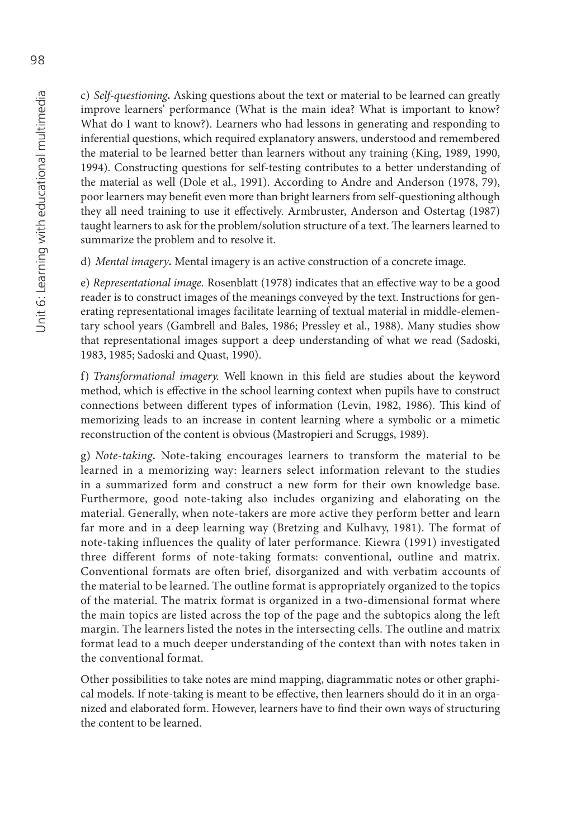c) *Self-questioning.* Asking questions about the text or material to be learned can greatly improve learners' performance (What is the main idea? What is important to know? What do I want to know?). Learners who had lessons in generating and responding to inferential questions, which required explanatory answers, understood and remembered the material to be learned better than learners without any training (King, 1989, 1990, 1994). Constructing questions for self-testing contributes to a better understanding of the material as well (Dole et al., 1991). According to Andre and Anderson (1978, 79), poor learners may benefit even more than bright learners from self-questioning although they all need training to use it effectively. Armbruster, Anderson and Ostertag (1987) taught learners to ask for the problem/solution structure of a text. The learners learned to summarize the problem and to resolve it.

d) *Mental imagery.* Mental imagery is an active construction of a concrete image.

e) *Representational image*. Rosenblatt (1978) indicates that an effective way to be a good reader is to construct images of the meanings conveyed by the text. Instructions for generating representational images facilitate learning of textual material in middle-elementary school years (Gambrell and Bales, 1986; Pressley et al., 1988). Many studies show that representational images support a deep understanding of what we read (Sadoski, 1983, 1985; Sadoski and Quast, 1990).

f) *Transformational imagery*. Well known in this field are studies about the keyword method, which is effective in the school learning context when pupils have to construct connections between different types of information (Levin, 1982, 1986). This kind of memorizing leads to an increase in content learning where a symbolic or a mimetic reconstruction of the content is obvious (Mastropieri and Scruggs, 1989).

g) *Note-taking.* Note-taking encourages learners to transform the material to be learned in a memorizing way: learners select information relevant to the studies in a summarized form and construct a new form for their own knowledge base. Furthermore, good note-taking also includes organizing and elaborating on the material. Generally, when note-takers are more active they perform better and learn far more and in a deep learning way (Bretzing and Kulhavy, 1981). The format of note-taking influences the quality of later performance. Kiewra (1991) investigated three different forms of note-taking formats: conventional, outline and matrix. Conventional formats are often brief, disorganized and with verbatim accounts of the material to be learned. The outline format is appropriately organized to the topics of the material. The matrix format is organized in a two-dimensional format where the main topics are listed across the top of the page and the subtopics along the left margin. The learners listed the notes in the intersecting cells. The outline and matrix format lead to a much deeper understanding of the context than with notes taken in the conventional format.

Other possibilities to take notes are mind mapping, diagrammatic notes or other graphical models. If note-taking is meant to be effective, then learners should do it in an organized and elaborated form. However, learners have to find their own ways of structuring the content to be learned.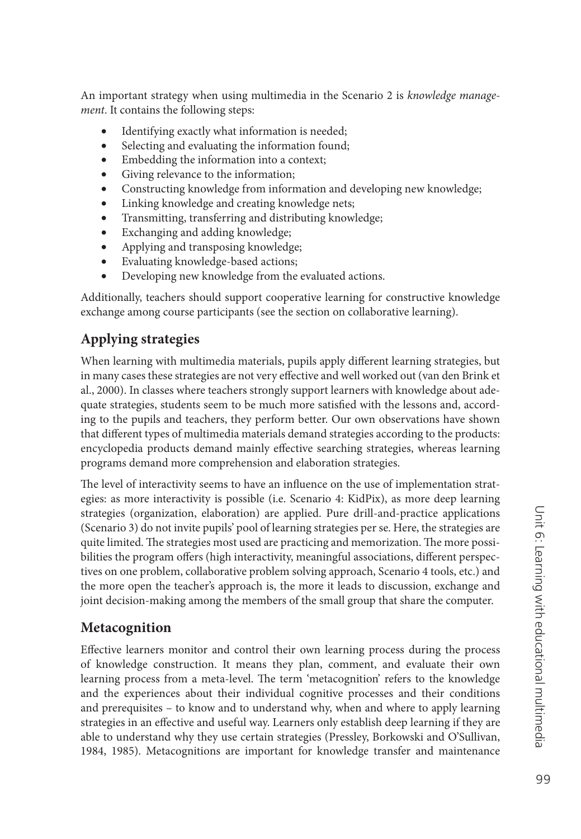An important strategy when using multimedia in the Scenario 2 is *knowledge management*. It contains the following steps:

- Identifying exactly what information is needed;
- Selecting and evaluating the information found;
- Embedding the information into a context;
- Giving relevance to the information;
- Constructing knowledge from information and developing new knowledge;
- Linking knowledge and creating knowledge nets;
- Transmitting, transferring and distributing knowledge;
- Exchanging and adding knowledge;
- Applying and transposing knowledge;
- Evaluating knowledge-based actions;
- Developing new knowledge from the evaluated actions.

Additionally, teachers should support cooperative learning for constructive knowledge exchange among course participants (see the section on collaborative learning).

### **Applying strategies**

When learning with multimedia materials, pupils apply different learning strategies, but in many cases these strategies are not very effective and well worked out (van den Brink et al., 2000). In classes where teachers strongly support learners with knowledge about adequate strategies, students seem to be much more satisfied with the lessons and, according to the pupils and teachers, they perform better. Our own observations have shown that different types of multimedia materials demand strategies according to the products: encyclopedia products demand mainly effective searching strategies, whereas learning programs demand more comprehension and elaboration strategies.

The level of interactivity seems to have an influence on the use of implementation strategies: as more interactivity is possible (i.e. Scenario 4: KidPix), as more deep learning strategies (organization, elaboration) are applied. Pure drill-and-practice applications (Scenario 3) do not invite pupils' pool of learning strategies per se. Here, the strategies are quite limited. The strategies most used are practicing and memorization. The more possibilities the program offers (high interactivity, meaningful associations, different perspectives on one problem, collaborative problem solving approach, Scenario 4 tools, etc.) and the more open the teacher's approach is, the more it leads to discussion, exchange and joint decision-making among the members of the small group that share the computer.

### **Metacognition**

Effective learners monitor and control their own learning process during the process of knowledge construction. It means they plan, comment, and evaluate their own learning process from a meta-level. The term 'metacognition' refers to the knowledge and the experiences about their individual cognitive processes and their conditions and prerequisites – to know and to understand why, when and where to apply learning strategies in an effective and useful way. Learners only establish deep learning if they are able to understand why they use certain strategies (Pressley, Borkowski and O'Sullivan, 1984, 1985). Metacognitions are important for knowledge transfer and maintenance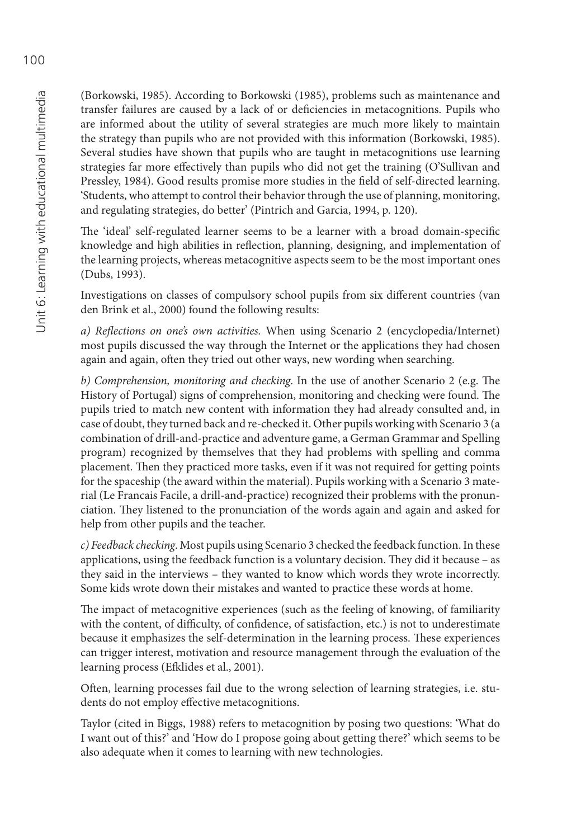(Borkowski, 1985). According to Borkowski (1985), problems such as maintenance and transfer failures are caused by a lack of or deficiencies in metacognitions. Pupils who are informed about the utility of several strategies are much more likely to maintain the strategy than pupils who are not provided with this information (Borkowski, 1985). Several studies have shown that pupils who are taught in metacognitions use learning strategies far more effectively than pupils who did not get the training (O'Sullivan and Pressley, 1984). Good results promise more studies in the field of self-directed learning. 'Students, who attempt to control their behavior through the use of planning, monitoring, and regulating strategies, do better' (Pintrich and Garcia, 1994, p. 120).

The 'ideal' self-regulated learner seems to be a learner with a broad domain-specific knowledge and high abilities in reflection, planning, designing, and implementation of the learning projects, whereas metacognitive aspects seem to be the most important ones (Dubs, 1993).

Investigations on classes of compulsory school pupils from six different countries (van den Brink et al., 2000) found the following results:

*a) Refl ections on one's own activities.* When using Scenario 2 (encyclopedia/Internet) most pupils discussed the way through the Internet or the applications they had chosen again and again, often they tried out other ways, new wording when searching.

*b)* Comprehension, monitoring and checking. In the use of another Scenario 2 (e.g. The History of Portugal) signs of comprehension, monitoring and checking were found. The pupils tried to match new content with information they had already consulted and, in case of doubt, they turned back and re-checked it. Other pupils working with Scenario 3 (a combination of drill-and-practice and adventure game, a German Grammar and Spelling program) recognized by themselves that they had problems with spelling and comma placement. Then they practiced more tasks, even if it was not required for getting points for the spaceship (the award within the material). Pupils working with a Scenario 3 material (Le Francais Facile, a drill-and-practice) recognized their problems with the pronunciation. They listened to the pronunciation of the words again and again and asked for help from other pupils and the teacher.

*c) Feedback checking*. Most pupils using Scenario 3 checked the feedback function. In these applications, using the feedback function is a voluntary decision. They did it because - as they said in the interviews – they wanted to know which words they wrote incorrectly. Some kids wrote down their mistakes and wanted to practice these words at home.

The impact of metacognitive experiences (such as the feeling of knowing, of familiarity with the content, of difficulty, of confidence, of satisfaction, etc.) is not to underestimate because it emphasizes the self-determination in the learning process. These experiences can trigger interest, motivation and resource management through the evaluation of the learning process (Efklides et al., 2001).

Often, learning processes fail due to the wrong selection of learning strategies, i.e. students do not employ effective metacognitions.

Taylor (cited in Biggs, 1988) refers to metacognition by posing two questions: 'What do I want out of this?' and 'How do I propose going about getting there?' which seems to be also adequate when it comes to learning with new technologies.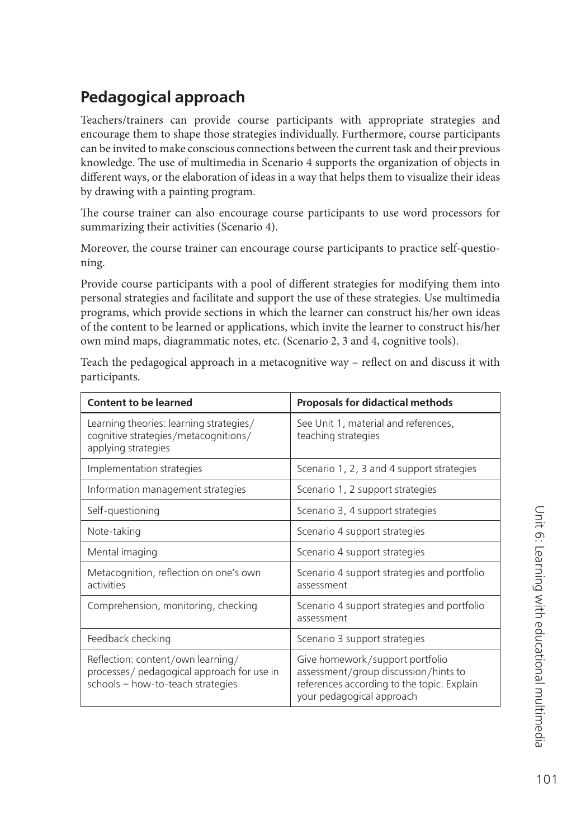### **Pedagogical approach**

Teachers/trainers can provide course participants with appropriate strategies and encourage them to shape those strategies individually. Furthermore, course participants can be invited to make conscious connections between the current task and their previous knowledge. The use of multimedia in Scenario 4 supports the organization of objects in different ways, or the elaboration of ideas in a way that helps them to visualize their ideas by drawing with a painting program.

The course trainer can also encourage course participants to use word processors for summarizing their activities (Scenario 4).

Moreover, the course trainer can encourage course participants to practice self-questioning.

Provide course participants with a pool of different strategies for modifying them into personal strategies and facilitate and support the use of these strategies. Use multimedia programs, which provide sections in which the learner can construct his/her own ideas of the content to be learned or applications, which invite the learner to construct his/her own mind maps, diagrammatic notes, etc. (Scenario 2, 3 and 4, cognitive tools).

Teach the pedagogical approach in a metacognitive way - reflect on and discuss it with participants.

| <b>Content to be learned</b>                                                                                         | <b>Proposals for didactical methods</b>                                                                                                            |
|----------------------------------------------------------------------------------------------------------------------|----------------------------------------------------------------------------------------------------------------------------------------------------|
| Learning theories: learning strategies/<br>cognitive strategies/metacognitions/<br>applying strategies               | See Unit 1, material and references,<br>teaching strategies                                                                                        |
| Implementation strategies                                                                                            | Scenario 1, 2, 3 and 4 support strategies                                                                                                          |
| Information management strategies                                                                                    | Scenario 1, 2 support strategies                                                                                                                   |
| Self-questioning                                                                                                     | Scenario 3, 4 support strategies                                                                                                                   |
| Note-taking                                                                                                          | Scenario 4 support strategies                                                                                                                      |
| Mental imaging                                                                                                       | Scenario 4 support strategies                                                                                                                      |
| Metacognition, reflection on one's own<br>activities                                                                 | Scenario 4 support strategies and portfolio<br>assessment                                                                                          |
| Comprehension, monitoring, checking                                                                                  | Scenario 4 support strategies and portfolio<br>assessment                                                                                          |
| Feedback checking                                                                                                    | Scenario 3 support strategies                                                                                                                      |
| Reflection: content/own learning/<br>processes/ pedagogical approach for use in<br>schools - how-to-teach strategies | Give homework/support portfolio<br>assessment/group discussion/hints to<br>references according to the topic. Explain<br>your pedagogical approach |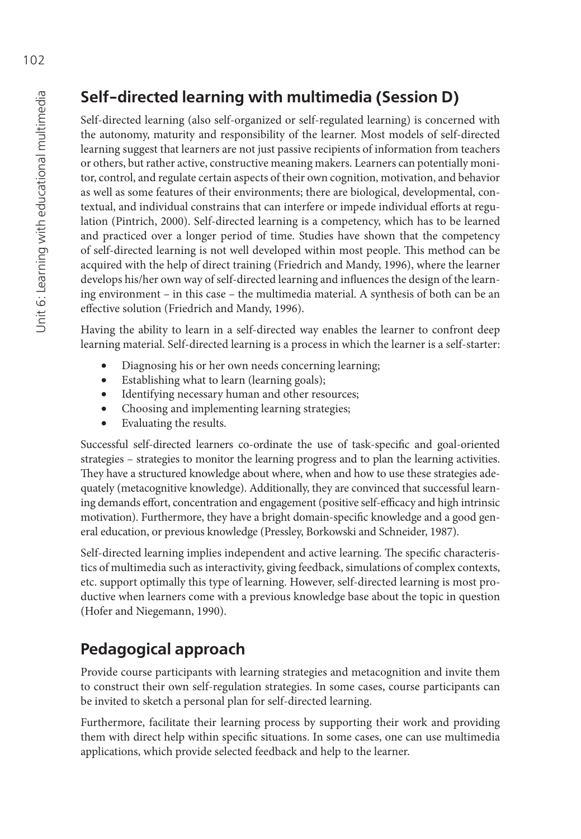# **Self-directed learning with multimedia (Session D)**

Self-directed learning (also self-organized or self-regulated learning) is concerned with the autonomy, maturity and responsibility of the learner. Most models of self-directed learning suggest that learners are not just passive recipients of information from teachers or others, but rather active, constructive meaning makers. Learners can potentially monitor, control, and regulate certain aspects of their own cognition, motivation, and behavior as well as some features of their environments; there are biological, developmental, contextual, and individual constrains that can interfere or impede individual efforts at regulation (Pintrich, 2000). Self-directed learning is a competency, which has to be learned and practiced over a longer period of time. Studies have shown that the competency of self-directed learning is not well developed within most people. This method can be acquired with the help of direct training (Friedrich and Mandy, 1996), where the learner develops his/her own way of self-directed learning and influences the design of the learning environment – in this case – the multimedia material. A synthesis of both can be an effective solution (Friedrich and Mandy, 1996).

Having the ability to learn in a self-directed way enables the learner to confront deep learning material. Self-directed learning is a process in which the learner is a self-starter:

- Diagnosing his or her own needs concerning learning;
- Establishing what to learn (learning goals);
- Identifying necessary human and other resources;
- Choosing and implementing learning strategies;
- Evaluating the results.

Successful self-directed learners co-ordinate the use of task-specific and goal-oriented strategies – strategies to monitor the learning progress and to plan the learning activities. They have a structured knowledge about where, when and how to use these strategies adequately (metacognitive knowledge). Additionally, they are convinced that successful learning demands effort, concentration and engagement (positive self-efficacy and high intrinsic motivation). Furthermore, they have a bright domain-specific knowledge and a good general education, or previous knowledge (Pressley, Borkowski and Schneider, 1987).

Self-directed learning implies independent and active learning. The specific characteristics of multimedia such as interactivity, giving feedback, simulations of complex contexts, etc. support optimally this type of learning. However, self-directed learning is most productive when learners come with a previous knowledge base about the topic in question (Hofer and Niegemann, 1990).

# **Pedagogical approach**

Provide course participants with learning strategies and metacognition and invite them to construct their own self-regulation strategies. In some cases, course participants can be invited to sketch a personal plan for self-directed learning.

Furthermore, facilitate their learning process by supporting their work and providing them with direct help within specific situations. In some cases, one can use multimedia applications, which provide selected feedback and help to the learner.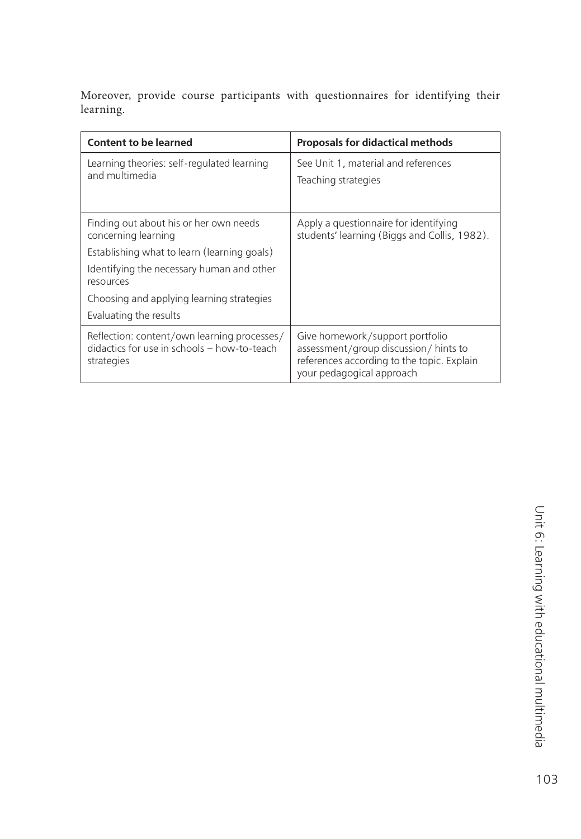Moreover, provide course participants with questionnaires for identifying their learning.

| <b>Content to be learned</b>                                                                                                                                                                                                                  | <b>Proposals for didactical methods</b>                                                                                                             |
|-----------------------------------------------------------------------------------------------------------------------------------------------------------------------------------------------------------------------------------------------|-----------------------------------------------------------------------------------------------------------------------------------------------------|
| Learning theories: self-regulated learning<br>and multimedia                                                                                                                                                                                  | See Unit 1, material and references<br>Teaching strategies                                                                                          |
| Finding out about his or her own needs<br>concerning learning<br>Establishing what to learn (learning goals)<br>Identifying the necessary human and other<br>resources<br>Choosing and applying learning strategies<br>Evaluating the results | Apply a questionnaire for identifying<br>students' learning (Biggs and Collis, 1982).                                                               |
| Reflection: content/own learning processes/<br>didactics for use in schools - how-to-teach<br>strategies                                                                                                                                      | Give homework/support portfolio<br>assessment/group discussion/ hints to<br>references according to the topic. Explain<br>your pedagogical approach |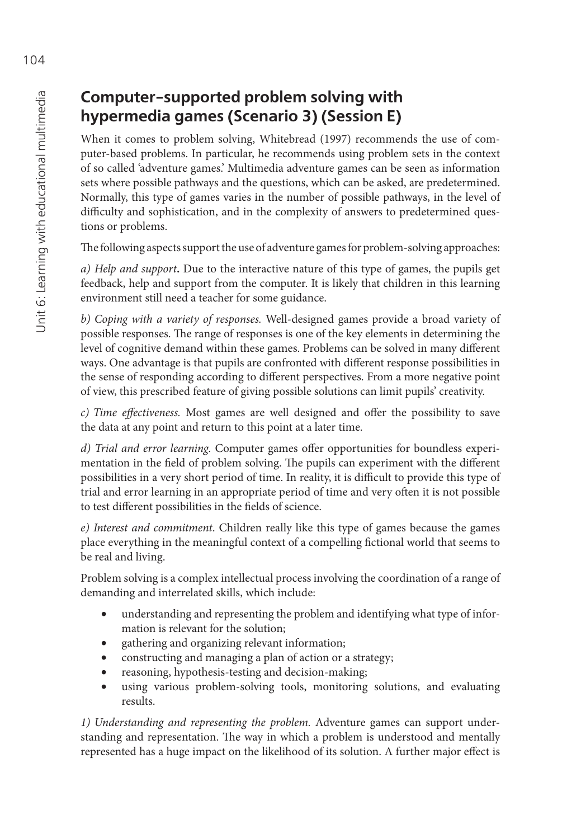# **Computer-supported problem solving with hypermedia games (Scenario 3) (Session E)**

When it comes to problem solving, Whitebread (1997) recommends the use of computer-based problems. In particular, he recommends using problem sets in the context of so called 'adventure games.' Multimedia adventure games can be seen as information sets where possible pathways and the questions, which can be asked, are predetermined. Normally, this type of games varies in the number of possible pathways, in the level of difficulty and sophistication, and in the complexity of answers to predetermined questions or problems.

The following aspects support the use of adventure games for problem-solving approaches:

*a) Help and support***.** Due to the interactive nature of this type of games, the pupils get feedback, help and support from the computer. It is likely that children in this learning environment still need a teacher for some guidance.

*b) Coping with a variety of responses.* Well-designed games provide a broad variety of possible responses. The range of responses is one of the key elements in determining the level of cognitive demand within these games. Problems can be solved in many different ways. One advantage is that pupils are confronted with different response possibilities in the sense of responding according to different perspectives. From a more negative point of view, this prescribed feature of giving possible solutions can limit pupils' creativity.

*c) Time effectiveness.* Most games are well designed and offer the possibility to save the data at any point and return to this point at a later time.

*d) Trial and error learning*. Computer games offer opportunities for boundless experimentation in the field of problem solving. The pupils can experiment with the different possibilities in a very short period of time. In reality, it is difficult to provide this type of trial and error learning in an appropriate period of time and very often it is not possible to test different possibilities in the fields of science.

*e) Interest and commitment*. Children really like this type of games because the games place everything in the meaningful context of a compelling fictional world that seems to be real and living.

Problem solving is a complex intellectual process involving the coordination of a range of demanding and interrelated skills, which include:

- understanding and representing the problem and identifying what type of information is relevant for the solution;
- gathering and organizing relevant information;
- constructing and managing a plan of action or a strategy;
- reasoning, hypothesis-testing and decision-making;
- using various problem-solving tools, monitoring solutions, and evaluating results.

*1) Understanding and representing the problem.* Adventure games can support understanding and representation. The way in which a problem is understood and mentally represented has a huge impact on the likelihood of its solution. A further major effect is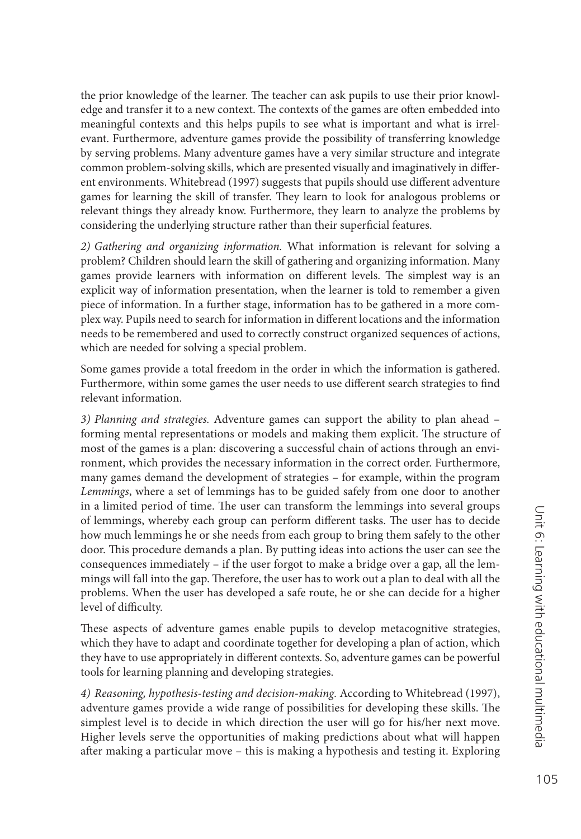the prior knowledge of the learner. The teacher can ask pupils to use their prior knowledge and transfer it to a new context. The contexts of the games are often embedded into meaningful contexts and this helps pupils to see what is important and what is irrelevant. Furthermore, adventure games provide the possibility of transferring knowledge by serving problems. Many adventure games have a very similar structure and integrate common problem-solving skills, which are presented visually and imaginatively in different environments. Whitebread (1997) suggests that pupils should use different adventure games for learning the skill of transfer. They learn to look for analogous problems or relevant things they already know. Furthermore, they learn to analyze the problems by considering the underlying structure rather than their superficial features.

*2) Gathering and organizing information.* What information is relevant for solving a problem? Children should learn the skill of gathering and organizing information. Many games provide learners with information on different levels. The simplest way is an explicit way of information presentation, when the learner is told to remember a given piece of information. In a further stage, information has to be gathered in a more complex way. Pupils need to search for information in different locations and the information needs to be remembered and used to correctly construct organized sequences of actions, which are needed for solving a special problem.

Some games provide a total freedom in the order in which the information is gathered. Furthermore, within some games the user needs to use different search strategies to find relevant information.

*3) Planning and strategies.* Adventure games can support the ability to plan ahead – forming mental representations or models and making them explicit. The structure of most of the games is a plan: discovering a successful chain of actions through an environment, which provides the necessary information in the correct order. Furthermore, many games demand the development of strategies – for example, within the program *Lemmings*, where a set of lemmings has to be guided safely from one door to another in a limited period of time. The user can transform the lemmings into several groups of lemmings, whereby each group can perform different tasks. The user has to decide how much lemmings he or she needs from each group to bring them safely to the other door. This procedure demands a plan. By putting ideas into actions the user can see the consequences immediately – if the user forgot to make a bridge over a gap, all the lemmings will fall into the gap. Therefore, the user has to work out a plan to deal with all the problems. When the user has developed a safe route, he or she can decide for a higher level of difficulty.

These aspects of adventure games enable pupils to develop metacognitive strategies, which they have to adapt and coordinate together for developing a plan of action, which they have to use appropriately in different contexts. So, adventure games can be powerful tools for learning planning and developing strategies.

*4) Reasoning, hypothesis-testing and decision-making.* According to Whitebread (1997), adventure games provide a wide range of possibilities for developing these skills. The simplest level is to decide in which direction the user will go for his/her next move. Higher levels serve the opportunities of making predictions about what will happen after making a particular move – this is making a hypothesis and testing it. Exploring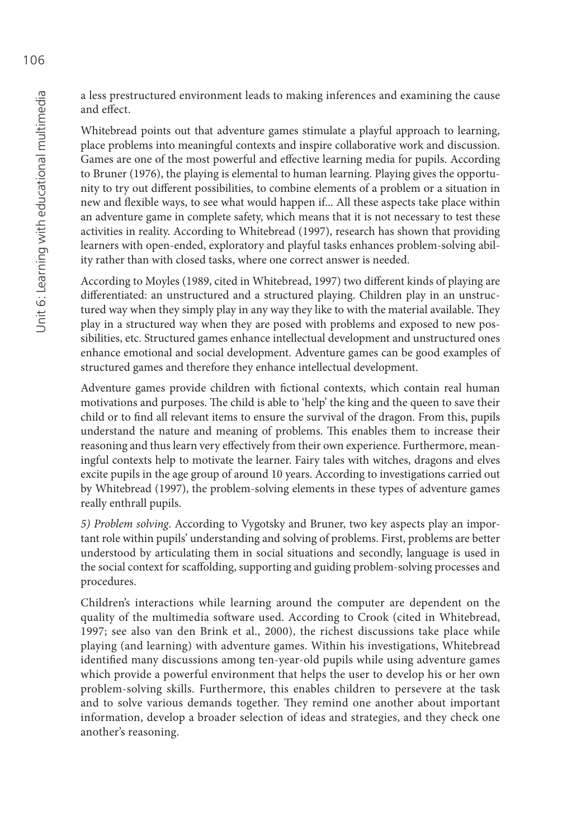a less prestructured environment leads to making inferences and examining the cause and effect.

Whitebread points out that adventure games stimulate a playful approach to learning, place problems into meaningful contexts and inspire collaborative work and discussion. Games are one of the most powerful and effective learning media for pupils. According to Bruner (1976), the playing is elemental to human learning. Playing gives the opportunity to try out different possibilities, to combine elements of a problem or a situation in new and flexible ways, to see what would happen if... All these aspects take place within an adventure game in complete safety, which means that it is not necessary to test these activities in reality. According to Whitebread (1997), research has shown that providing learners with open-ended, exploratory and playful tasks enhances problem-solving ability rather than with closed tasks, where one correct answer is needed.

According to Moyles (1989, cited in Whitebread, 1997) two different kinds of playing are differentiated: an unstructured and a structured playing. Children play in an unstructured way when they simply play in any way they like to with the material available. They play in a structured way when they are posed with problems and exposed to new possibilities, etc. Structured games enhance intellectual development and unstructured ones enhance emotional and social development. Adventure games can be good examples of structured games and therefore they enhance intellectual development.

Adventure games provide children with fictional contexts, which contain real human motivations and purposes. The child is able to 'help' the king and the queen to save their child or to find all relevant items to ensure the survival of the dragon. From this, pupils understand the nature and meaning of problems. This enables them to increase their reasoning and thus learn very effectively from their own experience. Furthermore, meaningful contexts help to motivate the learner. Fairy tales with witches, dragons and elves excite pupils in the age group of around 10 years. According to investigations carried out by Whitebread (1997), the problem-solving elements in these types of adventure games really enthrall pupils.

*5) Problem solving*. According to Vygotsky and Bruner, two key aspects play an important role within pupils' understanding and solving of problems. First, problems are better understood by articulating them in social situations and secondly, language is used in the social context for scaffolding, supporting and guiding problem-solving processes and procedures.

Children's interactions while learning around the computer are dependent on the quality of the multimedia software used. According to Crook (cited in Whitebread, 1997; see also van den Brink et al., 2000), the richest discussions take place while playing (and learning) with adventure games. Within his investigations, Whitebread identified many discussions among ten-year-old pupils while using adventure games which provide a powerful environment that helps the user to develop his or her own problem-solving skills. Furthermore, this enables children to persevere at the task and to solve various demands together. They remind one another about important information, develop a broader selection of ideas and strategies, and they check one another's reasoning.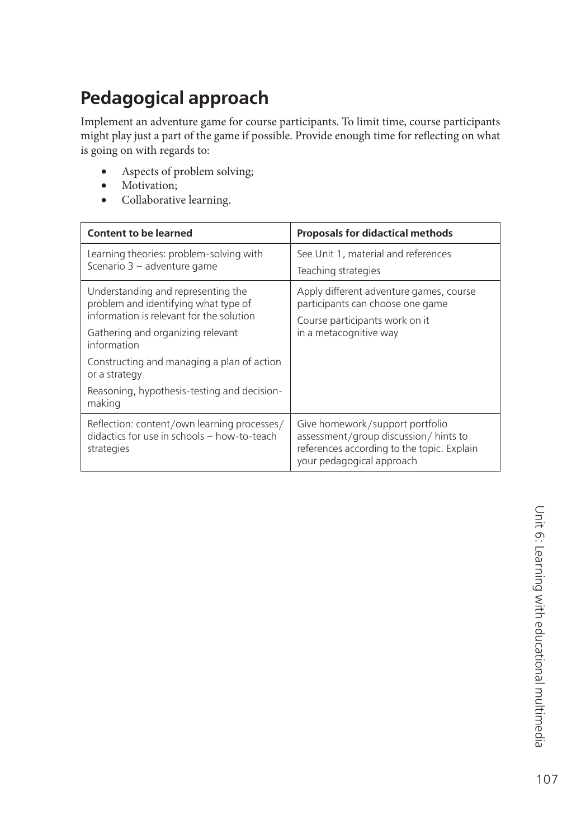# **Pedagogical approach**

Implement an adventure game for course participants. To limit time, course participants might play just a part of the game if possible. Provide enough time for reflecting on what is going on with regards to:

- Aspects of problem solving;
- Motivation;
- Collaborative learning.

| <b>Content to be learned</b>                                                                                                                                               | <b>Proposals for didactical methods</b>                                                                                                            |
|----------------------------------------------------------------------------------------------------------------------------------------------------------------------------|----------------------------------------------------------------------------------------------------------------------------------------------------|
| Learning theories: problem-solving with<br>Scenario 3 - adventure game                                                                                                     | See Unit 1, material and references<br>Teaching strategies                                                                                         |
| Understanding and representing the<br>problem and identifying what type of<br>information is relevant for the solution<br>Gathering and organizing relevant<br>information | Apply different adventure games, course<br>participants can choose one game<br>Course participants work on it<br>in a metacognitive way            |
| Constructing and managing a plan of action<br>or a strategy<br>Reasoning, hypothesis-testing and decision-<br>making                                                       |                                                                                                                                                    |
| Reflection: content/own learning processes/<br>didactics for use in schools - how-to-teach<br>strategies                                                                   | Give homework/support portfolio<br>assessment/group discussion/hints to<br>references according to the topic. Explain<br>your pedagogical approach |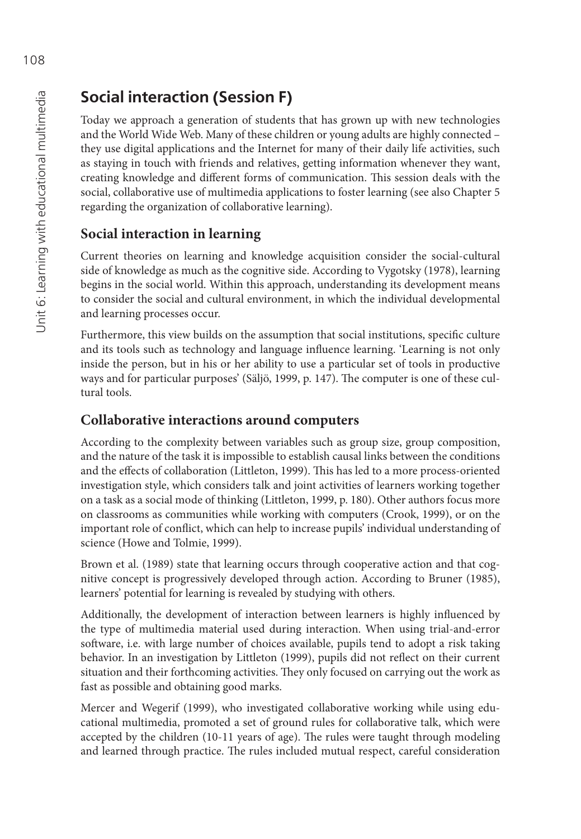# **Social interaction (Session F)**

Today we approach a generation of students that has grown up with new technologies and the World Wide Web. Many of these children or young adults are highly connected – they use digital applications and the Internet for many of their daily life activities, such as staying in touch with friends and relatives, getting information whenever they want, creating knowledge and different forms of communication. This session deals with the social, collaborative use of multimedia applications to foster learning (see also Chapter 5 regarding the organization of collaborative learning).

### **Social interaction in learning**

Current theories on learning and knowledge acquisition consider the social-cultural side of knowledge as much as the cognitive side. According to Vygotsky (1978), learning begins in the social world. Within this approach, understanding its development means to consider the social and cultural environment, in which the individual developmental and learning processes occur.

Furthermore, this view builds on the assumption that social institutions, specific culture and its tools such as technology and language influence learning. 'Learning is not only inside the person, but in his or her ability to use a particular set of tools in productive ways and for particular purposes' (Säljö, 1999, p. 147). The computer is one of these cultural tools.

#### **Collaborative interactions around computers**

According to the complexity between variables such as group size, group composition, and the nature of the task it is impossible to establish causal links between the conditions and the effects of collaboration (Littleton, 1999). This has led to a more process-oriented investigation style, which considers talk and joint activities of learners working together on a task as a social mode of thinking (Littleton, 1999, p. 180). Other authors focus more on classrooms as communities while working with computers (Crook, 1999), or on the important role of conflict, which can help to increase pupils' individual understanding of science (Howe and Tolmie, 1999).

Brown et al. (1989) state that learning occurs through cooperative action and that cognitive concept is progressively developed through action. According to Bruner (1985), learners' potential for learning is revealed by studying with others.

Additionally, the development of interaction between learners is highly influenced by the type of multimedia material used during interaction. When using trial-and-error software, i.e. with large number of choices available, pupils tend to adopt a risk taking behavior. In an investigation by Littleton (1999), pupils did not reflect on their current situation and their forthcoming activities. They only focused on carrying out the work as fast as possible and obtaining good marks.

Mercer and Wegerif (1999), who investigated collaborative working while using educational multimedia, promoted a set of ground rules for collaborative talk, which were accepted by the children (10-11 years of age). The rules were taught through modeling and learned through practice. The rules included mutual respect, careful consideration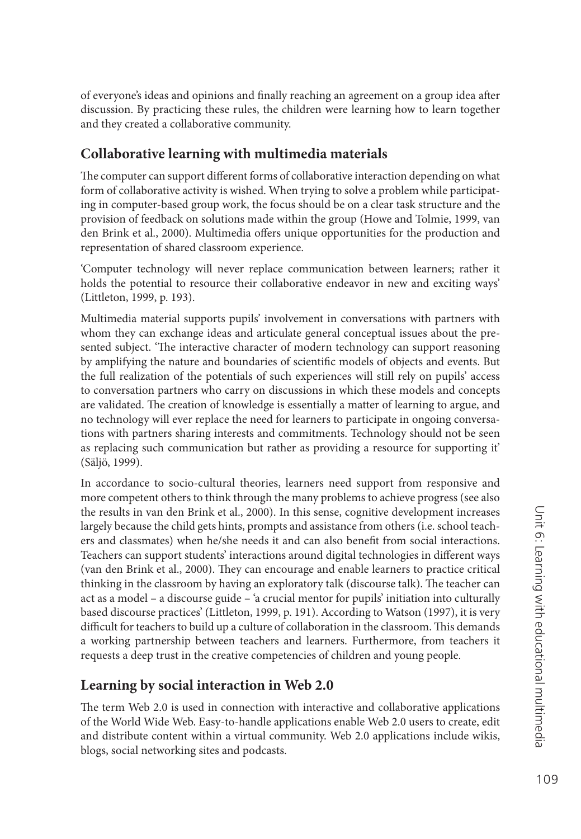of everyone's ideas and opinions and finally reaching an agreement on a group idea after discussion. By practicing these rules, the children were learning how to learn together and they created a collaborative community.

#### **Collaborative learning with multimedia materials**

The computer can support different forms of collaborative interaction depending on what form of collaborative activity is wished. When trying to solve a problem while participating in computer-based group work, the focus should be on a clear task structure and the provision of feedback on solutions made within the group (Howe and Tolmie, 1999, van den Brink et al., 2000). Multimedia offers unique opportunities for the production and representation of shared classroom experience.

'Computer technology will never replace communication between learners; rather it holds the potential to resource their collaborative endeavor in new and exciting ways' (Littleton, 1999, p. 193).

Multimedia material supports pupils' involvement in conversations with partners with whom they can exchange ideas and articulate general conceptual issues about the presented subject. 'The interactive character of modern technology can support reasoning by amplifying the nature and boundaries of scientific models of objects and events. But the full realization of the potentials of such experiences will still rely on pupils' access to conversation partners who carry on discussions in which these models and concepts are validated. The creation of knowledge is essentially a matter of learning to argue, and no technology will ever replace the need for learners to participate in ongoing conversations with partners sharing interests and commitments. Technology should not be seen as replacing such communication but rather as providing a resource for supporting it' (Säljö, 1999).

In accordance to socio-cultural theories, learners need support from responsive and more competent others to think through the many problems to achieve progress (see also the results in van den Brink et al., 2000). In this sense, cognitive development increases largely because the child gets hints, prompts and assistance from others (i.e. school teachers and classmates) when he/she needs it and can also benefi t from social interactions. Teachers can support students' interactions around digital technologies in different ways (van den Brink et al., 2000). They can encourage and enable learners to practice critical thinking in the classroom by having an exploratory talk (discourse talk). The teacher can act as a model – a discourse guide – 'a crucial mentor for pupils' initiation into culturally based discourse practices' (Littleton, 1999, p. 191). According to Watson (1997), it is very difficult for teachers to build up a culture of collaboration in the classroom. This demands a working partnership between teachers and learners. Furthermore, from teachers it requests a deep trust in the creative competencies of children and young people.

#### **Learning by social interaction in Web 2.0**

The term Web 2.0 is used in connection with interactive and collaborative applications of the World Wide Web. Easy-to-handle applications enable Web 2.0 users to create, edit and distribute content within a virtual community. Web 2.0 applications include wikis, blogs, social networking sites and podcasts.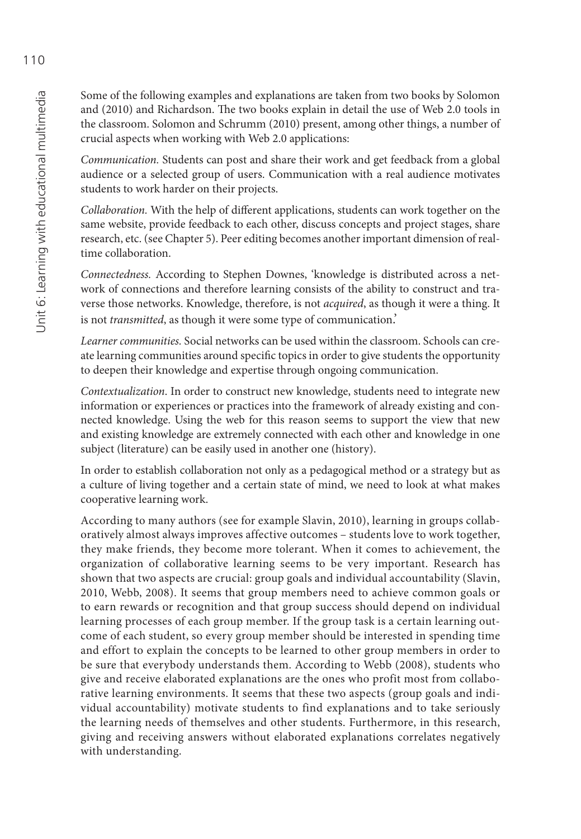Some of the following examples and explanations are taken from two books by Solomon and (2010) and Richardson. The two books explain in detail the use of Web 2.0 tools in the classroom. Solomon and Schrumm (2010) present, among other things, a number of crucial aspects when working with Web 2.0 applications:

*Communication.* Students can post and share their work and get feedback from a global audience or a selected group of users. Communication with a real audience motivates students to work harder on their projects.

*Collaboration*. With the help of different applications, students can work together on the same website, provide feedback to each other, discuss concepts and project stages, share research, etc. (see Chapter 5). Peer editing becomes another important dimension of realtime collaboration.

*Connectedness.* According to Stephen Downes, 'knowledge is distributed across a network of connections and therefore learning consists of the ability to construct and traverse those networks. Knowledge, therefore, is not *acquired*, as though it were a thing. It is not *transmitted*, as though it were some type of communication.'

*Learner communities.* Social networks can be used within the classroom. Schools can create learning communities around specific topics in order to give students the opportunity to deepen their knowledge and expertise through ongoing communication.

*Contextualization*. In order to construct new knowledge, students need to integrate new information or experiences or practices into the framework of already existing and connected knowledge. Using the web for this reason seems to support the view that new and existing knowledge are extremely connected with each other and knowledge in one subject (literature) can be easily used in another one (history).

In order to establish collaboration not only as a pedagogical method or a strategy but as a culture of living together and a certain state of mind, we need to look at what makes cooperative learning work.

According to many authors (see for example Slavin, 2010), learning in groups collaboratively almost always improves affective outcomes – students love to work together, they make friends, they become more tolerant. When it comes to achievement, the organization of collaborative learning seems to be very important. Research has shown that two aspects are crucial: group goals and individual accountability (Slavin, 2010, Webb, 2008). It seems that group members need to achieve common goals or to earn rewards or recognition and that group success should depend on individual learning processes of each group member. If the group task is a certain learning outcome of each student, so every group member should be interested in spending time and effort to explain the concepts to be learned to other group members in order to be sure that everybody understands them. According to Webb (2008), students who give and receive elaborated explanations are the ones who profit most from collaborative learning environments. It seems that these two aspects (group goals and individual accountability) motivate students to find explanations and to take seriously the learning needs of themselves and other students. Furthermore, in this research, giving and receiving answers without elaborated explanations correlates negatively with understanding.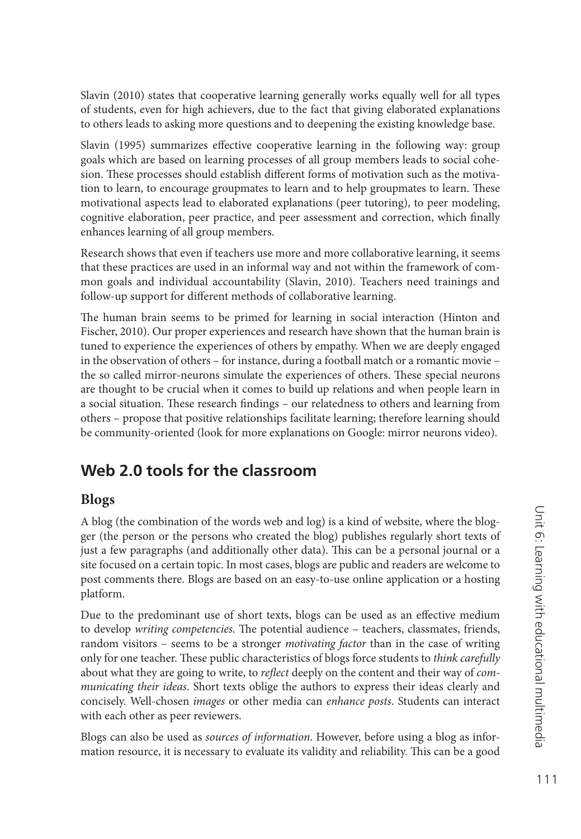Slavin (2010) states that cooperative learning generally works equally well for all types of students, even for high achievers, due to the fact that giving elaborated explanations to others leads to asking more questions and to deepening the existing knowledge base.

Slavin (1995) summarizes effective cooperative learning in the following way: group goals which are based on learning processes of all group members leads to social cohesion. These processes should establish different forms of motivation such as the motivation to learn, to encourage groupmates to learn and to help groupmates to learn. These motivational aspects lead to elaborated explanations (peer tutoring), to peer modeling, cognitive elaboration, peer practice, and peer assessment and correction, which finally enhances learning of all group members.

Research shows that even if teachers use more and more collaborative learning, it seems that these practices are used in an informal way and not within the framework of common goals and individual accountability (Slavin, 2010). Teachers need trainings and follow-up support for different methods of collaborative learning.

The human brain seems to be primed for learning in social interaction (Hinton and Fischer, 2010). Our proper experiences and research have shown that the human brain is tuned to experience the experiences of others by empathy. When we are deeply engaged in the observation of others – for instance, during a football match or a romantic movie – the so called mirror-neurons simulate the experiences of others. These special neurons are thought to be crucial when it comes to build up relations and when people learn in a social situation. These research findings - our relatedness to others and learning from others – propose that positive relationships facilitate learning; therefore learning should be community-oriented (look for more explanations on Google: mirror neurons video).

### **Web 2.0 tools for the classroom**

#### **Blogs**

A blog (the combination of the words web and log) is a kind of website, where the blogger (the person or the persons who created the blog) publishes regularly short texts of just a few paragraphs (and additionally other data). This can be a personal journal or a site focused on a certain topic. In most cases, blogs are public and readers are welcome to post comments there. Blogs are based on an easy-to-use online application or a hosting platform.

Due to the predominant use of short texts, blogs can be used as an effective medium to develop *writing competencies*. The potential audience – teachers, classmates, friends, random visitors – seems to be a stronger *motivating factor* than in the case of writing only for one teacher. These public characteristics of blogs force students to *think carefully* about what they are going to write, to *reflect* deeply on the content and their way of *communicating their ideas*. Short texts oblige the authors to express their ideas clearly and concisely. Well-chosen *images* or other media can *enhance posts*. Students can interact with each other as peer reviewers.

Blogs can also be used as *sources of information*. However, before using a blog as information resource, it is necessary to evaluate its validity and reliability. This can be a good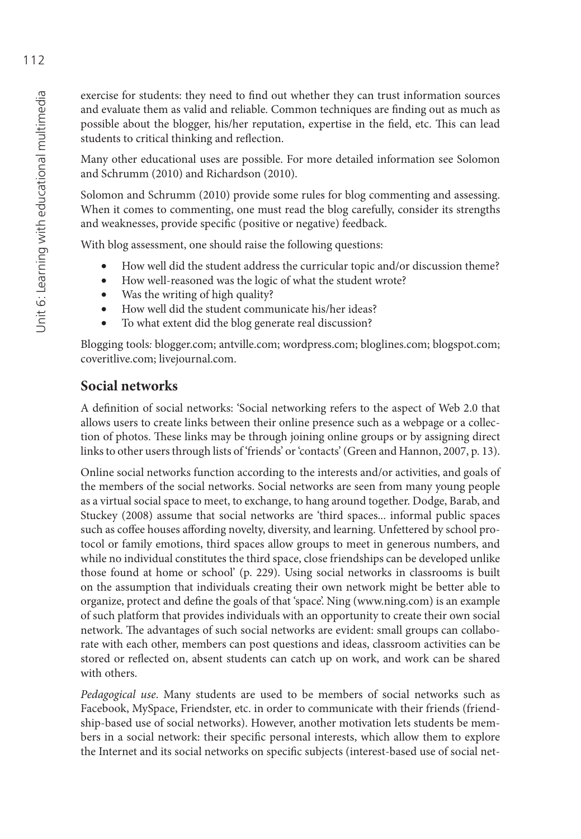exercise for students: they need to find out whether they can trust information sources and evaluate them as valid and reliable. Common techniques are finding out as much as possible about the blogger, his/her reputation, expertise in the field, etc. This can lead students to critical thinking and reflection.

Many other educational uses are possible. For more detailed information see Solomon and Schrumm (2010) and Richardson (2010).

Solomon and Schrumm (2010) provide some rules for blog commenting and assessing. When it comes to commenting, one must read the blog carefully, consider its strengths and weaknesses, provide specific (positive or negative) feedback.

With blog assessment, one should raise the following questions:

- How well did the student address the curricular topic and/or discussion theme?
- How well-reasoned was the logic of what the student wrote?
- Was the writing of high quality?
- How well did the student communicate his/her ideas?
- To what extent did the blog generate real discussion?

Blogging tools*:* blogger.com; antville.com; wordpress.com; bloglines.com; blogspot.com; coveritlive.com; livejournal.com.

#### **Social networks**

A definition of social networks: 'Social networking refers to the aspect of Web 2.0 that allows users to create links between their online presence such as a webpage or a collection of photos. These links may be through joining online groups or by assigning direct links to other users through lists of 'friends' or 'contacts' (Green and Hannon, 2007, p. 13).

Online social networks function according to the interests and/or activities, and goals of the members of the social networks. Social networks are seen from many young people as a virtual social space to meet, to exchange, to hang around together. Dodge, Barab, and Stuckey (2008) assume that social networks are 'third spaces... informal public spaces such as coffee houses affording novelty, diversity, and learning. Unfettered by school protocol or family emotions, third spaces allow groups to meet in generous numbers, and while no individual constitutes the third space, close friendships can be developed unlike those found at home or school' (p. 229). Using social networks in classrooms is built on the assumption that individuals creating their own network might be better able to organize, protect and define the goals of that 'space'. Ning ([www.ning.com\) is](http://www.ning.com) an example of such platform that provides individuals with an opportunity to create their own social network. The advantages of such social networks are evident: small groups can collaborate with each other, members can post questions and ideas, classroom activities can be stored or reflected on, absent students can catch up on work, and work can be shared with others.

*Pedagogical use*. Many students are used to be members of social networks such as Facebook, MySpace, Friendster, etc. in order to communicate with their friends (friendship-based use of social networks). However, another motivation lets students be members in a social network: their specific personal interests, which allow them to explore the Internet and its social networks on specific subjects (interest-based use of social net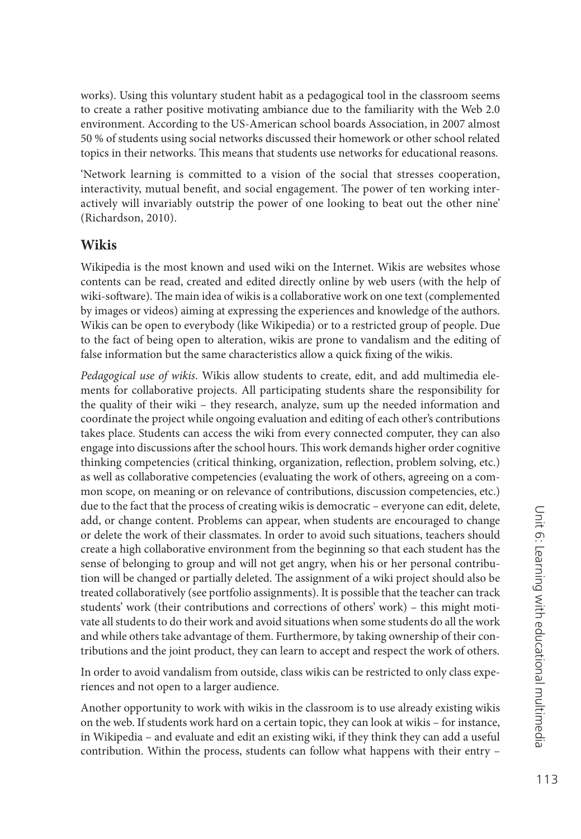works). Using this voluntary student habit as a pedagogical tool in the classroom seems to create a rather positive motivating ambiance due to the familiarity with the Web 2.0 environment. According to the US-American school boards Association, in 2007 almost 50 % of students using social networks discussed their homework or other school related topics in their networks. This means that students use networks for educational reasons.

'Network learning is committed to a vision of the social that stresses cooperation, interactivity, mutual benefit, and social engagement. The power of ten working interactively will invariably outstrip the power of one looking to beat out the other nine' (Richardson, 2010).

#### **Wikis**

Wikipedia is the most known and used wiki on the Internet. Wikis are websites whose contents can be read, created and edited directly online by web users (with the help of wiki-software). The main idea of wikis is a collaborative work on one text (complemented by images or videos) aiming at expressing the experiences and knowledge of the authors. Wikis can be open to everybody (like Wikipedia) or to a restricted group of people. Due to the fact of being open to alteration, wikis are prone to vandalism and the editing of false information but the same characteristics allow a quick fixing of the wikis.

*Pedagogical use of wikis*. Wikis allow students to create, edit, and add multimedia elements for collaborative projects. All participating students share the responsibility for the quality of their wiki – they research, analyze, sum up the needed information and coordinate the project while ongoing evaluation and editing of each other's contributions takes place. Students can access the wiki from every connected computer, they can also engage into discussions after the school hours. This work demands higher order cognitive thinking competencies (critical thinking, organization, reflection, problem solving, etc.) as well as collaborative competencies (evaluating the work of others, agreeing on a common scope, on meaning or on relevance of contributions, discussion competencies, etc.) due to the fact that the process of creating wikis is democratic – everyone can edit, delete, add, or change content. Problems can appear, when students are encouraged to change or delete the work of their classmates. In order to avoid such situations, teachers should create a high collaborative environment from the beginning so that each student has the sense of belonging to group and will not get angry, when his or her personal contribution will be changed or partially deleted. The assignment of a wiki project should also be treated collaboratively (see portfolio assignments). It is possible that the teacher can track students' work (their contributions and corrections of others' work) – this might motivate all students to do their work and avoid situations when some students do all the work and while others take advantage of them. Furthermore, by taking ownership of their contributions and the joint product, they can learn to accept and respect the work of others.

In order to avoid vandalism from outside, class wikis can be restricted to only class experiences and not open to a larger audience.

Another opportunity to work with wikis in the classroom is to use already existing wikis on the web. If students work hard on a certain topic, they can look at wikis – for instance, in Wikipedia – and evaluate and edit an existing wiki, if they think they can add a useful contribution. Within the process, students can follow what happens with their entry –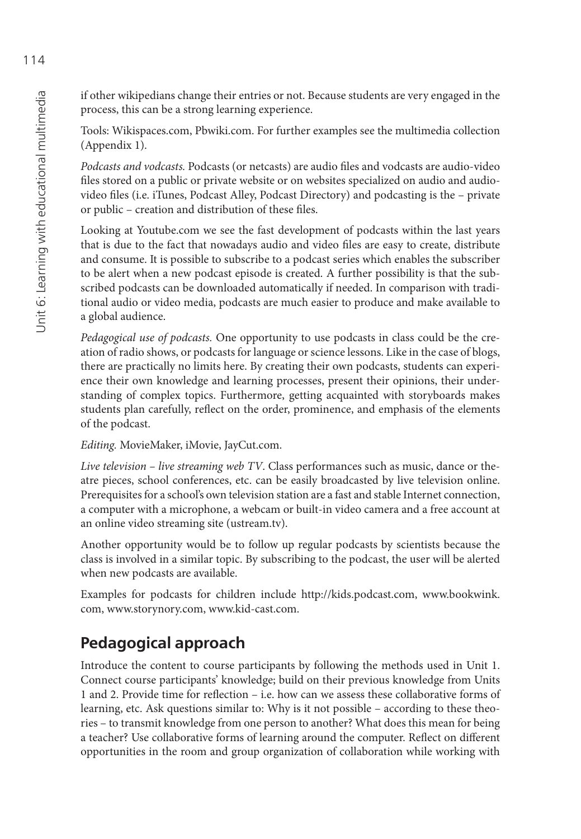if other wikipedians change their entries or not. Because students are very engaged in the process, this can be a strong learning experience.

Tools: Wikispaces.com, Pbwiki.com. For further examples see the multimedia collection (Appendix 1).

Podcasts and vodcasts. Podcasts (or netcasts) are audio files and vodcasts are audio-video files stored on a public or private website or on websites specialized on audio and audiovideo files (i.e. iTunes, Podcast Alley, Podcast Directory) and podcasting is the - private or public – creation and distribution of these files.

Looking at Youtube.com we see the fast development of podcasts within the last years that is due to the fact that nowadays audio and video files are easy to create, distribute and consume. It is possible to subscribe to a podcast series which enables the subscriber to be alert when a new podcast episode is created. A further possibility is that the subscribed podcasts can be downloaded automatically if needed. In comparison with traditional audio or video media, podcasts are much easier to produce and make available to a global audience.

*Pedagogical use of podcasts.* One opportunity to use podcasts in class could be the creation of radio shows, or podcasts for language or science lessons. Like in the case of blogs, there are practically no limits here. By creating their own podcasts, students can experience their own knowledge and learning processes, present their opinions, their understanding of complex topics. Furthermore, getting acquainted with storyboards makes students plan carefully, reflect on the order, prominence, and emphasis of the elements of the podcast.

*Editing.* MovieMaker, iMovie, JayCut.com.

*Live television – live streaming web TV*. Class performances such as music, dance or theatre pieces, school conferences, etc. can be easily broadcasted by live television online. Prerequisites for a school's own television station are a fast and stable Internet connection, a computer with a microphone, a webcam or built-in video camera and a free account at an online video streaming site (ustream.tv).

Another opportunity would be to follow up regular podcasts by scientists because the class is involved in a similar topic. By subscribing to the podcast, the user will be alerted when new podcasts are available.

Examples for podcasts for children include [http://kids.podcast.com,](http://kids.podcast.com) [www.bookwink.](http://www.bookwink) com, [www.storynory.com, w](http://www.storynory.com)[ww.kid-cast.com.](http://www.kid-cast.com)

### **Pedagogical approach**

Introduce the content to course participants by following the methods used in Unit 1. Connect course participants' knowledge; build on their previous knowledge from Units 1 and 2. Provide time for reflection – i.e. how can we assess these collaborative forms of learning, etc. Ask questions similar to: Why is it not possible – according to these theories – to transmit knowledge from one person to another? What does this mean for being a teacher? Use collaborative forms of learning around the computer. Reflect on different opportunities in the room and group organization of collaboration while working with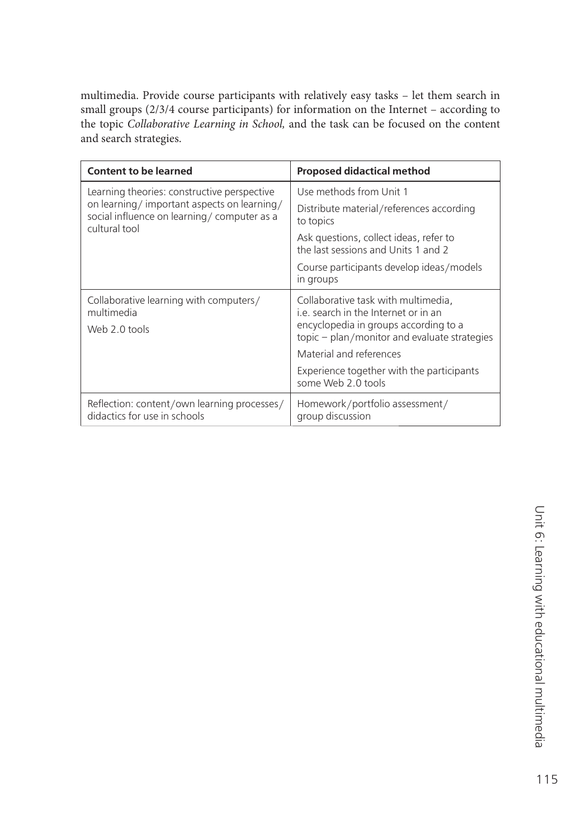multimedia. Provide course participants with relatively easy tasks – let them search in small groups (2/3/4 course participants) for information on the Internet – according to the topic *Collaborative Learning in School,* and the task can be focused on the content and search strategies.

| <b>Content to be learned</b>                                                                                                                             | <b>Proposed didactical method</b>                                                                                                                                    |
|----------------------------------------------------------------------------------------------------------------------------------------------------------|----------------------------------------------------------------------------------------------------------------------------------------------------------------------|
| Learning theories: constructive perspective<br>on learning/important aspects on learning/<br>social influence on learning/computer as a<br>cultural tool | Use methods from Unit 1                                                                                                                                              |
|                                                                                                                                                          | Distribute material/references according<br>to topics                                                                                                                |
|                                                                                                                                                          | Ask questions, collect ideas, refer to<br>the last sessions and Units 1 and 2                                                                                        |
|                                                                                                                                                          | Course participants develop ideas/models<br>in groups                                                                                                                |
| Collaborative learning with computers/<br>multimedia<br>Web 2.0 tools                                                                                    | Collaborative task with multimedia.<br>i.e. search in the Internet or in an<br>encyclopedia in groups according to a<br>topic - plan/monitor and evaluate strategies |
|                                                                                                                                                          | Material and references                                                                                                                                              |
|                                                                                                                                                          | Experience together with the participants<br>some Web 2.0 tools                                                                                                      |
| Reflection: content/own learning processes/<br>didactics for use in schools                                                                              | Homework/portfolio assessment/<br>group discussion                                                                                                                   |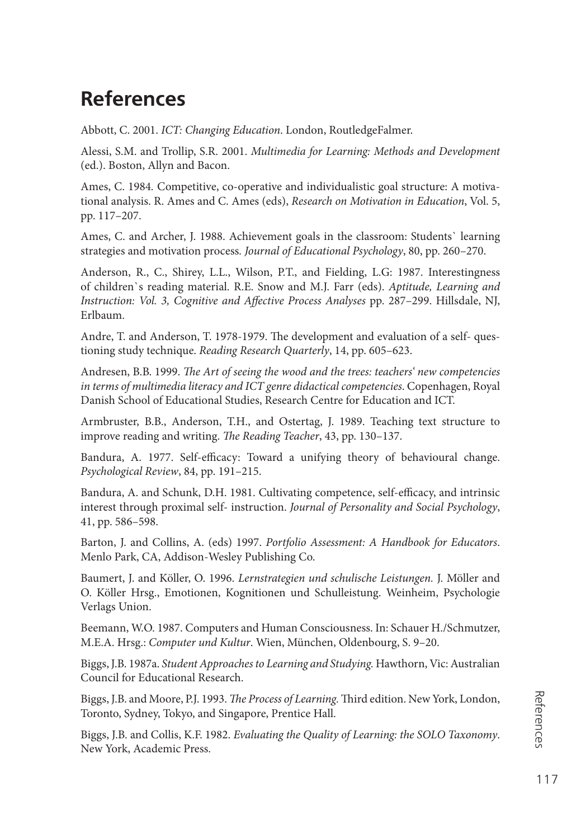## **References**

Abbott, C. 2001. *ICT: Changing Education*. London, RoutledgeFalmer.

Alessi, S.M. and Trollip, S.R. 2001. *Multimedia for Learning: Methods and Development* (ed.). Boston, Allyn and Bacon.

Ames, C. 1984*.* Competitive, co-operative and individualistic goal structure: A motivational analysis. R. Ames and C. Ames (eds), *Research on Motivation in Education*, Vol. 5, pp. 117–207.

Ames, C. and Archer, J. 1988. Achievement goals in the classroom: Students` learning strategies and motivation process*. Journal of Educational Psychology*, 80, pp. 260–270.

Anderson, R., C., Shirey, L.L., Wilson, P.T., and Fielding, L.G: 1987. Interestingness of children`s reading material. R.E. Snow and M.J. Farr (eds). *Aptitude, Learning and*  Instruction: Vol. 3, Cognitive and Affective Process Analyses pp. 287-299. Hillsdale, NJ, Erlbaum.

Andre, T. and Anderson, T. 1978-1979. The development and evaluation of a self-questioning study technique. *Reading Research Quarterly*, 14, pp. 605–623.

Andresen, B.B. 1999. *The Art of seeing the wood and the trees: teachers' new competencies in terms of multimedia literacy and ICT genre didactical competencies*. Copenhagen, Royal Danish School of Educational Studies, Research Centre for Education and ICT.

Armbruster, B.B., Anderson, T.H., and Ostertag, J. 1989. Teaching text structure to improve reading and writing. *The Reading Teacher*, 43, pp. 130–137.

Bandura, A. 1977. Self-efficacy: Toward a unifying theory of behavioural change. *Psychological Review*, 84, pp. 191–215.

Bandura, A. and Schunk, D.H. 1981. Cultivating competence, self-efficacy, and intrinsic interest through proximal self- instruction. *Journal of Personality and Social Psychology*, 41, pp. 586–598.

Barton, J. and Collins, A. (eds) 1997. *Portfolio Assessment: A Handbook for Educators*. Menlo Park, CA, Addison-Wesley Publishing Co.

Baumert, J. and Köller, O. 1996. *Lernstrategien und schulische Leistungen.* J. Möller and O. Köller Hrsg., Emotionen, Kognitionen und Schulleistung. Weinheim, Psychologie Verlags Union.

Beemann, W.O. 1987. Computers and Human Consciousness. In: Schauer H./Schmutzer, M.E.A. Hrsg.: *Computer und Kultur*. Wien, München, Oldenbourg, S. 9–20.

Biggs, J.B. 1987a. *Student Approaches to Learning and Studying.* Hawthorn, Vic: Australian Council for Educational Research.

Biggs, J.B. and Moore, P.J. 1993. *The Process of Learning*. Third edition. New York, London, Toronto, Sydney, Tokyo, and Singapore, Prentice Hall.

Biggs, J.B. and Collis, K.F. 1982. *Evaluating the Quality of Learning: the SOLO Taxonomy*. New York, Academic Press.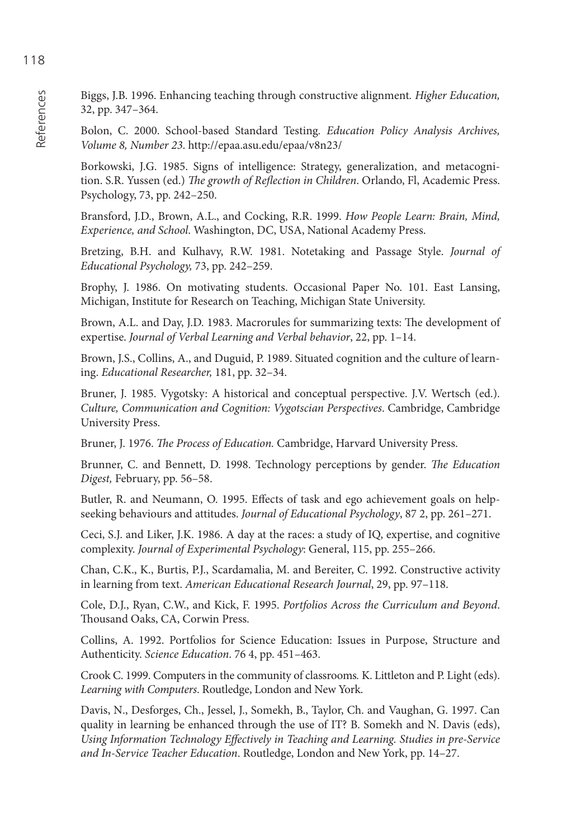Biggs, J.B. 1996. Enhancing teaching through constructive alignment*. Higher Education,* 32, pp. 347–364.

Bolon, C. 2000. School-based Standard Testing*. Education Policy Analysis Archives, Volume 8, Number 23*.<http://epaa.asu.edu/epaa/v8n23/>

Borkowski, J.G. 1985. Signs of intelligence: Strategy, generalization, and metacognition. S.R. Yussen (ed.) *The growth of Reflection in Children*. Orlando, Fl, Academic Press. Psychology, 73, pp. 242–250.

Bransford, J.D., Brown, A.L., and Cocking, R.R. 1999. *How People Learn: Brain, Mind, Experience, and School*. Washington, DC, USA, National Academy Press.

Bretzing, B.H. and Kulhavy, R.W. 1981. Notetaking and Passage Style. *Journal of Educational Psychology,* 73, pp. 242–259.

Brophy, J. 1986. On motivating students. Occasional Paper No. 101. East Lansing, Michigan, Institute for Research on Teaching, Michigan State University.

Brown, A.L. and Day, J.D. 1983. Macrorules for summarizing texts: The development of expertise. *Journal of Verbal Learning and Verbal behavior*, 22, pp. 1–14.

Brown, J.S., Collins, A., and Duguid, P. 1989. Situated cognition and the culture of learning. *Educational Researcher,* 181, pp. 32–34.

Bruner, J. 1985. Vygotsky: A historical and conceptual perspective. J.V. Wertsch (ed.). *Culture, Communication and Cognition: Vygotscian Perspectives*. Cambridge, Cambridge University Press.

Bruner, J. 1976. *The Process of Education*. Cambridge, Harvard University Press.

Brunner, C. and Bennett, D. 1998. Technology perceptions by gender. *The Education Digest,* February, pp. 56–58.

Butler, R. and Neumann, O. 1995. Effects of task and ego achievement goals on helpseeking behaviours and attitudes. *Journal of Educational Psychology*, 87 2, pp. 261–271.

Ceci, S.J. and Liker, J.K. 1986. A day at the races: a study of IQ, expertise, and cognitive complexity. *Journal of Experimental Psychology*: General, 115, pp. 255–266.

Chan, C.K., K., Burtis, P.J., Scardamalia, M. and Bereiter, C. 1992. Constructive activity in learning from text. *American Educational Research Journal*, 29, pp. 97–118.

Cole, D.J., Ryan, C.W., and Kick, F. 1995. *Portfolios Across the Curriculum and Beyond*. Thousand Oaks, CA, Corwin Press.

Collins, A. 1992. Portfolios for Science Education: Issues in Purpose, Structure and Authenticity. *Science Education*. 76 4, pp. 451–463.

Crook C. 1999. Computers in the community of classrooms*.* K. Littleton and P. Light (eds). *Learning with Computers*. Routledge, London and New York.

Davis, N., Desforges, Ch., Jessel, J., Somekh, B., Taylor, Ch. and Vaughan, G. 1997. Can quality in learning be enhanced through the use of IT? B. Somekh and N. Davis (eds), Using Information Technology Effectively in Teaching and Learning. Studies in pre-Service *and In-Service Teacher Education*. Routledge, London and New York, pp. 14–27.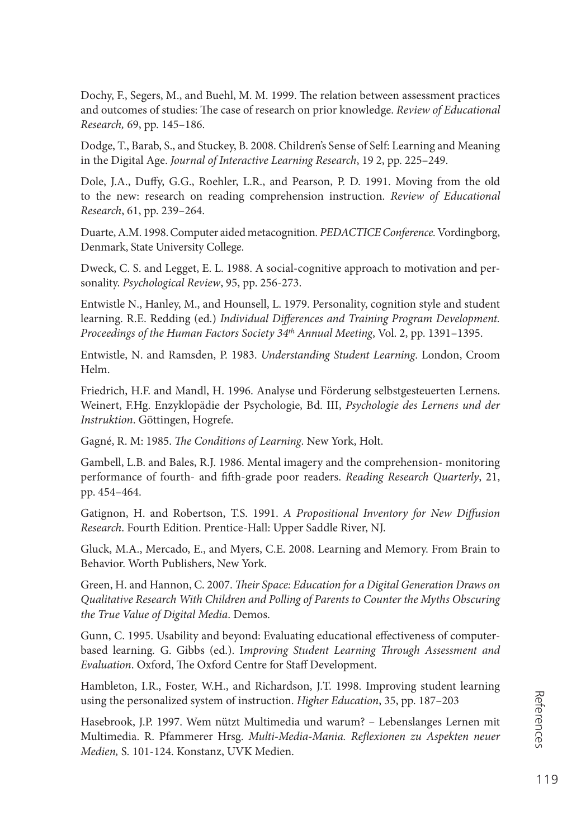Dochy, F., Segers, M., and Buehl, M. M. 1999. The relation between assessment practices and outcomes of studies: The case of research on prior knowledge. *Review of Educational Research,* 69, pp. 145–186.

Dodge, T., Barab, S., and Stuckey, B. 2008. Children's Sense of Self: Learning and Meaning in the Digital Age. *Journal of Interactive Learning Research*, 19 2, pp. 225–249.

Dole, J.A., Duffy, G.G., Roehler, L.R., and Pearson, P. D. 1991. Moving from the old to the new: research on reading comprehension instruction. *Review of Educational Research*, 61, pp. 239–264.

Duarte, A.M. 1998. Computer aided metacognition*. PEDACTICE Conference.* Vordingborg, Denmark, State University College.

Dweck, C. S. and Legget, E. L. 1988. A social-cognitive approach to motivation and personality. *Psychological Review*, 95, pp. 256-273.

Entwistle N., Hanley, M., and Hounsell, L. 1979. Personality, cognition style and student learning. R.E. Redding (ed.) *Individual Differences and Training Program Development*. *Proceedings of the Human Factors Society 34th Annual Meeting*, Vol. 2, pp. 1391–1395.

Entwistle, N. and Ramsden, P. 1983. *Understanding Student Learning*. London, Croom Helm.

Friedrich, H.F. and Mandl, H. 1996. Analyse und Förderung selbstgesteuerten Lernens. Weinert, F.Hg. Enzyklopädie der Psychologie, Bd. III, *Psychologie des Lernens und der Instruktion*. Göttingen, Hogrefe.

Gagné, R. M: 1985. *The Conditions of Learning*. New York, Holt.

Gambell, L.B. and Bales, R.J. 1986. Mental imagery and the comprehension- monitoring performance of fourth- and fifth-grade poor readers. *Reading Research Quarterly*, 21, pp. 454–464.

Gatignon, H. and Robertson, T.S. 1991. *A Propositional Inventory for New Diff usion Research*. Fourth Edition. Prentice-Hall: Upper Saddle River, NJ.

Gluck, M.A., Mercado, E., and Myers, C.E. 2008. Learning and Memory. From Brain to Behavior. Worth Publishers, New York.

Green, H. and Hannon, C. 2007. *Their Space: Education for a Digital Generation Draws on Qualitative Research With Children and Polling of Parents to Counter the Myths Obscuring the True Value of Digital Media*. Demos.

Gunn, C. 1995. Usability and beyond: Evaluating educational effectiveness of computerbased learning. G. Gibbs (ed.). Improving Student Learning Through Assessment and *Evaluation*. Oxford, The Oxford Centre for Staff Development.

Hambleton, I.R., Foster, W.H., and Richardson, J.T. 1998. Improving student learning using the personalized system of instruction. *Higher Education*, 35, pp. 187–203

Hasebrook, J.P. 1997. Wem nützt Multimedia und warum? – Lebenslanges Lernen mit Multimedia. R. Pfammerer Hrsg. *Multi-Media-Mania. Reflexionen zu Aspekten neuer Medien,* S*.* 101-124. Konstanz, UVK Medien.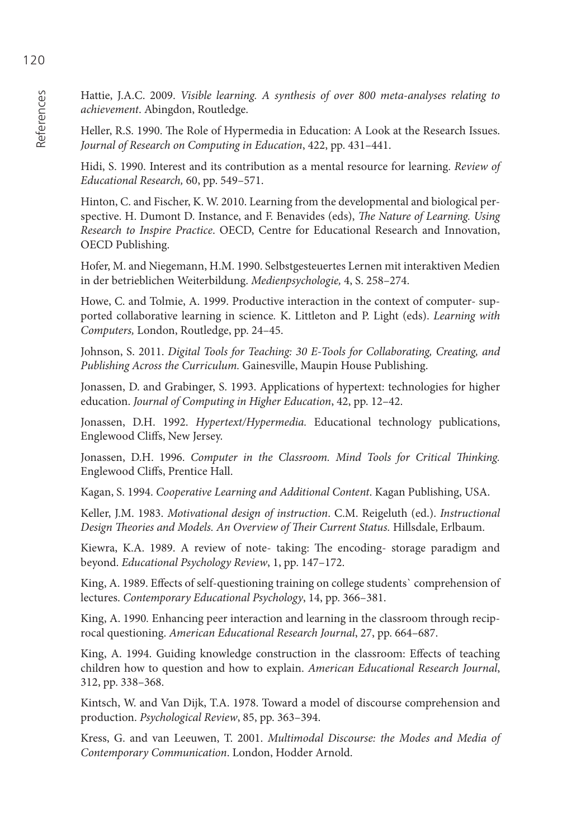Hattie, J.A.C. 2009. *Visible learning. A synthesis of over 800 meta-analyses relating to achievement*. Abingdon, Routledge.

Heller, R.S. 1990. The Role of Hypermedia in Education: A Look at the Research Issues. *Journal of Research on Computing in Education*, 422, pp. 431–441.

Hidi, S. 1990. Interest and its contribution as a mental resource for learning. *Review of Educational Research,* 60, pp. 549–571.

Hinton, C. and Fischer, K. W. 2010. Learning from the developmental and biological perspective. H. Dumont D. Instance, and F. Benavides (eds), *The Nature of Learning. Using Research to Inspire Practice*. OECD, Centre for Educational Research and Innovation, OECD Publishing.

Hofer, M. and Niegemann, H.M. 1990. Selbstgesteuertes Lernen mit interaktiven Medien in der betrieblichen Weiterbildung. *Medienpsychologie,* 4, S. 258–274.

Howe, C. and Tolmie, A. 1999. Productive interaction in the context of computer- supported collaborative learning in science*.* K. Littleton and P. Light (eds). *Learning with Computers,* London, Routledge, pp. 24–45.

Johnson, S. 2011. *Digital Tools for Teaching: 30 E-Tools for Collaborating, Creating, and Publishing Across the Curriculum.* Gainesville, Maupin House Publishing.

Jonassen, D. and Grabinger, S. 1993. Applications of hypertext: technologies for higher education. *Journal of Computing in Higher Education*, 42, pp. 12–42.

Jonassen, D.H. 1992. *Hypertext/Hypermedia.* Educational technology publications, Englewood Cliffs, New Jersey.

Jonassen, D.H. 1996. *Computer in the Classroom. Mind Tools for Critical Thinking.* Englewood Cliffs, Prentice Hall.

Kagan, S. 1994. *Cooperative Learning and Additional Content*. Kagan Publishing, USA.

Keller, J.M. 1983. *Motivational design of instruction*. C.M. Reigeluth (ed.). *Instructional*  Design Theories and Models. An Overview of Their Current Status. Hillsdale, Erlbaum.

Kiewra, K.A. 1989. A review of note- taking: The encoding- storage paradigm and beyond. *Educational Psychology Review*, 1, pp. 147–172.

King, A. 1989. Effects of self-questioning training on college students` comprehension of lectures. *Contemporary Educational Psychology*, 14, pp. 366–381.

King, A. 1990*.* Enhancing peer interaction and learning in the classroom through reciprocal questioning. *American Educational Research Journal*, 27, pp. 664–687.

King, A. 1994. Guiding knowledge construction in the classroom: Effects of teaching children how to question and how to explain. *American Educational Research Journal*, 312, pp. 338–368.

Kintsch, W. and Van Dijk, T.A. 1978. Toward a model of discourse comprehension and production. *Psychological Review*, 85, pp. 363–394.

Kress, G. and van Leeuwen, T. 2001. *Multimodal Discourse: the Modes and Media of Contemporary Communication*. London, Hodder Arnold.

References

References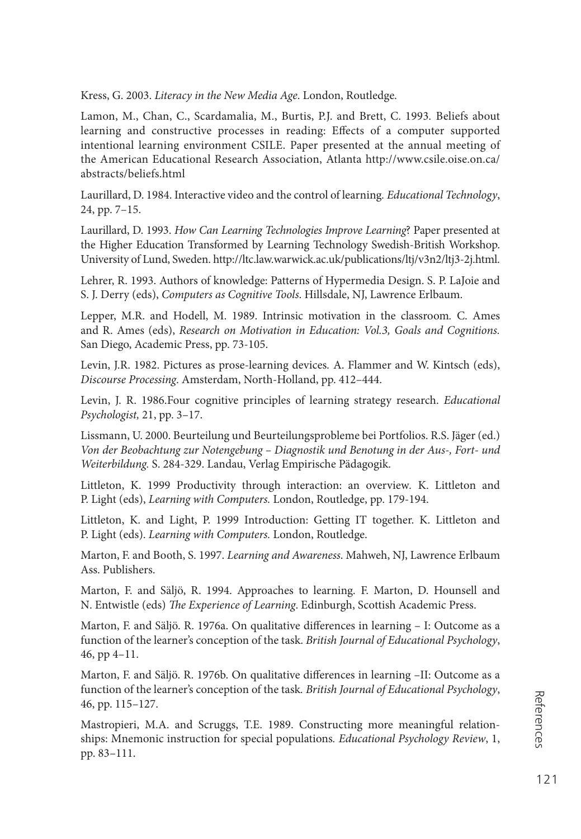Kress, G. 2003. *Literacy in the New Media Age*. London, Routledge.

Lamon, M., Chan, C., Scardamalia, M., Burtis, P.J. and Brett, C. 1993*.* Beliefs about learning and constructive processes in reading: Effects of a computer supported intentional learning environment CSILE. Paper presented at the annual meeting of the American Educational Research Association, Atlanta <http://www.csile.oise.on.ca/> abstracts/beliefs.html

Laurillard, D. 1984. Interactive video and the control of learning*. Educational Technology*, 24, pp. 7–15.

Laurillard, D. 1993. *How Can Learning Technologies Improve Learning*? Paper presented at the Higher Education Transformed by Learning Technology Swedish-British Workshop. University of Lund, Sweden. [http://ltc.law.warwick.ac.uk/publications/ltj/v3n2/ltj3-2j.html.](http://ltc.law.warwick.ac.uk/publications/ltj/v3n2/ltj3-2j.html)

Lehrer, R. 1993. Authors of knowledge: Patterns of Hypermedia Design. S. P. LaJoie and S. J. Derry (eds), *Computers as Cognitive Tools*. Hillsdale, NJ, Lawrence Erlbaum.

Lepper, M.R. and Hodell, M. 1989. Intrinsic motivation in the classroom*.* C. Ames and R. Ames (eds), *Research on Motivation in Education: Vol.3, Goals and Cognitions.* San Diego, Academic Press, pp. 73-105.

Levin, J.R. 1982. Pictures as prose-learning devices*.* A. Flammer and W. Kintsch (eds), *Discourse Processing*. Amsterdam, North-Holland, pp. 412–444.

Levin, J. R. 1986.Four cognitive principles of learning strategy research. *Educational Psychologist,* 21, pp. 3–17.

Lissmann, U. 2000. Beurteilung und Beurteilungsprobleme bei Portfolios. R.S. Jäger (ed.) *Von der Beobachtung zur Notengebung – Diagnostik und Benotung in der Aus-, Fort- und Weiterbildung.* S. 284-329. Landau, Verlag Empirische Pädagogik.

Littleton, K. 1999 Productivity through interaction: an overview*.* K. Littleton and P. Light (eds), *Learning with Computers.* London, Routledge, pp. 179-194.

Littleton, K. and Light, P. 1999 Introduction: Getting IT together. K. Littleton and P. Light (eds). *Learning with Computers.* London, Routledge.

Marton, F. and Booth, S. 1997. *Learning and Awareness*. Mahweh, NJ, Lawrence Erlbaum Ass. Publishers.

Marton, F. and Säljö, R. 1994. Approaches to learning*.* F. Marton, D. Hounsell and N. Entwistle (eds) *The Experience of Learning*. Edinburgh, Scottish Academic Press.

Marton, F. and Säljö. R. 1976a. On qualitative differences in learning – I: Outcome as a function of the learner's conception of the task. *British Journal of Educational Psychology*, 46, pp 4–11.

Marton, F. and Säljö. R. 1976b. On qualitative differences in learning -II: Outcome as a function of the learner's conception of the task*. British Journal of Educational Psychology*, 46, pp. 115–127.

Mastropieri, M.A. and Scruggs, T.E. 1989. Constructing more meaningful relationships: Mnemonic instruction for special populations*. Educational Psychology Review*, 1, pp. 83–111.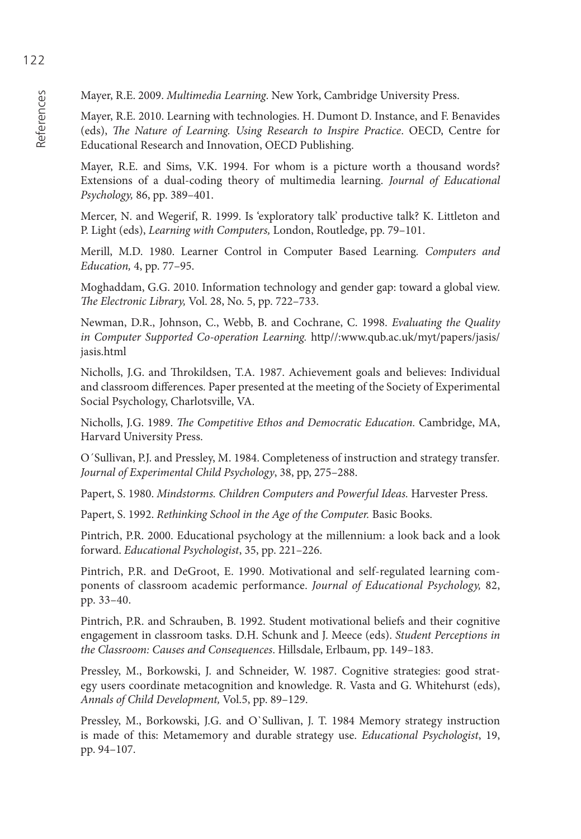Mayer, R.E. 2009. *Multimedia Learning*. New York, Cambridge University Press.

Mayer, R.E. 2010. Learning with technologies. H. Dumont D. Instance, and F. Benavides (eds), *The Nature of Learning. Using Research to Inspire Practice*. OECD, Centre for Educational Research and Innovation, OECD Publishing.

Mayer, R.E. and Sims, V.K. 1994. For whom is a picture worth a thousand words? Extensions of a dual-coding theory of multimedia learning. *Journal of Educational Psychology,* 86, pp. 389–401.

Mercer, N. and Wegerif, R. 1999. Is 'exploratory talk' productive talk? K. Littleton and P. Light (eds), *Learning with Computers,* London, Routledge, pp. 79–101.

Merill, M.D. 1980. Learner Control in Computer Based Learning*. Computers and Education,* 4, pp. 77–95.

Moghaddam, G.G. 2010. Information technology and gender gap: toward a global view. *The Electronic Library, Vol. 28, No. 5, pp. 722–733.* 

Newman, D.R., Johnson, C., Webb, B. and Cochrane, C. 1998. *Evaluating the Quality in Computer Supported Co-operation Learning.* http//:[www.qub.ac.uk/myt/papers/jasis/](http://www.qub.ac.uk/myt/papers/jasis/) jasis.html

Nicholls, J.G. and Throkildsen, T.A. 1987. Achievement goals and believes: Individual and classroom differences. Paper presented at the meeting of the Society of Experimental Social Psychology, Charlotsville, VA.

Nicholls, J.G. 1989. *The Competitive Ethos and Democratic Education*. Cambridge, MA, Harvard University Press.

O´Sullivan, P.J. and Pressley, M. 1984. Completeness of instruction and strategy transfer*. Journal of Experimental Child Psychology*, 38, pp, 275–288.

Papert, S. 1980. *Mindstorms. Children Computers and Powerful Ideas.* Harvester Press.

Papert, S. 1992. *Rethinking School in the Age of the Computer.* Basic Books.

Pintrich, P.R. 2000. Educational psychology at the millennium: a look back and a look forward. *Educational Psychologist*, 35, pp. 221–226.

Pintrich, P.R. and DeGroot, E. 1990. Motivational and self-regulated learning components of classroom academic performance. *Journal of Educational Psychology,* 82, pp. 33–40.

Pintrich, P.R. and Schrauben, B. 1992. Student motivational beliefs and their cognitive engagement in classroom tasks. D.H. Schunk and J. Meece (eds). *Student Perceptions in the Classroom: Causes and Consequences*. Hillsdale, Erlbaum, pp. 149–183.

Pressley, M., Borkowski, J. and Schneider, W. 1987. Cognitive strategies: good strategy users coordinate metacognition and knowledge. R. Vasta and G. Whitehurst (eds), *Annals of Child Development,* Vol.5, pp. 89–129.

Pressley, M., Borkowski, J.G. and O`Sullivan, J. T. 1984 Memory strategy instruction is made of this: Metamemory and durable strategy use. *Educational Psychologist*, 19, pp. 94–107.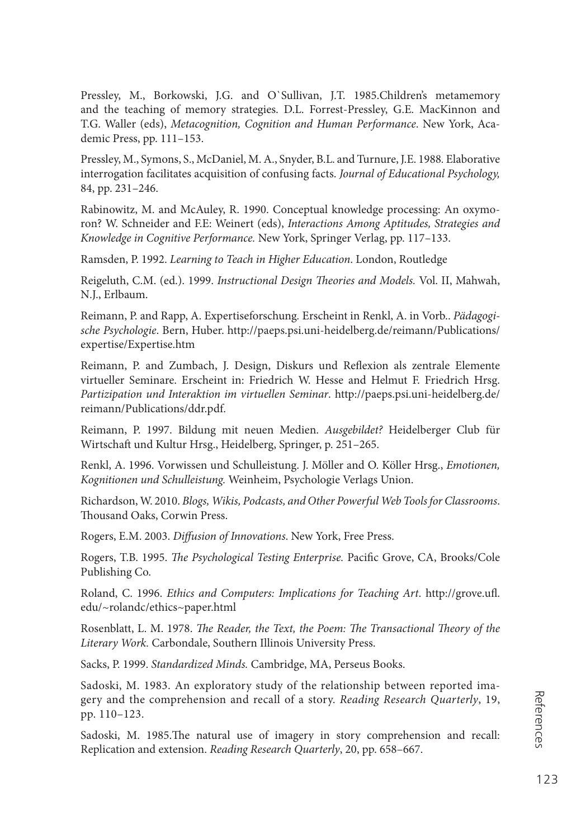Pressley, M., Borkowski, J.G. and O`Sullivan, J.T. 1985.Children's metamemory and the teaching of memory strategies. D.L. Forrest-Pressley, G.E. MacKinnon and T.G. Waller (eds), *Metacognition, Cognition and Human Performance*. New York, Academic Press, pp. 111–153.

Pressley, M., Symons, S., McDaniel, M. A., Snyder, B.L. and Turnure, J.E. 1988*.* Elaborative interrogation facilitates acquisition of confusing facts. *Journal of Educational Psychology,* 84, pp. 231–246.

Rabinowitz, M. and McAuley, R. 1990. Conceptual knowledge processing: An oxymoron? W. Schneider and F.E: Weinert (eds), *Interactions Among Aptitudes, Strategies and Knowledge in Cognitive Performance.* New York, Springer Verlag, pp. 117–133.

Ramsden, P. 1992. *Learning to Teach in Higher Education*. London, Routledge

Reigeluth, C.M. (ed.). 1999. *Instructional Design Theories and Models*. Vol. II, Mahwah, N.J., Erlbaum.

Reimann, P. and Rapp, A. Expertiseforschung*.* Erscheint in Renkl, A. in Vorb.. *Pädagogische Psychologie*. Bern, Huber. <http://paeps.psi.uni-heidelberg.de/reimann/Publications/> expertise/Expertise.htm

Reimann, P. and Zumbach, J. Design, Diskurs und Reflexion als zentrale Elemente virtueller Seminare. Erscheint in: Friedrich W. Hesse and Helmut F. Friedrich Hrsg. *Partizipation und Interaktion im virtuellen Seminar*. <http://paeps.psi.uni-heidelberg.de/> reimann/Publications/ddr.pdf.

Reimann, P. 1997. Bildung mit neuen Medien. *Ausgebildet?* Heidelberger Club für Wirtschaft und Kultur Hrsg., Heidelberg, Springer, p. 251–265.

Renkl, A. 1996. Vorwissen und Schulleistung. J. Möller and O. Köller Hrsg., *Emotionen, Kognitionen und Schulleistung.* Weinheim, Psychologie Verlags Union.

Richardson, W. 2010. *Blogs, Wikis, Podcasts, and Other Powerful Web Tools for Classrooms*. Thousand Oaks, Corwin Press.

Rogers, E.M. 2003. *Diffusion of Innovations*. New York, Free Press.

Rogers, T.B. 1995. *The Psychological Testing Enterprise*. Pacific Grove, CA, Brooks/Cole Publishing Co.

Roland, C. 1996. *Ethics and Computers: Implications for Teaching Art*. [http://grove.ufl .](http://grove.ufl) edu/~rolandc/ethics~paper.html

Rosenblatt, L. M. 1978. *The Reader, the Text, the Poem: The Transactional Theory of the Literary Work.* Carbondale, Southern Illinois University Press.

Sacks, P. 1999. *Standardized Minds.* Cambridge, MA, Perseus Books.

Sadoski, M. 1983. An exploratory study of the relationship between reported imagery and the comprehension and recall of a story. *Reading Research Quarterly*, 19, pp. 110–123.

Sadoski, M. 1985.The natural use of imagery in story comprehension and recall: Replication and extension. *Reading Research Quarterly*, 20, pp. 658–667.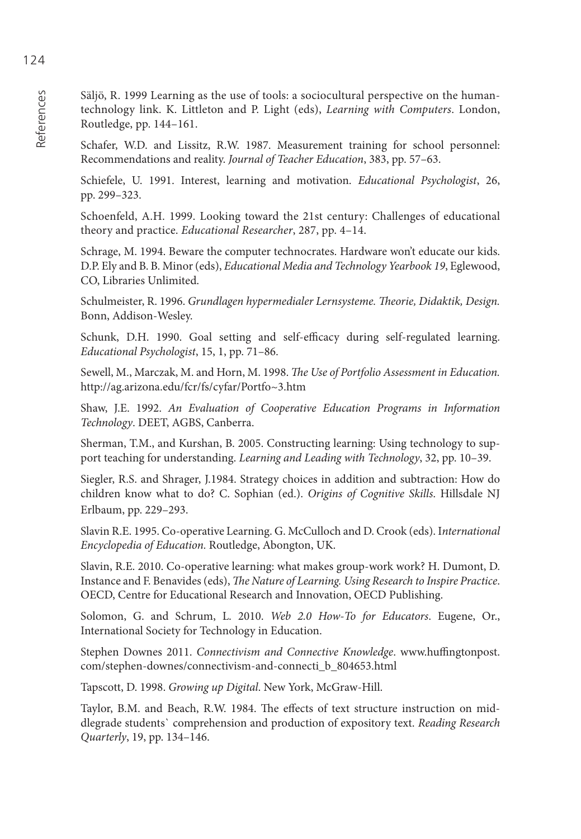Säljö, R. 1999 Learning as the use of tools: a sociocultural perspective on the humantechnology link. K. Littleton and P. Light (eds), *Learning with Computers*. London, Routledge, pp. 144–161.

Schafer, W.D. and Lissitz, R.W. 1987. Measurement training for school personnel: Recommendations and reality. *Journal of Teacher Education*, 383, pp. 57–63.

Schiefele, U. 1991. Interest, learning and motivation. *Educational Psychologist*, 26, pp. 299–323.

Schoenfeld, A.H. 1999. Looking toward the 21st century: Challenges of educational theory and practice. *Educational Researcher*, 287, pp. 4–14.

Schrage, M. 1994. Beware the computer technocrates. Hardware won't educate our kids. D.P. Ely and B. B. Minor (eds), *Educational Media and Technology Yearbook 19*, Eglewood, CO, Libraries Unlimited.

Schulmeister, R. 1996. *Grundlagen hypermedialer Lernsysteme. Th eorie, Didaktik, Design.* Bonn, Addison-Wesley.

Schunk, D.H. 1990. Goal setting and self-efficacy during self-regulated learning. *Educational Psychologist*, 15, 1, pp. 71–86.

Sewell, M., Marczak, M. and Horn, M. 1998. *The Use of Portfolio Assessment in Education*. <http://ag.arizona.edu/fcr/fs/cyfar/Portfo~3.htm>

Shaw, J.E. 1992. *An Evaluation of Cooperative Education Programs in Information Technology*. DEET, AGBS, Canberra.

Sherman, T.M., and Kurshan, B. 2005. Constructing learning: Using technology to support teaching for understanding. *Learning and Leading with Technology*, 32, pp. 10–39.

Siegler, R.S. and Shrager, J.1984. Strategy choices in addition and subtraction: How do children know what to do? C. Sophian (ed.). *Origins of Cognitive Skills*. Hillsdale NJ Erlbaum, pp. 229–293.

Slavin R.E. 1995. Co-operative Learning. G. McCulloch and D. Crook (eds). I*nternational Encyclopedia of Education.* Routledge, Abongton, UK.

Slavin, R.E. 2010. Co-operative learning: what makes group-work work? H. Dumont, D. Instance and F. Benavides (eds), *The Nature of Learning*. Using Research to Inspire Practice. OECD, Centre for Educational Research and Innovation, OECD Publishing.

Solomon, G. and Schrum, L. 2010. *Web 2.0 How-To for Educators*. Eugene, Or., International Society for Technology in Education.

Stephen Downes 2011. *Connectivism and Connective Knowledge*. www.huffingtonpost. com/stephen-downes/connectivism-and-connecti\_b\_804653.html

Tapscott, D. 1998. *Growing up Digital*. New York, McGraw-Hill.

Taylor, B.M. and Beach, R.W. 1984. The effects of text structure instruction on middlegrade students` comprehension and production of expository text. *Reading Research Quarterly*, 19, pp. 134–146.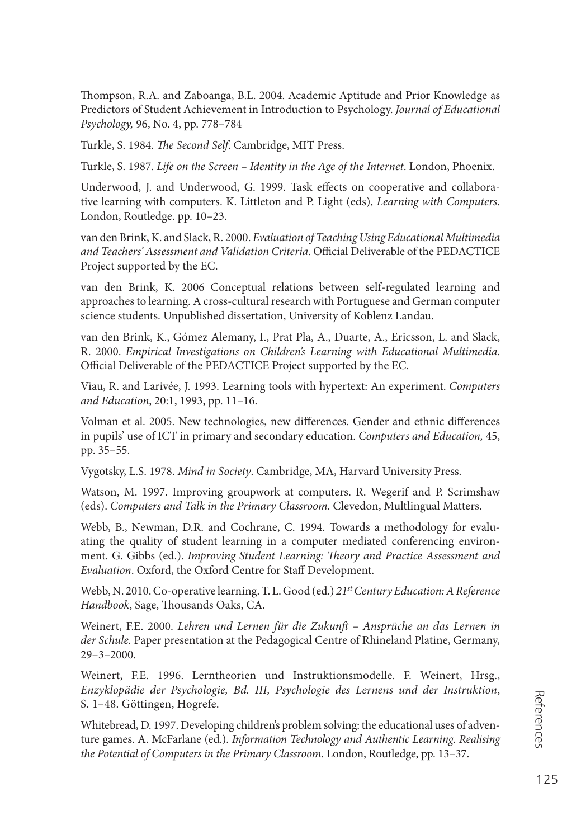Thompson, R.A. and Zaboanga, B.L. 2004. Academic Aptitude and Prior Knowledge as Predictors of Student Achievement in Introduction to Psychology. *Journal of Educational Psychology,* 96, No. 4, pp. 778–784

Turkle, S. 1984. *The Second Self.* Cambridge, MIT Press.

Turkle, S. 1987. *Life on the Screen – Identity in the Age of the Internet*. London, Phoenix.

Underwood, J. and Underwood, G. 1999. Task effects on cooperative and collaborative learning with computers. K. Littleton and P. Light (eds), *Learning with Computers*. London, Routledge. pp. 10–23.

van den Brink, K. and Slack, R. 2000. *Evaluation of Teaching Using Educational Multimedia*  and Teachers' Assessment and Validation Criteria. Official Deliverable of the PEDACTICE Project supported by the EC.

van den Brink, K. 2006 Conceptual relations between self-regulated learning and approaches to learning. A cross-cultural research with Portuguese and German computer science students. Unpublished dissertation, University of Koblenz Landau.

van den Brink, K., Gómez Alemany, I., Prat Pla, A., Duarte, A., Ericsson, L. and Slack, R. 2000. *Empirical Investigations on Children's Learning with Educational Multimedia*. Official Deliverable of the PEDACTICE Project supported by the EC.

Viau, R. and Larivée, J. 1993. Learning tools with hypertext: An experiment. *Computers and Education*, 20:1, 1993, pp. 11–16.

Volman et al. 2005. New technologies, new differences. Gender and ethnic differences in pupils' use of ICT in primary and secondary education. *Computers and Education,* 45, pp. 35–55.

Vygotsky, L.S. 1978. *Mind in Society*. Cambridge, MA, Harvard University Press.

Watson, M. 1997. Improving groupwork at computers. R. Wegerif and P. Scrimshaw (eds). *Computers and Talk in the Primary Classroom*. Clevedon, Multlingual Matters.

Webb, B., Newman, D.R. and Cochrane, C. 1994. Towards a methodology for evaluating the quality of student learning in a computer mediated conferencing environment. G. Gibbs (ed.). *Improving Student Learning: Theory and Practice Assessment and Evaluation*. Oxford, the Oxford Centre for Staff Development.

Webb, N. 2010. Co-operative learning. T. L. Good (ed.) *21st Century Education: A Reference*  Handbook, Sage, Thousands Oaks, CA.

Weinert, F.E. 2000. *Lehren und Lernen für die Zukunft – Ansprüche an das Lernen in der Schule.* Paper presentation at the Pedagogical Centre of Rhineland Platine, Germany, 29–3–2000.

Weinert, F.E. 1996. Lerntheorien und Instruktionsmodelle. F. Weinert, Hrsg., *Enzyklopädie der Psychologie, Bd. III, Psychologie des Lernens und der Instruktion*, S. 1–48. Göttingen, Hogrefe.

Whitebread, D. 1997. Developing children's problem solving: the educational uses of adventure games. A. McFarlane (ed.). *Information Technology and Authentic Learning. Realising the Potential of Computers in the Primary Classroom.* London, Routledge, pp. 13–37.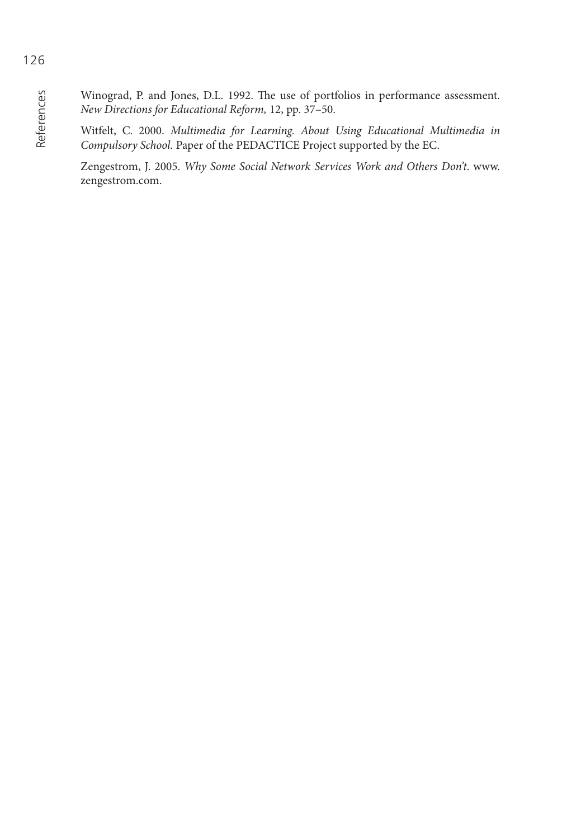Winograd, P. and Jones, D.L. 1992. The use of portfolios in performance assessment. *New Directions for Educational Reform,* 12, pp. 37–50.

Witfelt, C. 2000. *Multimedia for Learning. About Using Educational Multimedia in Compulsory School.* Paper of the PEDACTICE Project supported by the EC.

Zengestrom, J. 2005. *Why Some Social Network Services Work and Others Don't*. [www.](http://www.zengestrom.com) [zengestrom.com.](http://www.zengestrom.com)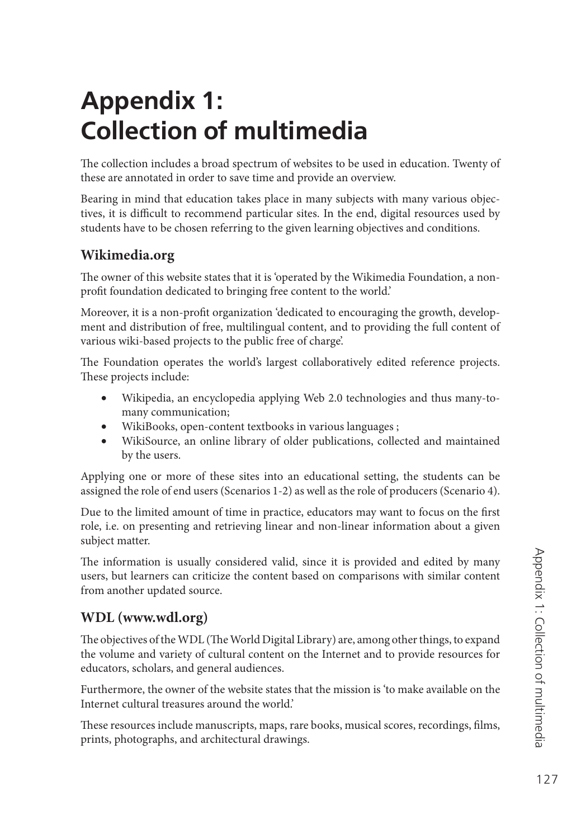# **Appendix 1: Collection of multimedia**

The collection includes a broad spectrum of websites to be used in education. Twenty of these are annotated in order to save time and provide an overview.

Bearing in mind that education takes place in many subjects with many various objectives, it is difficult to recommend particular sites. In the end, digital resources used by students have to be chosen referring to the given learning objectives and conditions.

#### **Wikimedia.org**

The owner of this website states that it is 'operated by the Wikimedia Foundation, a nonprofit foundation dedicated to bringing free content to the world.'

Moreover, it is a non-profit organization 'dedicated to encouraging the growth, development and distribution of free, multilingual content, and to providing the full content of various wiki-based projects to the public free of charge'.

The Foundation operates the world's largest collaboratively edited reference projects. These projects include:

- Wikipedia, an encyclopedia applying Web 2.0 technologies and thus many-tomany communication;
- WikiBooks, open-content textbooks in various languages ;
- WikiSource, an online library of older publications, collected and maintained by the users.

Applying one or more of these sites into an educational setting, the students can be assigned the role of end users (Scenarios 1-2) as well as the role of producers (Scenario 4).

Due to the limited amount of time in practice, educators may want to focus on the first role, i.e. on presenting and retrieving linear and non-linear information about a given subject matter.

The information is usually considered valid, since it is provided and edited by many users, but learners can criticize the content based on comparisons with similar content from another updated source.

#### **WDL ([www.wdl.org\)](http://www.wdl.org)**

The objectives of the WDL (The World Digital Library) are, among other things, to expand the volume and variety of cultural content on the Internet and to provide resources for educators, scholars, and general audiences.

Furthermore, the owner of the website states that the mission is 'to make available on the Internet cultural treasures around the world.'

These resources include manuscripts, maps, rare books, musical scores, recordings, films, prints, photographs, and architectural drawings.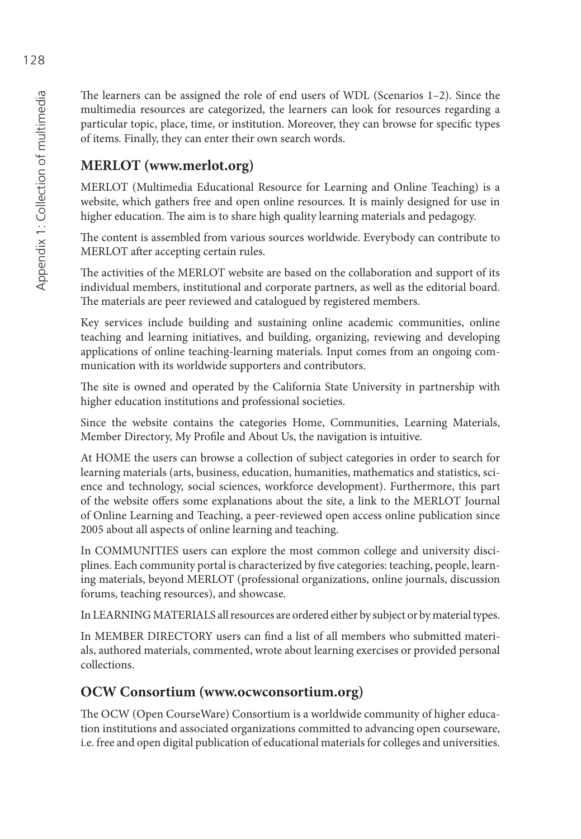The learners can be assigned the role of end users of WDL (Scenarios  $1-2$ ). Since the multimedia resources are categorized, the learners can look for resources regarding a particular topic, place, time, or institution. Moreover, they can browse for specific types of items. Finally, they can enter their own search words.

### **MERLOT [\(www.merlot.org\)](http://www.merlot.org)**

MERLOT (Multimedia Educational Resource for Learning and Online Teaching) is a website, which gathers free and open online resources. It is mainly designed for use in higher education. The aim is to share high quality learning materials and pedagogy.

The content is assembled from various sources worldwide. Everybody can contribute to MERLOT after accepting certain rules.

The activities of the MERLOT website are based on the collaboration and support of its individual members, institutional and corporate partners, as well as the editorial board. The materials are peer reviewed and catalogued by registered members.

Key services include building and sustaining online academic communities, online teaching and learning initiatives, and building, organizing, reviewing and developing applications of online teaching-learning materials. Input comes from an ongoing communication with its worldwide supporters and contributors.

The site is owned and operated by the California State University in partnership with higher education institutions and professional societies.

Since the website contains the categories Home, Communities, Learning Materials, Member Directory, My Profile and About Us, the navigation is intuitive.

At HOME the users can browse a collection of subject categories in order to search for learning materials (arts, business, education, humanities, mathematics and statistics, science and technology, social sciences, workforce development). Furthermore, this part of the website offers some explanations about the site, a link to the MERLOT Journal of Online Learning and Teaching, a peer-reviewed open access online publication since 2005 about all aspects of online learning and teaching.

In COMMUNITIES users can explore the most common college and university disciplines. Each community portal is characterized by five categories: teaching, people, learning materials, beyond MERLOT (professional organizations, online journals, discussion forums, teaching resources), and showcase.

In LEARNING MATERIALS all resources are ordered either by subject or by material types.

In MEMBER DIRECTORY users can find a list of all members who submitted materials, authored materials, commented, wrote about learning exercises or provided personal collections.

#### **OCW Consortium [\(www.ocwconsortium.org\)](http://www.ocwconsortium.org)**

The OCW (Open CourseWare) Consortium is a worldwide community of higher education institutions and associated organizations committed to advancing open courseware, i.e. free and open digital publication of educational materials for colleges and universities.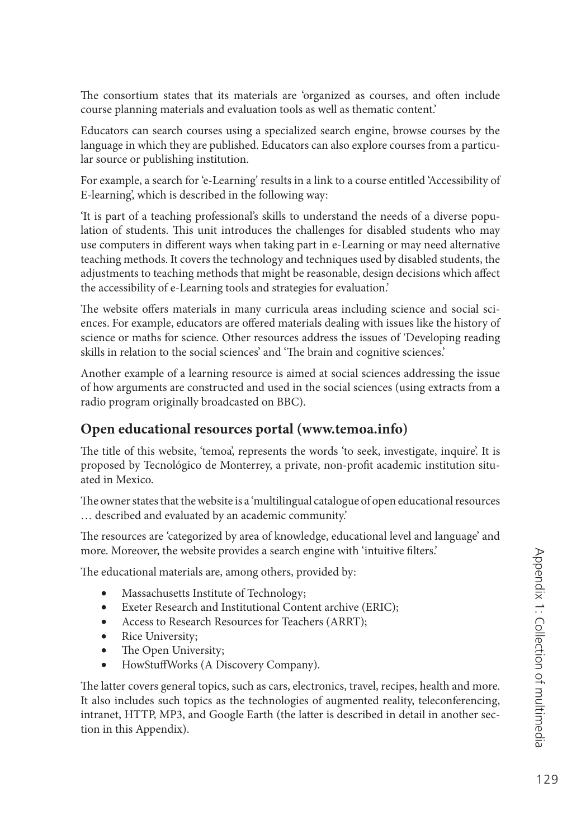The consortium states that its materials are 'organized as courses, and often include course planning materials and evaluation tools as well as thematic content.'

Educators can search courses using a specialized search engine, browse courses by the language in which they are published. Educators can also explore courses from a particular source or publishing institution.

For example, a search for 'e-Learning' results in a link to a course entitled 'Accessibility of E-learning', which is described in the following way:

'It is part of a teaching professional's skills to understand the needs of a diverse population of students. This unit introduces the challenges for disabled students who may use computers in different ways when taking part in e-Learning or may need alternative teaching methods. It covers the technology and techniques used by disabled students, the adjustments to teaching methods that might be reasonable, design decisions which affect the accessibility of e-Learning tools and strategies for evaluation.'

The website offers materials in many curricula areas including science and social sciences. For example, educators are offered materials dealing with issues like the history of science or maths for science. Other resources address the issues of 'Developing reading skills in relation to the social sciences' and 'The brain and cognitive sciences.'

Another example of a learning resource is aimed at social sciences addressing the issue of how arguments are constructed and used in the social sciences (using extracts from a radio program originally broadcasted on BBC).

#### **Open educational resources portal [\(www.temoa.info\)](http://www.temoa.info)**

The title of this website, 'temoa', represents the words 'to seek, investigate, inquire'. It is proposed by Tecnológico de Monterrey, a private, non-profit academic institution situated in Mexico.

The owner states that the website is a 'multilingual catalogue of open educational resources … described and evaluated by an academic community.'

The resources are 'categorized by area of knowledge, educational level and language' and more. Moreover, the website provides a search engine with 'intuitive filters.'

The educational materials are, among others, provided by:

- Massachusetts Institute of Technology;
- Exeter Research and Institutional Content archive (ERIC);
- Access to Research Resources for Teachers (ARRT);
- Rice University;
- The Open University;
- HowStuff Works (A Discovery Company).

The latter covers general topics, such as cars, electronics, travel, recipes, health and more. It also includes such topics as the technologies of augmented reality, teleconferencing, intranet, HTTP, MP3, and Google Earth (the latter is described in detail in another section in this Appendix).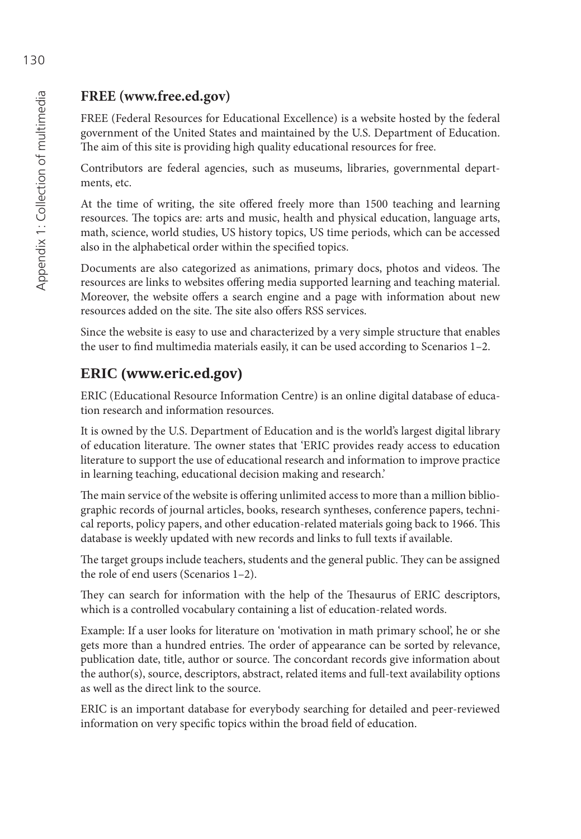#### **FREE [\(www.free.ed.gov\)](http://www.free.ed.gov)**

FREE (Federal Resources for Educational Excellence) is a website hosted by the federal government of the United States and maintained by the U.S. Department of Education. The aim of this site is providing high quality educational resources for free.

Contributors are federal agencies, such as museums, libraries, governmental departments, etc.

At the time of writing, the site offered freely more than 1500 teaching and learning resources. The topics are: arts and music, health and physical education, language arts, math, science, world studies, US history topics, US time periods, which can be accessed also in the alphabetical order within the specified topics.

Documents are also categorized as animations, primary docs, photos and videos. The resources are links to websites offering media supported learning and teaching material. Moreover, the website offers a search engine and a page with information about new resources added on the site. The site also offers RSS services.

Since the website is easy to use and characterized by a very simple structure that enables the user to find multimedia materials easily, it can be used according to Scenarios  $1-2$ .

#### **ERIC ([www.eric.ed.gov](http://www.eric.ed.gov))**

ERIC (Educational Resource Information Centre) is an online digital database of education research and information resources.

It is owned by the U.S. Department of Education and is the world's largest digital library of education literature. The owner states that 'ERIC provides ready access to education literature to support the use of educational research and information to improve practice in learning teaching, educational decision making and research.'

The main service of the website is offering unlimited access to more than a million bibliographic records of journal articles, books, research syntheses, conference papers, technical reports, policy papers, and other education-related materials going back to 1966. This database is weekly updated with new records and links to full texts if available.

The target groups include teachers, students and the general public. They can be assigned the role of end users (Scenarios 1–2).

They can search for information with the help of the Thesaurus of ERIC descriptors, which is a controlled vocabulary containing a list of education-related words.

Example: If a user looks for literature on 'motivation in math primary school', he or she gets more than a hundred entries. The order of appearance can be sorted by relevance, publication date, title, author or source. The concordant records give information about the author(s), source, descriptors, abstract, related items and full-text availability options as well as the direct link to the source.

ERIC is an important database for everybody searching for detailed and peer-reviewed information on very specific topics within the broad field of education.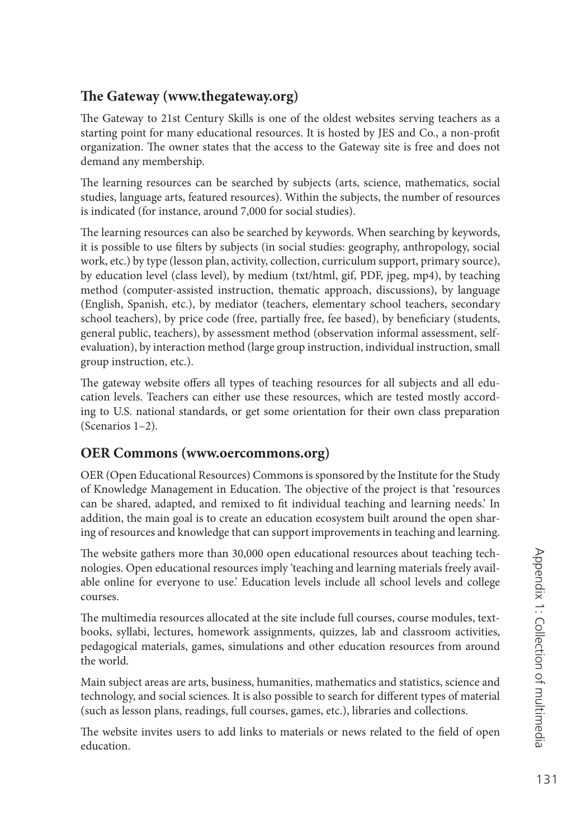#### **The Gateway ([www.thegateway.org\)](http://www.thegateway.org)**

The Gateway to 21st Century Skills is one of the oldest websites serving teachers as a starting point for many educational resources. It is hosted by JES and Co., a non-profit organization. The owner states that the access to the Gateway site is free and does not demand any membership.

The learning resources can be searched by subjects (arts, science, mathematics, social studies, language arts, featured resources). Within the subjects, the number of resources is indicated (for instance, around 7,000 for social studies).

The learning resources can also be searched by keywords. When searching by keywords, it is possible to use filters by subjects (in social studies: geography, anthropology, social work, etc.) by type (lesson plan, activity, collection, curriculum support, primary source), by education level (class level), by medium (txt/html, gif, PDF, jpeg, mp4), by teaching method (computer-assisted instruction, thematic approach, discussions), by language (English, Spanish, etc.), by mediator (teachers, elementary school teachers, secondary school teachers), by price code (free, partially free, fee based), by beneficiary (students, general public, teachers), by assessment method (observation informal assessment, selfevaluation), by interaction method (large group instruction, individual instruction, small group instruction, etc.).

The gateway website offers all types of teaching resources for all subjects and all education levels. Teachers can either use these resources, which are tested mostly according to U.S. national standards, or get some orientation for their own class preparation (Scenarios 1–2).

#### **OER Commons ([www.oercommons.org\)](http://www.oercommons.org)**

OER (Open Educational Resources) Commons is sponsored by the Institute for the Study of Knowledge Management in Education. The objective of the project is that 'resources can be shared, adapted, and remixed to fit individual teaching and learning needs.' In addition, the main goal is to create an education ecosystem built around the open sharing of resources and knowledge that can support improvements in teaching and learning.

The website gathers more than 30,000 open educational resources about teaching technologies. Open educational resources imply 'teaching and learning materials freely available online for everyone to use.' Education levels include all school levels and college courses.

The multimedia resources allocated at the site include full courses, course modules, textbooks, syllabi, lectures, homework assignments, quizzes, lab and classroom activities, pedagogical materials, games, simulations and other education resources from around the world.

Main subject areas are arts, business, humanities, mathematics and statistics, science and technology, and social sciences. It is also possible to search for different types of material (such as lesson plans, readings, full courses, games, etc.), libraries and collections.

The website invites users to add links to materials or news related to the field of open education.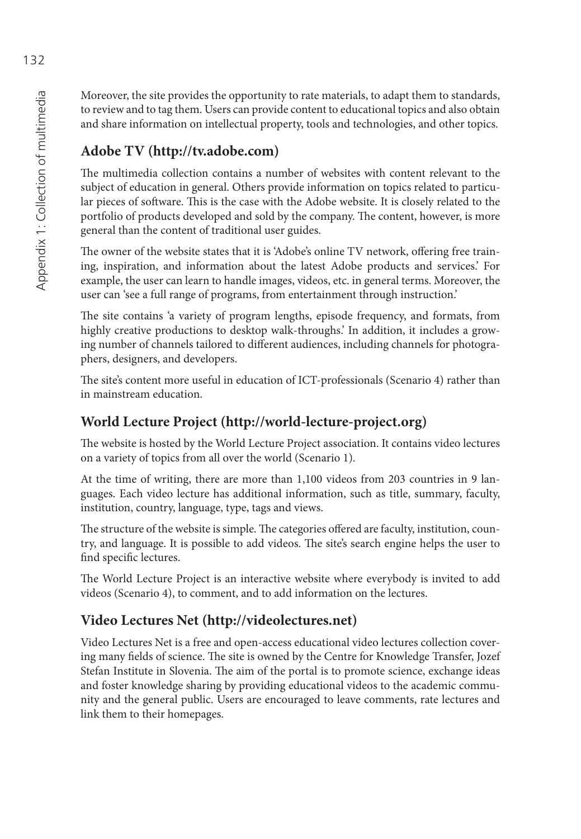Moreover, the site provides the opportunity to rate materials, to adapt them to standards, to review and to tag them. Users can provide content to educational topics and also obtain and share information on intellectual property, tools and technologies, and other topics.

#### **Adobe TV ([http://tv.adobe.com\)](http://tv.adobe.com)**

The multimedia collection contains a number of websites with content relevant to the subject of education in general. Others provide information on topics related to particular pieces of software. This is the case with the Adobe website. It is closely related to the portfolio of products developed and sold by the company. The content, however, is more general than the content of traditional user guides.

The owner of the website states that it is 'Adobe's online TV network, offering free training, inspiration, and information about the latest Adobe products and services.' For example, the user can learn to handle images, videos, etc. in general terms. Moreover, the user can 'see a full range of programs, from entertainment through instruction.'

The site contains 'a variety of program lengths, episode frequency, and formats, from highly creative productions to desktop walk-throughs.' In addition, it includes a growing number of channels tailored to different audiences, including channels for photographers, designers, and developers.

The site's content more useful in education of ICT-professionals (Scenario 4) rather than in mainstream education.

#### **World Lecture Project [\(http:// world-lecture-project.org\)](http://world-lecture-project.org)**

The website is hosted by the World Lecture Project association. It contains video lectures on a variety of topics from all over the world (Scenario 1).

At the time of writing, there are more than 1,100 videos from 203 countries in 9 languages. Each video lecture has additional information, such as title, summary, faculty, institution, country, language, type, tags and views.

The structure of the website is simple. The categories offered are faculty, institution, country, and language. It is possible to add videos. The site's search engine helps the user to find specific lectures.

The World Lecture Project is an interactive website where everybody is invited to add videos (Scenario 4), to comment, and to add information on the lectures.

#### **Video Lectures Net [\(http://videolectures.net\)](http://videolectures.net)**

Video Lectures Net is a free and open-access educational video lectures collection covering many fields of science. The site is owned by the Centre for Knowledge Transfer, Jozef Stefan Institute in Slovenia. The aim of the portal is to promote science, exchange ideas and foster knowledge sharing by providing educational videos to the academic community and the general public. Users are encouraged to leave comments, rate lectures and link them to their homepages.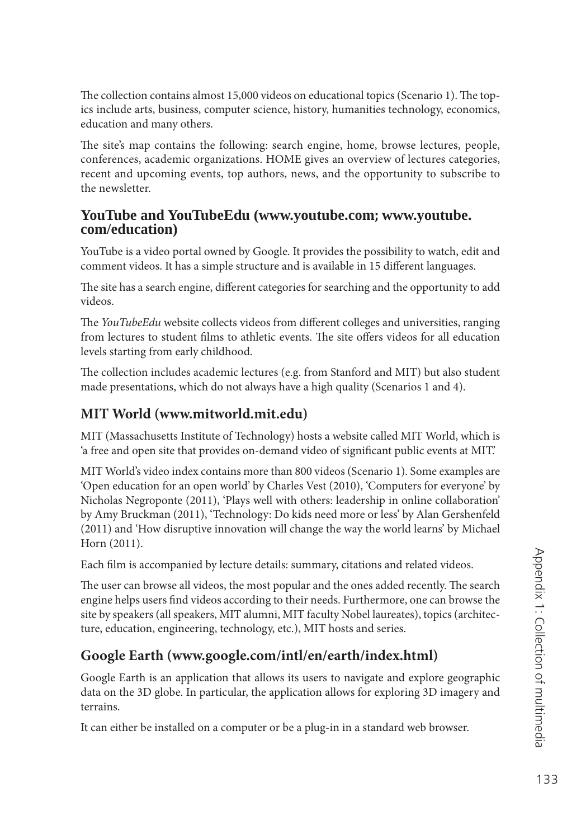The collection contains almost 15,000 videos on educational topics (Scenario 1). The topics include arts, business, computer science, history, humanities technology, economics, education and many others.

The site's map contains the following: search engine, home, browse lectures, people, conferences, academic organizations. HOME gives an overview of lectures categories, recent and upcoming events, top authors, news, and the opportunity to subscribe to the newsletter.

#### **YouTube and YouTubeEdu [\(www.youtube.com](http://www.youtube.com); [www.youtube.](http://www.youtube) com/education)**

YouTube is a video portal owned by Google. It provides the possibility to watch, edit and comment videos. It has a simple structure and is available in 15 different languages.

The site has a search engine, different categories for searching and the opportunity to add videos.

The *YouTubeEdu* website collects videos from different colleges and universities, ranging from lectures to student films to athletic events. The site offers videos for all education levels starting from early childhood.

The collection includes academic lectures (e.g. from Stanford and MIT) but also student made presentations, which do not always have a high quality (Scenarios 1 and 4).

#### **MIT World [\(www.mitworld.mit.edu\)](http://www.mitworld.mit.edu)**

MIT (Massachusetts Institute of Technology) hosts a website called MIT World, which is 'a free and open site that provides on-demand video of significant public events at MIT.'

MIT World's video index contains more than 800 videos (Scenario 1). Some examples are 'Open education for an open world' by Charles Vest (2010), 'Computers for everyone' by Nicholas Negroponte (2011), 'Plays well with others: leadership in online collaboration' by Amy Bruckman (2011), 'Technology: Do kids need more or less' by Alan Gershenfeld (2011) and 'How disruptive innovation will change the way the world learns' by Michael Horn (2011).

Each film is accompanied by lecture details: summary, citations and related videos.

The user can browse all videos, the most popular and the ones added recently. The search engine helps users find videos according to their needs. Furthermore, one can browse the site by speakers (all speakers, MIT alumni, MIT faculty Nobel laureates), topics (architecture, education, engineering, technology, etc.), MIT hosts and series.

#### **Google Earth [\(www.google.com/intl/en/earth/index.html\)](http://www.google.com/intl/en/earth/index.html)**

Google Earth is an application that allows its users to navigate and explore geographic data on the 3D globe. In particular, the application allows for exploring 3D imagery and terrains.

It can either be installed on a computer or be a plug-in in a standard web browser.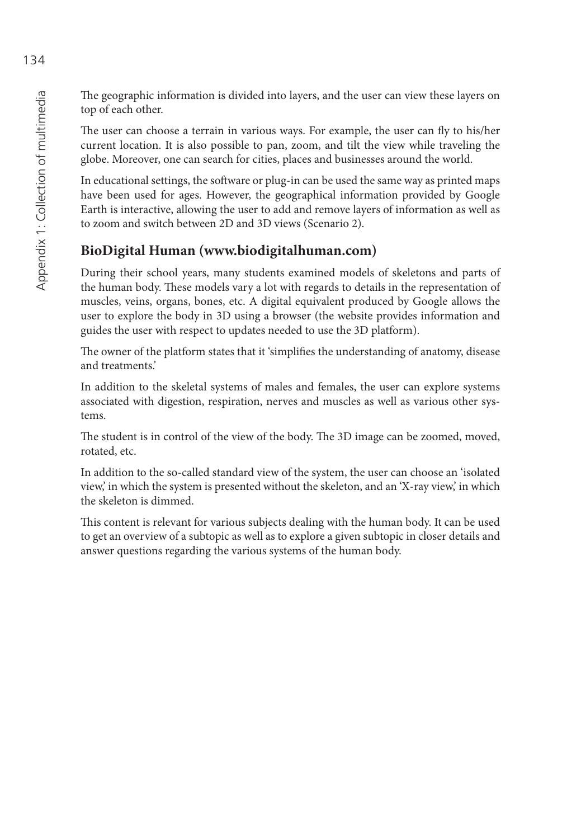The geographic information is divided into layers, and the user can view these layers on top of each other.

The user can choose a terrain in various ways. For example, the user can fly to his/her current location. It is also possible to pan, zoom, and tilt the view while traveling the globe. Moreover, one can search for cities, places and businesses around the world.

In educational settings, the software or plug-in can be used the same way as printed maps have been used for ages. However, the geographical information provided by Google Earth is interactive, allowing the user to add and remove layers of information as well as to zoom and switch between 2D and 3D views (Scenario 2).

#### **BioDigital Human [\(www.biodigitalhuman.com\)](http://www.biodigitalhuman.com)**

During their school years, many students examined models of skeletons and parts of the human body. These models vary a lot with regards to details in the representation of muscles, veins, organs, bones, etc. A digital equivalent produced by Google allows the user to explore the body in 3D using a browser (the website provides information and guides the user with respect to updates needed to use the 3D platform).

The owner of the platform states that it 'simplifies the understanding of anatomy, disease and treatments.'

In addition to the skeletal systems of males and females, the user can explore systems associated with digestion, respiration, nerves and muscles as well as various other systems.

The student is in control of the view of the body. The 3D image can be zoomed, moved, rotated, etc.

In addition to the so-called standard view of the system, the user can choose an 'isolated view,' in which the system is presented without the skeleton, and an 'X-ray view,' in which the skeleton is dimmed.

This content is relevant for various subjects dealing with the human body. It can be used to get an overview of a subtopic as well as to explore a given subtopic in closer details and answer questions regarding the various systems of the human body.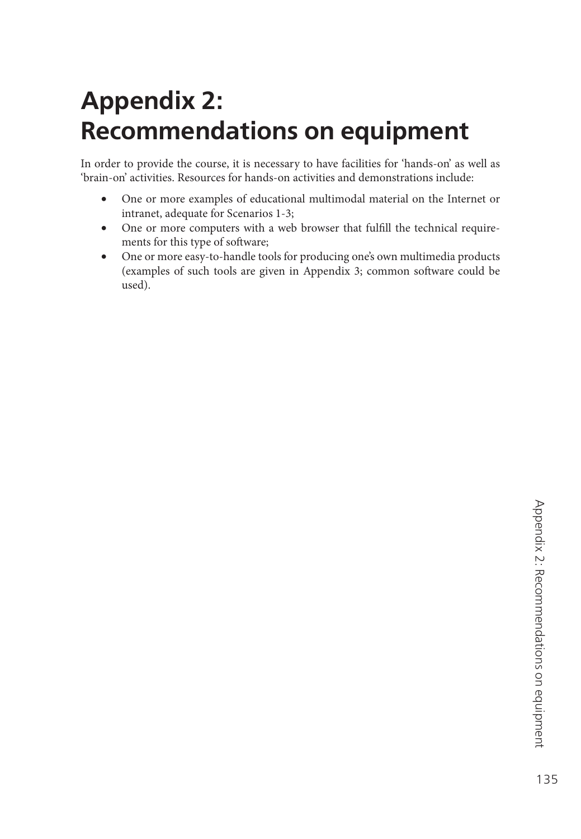# **Appendix 2: Recommendations on equipment**

In order to provide the course, it is necessary to have facilities for 'hands-on' as well as 'brain-on' activities. Resources for hands-on activities and demonstrations include:

- One or more examples of educational multimodal material on the Internet or intranet, adequate for Scenarios 1-3;
- One or more computers with a web browser that fulfill the technical requirements for this type of software;
- One or more easy-to-handle tools for producing one's own multimedia products (examples of such tools are given in Appendix 3; common software could be used).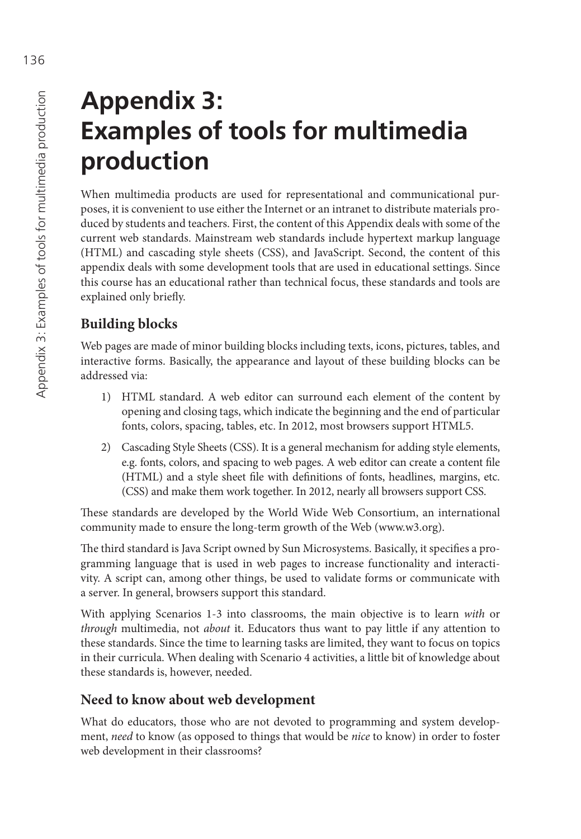# **Appendix 3: Examples of tools for multimedia production**

When multimedia products are used for representational and communicational purposes, it is convenient to use either the Internet or an intranet to distribute materials produced by students and teachers. First, the content of this Appendix deals with some of the current web standards. Mainstream web standards include hypertext markup language (HTML) and cascading style sheets (CSS), and JavaScript. Second, the content of this appendix deals with some development tools that are used in educational settings. Since this course has an educational rather than technical focus, these standards and tools are explained only briefly.

#### **Building blocks**

Web pages are made of minor building blocks including texts, icons, pictures, tables, and interactive forms. Basically, the appearance and layout of these building blocks can be addressed via:

- 1) HTML standard. A web editor can surround each element of the content by opening and closing tags, which indicate the beginning and the end of particular fonts, colors, spacing, tables, etc. In 2012, most browsers support HTML5.
- 2) Cascading Style Sheets (CSS). It is a general mechanism for adding style elements, e.g. fonts, colors, and spacing to web pages. A web editor can create a content file (HTML) and a style sheet file with definitions of fonts, headlines, margins, etc. (CSS) and make them work together. In 2012, nearly all browsers support CSS.

These standards are developed by the World Wide Web Consortium, an international community made to ensure the long-term growth of the Web ([www.w3.org\).](http://www.w3.org)

The third standard is Java Script owned by Sun Microsystems. Basically, it specifies a programming language that is used in web pages to increase functionality and interactivity. A script can, among other things, be used to validate forms or communicate with a server. In general, browsers support this standard.

With applying Scenarios 1-3 into classrooms, the main objective is to learn *with* or *through* multimedia, not *about* it. Educators thus want to pay little if any attention to these standards. Since the time to learning tasks are limited, they want to focus on topics in their curricula. When dealing with Scenario 4 activities, a little bit of knowledge about these standards is, however, needed.

#### **Need to know about web development**

What do educators, those who are not devoted to programming and system development, *need* to know (as opposed to things that would be *nice* to know) in order to foster web development in their classrooms?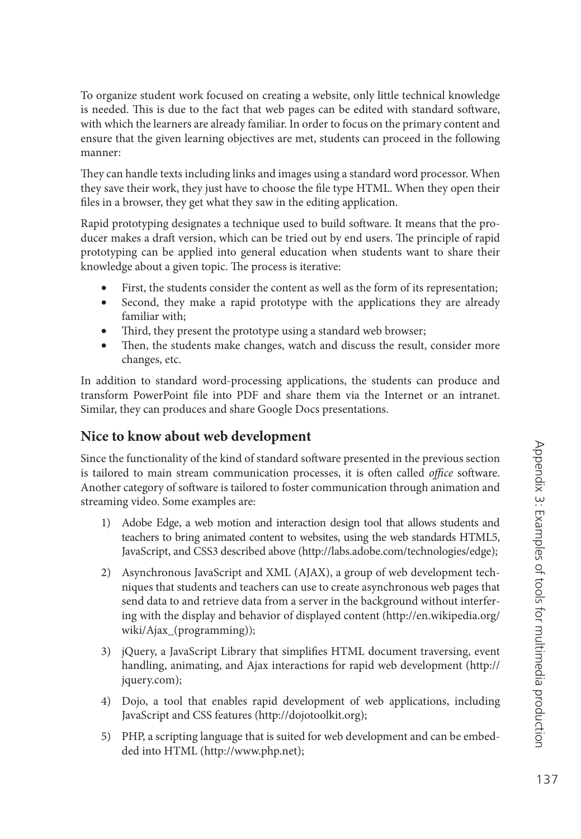To organize student work focused on creating a website, only little technical knowledge is needed. This is due to the fact that web pages can be edited with standard software, with which the learners are already familiar. In order to focus on the primary content and ensure that the given learning objectives are met, students can proceed in the following manner:

They can handle texts including links and images using a standard word processor. When they save their work, they just have to choose the file type HTML. When they open their files in a browser, they get what they saw in the editing application.

Rapid prototyping designates a technique used to build software. It means that the producer makes a draft version, which can be tried out by end users. The principle of rapid prototyping can be applied into general education when students want to share their knowledge about a given topic. The process is iterative:

- First, the students consider the content as well as the form of its representation;
- Second, they make a rapid prototype with the applications they are already familiar with;
- Third, they present the prototype using a standard web browser;
- Then, the students make changes, watch and discuss the result, consider more changes, etc.

In addition to standard word-processing applications, the students can produce and transform PowerPoint file into PDF and share them via the Internet or an intranet. Similar, they can produces and share Google Docs presentations.

#### **Nice to know about web development**

Since the functionality of the kind of standard software presented in the previous section is tailored to main stream communication processes, it is often called *office* software. Another category of software is tailored to foster communication through animation and streaming video. Some examples are:

- 1) Adobe Edge, a web motion and interaction design tool that allows students and teachers to bring animated content to websites, using the web standards HTML5, JavaScript, and CSS3 described above [\(http://labs.adobe.com/technologies/edge\);](http://labs.adobe.com/technologies/edge)
- 2) Asynchronous JavaScript and XML (AJAX), a group of web development techniques that students and teachers can use to create asynchronous web pages that send data to and retrieve data from a server in the background without interfering with the display and behavior of displayed content [\(http://en.wikipedia.org/](http://en.wikipedia.org/wiki/Ajax_) [wiki/Ajax\\_\(pro](http://en.wikipedia.org/wiki/Ajax_)gramming));
- 3) jQuery, a JavaScript Library that simplifies HTML document traversing, event handling, animating, and Ajax interactions for rapid web development ([http://](http://jquery.com) [jquery.com\);](http://jquery.com)
- 4) Dojo, a tool that enables rapid development of web applications, including JavaScript and CSS features [\(http://dojotoolkit.org\);](http://dojotoolkit.org)
- 5) PHP, a scripting language that is suited for web development and can be embedded into HTML ([http://www.php.net\);](http://www.php.net)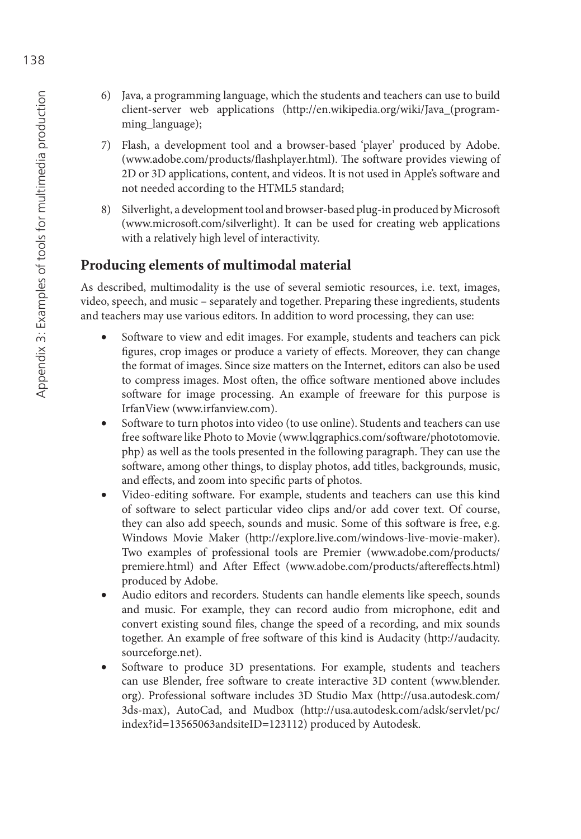- 6) Java, a programming language, which the students and teachers can use to build client-server web applications ([http://en.wikipedia.org/wiki/Java\\_\(pro](http://en.wikipedia.org/wiki/Java_)gramming\_language);
- 7) Flash, a development tool and a browser-based 'player' produced by Adobe. (www.adobe.com/products/flashplayer.html). The software provides viewing of 2D or 3D applications, content, and videos. It is not used in Apple's software and not needed according to the HTML5 standard;
- 8) Silverlight, a development tool and browser-based plug-in produced by Microsoft [\(www.microsoft .com/silverlight\). It](http://www.microsoft.com/silverlight) can be used for creating web applications with a relatively high level of interactivity.

#### **Producing elements of multimodal material**

As described, multimodality is the use of several semiotic resources, i.e. text, images, video, speech, and music – separately and together. Preparing these ingredients, students and teachers may use various editors. In addition to word processing, they can use:

- Software to view and edit images. For example, students and teachers can pick figures, crop images or produce a variety of effects. Moreover, they can change the format of images. Since size matters on the Internet, editors can also be used to compress images. Most often, the office software mentioned above includes software for image processing. An example of freeware for this purpose is IrfanView [\(www.irfanview.com\).](http://www.irfanview.com)
- Software to turn photos into video (to use online). Students and teachers can use free software like Photo to Movie (www.lqgraphics.com/software/phototomovie. [php\) as](http://www.lqgraphics.com/software/phototomovie.php) well as the tools presented in the following paragraph. They can use the software, among other things, to display photos, add titles, backgrounds, music, and effects, and zoom into specific parts of photos.
- Video-editing software. For example, students and teachers can use this kind of software to select particular video clips and/or add cover text. Of course, they can also add speech, sounds and music. Some of this software is free, e.g. Windows Movie Maker ([http://explore.live.com/windows-live-movie-maker\).](http://explore.live.com/windows-live-movie-maker)  Two examples of professional tools are Premier ([www.adobe.com/products/](http://www.adobe.com/products/premiere.html) [premiere.html\) an](http://www.adobe.com/products/premiere.html)d After Effect (www.adobe.com/products/aftereffects.html) produced by Adobe.
- Audio editors and recorders. Students can handle elements like speech, sounds and music. For example, they can record audio from microphone, edit and convert existing sound files, change the speed of a recording, and mix sounds together. An example of free software of this kind is Audacity ([http://audacity.](http://audacity.sourceforge.net) [sourceforge.net\).](http://audacity.sourceforge.net)
- Software to produce 3D presentations. For example, students and teachers can use Blender, free software to create interactive 3D content [\(www.blender.](http://www.blender.org) [org\). Pr](http://www.blender.org)ofessional software includes 3D Studio Max ([http://usa.autodesk.com/](http://usa.autodesk.com/3ds-max) [3ds-max\), A](http://usa.autodesk.com/3ds-max)utoCad, and Mudbox [\(http://usa.autodesk.com/adsk/servlet/pc/](http://usa.autodesk.com/adsk/servlet/pc/index?id=13565063andsiteID=123112) [index?id=13565063andsiteID=123112\) pr](http://usa.autodesk.com/adsk/servlet/pc/index?id=13565063andsiteID=123112)oduced by Autodesk.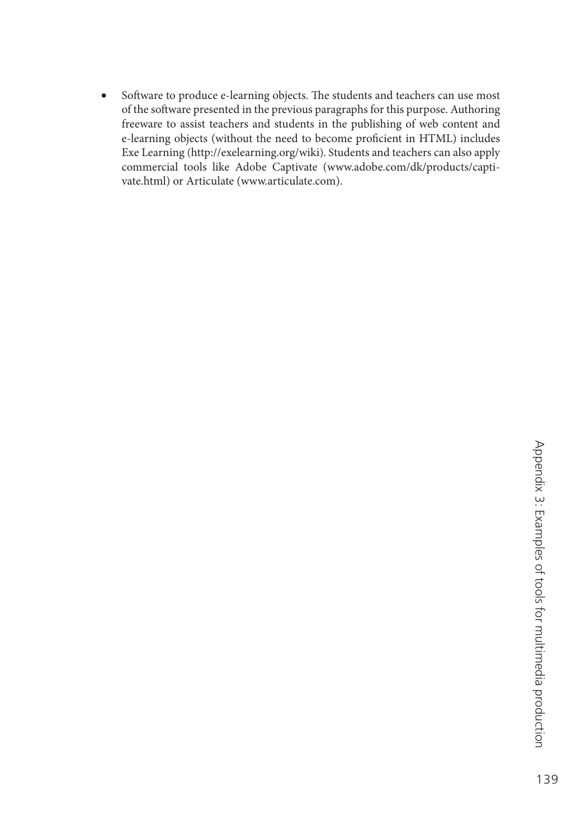• Software to produce e-learning objects. The students and teachers can use most of the software presented in the previous paragraphs for this purpose. Authoring freeware to assist teachers and students in the publishing of web content and e-learning objects (without the need to become proficient in HTML) includes Exe Learning ([http://exelearning.org/wiki\). Stu](http://exelearning.org/wiki)dents and teachers can also apply [commercial tools like Adobe Captivate \(www.adobe.com/dk/products/capti](http://www.adobe.com/dk/products/capti-vate.html)vate[.html\) or](http://www.adobe.com/dk/products/capti-vate.html) Articulate ([www.articulate.com\).](http://www.articulate.com)